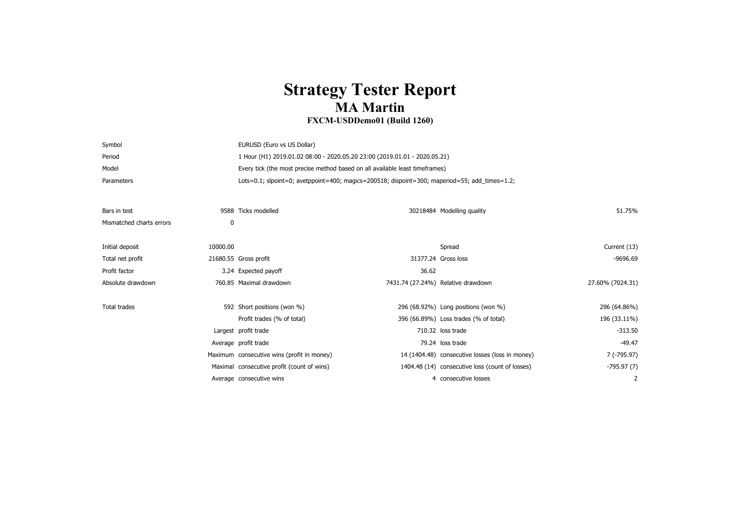## **Strategy Tester Report MA Martin**

## **FXCM-USDDemo01 (Build 1260)**

| Symbol                   |          | EURUSD (Euro vs US Dollar)                                                                    |       |                                                 |                  |  |
|--------------------------|----------|-----------------------------------------------------------------------------------------------|-------|-------------------------------------------------|------------------|--|
| Period                   |          | 1 Hour (H1) 2019.01.02 08:00 - 2020.05.20 23:00 (2019.01.01 - 2020.05.21)                     |       |                                                 |                  |  |
| Model                    |          | Every tick (the most precise method based on all available least timeframes)                  |       |                                                 |                  |  |
| Parameters               |          | Lots=0.1; slpoint=0; avetppoint=400; magics=200518; dispoint=300; maperiod=55; add_times=1.2; |       |                                                 |                  |  |
|                          |          |                                                                                               |       |                                                 |                  |  |
| Bars in test             |          | 9588 Ticks modelled                                                                           |       | 30218484 Modelling quality                      | 51.75%           |  |
| Mismatched charts errors | 0        |                                                                                               |       |                                                 |                  |  |
|                          |          |                                                                                               |       |                                                 |                  |  |
| Initial deposit          | 10000.00 |                                                                                               |       | Spread                                          | Current (13)     |  |
| Total net profit         |          | 21680.55 Gross profit                                                                         |       | 31377.24 Gross loss                             | $-9696.69$       |  |
| Profit factor            |          | 3.24 Expected payoff                                                                          | 36.62 |                                                 |                  |  |
| Absolute drawdown        |          | 760.85 Maximal drawdown                                                                       |       | 7431.74 (27.24%) Relative drawdown              | 27.60% (7024.31) |  |
|                          |          |                                                                                               |       |                                                 |                  |  |
| <b>Total trades</b>      |          | 592 Short positions (won %)                                                                   |       | 296 (68.92%) Long positions (won %)             | 296 (64.86%)     |  |
|                          |          | Profit trades (% of total)                                                                    |       | 396 (66.89%) Loss trades (% of total)           | 196 (33.11%)     |  |
|                          |          | Largest profit trade                                                                          |       | 710.32 loss trade                               | $-313.50$        |  |
|                          |          | Average profit trade                                                                          |       | 79.24 loss trade                                | $-49.47$         |  |
|                          |          | Maximum consecutive wins (profit in money)                                                    |       | 14 (1404.48) consecutive losses (loss in money) | 7 (-795.97)      |  |
|                          |          | Maximal consecutive profit (count of wins)                                                    |       | 1404.48 (14) consecutive loss (count of losses) | $-795.97(7)$     |  |
|                          |          | Average consecutive wins                                                                      |       | 4 consecutive losses                            | 2                |  |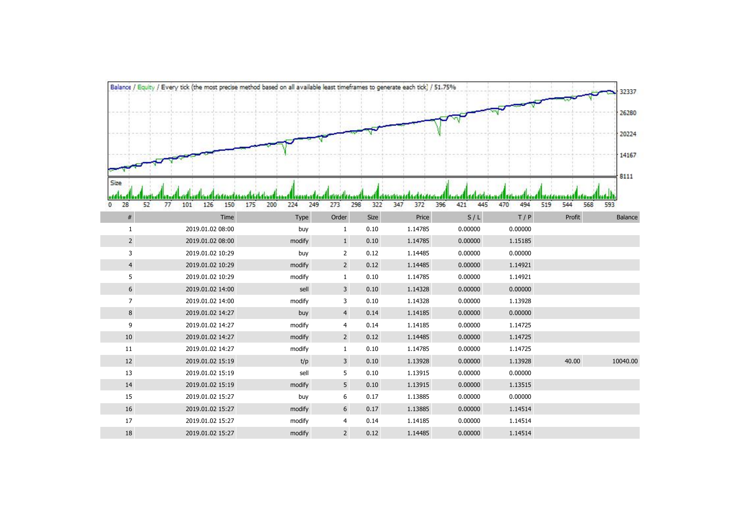|                        | Balance / Equity / Every tick (the most precise method based on all available least timeframes to generate each tick) / 51.75% |                          |                         |            |                   |                   |            |                   | 32337    |  |  |
|------------------------|--------------------------------------------------------------------------------------------------------------------------------|--------------------------|-------------------------|------------|-------------------|-------------------|------------|-------------------|----------|--|--|
|                        |                                                                                                                                |                          |                         |            |                   |                   |            |                   |          |  |  |
|                        |                                                                                                                                |                          |                         |            |                   |                   |            |                   | 26280    |  |  |
|                        |                                                                                                                                |                          |                         |            |                   |                   |            |                   | 20224    |  |  |
|                        |                                                                                                                                |                          |                         |            |                   |                   |            |                   | 14167    |  |  |
| Size                   |                                                                                                                                |                          |                         |            |                   |                   |            |                   | 8111     |  |  |
|                        |                                                                                                                                |                          |                         |            | t i fi taddain di |                   |            |                   |          |  |  |
| 28<br>52<br>$^{\circ}$ | 126<br>150<br>77<br>101                                                                                                        | 200<br>249<br>175<br>224 | 273                     | 298<br>322 | 347<br>372        | 396<br>445<br>421 | 494<br>470 | 568<br>519<br>544 | 593      |  |  |
| $\#$                   | Time                                                                                                                           | Type                     | Order                   | Size       | Price             | S/L               | T/P        | Profit            | Balance  |  |  |
| $\mathbf{1}$           | 2019.01.02 08:00                                                                                                               | buy                      | $\mathbf{1}$            | 0.10       | 1.14785           | 0.00000           | 0.00000    |                   |          |  |  |
| $2^{\circ}$            | 2019.01.02 08:00                                                                                                               | modify                   | $\mathbf{1}$            | 0.10       | 1.14785           | 0.00000           | 1.15185    |                   |          |  |  |
| 3                      | 2019.01.02 10:29                                                                                                               | buy                      | $\overline{2}$          | 0.12       | 1.14485           | 0.00000           | 0.00000    |                   |          |  |  |
| $\overline{4}$         | 2019.01.02 10:29                                                                                                               | modify                   | $2^{\circ}$             | 0.12       | 1.14485           | 0.00000           | 1.14921    |                   |          |  |  |
| 5                      | 2019.01.02 10:29                                                                                                               | modify                   | $\mathbf{1}$            | 0.10       | 1.14785           | 0.00000           | 1.14921    |                   |          |  |  |
| 6                      | 2019.01.02 14:00                                                                                                               | sell                     | $\overline{3}$          | 0.10       | 1.14328           | 0.00000           | 0.00000    |                   |          |  |  |
| $\overline{7}$         | 2019.01.02 14:00                                                                                                               | modify                   | 3                       | 0.10       | 1.14328           | 0.00000           | 1.13928    |                   |          |  |  |
| 8                      | 2019.01.02 14:27                                                                                                               | buy                      | $\overline{4}$          | 0.14       | 1.14185           | 0.00000           | 0.00000    |                   |          |  |  |
| 9                      | 2019.01.02 14:27                                                                                                               | modify                   | $\overline{4}$          | 0.14       | 1.14185           | 0.00000           | 1.14725    |                   |          |  |  |
| 10                     | 2019.01.02 14:27                                                                                                               | modify                   | $2\overline{ }$         | 0.12       | 1.14485           | 0.00000           | 1.14725    |                   |          |  |  |
| 11                     | 2019.01.02 14:27                                                                                                               | modify                   | $\mathbf{1}$            | 0.10       | 1.14785           | 0.00000           | 1.14725    |                   |          |  |  |
| 12                     | 2019.01.02 15:19                                                                                                               | t/p                      | $\overline{\mathbf{3}}$ | 0.10       | 1.13928           | 0.00000           | 1.13928    | 40.00             | 10040.00 |  |  |
| 13                     | 2019.01.02 15:19                                                                                                               | sell                     | 5                       | 0.10       | 1.13915           | 0.00000           | 0.00000    |                   |          |  |  |
| 14                     | 2019.01.02 15:19                                                                                                               | modify                   | 5                       | 0.10       | 1.13915           | 0.00000           | 1.13515    |                   |          |  |  |
| 15                     | 2019.01.02 15:27                                                                                                               | buy                      | 6                       | 0.17       | 1.13885           | 0.00000           | 0.00000    |                   |          |  |  |
| 16                     | 2019.01.02 15:27                                                                                                               | modify                   | $6\,$                   | 0.17       | 1.13885           | 0.00000           | 1.14514    |                   |          |  |  |
| 17                     | 2019.01.02 15:27                                                                                                               | modify                   | 4                       | 0.14       | 1.14185           | 0.00000           | 1.14514    |                   |          |  |  |
| 18                     | 2019.01.02 15:27                                                                                                               | modify                   | $\overline{2}$          | 0.12       | 1.14485           | 0.00000           | 1.14514    |                   |          |  |  |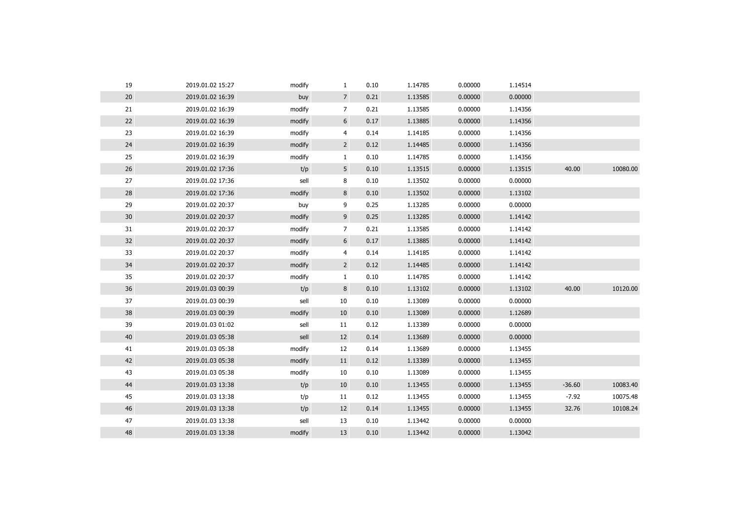| 19 | 2019.01.02 15:27 | modify | $\mathbf{1}$   | 0.10 | 1.14785 | 0.00000 | 1.14514 |          |          |
|----|------------------|--------|----------------|------|---------|---------|---------|----------|----------|
| 20 | 2019.01.02 16:39 | buy    | $\overline{7}$ | 0.21 | 1.13585 | 0.00000 | 0.00000 |          |          |
| 21 | 2019.01.02 16:39 | modify | 7              | 0.21 | 1.13585 | 0.00000 | 1.14356 |          |          |
| 22 | 2019.01.02 16:39 | modify | 6              | 0.17 | 1.13885 | 0.00000 | 1.14356 |          |          |
| 23 | 2019.01.02 16:39 | modify | 4              | 0.14 | 1.14185 | 0.00000 | 1.14356 |          |          |
| 24 | 2019.01.02 16:39 | modify | $\overline{2}$ | 0.12 | 1.14485 | 0.00000 | 1.14356 |          |          |
| 25 | 2019.01.02 16:39 | modify | $\mathbf{1}$   | 0.10 | 1.14785 | 0.00000 | 1.14356 |          |          |
| 26 | 2019.01.02 17:36 | t/p    | 5              | 0.10 | 1.13515 | 0.00000 | 1.13515 | 40.00    | 10080.00 |
| 27 | 2019.01.02 17:36 | sell   | 8              | 0.10 | 1.13502 | 0.00000 | 0.00000 |          |          |
| 28 | 2019.01.02 17:36 | modify | 8              | 0.10 | 1.13502 | 0.00000 | 1.13102 |          |          |
| 29 | 2019.01.02 20:37 | buy    | 9              | 0.25 | 1.13285 | 0.00000 | 0.00000 |          |          |
| 30 | 2019.01.02 20:37 | modify | 9              | 0.25 | 1.13285 | 0.00000 | 1.14142 |          |          |
| 31 | 2019.01.02 20:37 | modify | 7              | 0.21 | 1.13585 | 0.00000 | 1.14142 |          |          |
| 32 | 2019.01.02 20:37 | modify | 6              | 0.17 | 1.13885 | 0.00000 | 1.14142 |          |          |
| 33 | 2019.01.02 20:37 | modify | 4              | 0.14 | 1.14185 | 0.00000 | 1.14142 |          |          |
| 34 | 2019.01.02 20:37 | modify | $\overline{2}$ | 0.12 | 1.14485 | 0.00000 | 1.14142 |          |          |
| 35 | 2019.01.02 20:37 | modify | $\mathbf{1}$   | 0.10 | 1.14785 | 0.00000 | 1.14142 |          |          |
| 36 | 2019.01.03 00:39 | t/p    | 8              | 0.10 | 1.13102 | 0.00000 | 1.13102 | 40.00    | 10120.00 |
| 37 | 2019.01.03 00:39 | sell   | 10             | 0.10 | 1.13089 | 0.00000 | 0.00000 |          |          |
| 38 | 2019.01.03 00:39 | modify | 10             | 0.10 | 1.13089 | 0.00000 | 1.12689 |          |          |
| 39 | 2019.01.03 01:02 | sell   | 11             | 0.12 | 1.13389 | 0.00000 | 0.00000 |          |          |
| 40 | 2019.01.03 05:38 | sell   | 12             | 0.14 | 1.13689 | 0.00000 | 0.00000 |          |          |
| 41 | 2019.01.03 05:38 | modify | 12             | 0.14 | 1.13689 | 0.00000 | 1.13455 |          |          |
| 42 | 2019.01.03 05:38 | modify | 11             | 0.12 | 1.13389 | 0.00000 | 1.13455 |          |          |
| 43 | 2019.01.03 05:38 | modify | 10             | 0.10 | 1.13089 | 0.00000 | 1.13455 |          |          |
| 44 | 2019.01.03 13:38 | t/p    | 10             | 0.10 | 1.13455 | 0.00000 | 1.13455 | $-36.60$ | 10083.40 |
| 45 | 2019.01.03 13:38 | t/p    | 11             | 0.12 | 1.13455 | 0.00000 | 1.13455 | $-7.92$  | 10075.48 |
| 46 | 2019.01.03 13:38 | t/p    | 12             | 0.14 | 1.13455 | 0.00000 | 1.13455 | 32.76    | 10108.24 |
| 47 | 2019.01.03 13:38 | sell   | 13             | 0.10 | 1.13442 | 0.00000 | 0.00000 |          |          |
| 48 | 2019.01.03 13:38 | modify | 13             | 0.10 | 1.13442 | 0.00000 | 1.13042 |          |          |
|    |                  |        |                |      |         |         |         |          |          |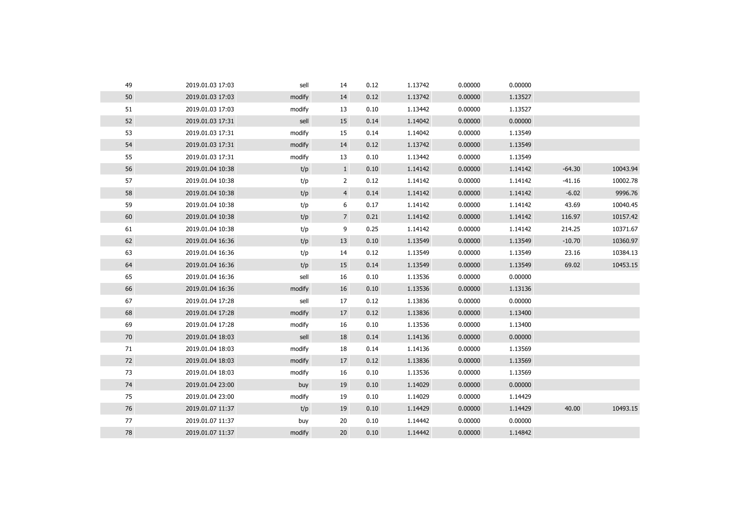| 49 | 2019.01.03 17:03 | sell   | 14              | 0.12 | 1.13742 | 0.00000 | 0.00000 |          |          |
|----|------------------|--------|-----------------|------|---------|---------|---------|----------|----------|
| 50 | 2019.01.03 17:03 | modify | 14              | 0.12 | 1.13742 | 0.00000 | 1.13527 |          |          |
| 51 | 2019.01.03 17:03 | modify | 13              | 0.10 | 1.13442 | 0.00000 | 1.13527 |          |          |
| 52 | 2019.01.03 17:31 | sell   | 15              | 0.14 | 1.14042 | 0.00000 | 0.00000 |          |          |
| 53 | 2019.01.03 17:31 | modify | 15              | 0.14 | 1.14042 | 0.00000 | 1.13549 |          |          |
| 54 | 2019.01.03 17:31 | modify | 14              | 0.12 | 1.13742 | 0.00000 | 1.13549 |          |          |
| 55 | 2019.01.03 17:31 | modify | 13              | 0.10 | 1.13442 | 0.00000 | 1.13549 |          |          |
| 56 | 2019.01.04 10:38 | t/p    | $\mathbf{1}$    | 0.10 | 1.14142 | 0.00000 | 1.14142 | $-64.30$ | 10043.94 |
| 57 | 2019.01.04 10:38 | t/p    | $\overline{2}$  | 0.12 | 1.14142 | 0.00000 | 1.14142 | $-41.16$ | 10002.78 |
| 58 | 2019.01.04 10:38 | t/p    | $\overline{4}$  | 0.14 | 1.14142 | 0.00000 | 1.14142 | $-6.02$  | 9996.76  |
| 59 | 2019.01.04 10:38 | t/p    | 6               | 0.17 | 1.14142 | 0.00000 | 1.14142 | 43.69    | 10040.45 |
| 60 | 2019.01.04 10:38 | t/p    | $7\overline{ }$ | 0.21 | 1.14142 | 0.00000 | 1.14142 | 116.97   | 10157.42 |
| 61 | 2019.01.04 10:38 | t/p    | 9               | 0.25 | 1.14142 | 0.00000 | 1.14142 | 214.25   | 10371.67 |
| 62 | 2019.01.04 16:36 | t/p    | 13              | 0.10 | 1.13549 | 0.00000 | 1.13549 | $-10.70$ | 10360.97 |
| 63 | 2019.01.04 16:36 | t/p    | 14              | 0.12 | 1.13549 | 0.00000 | 1.13549 | 23.16    | 10384.13 |
| 64 | 2019.01.04 16:36 | t/p    | 15              | 0.14 | 1.13549 | 0.00000 | 1.13549 | 69.02    | 10453.15 |
| 65 | 2019.01.04 16:36 | sell   | 16              | 0.10 | 1.13536 | 0.00000 | 0.00000 |          |          |
| 66 | 2019.01.04 16:36 | modify | 16              | 0.10 | 1.13536 | 0.00000 | 1.13136 |          |          |
| 67 | 2019.01.04 17:28 | sell   | 17              | 0.12 | 1.13836 | 0.00000 | 0.00000 |          |          |
| 68 | 2019.01.04 17:28 | modify | 17              | 0.12 | 1.13836 | 0.00000 | 1.13400 |          |          |
| 69 | 2019.01.04 17:28 | modify | 16              | 0.10 | 1.13536 | 0.00000 | 1.13400 |          |          |
| 70 | 2019.01.04 18:03 | sell   | 18              | 0.14 | 1.14136 | 0.00000 | 0.00000 |          |          |
| 71 | 2019.01.04 18:03 | modify | 18              | 0.14 | 1.14136 | 0.00000 | 1.13569 |          |          |
| 72 | 2019.01.04 18:03 | modify | 17              | 0.12 | 1.13836 | 0.00000 | 1.13569 |          |          |
| 73 | 2019.01.04 18:03 | modify | 16              | 0.10 | 1.13536 | 0.00000 | 1.13569 |          |          |
| 74 | 2019.01.04 23:00 | buy    | 19              | 0.10 | 1.14029 | 0.00000 | 0.00000 |          |          |
| 75 | 2019.01.04 23:00 | modify | 19              | 0.10 | 1.14029 | 0.00000 | 1.14429 |          |          |
| 76 | 2019.01.07 11:37 | t/p    | 19              | 0.10 | 1.14429 | 0.00000 | 1.14429 | 40.00    | 10493.15 |
| 77 | 2019.01.07 11:37 | buy    | 20              | 0.10 | 1.14442 | 0.00000 | 0.00000 |          |          |
| 78 | 2019.01.07 11:37 | modify | 20              | 0.10 | 1.14442 | 0.00000 | 1.14842 |          |          |
|    |                  |        |                 |      |         |         |         |          |          |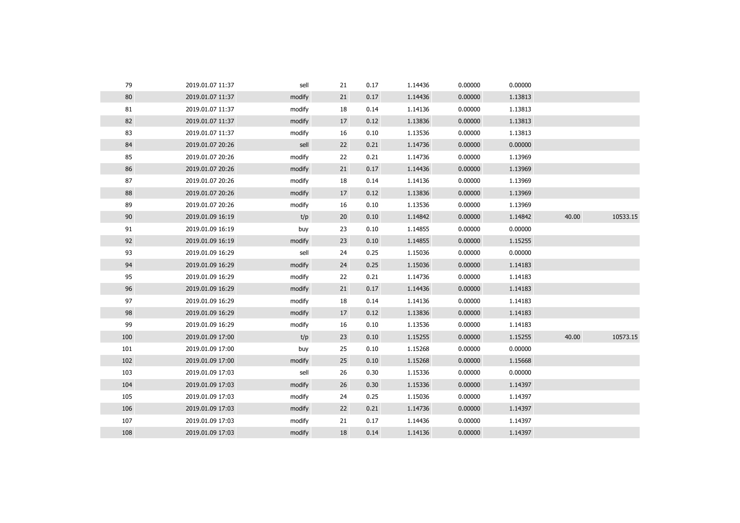| 79  | 2019.01.07 11:37 | sell   | 21 | 0.17 | 1.14436 | 0.00000 | 0.00000 |       |          |
|-----|------------------|--------|----|------|---------|---------|---------|-------|----------|
| 80  | 2019.01.07 11:37 | modify | 21 | 0.17 | 1.14436 | 0.00000 | 1.13813 |       |          |
| 81  | 2019.01.07 11:37 | modify | 18 | 0.14 | 1.14136 | 0.00000 | 1.13813 |       |          |
| 82  | 2019.01.07 11:37 | modify | 17 | 0.12 | 1.13836 | 0.00000 | 1.13813 |       |          |
| 83  | 2019.01.07 11:37 | modify | 16 | 0.10 | 1.13536 | 0.00000 | 1.13813 |       |          |
| 84  | 2019.01.07 20:26 | sell   | 22 | 0.21 | 1.14736 | 0.00000 | 0.00000 |       |          |
| 85  | 2019.01.07 20:26 | modify | 22 | 0.21 | 1.14736 | 0.00000 | 1.13969 |       |          |
| 86  | 2019.01.07 20:26 | modify | 21 | 0.17 | 1.14436 | 0.00000 | 1.13969 |       |          |
| 87  | 2019.01.07 20:26 | modify | 18 | 0.14 | 1.14136 | 0.00000 | 1.13969 |       |          |
| 88  | 2019.01.07 20:26 | modify | 17 | 0.12 | 1.13836 | 0.00000 | 1.13969 |       |          |
| 89  | 2019.01.07 20:26 | modify | 16 | 0.10 | 1.13536 | 0.00000 | 1.13969 |       |          |
| 90  | 2019.01.09 16:19 | t/p    | 20 | 0.10 | 1.14842 | 0.00000 | 1.14842 | 40.00 | 10533.15 |
| 91  | 2019.01.09 16:19 | buy    | 23 | 0.10 | 1.14855 | 0.00000 | 0.00000 |       |          |
| 92  | 2019.01.09 16:19 | modify | 23 | 0.10 | 1.14855 | 0.00000 | 1.15255 |       |          |
| 93  | 2019.01.09 16:29 | sell   | 24 | 0.25 | 1.15036 | 0.00000 | 0.00000 |       |          |
| 94  | 2019.01.09 16:29 | modify | 24 | 0.25 | 1.15036 | 0.00000 | 1.14183 |       |          |
| 95  | 2019.01.09 16:29 | modify | 22 | 0.21 | 1.14736 | 0.00000 | 1.14183 |       |          |
| 96  | 2019.01.09 16:29 | modify | 21 | 0.17 | 1.14436 | 0.00000 | 1.14183 |       |          |
| 97  | 2019.01.09 16:29 | modify | 18 | 0.14 | 1.14136 | 0.00000 | 1.14183 |       |          |
| 98  | 2019.01.09 16:29 | modify | 17 | 0.12 | 1.13836 | 0.00000 | 1.14183 |       |          |
| 99  | 2019.01.09 16:29 | modify | 16 | 0.10 | 1.13536 | 0.00000 | 1.14183 |       |          |
| 100 | 2019.01.09 17:00 | t/p    | 23 | 0.10 | 1.15255 | 0.00000 | 1.15255 | 40.00 | 10573.15 |
| 101 | 2019.01.09 17:00 | buy    | 25 | 0.10 | 1.15268 | 0.00000 | 0.00000 |       |          |
| 102 | 2019.01.09 17:00 | modify | 25 | 0.10 | 1.15268 | 0.00000 | 1.15668 |       |          |
| 103 | 2019.01.09 17:03 | sell   | 26 | 0.30 | 1.15336 | 0.00000 | 0.00000 |       |          |
| 104 | 2019.01.09 17:03 | modify | 26 | 0.30 | 1.15336 | 0.00000 | 1.14397 |       |          |
| 105 | 2019.01.09 17:03 | modify | 24 | 0.25 | 1.15036 | 0.00000 | 1.14397 |       |          |
| 106 | 2019.01.09 17:03 | modify | 22 | 0.21 | 1.14736 | 0.00000 | 1.14397 |       |          |
| 107 | 2019.01.09 17:03 | modify | 21 | 0.17 | 1.14436 | 0.00000 | 1.14397 |       |          |
| 108 | 2019.01.09 17:03 | modify | 18 | 0.14 | 1.14136 | 0.00000 | 1.14397 |       |          |
|     |                  |        |    |      |         |         |         |       |          |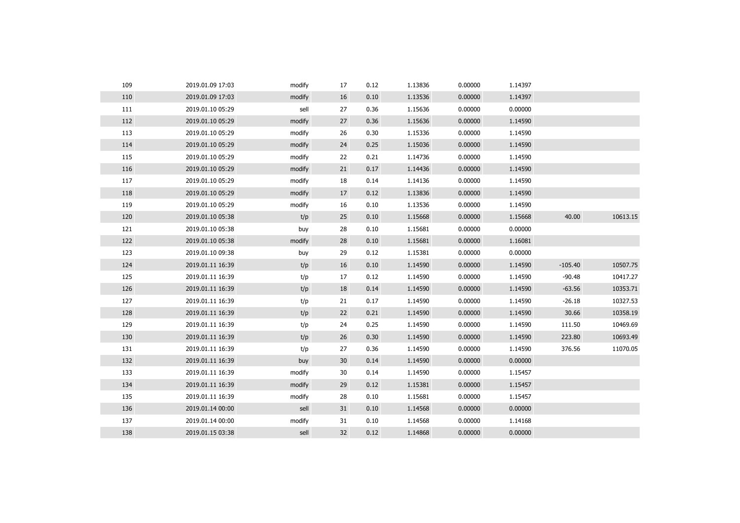| 109 | 2019.01.09 17:03 | modify | 17              | 0.12 | 1.13836 | 0.00000 | 1.14397 |           |          |
|-----|------------------|--------|-----------------|------|---------|---------|---------|-----------|----------|
| 110 | 2019.01.09 17:03 | modify | 16              | 0.10 | 1.13536 | 0.00000 | 1.14397 |           |          |
| 111 | 2019.01.10 05:29 | sell   | 27              | 0.36 | 1.15636 | 0.00000 | 0.00000 |           |          |
| 112 | 2019.01.10 05:29 | modify | 27              | 0.36 | 1.15636 | 0.00000 | 1.14590 |           |          |
| 113 | 2019.01.10 05:29 | modify | 26              | 0.30 | 1.15336 | 0.00000 | 1.14590 |           |          |
| 114 | 2019.01.10 05:29 | modify | 24              | 0.25 | 1.15036 | 0.00000 | 1.14590 |           |          |
| 115 | 2019.01.10 05:29 | modify | 22              | 0.21 | 1.14736 | 0.00000 | 1.14590 |           |          |
| 116 | 2019.01.10 05:29 | modify | 21              | 0.17 | 1.14436 | 0.00000 | 1.14590 |           |          |
| 117 | 2019.01.10 05:29 | modify | 18              | 0.14 | 1.14136 | 0.00000 | 1.14590 |           |          |
| 118 | 2019.01.10 05:29 | modify | 17              | 0.12 | 1.13836 | 0.00000 | 1.14590 |           |          |
| 119 | 2019.01.10 05:29 | modify | 16              | 0.10 | 1.13536 | 0.00000 | 1.14590 |           |          |
| 120 | 2019.01.10 05:38 | t/p    | 25              | 0.10 | 1.15668 | 0.00000 | 1.15668 | 40.00     | 10613.15 |
| 121 | 2019.01.10 05:38 | buy    | 28              | 0.10 | 1.15681 | 0.00000 | 0.00000 |           |          |
| 122 | 2019.01.10 05:38 | modify | 28              | 0.10 | 1.15681 | 0.00000 | 1.16081 |           |          |
| 123 | 2019.01.10 09:38 | buy    | 29              | 0.12 | 1.15381 | 0.00000 | 0.00000 |           |          |
| 124 | 2019.01.11 16:39 | t/p    | 16              | 0.10 | 1.14590 | 0.00000 | 1.14590 | $-105.40$ | 10507.75 |
| 125 | 2019.01.11 16:39 | t/p    | 17              | 0.12 | 1.14590 | 0.00000 | 1.14590 | $-90.48$  | 10417.27 |
| 126 | 2019.01.11 16:39 | t/p    | 18              | 0.14 | 1.14590 | 0.00000 | 1.14590 | $-63.56$  | 10353.71 |
| 127 | 2019.01.11 16:39 | t/p    | 21              | 0.17 | 1.14590 | 0.00000 | 1.14590 | $-26.18$  | 10327.53 |
| 128 | 2019.01.11 16:39 | t/p    | 22              | 0.21 | 1.14590 | 0.00000 | 1.14590 | 30.66     | 10358.19 |
| 129 | 2019.01.11 16:39 | t/p    | 24              | 0.25 | 1.14590 | 0.00000 | 1.14590 | 111.50    | 10469.69 |
| 130 | 2019.01.11 16:39 | t/p    | 26              | 0.30 | 1.14590 | 0.00000 | 1.14590 | 223.80    | 10693.49 |
| 131 | 2019.01.11 16:39 | t/p    | 27              | 0.36 | 1.14590 | 0.00000 | 1.14590 | 376.56    | 11070.05 |
| 132 | 2019.01.11 16:39 | buy    | 30 <sup>°</sup> | 0.14 | 1.14590 | 0.00000 | 0.00000 |           |          |
| 133 | 2019.01.11 16:39 | modify | 30              | 0.14 | 1.14590 | 0.00000 | 1.15457 |           |          |
| 134 | 2019.01.11 16:39 | modify | 29              | 0.12 | 1.15381 | 0.00000 | 1.15457 |           |          |
| 135 | 2019.01.11 16:39 | modify | 28              | 0.10 | 1.15681 | 0.00000 | 1.15457 |           |          |
| 136 | 2019.01.14 00:00 | sell   | 31              | 0.10 | 1.14568 | 0.00000 | 0.00000 |           |          |
| 137 | 2019.01.14 00:00 | modify | 31              | 0.10 | 1.14568 | 0.00000 | 1.14168 |           |          |
| 138 | 2019.01.15 03:38 | sell   | 32              | 0.12 | 1.14868 | 0.00000 | 0.00000 |           |          |
|     |                  |        |                 |      |         |         |         |           |          |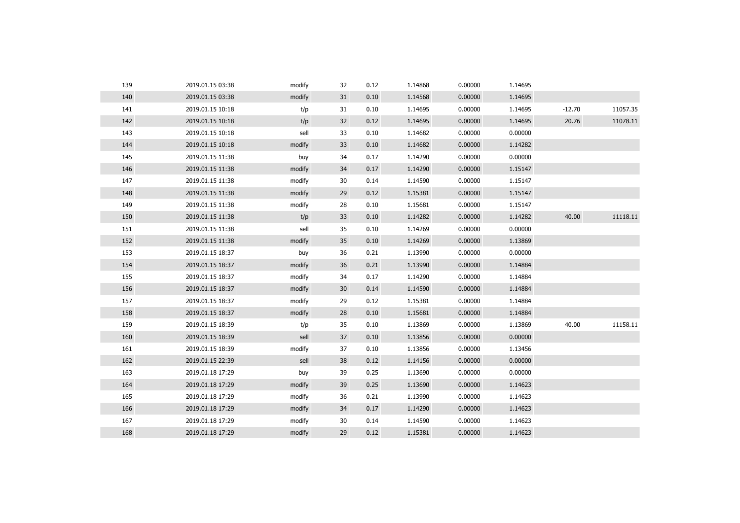| 139 | 2019.01.15 03:38 | modify | 32              | 0.12 | 1.14868 | 0.00000 | 1.14695 |          |          |
|-----|------------------|--------|-----------------|------|---------|---------|---------|----------|----------|
| 140 | 2019.01.15 03:38 | modify | 31              | 0.10 | 1.14568 | 0.00000 | 1.14695 |          |          |
| 141 | 2019.01.15 10:18 | t/p    | 31              | 0.10 | 1.14695 | 0.00000 | 1.14695 | $-12.70$ | 11057.35 |
| 142 | 2019.01.15 10:18 | t/p    | 32              | 0.12 | 1.14695 | 0.00000 | 1.14695 | 20.76    | 11078.11 |
| 143 | 2019.01.15 10:18 | sell   | 33              | 0.10 | 1.14682 | 0.00000 | 0.00000 |          |          |
| 144 | 2019.01.15 10:18 | modify | 33              | 0.10 | 1.14682 | 0.00000 | 1.14282 |          |          |
| 145 | 2019.01.15 11:38 | buy    | 34              | 0.17 | 1.14290 | 0.00000 | 0.00000 |          |          |
| 146 | 2019.01.15 11:38 | modify | 34              | 0.17 | 1.14290 | 0.00000 | 1.15147 |          |          |
| 147 | 2019.01.15 11:38 | modify | 30              | 0.14 | 1.14590 | 0.00000 | 1.15147 |          |          |
| 148 | 2019.01.15 11:38 | modify | 29              | 0.12 | 1.15381 | 0.00000 | 1.15147 |          |          |
| 149 | 2019.01.15 11:38 | modify | 28              | 0.10 | 1.15681 | 0.00000 | 1.15147 |          |          |
| 150 | 2019.01.15 11:38 | t/p    | 33              | 0.10 | 1.14282 | 0.00000 | 1.14282 | 40.00    | 11118.11 |
| 151 | 2019.01.15 11:38 | sell   | 35              | 0.10 | 1.14269 | 0.00000 | 0.00000 |          |          |
| 152 | 2019.01.15 11:38 | modify | 35              | 0.10 | 1.14269 | 0.00000 | 1.13869 |          |          |
| 153 | 2019.01.15 18:37 | buy    | 36              | 0.21 | 1.13990 | 0.00000 | 0.00000 |          |          |
| 154 | 2019.01.15 18:37 | modify | 36              | 0.21 | 1.13990 | 0.00000 | 1.14884 |          |          |
| 155 | 2019.01.15 18:37 | modify | 34              | 0.17 | 1.14290 | 0.00000 | 1.14884 |          |          |
| 156 | 2019.01.15 18:37 | modify | 30 <sub>o</sub> | 0.14 | 1.14590 | 0.00000 | 1.14884 |          |          |
| 157 | 2019.01.15 18:37 | modify | 29              | 0.12 | 1.15381 | 0.00000 | 1.14884 |          |          |
| 158 | 2019.01.15 18:37 | modify | 28              | 0.10 | 1.15681 | 0.00000 | 1.14884 |          |          |
| 159 | 2019.01.15 18:39 | t/p    | 35              | 0.10 | 1.13869 | 0.00000 | 1.13869 | 40.00    | 11158.11 |
| 160 | 2019.01.15 18:39 | sell   | 37              | 0.10 | 1.13856 | 0.00000 | 0.00000 |          |          |
| 161 | 2019.01.15 18:39 | modify | 37              | 0.10 | 1.13856 | 0.00000 | 1.13456 |          |          |
| 162 | 2019.01.15 22:39 | sell   | 38              | 0.12 | 1.14156 | 0.00000 | 0.00000 |          |          |
| 163 | 2019.01.18 17:29 | buy    | 39              | 0.25 | 1.13690 | 0.00000 | 0.00000 |          |          |
| 164 | 2019.01.18 17:29 | modify | 39              | 0.25 | 1.13690 | 0.00000 | 1.14623 |          |          |
| 165 | 2019.01.18 17:29 | modify | 36              | 0.21 | 1.13990 | 0.00000 | 1.14623 |          |          |
| 166 | 2019.01.18 17:29 | modify | 34              | 0.17 | 1.14290 | 0.00000 | 1.14623 |          |          |
| 167 | 2019.01.18 17:29 | modify | 30              | 0.14 | 1.14590 | 0.00000 | 1.14623 |          |          |
| 168 | 2019.01.18 17:29 | modify | 29              | 0.12 | 1.15381 | 0.00000 | 1.14623 |          |          |
|     |                  |        |                 |      |         |         |         |          |          |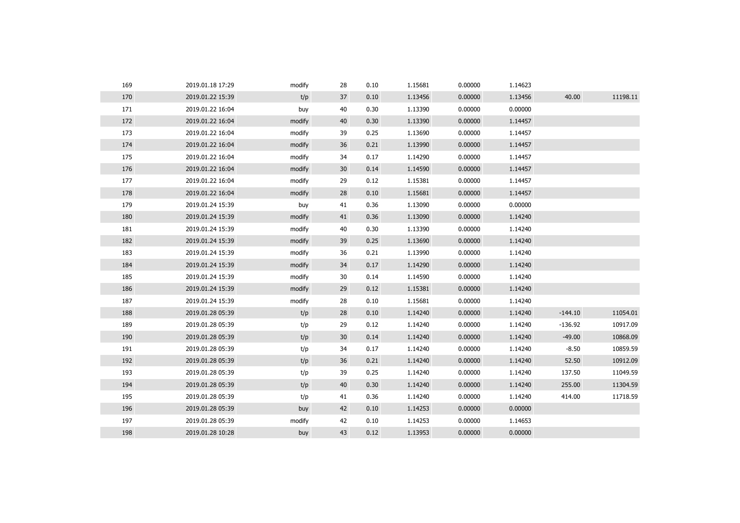| 169 | 2019.01.18 17:29 | modify | 28 | 0.10 | 1.15681 | 0.00000 | 1.14623 |           |          |
|-----|------------------|--------|----|------|---------|---------|---------|-----------|----------|
| 170 | 2019.01.22 15:39 | t/p    | 37 | 0.10 | 1.13456 | 0.00000 | 1.13456 | 40.00     | 11198.11 |
| 171 | 2019.01.22 16:04 | buy    | 40 | 0.30 | 1.13390 | 0.00000 | 0.00000 |           |          |
| 172 | 2019.01.22 16:04 | modify | 40 | 0.30 | 1.13390 | 0.00000 | 1.14457 |           |          |
| 173 | 2019.01.22 16:04 | modify | 39 | 0.25 | 1.13690 | 0.00000 | 1.14457 |           |          |
| 174 | 2019.01.22 16:04 | modify | 36 | 0.21 | 1.13990 | 0.00000 | 1.14457 |           |          |
| 175 | 2019.01.22 16:04 | modify | 34 | 0.17 | 1.14290 | 0.00000 | 1.14457 |           |          |
| 176 | 2019.01.22 16:04 | modify | 30 | 0.14 | 1.14590 | 0.00000 | 1.14457 |           |          |
| 177 | 2019.01.22 16:04 | modify | 29 | 0.12 | 1.15381 | 0.00000 | 1.14457 |           |          |
| 178 | 2019.01.22 16:04 | modify | 28 | 0.10 | 1.15681 | 0.00000 | 1.14457 |           |          |
| 179 | 2019.01.24 15:39 | buy    | 41 | 0.36 | 1.13090 | 0.00000 | 0.00000 |           |          |
| 180 | 2019.01.24 15:39 | modify | 41 | 0.36 | 1.13090 | 0.00000 | 1.14240 |           |          |
| 181 | 2019.01.24 15:39 | modify | 40 | 0.30 | 1.13390 | 0.00000 | 1.14240 |           |          |
| 182 | 2019.01.24 15:39 | modify | 39 | 0.25 | 1.13690 | 0.00000 | 1.14240 |           |          |
| 183 | 2019.01.24 15:39 | modify | 36 | 0.21 | 1.13990 | 0.00000 | 1.14240 |           |          |
| 184 | 2019.01.24 15:39 | modify | 34 | 0.17 | 1.14290 | 0.00000 | 1.14240 |           |          |
| 185 | 2019.01.24 15:39 | modify | 30 | 0.14 | 1.14590 | 0.00000 | 1.14240 |           |          |
| 186 | 2019.01.24 15:39 | modify | 29 | 0.12 | 1.15381 | 0.00000 | 1.14240 |           |          |
| 187 | 2019.01.24 15:39 | modify | 28 | 0.10 | 1.15681 | 0.00000 | 1.14240 |           |          |
| 188 | 2019.01.28 05:39 | t/p    | 28 | 0.10 | 1.14240 | 0.00000 | 1.14240 | $-144.10$ | 11054.01 |
| 189 | 2019.01.28 05:39 | t/p    | 29 | 0.12 | 1.14240 | 0.00000 | 1.14240 | $-136.92$ | 10917.09 |
| 190 | 2019.01.28 05:39 | t/p    | 30 | 0.14 | 1.14240 | 0.00000 | 1.14240 | $-49.00$  | 10868.09 |
| 191 | 2019.01.28 05:39 | t/p    | 34 | 0.17 | 1.14240 | 0.00000 | 1.14240 | $-8.50$   | 10859.59 |
| 192 | 2019.01.28 05:39 | t/p    | 36 | 0.21 | 1.14240 | 0.00000 | 1.14240 | 52.50     | 10912.09 |
| 193 | 2019.01.28 05:39 | t/p    | 39 | 0.25 | 1.14240 | 0.00000 | 1.14240 | 137.50    | 11049.59 |
| 194 | 2019.01.28 05:39 | t/p    | 40 | 0.30 | 1.14240 | 0.00000 | 1.14240 | 255.00    | 11304.59 |
| 195 | 2019.01.28 05:39 | t/p    | 41 | 0.36 | 1.14240 | 0.00000 | 1.14240 | 414.00    | 11718.59 |
| 196 | 2019.01.28 05:39 | buy    | 42 | 0.10 | 1.14253 | 0.00000 | 0.00000 |           |          |
| 197 | 2019.01.28 05:39 | modify | 42 | 0.10 | 1.14253 | 0.00000 | 1.14653 |           |          |
| 198 | 2019.01.28 10:28 | buy    | 43 | 0.12 | 1.13953 | 0.00000 | 0.00000 |           |          |
|     |                  |        |    |      |         |         |         |           |          |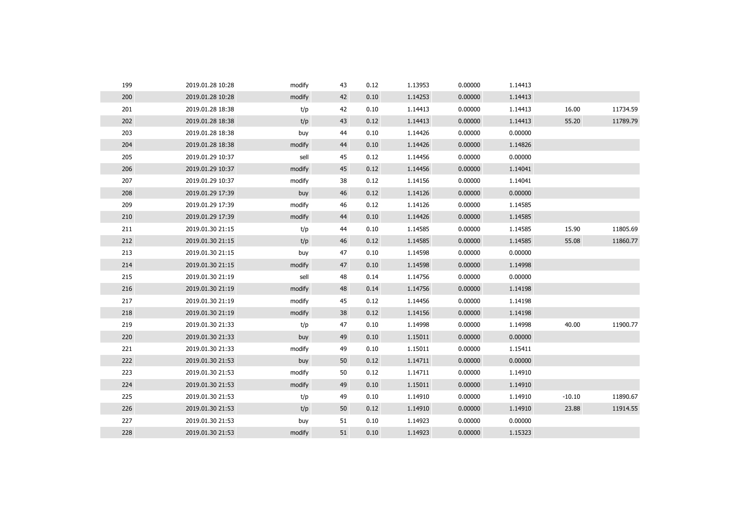| 199 | 2019.01.28 10:28 | modify | 43 | 0.12 | 1.13953 | 0.00000 | 1.14413 |          |          |
|-----|------------------|--------|----|------|---------|---------|---------|----------|----------|
| 200 | 2019.01.28 10:28 | modify | 42 | 0.10 | 1.14253 | 0.00000 | 1.14413 |          |          |
| 201 | 2019.01.28 18:38 | t/p    | 42 | 0.10 | 1.14413 | 0.00000 | 1.14413 | 16.00    | 11734.59 |
| 202 | 2019.01.28 18:38 | t/p    | 43 | 0.12 | 1.14413 | 0.00000 | 1.14413 | 55.20    | 11789.79 |
| 203 | 2019.01.28 18:38 | buy    | 44 | 0.10 | 1.14426 | 0.00000 | 0.00000 |          |          |
| 204 | 2019.01.28 18:38 | modify | 44 | 0.10 | 1.14426 | 0.00000 | 1.14826 |          |          |
| 205 | 2019.01.29 10:37 | sell   | 45 | 0.12 | 1.14456 | 0.00000 | 0.00000 |          |          |
| 206 | 2019.01.29 10:37 | modify | 45 | 0.12 | 1.14456 | 0.00000 | 1.14041 |          |          |
| 207 | 2019.01.29 10:37 | modify | 38 | 0.12 | 1.14156 | 0.00000 | 1.14041 |          |          |
| 208 | 2019.01.29 17:39 | buy    | 46 | 0.12 | 1.14126 | 0.00000 | 0.00000 |          |          |
| 209 | 2019.01.29 17:39 | modify | 46 | 0.12 | 1.14126 | 0.00000 | 1.14585 |          |          |
| 210 | 2019.01.29 17:39 | modify | 44 | 0.10 | 1.14426 | 0.00000 | 1.14585 |          |          |
| 211 | 2019.01.30 21:15 | t/p    | 44 | 0.10 | 1.14585 | 0.00000 | 1.14585 | 15.90    | 11805.69 |
| 212 | 2019.01.30 21:15 | t/p    | 46 | 0.12 | 1.14585 | 0.00000 | 1.14585 | 55.08    | 11860.77 |
| 213 | 2019.01.30 21:15 | buy    | 47 | 0.10 | 1.14598 | 0.00000 | 0.00000 |          |          |
| 214 | 2019.01.30 21:15 | modify | 47 | 0.10 | 1.14598 | 0.00000 | 1.14998 |          |          |
| 215 | 2019.01.30 21:19 | sell   | 48 | 0.14 | 1.14756 | 0.00000 | 0.00000 |          |          |
| 216 | 2019.01.30 21:19 | modify | 48 | 0.14 | 1.14756 | 0.00000 | 1.14198 |          |          |
| 217 | 2019.01.30 21:19 | modify | 45 | 0.12 | 1.14456 | 0.00000 | 1.14198 |          |          |
| 218 | 2019.01.30 21:19 | modify | 38 | 0.12 | 1.14156 | 0.00000 | 1.14198 |          |          |
| 219 | 2019.01.30 21:33 | t/p    | 47 | 0.10 | 1.14998 | 0.00000 | 1.14998 | 40.00    | 11900.77 |
| 220 | 2019.01.30 21:33 | buy    | 49 | 0.10 | 1.15011 | 0.00000 | 0.00000 |          |          |
| 221 | 2019.01.30 21:33 | modify | 49 | 0.10 | 1.15011 | 0.00000 | 1.15411 |          |          |
| 222 | 2019.01.30 21:53 | buy    | 50 | 0.12 | 1.14711 | 0.00000 | 0.00000 |          |          |
| 223 | 2019.01.30 21:53 | modify | 50 | 0.12 | 1.14711 | 0.00000 | 1.14910 |          |          |
| 224 | 2019.01.30 21:53 | modify | 49 | 0.10 | 1.15011 | 0.00000 | 1.14910 |          |          |
| 225 | 2019.01.30 21:53 | t/p    | 49 | 0.10 | 1.14910 | 0.00000 | 1.14910 | $-10.10$ | 11890.67 |
| 226 | 2019.01.30 21:53 | t/p    | 50 | 0.12 | 1.14910 | 0.00000 | 1.14910 | 23.88    | 11914.55 |
| 227 | 2019.01.30 21:53 | buy    | 51 | 0.10 | 1.14923 | 0.00000 | 0.00000 |          |          |
| 228 | 2019.01.30 21:53 | modify | 51 | 0.10 | 1.14923 | 0.00000 | 1.15323 |          |          |
|     |                  |        |    |      |         |         |         |          |          |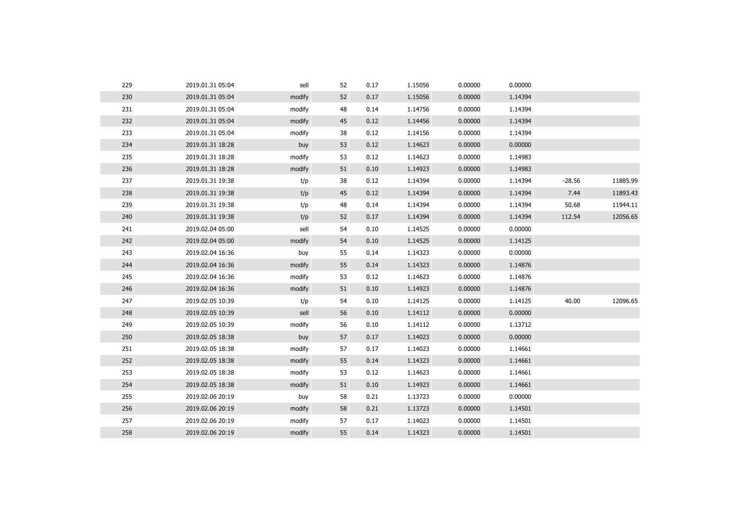| 229 | 2019.01.31 05:04 | sell   | 52 | 0.17 | 1.15056 | 0.00000 | 0.00000 |          |          |
|-----|------------------|--------|----|------|---------|---------|---------|----------|----------|
| 230 | 2019.01.31 05:04 | modify | 52 | 0.17 | 1.15056 | 0.00000 | 1.14394 |          |          |
| 231 | 2019.01.31 05:04 | modify | 48 | 0.14 | 1.14756 | 0.00000 | 1.14394 |          |          |
| 232 | 2019.01.31 05:04 | modify | 45 | 0.12 | 1.14456 | 0.00000 | 1.14394 |          |          |
| 233 | 2019.01.31 05:04 | modify | 38 | 0.12 | 1.14156 | 0.00000 | 1.14394 |          |          |
| 234 | 2019.01.31 18:28 | buy    | 53 | 0.12 | 1.14623 | 0.00000 | 0.00000 |          |          |
| 235 | 2019.01.31 18:28 | modify | 53 | 0.12 | 1.14623 | 0.00000 | 1.14983 |          |          |
| 236 | 2019.01.31 18:28 | modify | 51 | 0.10 | 1.14923 | 0.00000 | 1.14983 |          |          |
| 237 | 2019.01.31 19:38 | t/p    | 38 | 0.12 | 1.14394 | 0.00000 | 1.14394 | $-28.56$ | 11885.99 |
| 238 | 2019.01.31 19:38 | t/p    | 45 | 0.12 | 1.14394 | 0.00000 | 1.14394 | 7.44     | 11893.43 |
| 239 | 2019.01.31 19:38 | t/p    | 48 | 0.14 | 1.14394 | 0.00000 | 1.14394 | 50.68    | 11944.11 |
| 240 | 2019.01.31 19:38 | t/p    | 52 | 0.17 | 1.14394 | 0.00000 | 1.14394 | 112.54   | 12056.65 |
| 241 | 2019.02.04 05:00 | sell   | 54 | 0.10 | 1.14525 | 0.00000 | 0.00000 |          |          |
| 242 | 2019.02.04 05:00 | modify | 54 | 0.10 | 1.14525 | 0.00000 | 1.14125 |          |          |
| 243 | 2019.02.04 16:36 | buy    | 55 | 0.14 | 1.14323 | 0.00000 | 0.00000 |          |          |
| 244 | 2019.02.04 16:36 | modify | 55 | 0.14 | 1.14323 | 0.00000 | 1.14876 |          |          |
| 245 | 2019.02.04 16:36 | modify | 53 | 0.12 | 1.14623 | 0.00000 | 1.14876 |          |          |
| 246 | 2019.02.04 16:36 | modify | 51 | 0.10 | 1.14923 | 0.00000 | 1.14876 |          |          |
| 247 | 2019.02.05 10:39 | t/p    | 54 | 0.10 | 1.14125 | 0.00000 | 1.14125 | 40.00    | 12096.65 |
| 248 | 2019.02.05 10:39 | sell   | 56 | 0.10 | 1.14112 | 0.00000 | 0.00000 |          |          |
| 249 | 2019.02.05 10:39 | modify | 56 | 0.10 | 1.14112 | 0.00000 | 1.13712 |          |          |
| 250 | 2019.02.05 18:38 | buy    | 57 | 0.17 | 1.14023 | 0.00000 | 0.00000 |          |          |
| 251 | 2019.02.05 18:38 | modify | 57 | 0.17 | 1.14023 | 0.00000 | 1.14661 |          |          |
| 252 | 2019.02.05 18:38 | modify | 55 | 0.14 | 1.14323 | 0.00000 | 1.14661 |          |          |
| 253 | 2019.02.05 18:38 | modify | 53 | 0.12 | 1.14623 | 0.00000 | 1.14661 |          |          |
| 254 | 2019.02.05 18:38 | modify | 51 | 0.10 | 1.14923 | 0.00000 | 1.14661 |          |          |
| 255 | 2019.02.06 20:19 | buy    | 58 | 0.21 | 1.13723 | 0.00000 | 0.00000 |          |          |
| 256 | 2019.02.06 20:19 | modify | 58 | 0.21 | 1.13723 | 0.00000 | 1.14501 |          |          |
| 257 | 2019.02.06 20:19 | modify | 57 | 0.17 | 1.14023 | 0.00000 | 1.14501 |          |          |
| 258 | 2019.02.06 20:19 | modify | 55 | 0.14 | 1.14323 | 0.00000 | 1.14501 |          |          |
|     |                  |        |    |      |         |         |         |          |          |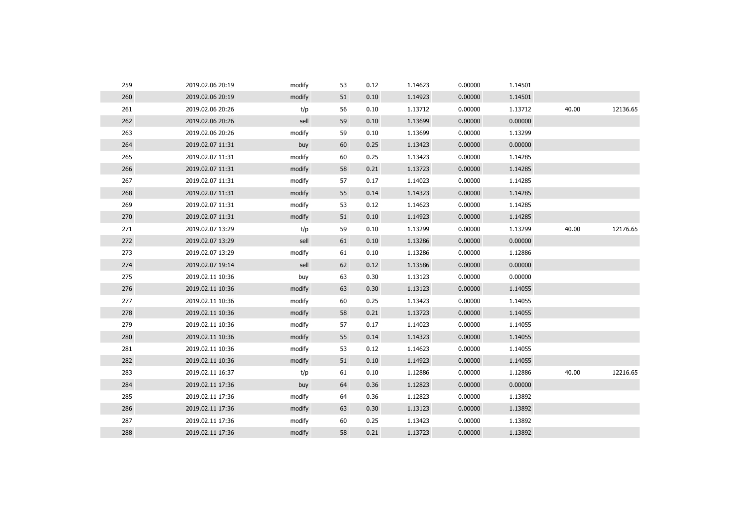| 259 | 2019.02.06 20:19 | modify | 53 | 0.12 | 1.14623 | 0.00000 | 1.14501 |       |          |
|-----|------------------|--------|----|------|---------|---------|---------|-------|----------|
| 260 | 2019.02.06 20:19 | modify | 51 | 0.10 | 1.14923 | 0.00000 | 1.14501 |       |          |
| 261 | 2019.02.06 20:26 | t/p    | 56 | 0.10 | 1.13712 | 0.00000 | 1.13712 | 40.00 | 12136.65 |
| 262 | 2019.02.06 20:26 | sell   | 59 | 0.10 | 1.13699 | 0.00000 | 0.00000 |       |          |
| 263 | 2019.02.06 20:26 | modify | 59 | 0.10 | 1.13699 | 0.00000 | 1.13299 |       |          |
| 264 | 2019.02.07 11:31 | buy    | 60 | 0.25 | 1.13423 | 0.00000 | 0.00000 |       |          |
| 265 | 2019.02.07 11:31 | modify | 60 | 0.25 | 1.13423 | 0.00000 | 1.14285 |       |          |
| 266 | 2019.02.07 11:31 | modify | 58 | 0.21 | 1.13723 | 0.00000 | 1.14285 |       |          |
| 267 | 2019.02.07 11:31 | modify | 57 | 0.17 | 1.14023 | 0.00000 | 1.14285 |       |          |
| 268 | 2019.02.07 11:31 | modify | 55 | 0.14 | 1.14323 | 0.00000 | 1.14285 |       |          |
| 269 | 2019.02.07 11:31 | modify | 53 | 0.12 | 1.14623 | 0.00000 | 1.14285 |       |          |
| 270 | 2019.02.07 11:31 | modify | 51 | 0.10 | 1.14923 | 0.00000 | 1.14285 |       |          |
| 271 | 2019.02.07 13:29 | t/p    | 59 | 0.10 | 1.13299 | 0.00000 | 1.13299 | 40.00 | 12176.65 |
| 272 | 2019.02.07 13:29 | sell   | 61 | 0.10 | 1.13286 | 0.00000 | 0.00000 |       |          |
| 273 | 2019.02.07 13:29 | modify | 61 | 0.10 | 1.13286 | 0.00000 | 1.12886 |       |          |
| 274 | 2019.02.07 19:14 | sell   | 62 | 0.12 | 1.13586 | 0.00000 | 0.00000 |       |          |
| 275 | 2019.02.11 10:36 | buy    | 63 | 0.30 | 1.13123 | 0.00000 | 0.00000 |       |          |
| 276 | 2019.02.11 10:36 | modify | 63 | 0.30 | 1.13123 | 0.00000 | 1.14055 |       |          |
| 277 | 2019.02.11 10:36 | modify | 60 | 0.25 | 1.13423 | 0.00000 | 1.14055 |       |          |
| 278 | 2019.02.11 10:36 | modify | 58 | 0.21 | 1.13723 | 0.00000 | 1.14055 |       |          |
| 279 | 2019.02.11 10:36 | modify | 57 | 0.17 | 1.14023 | 0.00000 | 1.14055 |       |          |
| 280 | 2019.02.11 10:36 | modify | 55 | 0.14 | 1.14323 | 0.00000 | 1.14055 |       |          |
| 281 | 2019.02.11 10:36 | modify | 53 | 0.12 | 1.14623 | 0.00000 | 1.14055 |       |          |
| 282 | 2019.02.11 10:36 | modify | 51 | 0.10 | 1.14923 | 0.00000 | 1.14055 |       |          |
| 283 | 2019.02.11 16:37 | t/p    | 61 | 0.10 | 1.12886 | 0.00000 | 1.12886 | 40.00 | 12216.65 |
| 284 | 2019.02.11 17:36 | buy    | 64 | 0.36 | 1.12823 | 0.00000 | 0.00000 |       |          |
| 285 | 2019.02.11 17:36 | modify | 64 | 0.36 | 1.12823 | 0.00000 | 1.13892 |       |          |
| 286 | 2019.02.11 17:36 | modify | 63 | 0.30 | 1.13123 | 0.00000 | 1.13892 |       |          |
| 287 | 2019.02.11 17:36 | modify | 60 | 0.25 | 1.13423 | 0.00000 | 1.13892 |       |          |
| 288 | 2019.02.11 17:36 | modify | 58 | 0.21 | 1.13723 | 0.00000 | 1.13892 |       |          |
|     |                  |        |    |      |         |         |         |       |          |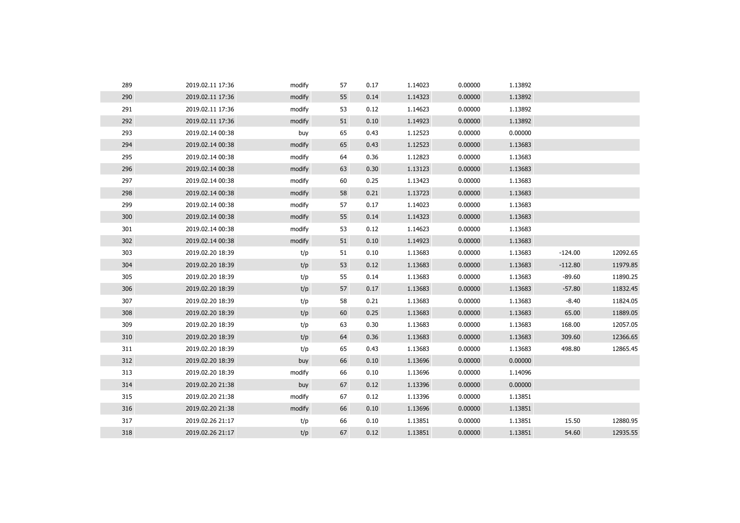| 289 | 2019.02.11 17:36 | modify | 57 | 0.17 | 1.14023 | 0.00000 | 1.13892 |           |          |
|-----|------------------|--------|----|------|---------|---------|---------|-----------|----------|
| 290 | 2019.02.11 17:36 | modify | 55 | 0.14 | 1.14323 | 0.00000 | 1.13892 |           |          |
| 291 | 2019.02.11 17:36 | modify | 53 | 0.12 | 1.14623 | 0.00000 | 1.13892 |           |          |
| 292 | 2019.02.11 17:36 | modify | 51 | 0.10 | 1.14923 | 0.00000 | 1.13892 |           |          |
| 293 | 2019.02.14 00:38 | buy    | 65 | 0.43 | 1.12523 | 0.00000 | 0.00000 |           |          |
| 294 | 2019.02.14 00:38 | modify | 65 | 0.43 | 1.12523 | 0.00000 | 1.13683 |           |          |
| 295 | 2019.02.14 00:38 | modify | 64 | 0.36 | 1.12823 | 0.00000 | 1.13683 |           |          |
| 296 | 2019.02.14 00:38 | modify | 63 | 0.30 | 1.13123 | 0.00000 | 1.13683 |           |          |
| 297 | 2019.02.14 00:38 | modify | 60 | 0.25 | 1.13423 | 0.00000 | 1.13683 |           |          |
| 298 | 2019.02.14 00:38 | modify | 58 | 0.21 | 1.13723 | 0.00000 | 1.13683 |           |          |
| 299 | 2019.02.14 00:38 | modify | 57 | 0.17 | 1.14023 | 0.00000 | 1.13683 |           |          |
| 300 | 2019.02.14 00:38 | modify | 55 | 0.14 | 1.14323 | 0.00000 | 1.13683 |           |          |
| 301 | 2019.02.14 00:38 | modify | 53 | 0.12 | 1.14623 | 0.00000 | 1.13683 |           |          |
| 302 | 2019.02.14 00:38 | modify | 51 | 0.10 | 1.14923 | 0.00000 | 1.13683 |           |          |
| 303 | 2019.02.20 18:39 | t/p    | 51 | 0.10 | 1.13683 | 0.00000 | 1.13683 | $-124.00$ | 12092.65 |
| 304 | 2019.02.20 18:39 | t/p    | 53 | 0.12 | 1.13683 | 0.00000 | 1.13683 | $-112.80$ | 11979.85 |
| 305 | 2019.02.20 18:39 | t/p    | 55 | 0.14 | 1.13683 | 0.00000 | 1.13683 | $-89.60$  | 11890.25 |
| 306 | 2019.02.20 18:39 | t/p    | 57 | 0.17 | 1.13683 | 0.00000 | 1.13683 | $-57.80$  | 11832.45 |
| 307 | 2019.02.20 18:39 | t/p    | 58 | 0.21 | 1.13683 | 0.00000 | 1.13683 | $-8.40$   | 11824.05 |
| 308 | 2019.02.20 18:39 | t/p    | 60 | 0.25 | 1.13683 | 0.00000 | 1.13683 | 65.00     | 11889.05 |
| 309 | 2019.02.20 18:39 | t/p    | 63 | 0.30 | 1.13683 | 0.00000 | 1.13683 | 168.00    | 12057.05 |
| 310 | 2019.02.20 18:39 | t/p    | 64 | 0.36 | 1.13683 | 0.00000 | 1.13683 | 309.60    | 12366.65 |
| 311 | 2019.02.20 18:39 | t/p    | 65 | 0.43 | 1.13683 | 0.00000 | 1.13683 | 498.80    | 12865.45 |
| 312 | 2019.02.20 18:39 | buy    | 66 | 0.10 | 1.13696 | 0.00000 | 0.00000 |           |          |
| 313 | 2019.02.20 18:39 | modify | 66 | 0.10 | 1.13696 | 0.00000 | 1.14096 |           |          |
| 314 | 2019.02.20 21:38 | buy    | 67 | 0.12 | 1.13396 | 0.00000 | 0.00000 |           |          |
| 315 | 2019.02.20 21:38 | modify | 67 | 0.12 | 1.13396 | 0.00000 | 1.13851 |           |          |
| 316 | 2019.02.20 21:38 | modify | 66 | 0.10 | 1.13696 | 0.00000 | 1.13851 |           |          |
| 317 | 2019.02.26 21:17 | t/p    | 66 | 0.10 | 1.13851 | 0.00000 | 1.13851 | 15.50     | 12880.95 |
| 318 | 2019.02.26 21:17 | t/p    | 67 | 0.12 | 1.13851 | 0.00000 | 1.13851 | 54.60     | 12935.55 |
|     |                  |        |    |      |         |         |         |           |          |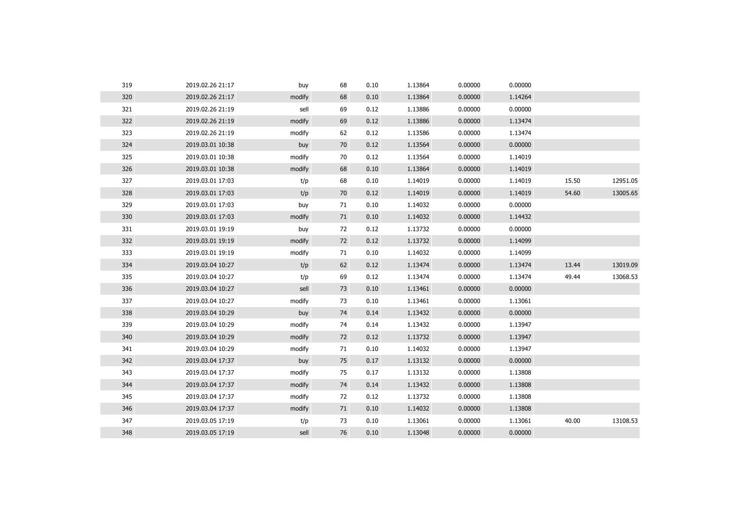| 319 | 2019.02.26 21:17 | buy    | 68 | 0.10 | 1.13864 | 0.00000 | 0.00000 |       |          |
|-----|------------------|--------|----|------|---------|---------|---------|-------|----------|
| 320 | 2019.02.26 21:17 | modify | 68 | 0.10 | 1.13864 | 0.00000 | 1.14264 |       |          |
| 321 | 2019.02.26 21:19 | sell   | 69 | 0.12 | 1.13886 | 0.00000 | 0.00000 |       |          |
| 322 | 2019.02.26 21:19 | modify | 69 | 0.12 | 1.13886 | 0.00000 | 1.13474 |       |          |
| 323 | 2019.02.26 21:19 | modify | 62 | 0.12 | 1.13586 | 0.00000 | 1.13474 |       |          |
| 324 | 2019.03.01 10:38 | buy    | 70 | 0.12 | 1.13564 | 0.00000 | 0.00000 |       |          |
| 325 | 2019.03.01 10:38 | modify | 70 | 0.12 | 1.13564 | 0.00000 | 1.14019 |       |          |
| 326 | 2019.03.01 10:38 | modify | 68 | 0.10 | 1.13864 | 0.00000 | 1.14019 |       |          |
| 327 | 2019.03.01 17:03 | t/p    | 68 | 0.10 | 1.14019 | 0.00000 | 1.14019 | 15.50 | 12951.05 |
| 328 | 2019.03.01 17:03 | t/p    | 70 | 0.12 | 1.14019 | 0.00000 | 1.14019 | 54.60 | 13005.65 |
| 329 | 2019.03.01 17:03 | buy    | 71 | 0.10 | 1.14032 | 0.00000 | 0.00000 |       |          |
| 330 | 2019.03.01 17:03 | modify | 71 | 0.10 | 1.14032 | 0.00000 | 1.14432 |       |          |
| 331 | 2019.03.01 19:19 | buy    | 72 | 0.12 | 1.13732 | 0.00000 | 0.00000 |       |          |
| 332 | 2019.03.01 19:19 | modify | 72 | 0.12 | 1.13732 | 0.00000 | 1.14099 |       |          |
| 333 | 2019.03.01 19:19 | modify | 71 | 0.10 | 1.14032 | 0.00000 | 1.14099 |       |          |
| 334 | 2019.03.04 10:27 | t/p    | 62 | 0.12 | 1.13474 | 0.00000 | 1.13474 | 13.44 | 13019.09 |
| 335 | 2019.03.04 10:27 | t/p    | 69 | 0.12 | 1.13474 | 0.00000 | 1.13474 | 49.44 | 13068.53 |
| 336 | 2019.03.04 10:27 | sell   | 73 | 0.10 | 1.13461 | 0.00000 | 0.00000 |       |          |
| 337 | 2019.03.04 10:27 | modify | 73 | 0.10 | 1.13461 | 0.00000 | 1.13061 |       |          |
| 338 | 2019.03.04 10:29 | buy    | 74 | 0.14 | 1.13432 | 0.00000 | 0.00000 |       |          |
| 339 | 2019.03.04 10:29 | modify | 74 | 0.14 | 1.13432 | 0.00000 | 1.13947 |       |          |
| 340 | 2019.03.04 10:29 | modify | 72 | 0.12 | 1.13732 | 0.00000 | 1.13947 |       |          |
| 341 | 2019.03.04 10:29 | modify | 71 | 0.10 | 1.14032 | 0.00000 | 1.13947 |       |          |
| 342 | 2019.03.04 17:37 | buy    | 75 | 0.17 | 1.13132 | 0.00000 | 0.00000 |       |          |
| 343 | 2019.03.04 17:37 | modify | 75 | 0.17 | 1.13132 | 0.00000 | 1.13808 |       |          |
| 344 | 2019.03.04 17:37 | modify | 74 | 0.14 | 1.13432 | 0.00000 | 1.13808 |       |          |
| 345 | 2019.03.04 17:37 | modify | 72 | 0.12 | 1.13732 | 0.00000 | 1.13808 |       |          |
| 346 | 2019.03.04 17:37 | modify | 71 | 0.10 | 1.14032 | 0.00000 | 1.13808 |       |          |
| 347 | 2019.03.05 17:19 | t/p    | 73 | 0.10 | 1.13061 | 0.00000 | 1.13061 | 40.00 | 13108.53 |
| 348 | 2019.03.05 17:19 | sell   | 76 | 0.10 | 1.13048 | 0.00000 | 0.00000 |       |          |
|     |                  |        |    |      |         |         |         |       |          |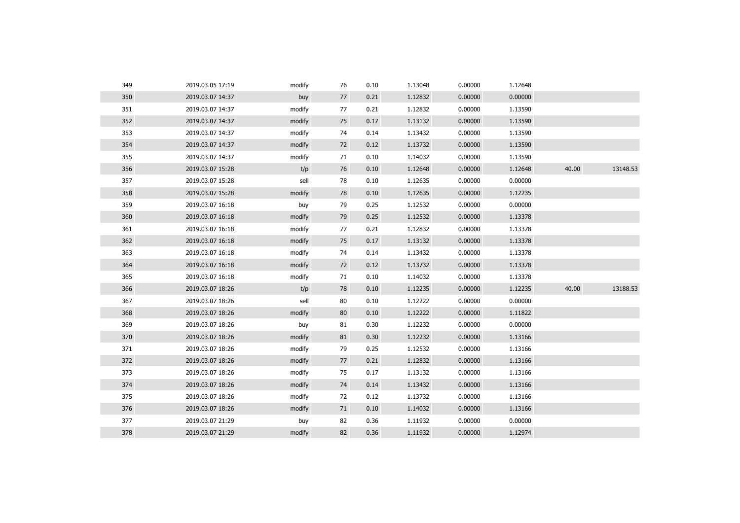| 349 | 2019.03.05 17:19 | modify | 76 | 0.10 | 1.13048 | 0.00000 | 1.12648 |       |          |
|-----|------------------|--------|----|------|---------|---------|---------|-------|----------|
| 350 | 2019.03.07 14:37 | buy    | 77 | 0.21 | 1.12832 | 0.00000 | 0.00000 |       |          |
| 351 | 2019.03.07 14:37 | modify | 77 | 0.21 | 1.12832 | 0.00000 | 1.13590 |       |          |
| 352 | 2019.03.07 14:37 | modify | 75 | 0.17 | 1.13132 | 0.00000 | 1.13590 |       |          |
| 353 | 2019.03.07 14:37 | modify | 74 | 0.14 | 1.13432 | 0.00000 | 1.13590 |       |          |
| 354 | 2019.03.07 14:37 | modify | 72 | 0.12 | 1.13732 | 0.00000 | 1.13590 |       |          |
| 355 | 2019.03.07 14:37 | modify | 71 | 0.10 | 1.14032 | 0.00000 | 1.13590 |       |          |
| 356 | 2019.03.07 15:28 | t/p    | 76 | 0.10 | 1.12648 | 0.00000 | 1.12648 | 40.00 | 13148.53 |
| 357 | 2019.03.07 15:28 | sell   | 78 | 0.10 | 1.12635 | 0.00000 | 0.00000 |       |          |
| 358 | 2019.03.07 15:28 | modify | 78 | 0.10 | 1.12635 | 0.00000 | 1.12235 |       |          |
| 359 | 2019.03.07 16:18 | buy    | 79 | 0.25 | 1.12532 | 0.00000 | 0.00000 |       |          |
| 360 | 2019.03.07 16:18 | modify | 79 | 0.25 | 1.12532 | 0.00000 | 1.13378 |       |          |
| 361 | 2019.03.07 16:18 | modify | 77 | 0.21 | 1.12832 | 0.00000 | 1.13378 |       |          |
| 362 | 2019.03.07 16:18 | modify | 75 | 0.17 | 1.13132 | 0.00000 | 1.13378 |       |          |
| 363 | 2019.03.07 16:18 | modify | 74 | 0.14 | 1.13432 | 0.00000 | 1.13378 |       |          |
| 364 | 2019.03.07 16:18 | modify | 72 | 0.12 | 1.13732 | 0.00000 | 1.13378 |       |          |
| 365 | 2019.03.07 16:18 | modify | 71 | 0.10 | 1.14032 | 0.00000 | 1.13378 |       |          |
| 366 | 2019.03.07 18:26 | t/p    | 78 | 0.10 | 1.12235 | 0.00000 | 1.12235 | 40.00 | 13188.53 |
| 367 | 2019.03.07 18:26 | sell   | 80 | 0.10 | 1.12222 | 0.00000 | 0.00000 |       |          |
| 368 | 2019.03.07 18:26 | modify | 80 | 0.10 | 1.12222 | 0.00000 | 1.11822 |       |          |
| 369 | 2019.03.07 18:26 | buy    | 81 | 0.30 | 1.12232 | 0.00000 | 0.00000 |       |          |
| 370 | 2019.03.07 18:26 | modify | 81 | 0.30 | 1.12232 | 0.00000 | 1.13166 |       |          |
| 371 | 2019.03.07 18:26 | modify | 79 | 0.25 | 1.12532 | 0.00000 | 1.13166 |       |          |
| 372 | 2019.03.07 18:26 | modify | 77 | 0.21 | 1.12832 | 0.00000 | 1.13166 |       |          |
| 373 | 2019.03.07 18:26 | modify | 75 | 0.17 | 1.13132 | 0.00000 | 1.13166 |       |          |
| 374 | 2019.03.07 18:26 | modify | 74 | 0.14 | 1.13432 | 0.00000 | 1.13166 |       |          |
| 375 | 2019.03.07 18:26 | modify | 72 | 0.12 | 1.13732 | 0.00000 | 1.13166 |       |          |
| 376 | 2019.03.07 18:26 | modify | 71 | 0.10 | 1.14032 | 0.00000 | 1.13166 |       |          |
| 377 | 2019.03.07 21:29 | buy    | 82 | 0.36 | 1.11932 | 0.00000 | 0.00000 |       |          |
| 378 | 2019.03.07 21:29 | modify | 82 | 0.36 | 1.11932 | 0.00000 | 1.12974 |       |          |
|     |                  |        |    |      |         |         |         |       |          |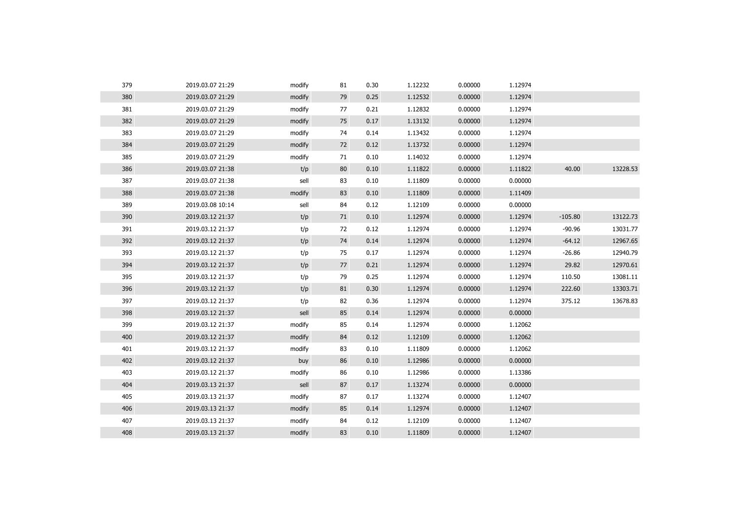| 379 | 2019.03.07 21:29 | modify | 81 | 0.30 | 1.12232 | 0.00000 | 1.12974 |           |          |
|-----|------------------|--------|----|------|---------|---------|---------|-----------|----------|
| 380 | 2019.03.07 21:29 | modify | 79 | 0.25 | 1.12532 | 0.00000 | 1.12974 |           |          |
| 381 | 2019.03.07 21:29 | modify | 77 | 0.21 | 1.12832 | 0.00000 | 1.12974 |           |          |
| 382 | 2019.03.07 21:29 | modify | 75 | 0.17 | 1.13132 | 0.00000 | 1.12974 |           |          |
| 383 | 2019.03.07 21:29 | modify | 74 | 0.14 | 1.13432 | 0.00000 | 1.12974 |           |          |
| 384 | 2019.03.07 21:29 | modify | 72 | 0.12 | 1.13732 | 0.00000 | 1.12974 |           |          |
| 385 | 2019.03.07 21:29 | modify | 71 | 0.10 | 1.14032 | 0.00000 | 1.12974 |           |          |
| 386 | 2019.03.07 21:38 | t/p    | 80 | 0.10 | 1.11822 | 0.00000 | 1.11822 | 40.00     | 13228.53 |
| 387 | 2019.03.07 21:38 | sell   | 83 | 0.10 | 1.11809 | 0.00000 | 0.00000 |           |          |
| 388 | 2019.03.07 21:38 | modify | 83 | 0.10 | 1.11809 | 0.00000 | 1.11409 |           |          |
| 389 | 2019.03.08 10:14 | sell   | 84 | 0.12 | 1.12109 | 0.00000 | 0.00000 |           |          |
| 390 | 2019.03.12 21:37 | t/p    | 71 | 0.10 | 1.12974 | 0.00000 | 1.12974 | $-105.80$ | 13122.73 |
| 391 | 2019.03.12 21:37 | t/p    | 72 | 0.12 | 1.12974 | 0.00000 | 1.12974 | $-90.96$  | 13031.77 |
| 392 | 2019.03.12 21:37 | t/p    | 74 | 0.14 | 1.12974 | 0.00000 | 1.12974 | $-64.12$  | 12967.65 |
| 393 | 2019.03.12 21:37 | t/p    | 75 | 0.17 | 1.12974 | 0.00000 | 1.12974 | $-26.86$  | 12940.79 |
| 394 | 2019.03.12 21:37 | t/p    | 77 | 0.21 | 1.12974 | 0.00000 | 1.12974 | 29.82     | 12970.61 |
| 395 | 2019.03.12 21:37 | t/p    | 79 | 0.25 | 1.12974 | 0.00000 | 1.12974 | 110.50    | 13081.11 |
| 396 | 2019.03.12 21:37 | t/p    | 81 | 0.30 | 1.12974 | 0.00000 | 1.12974 | 222.60    | 13303.71 |
| 397 | 2019.03.12 21:37 | t/p    | 82 | 0.36 | 1.12974 | 0.00000 | 1.12974 | 375.12    | 13678.83 |
| 398 | 2019.03.12 21:37 | sell   | 85 | 0.14 | 1.12974 | 0.00000 | 0.00000 |           |          |
| 399 | 2019.03.12 21:37 | modify | 85 | 0.14 | 1.12974 | 0.00000 | 1.12062 |           |          |
| 400 | 2019.03.12 21:37 | modify | 84 | 0.12 | 1.12109 | 0.00000 | 1.12062 |           |          |
| 401 | 2019.03.12 21:37 | modify | 83 | 0.10 | 1.11809 | 0.00000 | 1.12062 |           |          |
| 402 | 2019.03.12 21:37 | buy    | 86 | 0.10 | 1.12986 | 0.00000 | 0.00000 |           |          |
| 403 | 2019.03.12 21:37 | modify | 86 | 0.10 | 1.12986 | 0.00000 | 1.13386 |           |          |
| 404 | 2019.03.13 21:37 | sell   | 87 | 0.17 | 1.13274 | 0.00000 | 0.00000 |           |          |
| 405 | 2019.03.13 21:37 | modify | 87 | 0.17 | 1.13274 | 0.00000 | 1.12407 |           |          |
| 406 | 2019.03.13 21:37 | modify | 85 | 0.14 | 1.12974 | 0.00000 | 1.12407 |           |          |
| 407 | 2019.03.13 21:37 | modify | 84 | 0.12 | 1.12109 | 0.00000 | 1.12407 |           |          |
| 408 | 2019.03.13 21:37 | modify | 83 | 0.10 | 1.11809 | 0.00000 | 1.12407 |           |          |
|     |                  |        |    |      |         |         |         |           |          |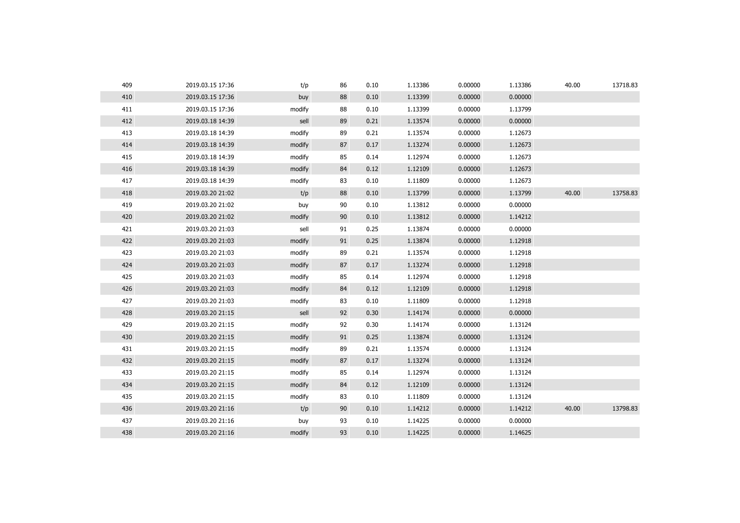| 409 | 2019.03.15 17:36 | t/p    | 86 | 0.10 | 1.13386 | 0.00000 | 1.13386 | 40.00 | 13718.83 |
|-----|------------------|--------|----|------|---------|---------|---------|-------|----------|
| 410 | 2019.03.15 17:36 | buy    | 88 | 0.10 | 1.13399 | 0.00000 | 0.00000 |       |          |
| 411 | 2019.03.15 17:36 | modify | 88 | 0.10 | 1.13399 | 0.00000 | 1.13799 |       |          |
| 412 | 2019.03.18 14:39 | sell   | 89 | 0.21 | 1.13574 | 0.00000 | 0.00000 |       |          |
| 413 | 2019.03.18 14:39 | modify | 89 | 0.21 | 1.13574 | 0.00000 | 1.12673 |       |          |
| 414 | 2019.03.18 14:39 | modify | 87 | 0.17 | 1.13274 | 0.00000 | 1.12673 |       |          |
| 415 | 2019.03.18 14:39 | modify | 85 | 0.14 | 1.12974 | 0.00000 | 1.12673 |       |          |
| 416 | 2019.03.18 14:39 | modify | 84 | 0.12 | 1.12109 | 0.00000 | 1.12673 |       |          |
| 417 | 2019.03.18 14:39 | modify | 83 | 0.10 | 1.11809 | 0.00000 | 1.12673 |       |          |
| 418 | 2019.03.20 21:02 | t/p    | 88 | 0.10 | 1.13799 | 0.00000 | 1.13799 | 40.00 | 13758.83 |
| 419 | 2019.03.20 21:02 | buy    | 90 | 0.10 | 1.13812 | 0.00000 | 0.00000 |       |          |
| 420 | 2019.03.20 21:02 | modify | 90 | 0.10 | 1.13812 | 0.00000 | 1.14212 |       |          |
| 421 | 2019.03.20 21:03 | sell   | 91 | 0.25 | 1.13874 | 0.00000 | 0.00000 |       |          |
| 422 | 2019.03.20 21:03 | modify | 91 | 0.25 | 1.13874 | 0.00000 | 1.12918 |       |          |
| 423 | 2019.03.20 21:03 | modify | 89 | 0.21 | 1.13574 | 0.00000 | 1.12918 |       |          |
| 424 | 2019.03.20 21:03 | modify | 87 | 0.17 | 1.13274 | 0.00000 | 1.12918 |       |          |
| 425 | 2019.03.20 21:03 | modify | 85 | 0.14 | 1.12974 | 0.00000 | 1.12918 |       |          |
| 426 | 2019.03.20 21:03 | modify | 84 | 0.12 | 1.12109 | 0.00000 | 1.12918 |       |          |
| 427 | 2019.03.20 21:03 | modify | 83 | 0.10 | 1.11809 | 0.00000 | 1.12918 |       |          |
| 428 | 2019.03.20 21:15 | sell   | 92 | 0.30 | 1.14174 | 0.00000 | 0.00000 |       |          |
| 429 | 2019.03.20 21:15 | modify | 92 | 0.30 | 1.14174 | 0.00000 | 1.13124 |       |          |
| 430 | 2019.03.20 21:15 | modify | 91 | 0.25 | 1.13874 | 0.00000 | 1.13124 |       |          |
| 431 | 2019.03.20 21:15 | modify | 89 | 0.21 | 1.13574 | 0.00000 | 1.13124 |       |          |
| 432 | 2019.03.20 21:15 | modify | 87 | 0.17 | 1.13274 | 0.00000 | 1.13124 |       |          |
| 433 | 2019.03.20 21:15 | modify | 85 | 0.14 | 1.12974 | 0.00000 | 1.13124 |       |          |
| 434 | 2019.03.20 21:15 | modify | 84 | 0.12 | 1.12109 | 0.00000 | 1.13124 |       |          |
| 435 | 2019.03.20 21:15 | modify | 83 | 0.10 | 1.11809 | 0.00000 | 1.13124 |       |          |
| 436 | 2019.03.20 21:16 | t/p    | 90 | 0.10 | 1.14212 | 0.00000 | 1.14212 | 40.00 | 13798.83 |
| 437 | 2019.03.20 21:16 | buy    | 93 | 0.10 | 1.14225 | 0.00000 | 0.00000 |       |          |
| 438 | 2019.03.20 21:16 | modify | 93 | 0.10 | 1.14225 | 0.00000 | 1.14625 |       |          |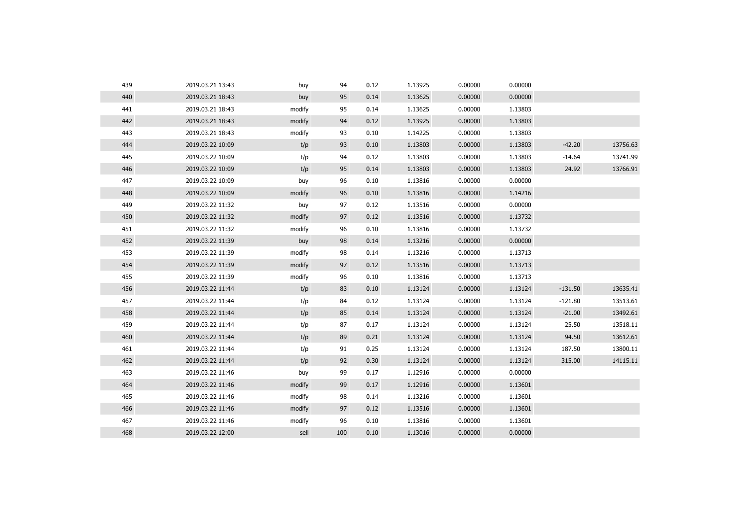| 439 | 2019.03.21 13:43 | buy    | 94  | 0.12 | 1.13925 | 0.00000 | 0.00000 |           |          |
|-----|------------------|--------|-----|------|---------|---------|---------|-----------|----------|
| 440 | 2019.03.21 18:43 | buy    | 95  | 0.14 | 1.13625 | 0.00000 | 0.00000 |           |          |
| 441 | 2019.03.21 18:43 | modify | 95  | 0.14 | 1.13625 | 0.00000 | 1.13803 |           |          |
| 442 | 2019.03.21 18:43 | modify | 94  | 0.12 | 1.13925 | 0.00000 | 1.13803 |           |          |
| 443 | 2019.03.21 18:43 | modify | 93  | 0.10 | 1.14225 | 0.00000 | 1.13803 |           |          |
| 444 | 2019.03.22 10:09 | t/p    | 93  | 0.10 | 1.13803 | 0.00000 | 1.13803 | $-42.20$  | 13756.63 |
| 445 | 2019.03.22 10:09 | t/p    | 94  | 0.12 | 1.13803 | 0.00000 | 1.13803 | $-14.64$  | 13741.99 |
| 446 | 2019.03.22 10:09 | t/p    | 95  | 0.14 | 1.13803 | 0.00000 | 1.13803 | 24.92     | 13766.91 |
| 447 | 2019.03.22 10:09 | buy    | 96  | 0.10 | 1.13816 | 0.00000 | 0.00000 |           |          |
| 448 | 2019.03.22 10:09 | modify | 96  | 0.10 | 1.13816 | 0.00000 | 1.14216 |           |          |
| 449 | 2019.03.22 11:32 | buy    | 97  | 0.12 | 1.13516 | 0.00000 | 0.00000 |           |          |
| 450 | 2019.03.22 11:32 | modify | 97  | 0.12 | 1.13516 | 0.00000 | 1.13732 |           |          |
| 451 | 2019.03.22 11:32 | modify | 96  | 0.10 | 1.13816 | 0.00000 | 1.13732 |           |          |
| 452 | 2019.03.22 11:39 | buy    | 98  | 0.14 | 1.13216 | 0.00000 | 0.00000 |           |          |
| 453 | 2019.03.22 11:39 | modify | 98  | 0.14 | 1.13216 | 0.00000 | 1.13713 |           |          |
| 454 | 2019.03.22 11:39 | modify | 97  | 0.12 | 1.13516 | 0.00000 | 1.13713 |           |          |
| 455 | 2019.03.22 11:39 | modify | 96  | 0.10 | 1.13816 | 0.00000 | 1.13713 |           |          |
| 456 | 2019.03.22 11:44 | t/p    | 83  | 0.10 | 1.13124 | 0.00000 | 1.13124 | $-131.50$ | 13635.41 |
| 457 | 2019.03.22 11:44 | t/p    | 84  | 0.12 | 1.13124 | 0.00000 | 1.13124 | $-121.80$ | 13513.61 |
| 458 | 2019.03.22 11:44 | t/p    | 85  | 0.14 | 1.13124 | 0.00000 | 1.13124 | $-21.00$  | 13492.61 |
| 459 | 2019.03.22 11:44 | t/p    | 87  | 0.17 | 1.13124 | 0.00000 | 1.13124 | 25.50     | 13518.11 |
| 460 | 2019.03.22 11:44 | t/p    | 89  | 0.21 | 1.13124 | 0.00000 | 1.13124 | 94.50     | 13612.61 |
| 461 | 2019.03.22 11:44 | t/p    | 91  | 0.25 | 1.13124 | 0.00000 | 1.13124 | 187.50    | 13800.11 |
| 462 | 2019.03.22 11:44 | t/p    | 92  | 0.30 | 1.13124 | 0.00000 | 1.13124 | 315.00    | 14115.11 |
| 463 | 2019.03.22 11:46 | buy    | 99  | 0.17 | 1.12916 | 0.00000 | 0.00000 |           |          |
| 464 | 2019.03.22 11:46 | modify | 99  | 0.17 | 1.12916 | 0.00000 | 1.13601 |           |          |
| 465 | 2019.03.22 11:46 | modify | 98  | 0.14 | 1.13216 | 0.00000 | 1.13601 |           |          |
| 466 | 2019.03.22 11:46 | modify | 97  | 0.12 | 1.13516 | 0.00000 | 1.13601 |           |          |
| 467 | 2019.03.22 11:46 | modify | 96  | 0.10 | 1.13816 | 0.00000 | 1.13601 |           |          |
| 468 | 2019.03.22 12:00 | sell   | 100 | 0.10 | 1.13016 | 0.00000 | 0.00000 |           |          |
|     |                  |        |     |      |         |         |         |           |          |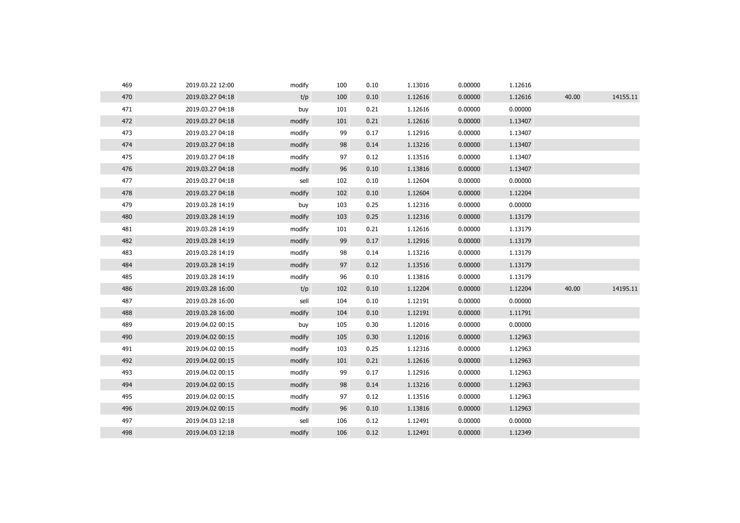| 469 | 2019.03.22 12:00 | modify | 100 | 0.10 | 1.13016 | 0.00000 | 1.12616 |       |          |
|-----|------------------|--------|-----|------|---------|---------|---------|-------|----------|
| 470 | 2019.03.27 04:18 | t/p    | 100 | 0.10 | 1.12616 | 0.00000 | 1.12616 | 40.00 | 14155.11 |
| 471 | 2019.03.27 04:18 | buy    | 101 | 0.21 | 1.12616 | 0.00000 | 0.00000 |       |          |
| 472 | 2019.03.27 04:18 | modify | 101 | 0.21 | 1.12616 | 0.00000 | 1.13407 |       |          |
| 473 | 2019.03.27 04:18 | modify | 99  | 0.17 | 1.12916 | 0.00000 | 1.13407 |       |          |
| 474 | 2019.03.27 04:18 | modify | 98  | 0.14 | 1.13216 | 0.00000 | 1.13407 |       |          |
| 475 | 2019.03.27 04:18 | modify | 97  | 0.12 | 1.13516 | 0.00000 | 1.13407 |       |          |
| 476 | 2019.03.27 04:18 | modify | 96  | 0.10 | 1.13816 | 0.00000 | 1.13407 |       |          |
| 477 | 2019.03.27 04:18 | sell   | 102 | 0.10 | 1.12604 | 0.00000 | 0.00000 |       |          |
| 478 | 2019.03.27 04:18 | modify | 102 | 0.10 | 1.12604 | 0.00000 | 1.12204 |       |          |
| 479 | 2019.03.28 14:19 | buy    | 103 | 0.25 | 1.12316 | 0.00000 | 0.00000 |       |          |
| 480 | 2019.03.28 14:19 | modify | 103 | 0.25 | 1.12316 | 0.00000 | 1.13179 |       |          |
| 481 | 2019.03.28 14:19 | modify | 101 | 0.21 | 1.12616 | 0.00000 | 1.13179 |       |          |
| 482 | 2019.03.28 14:19 | modify | 99  | 0.17 | 1.12916 | 0.00000 | 1.13179 |       |          |
| 483 | 2019.03.28 14:19 | modify | 98  | 0.14 | 1.13216 | 0.00000 | 1.13179 |       |          |
| 484 | 2019.03.28 14:19 | modify | 97  | 0.12 | 1.13516 | 0.00000 | 1.13179 |       |          |
| 485 | 2019.03.28 14:19 | modify | 96  | 0.10 | 1.13816 | 0.00000 | 1.13179 |       |          |
| 486 | 2019.03.28 16:00 | t/p    | 102 | 0.10 | 1.12204 | 0.00000 | 1.12204 | 40.00 | 14195.11 |
| 487 | 2019.03.28 16:00 | sell   | 104 | 0.10 | 1.12191 | 0.00000 | 0.00000 |       |          |
| 488 | 2019.03.28 16:00 | modify | 104 | 0.10 | 1.12191 | 0.00000 | 1.11791 |       |          |
| 489 | 2019.04.02 00:15 | buy    | 105 | 0.30 | 1.12016 | 0.00000 | 0.00000 |       |          |
| 490 | 2019.04.02 00:15 | modify | 105 | 0.30 | 1.12016 | 0.00000 | 1.12963 |       |          |
| 491 | 2019.04.02 00:15 | modify | 103 | 0.25 | 1.12316 | 0.00000 | 1.12963 |       |          |
| 492 | 2019.04.02 00:15 | modify | 101 | 0.21 | 1.12616 | 0.00000 | 1.12963 |       |          |
| 493 | 2019.04.02 00:15 | modify | 99  | 0.17 | 1.12916 | 0.00000 | 1.12963 |       |          |
| 494 | 2019.04.02 00:15 | modify | 98  | 0.14 | 1.13216 | 0.00000 | 1.12963 |       |          |
| 495 | 2019.04.02 00:15 | modify | 97  | 0.12 | 1.13516 | 0.00000 | 1.12963 |       |          |
| 496 | 2019.04.02 00:15 | modify | 96  | 0.10 | 1.13816 | 0.00000 | 1.12963 |       |          |
| 497 | 2019.04.03 12:18 | sell   | 106 | 0.12 | 1.12491 | 0.00000 | 0.00000 |       |          |
| 498 | 2019.04.03 12:18 | modify | 106 | 0.12 | 1.12491 | 0.00000 | 1.12349 |       |          |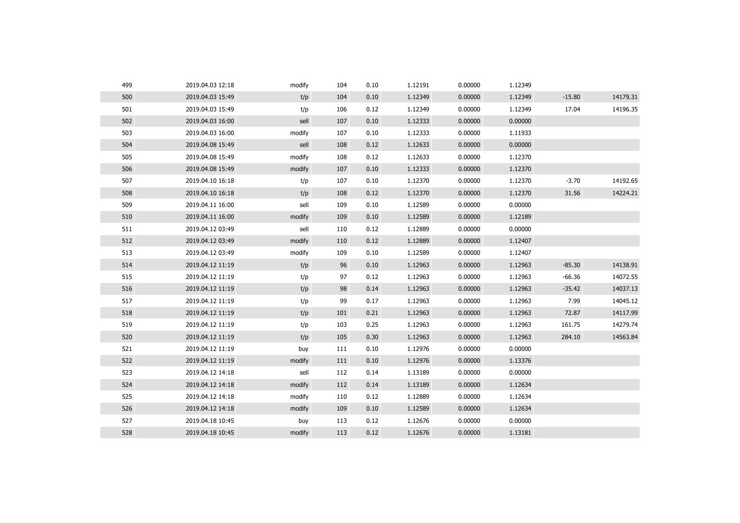| 499 | 2019.04.03 12:18 | modify | 104 | 0.10 | 1.12191 | 0.00000 | 1.12349 |          |          |
|-----|------------------|--------|-----|------|---------|---------|---------|----------|----------|
| 500 | 2019.04.03 15:49 | t/p    | 104 | 0.10 | 1.12349 | 0.00000 | 1.12349 | $-15.80$ | 14179.31 |
| 501 | 2019.04.03 15:49 | t/p    | 106 | 0.12 | 1.12349 | 0.00000 | 1.12349 | 17.04    | 14196.35 |
| 502 | 2019.04.03 16:00 | sell   | 107 | 0.10 | 1.12333 | 0.00000 | 0.00000 |          |          |
| 503 | 2019.04.03 16:00 | modify | 107 | 0.10 | 1.12333 | 0.00000 | 1.11933 |          |          |
| 504 | 2019.04.08 15:49 | sell   | 108 | 0.12 | 1.12633 | 0.00000 | 0.00000 |          |          |
| 505 | 2019.04.08 15:49 | modify | 108 | 0.12 | 1.12633 | 0.00000 | 1.12370 |          |          |
| 506 | 2019.04.08 15:49 | modify | 107 | 0.10 | 1.12333 | 0.00000 | 1.12370 |          |          |
| 507 | 2019.04.10 16:18 | t/p    | 107 | 0.10 | 1.12370 | 0.00000 | 1.12370 | $-3.70$  | 14192.65 |
| 508 | 2019.04.10 16:18 | t/p    | 108 | 0.12 | 1.12370 | 0.00000 | 1.12370 | 31.56    | 14224.21 |
| 509 | 2019.04.11 16:00 | sell   | 109 | 0.10 | 1.12589 | 0.00000 | 0.00000 |          |          |
| 510 | 2019.04.11 16:00 | modify | 109 | 0.10 | 1.12589 | 0.00000 | 1.12189 |          |          |
| 511 | 2019.04.12 03:49 | sell   | 110 | 0.12 | 1.12889 | 0.00000 | 0.00000 |          |          |
| 512 | 2019.04.12 03:49 | modify | 110 | 0.12 | 1.12889 | 0.00000 | 1.12407 |          |          |
| 513 | 2019.04.12 03:49 | modify | 109 | 0.10 | 1.12589 | 0.00000 | 1.12407 |          |          |
| 514 | 2019.04.12 11:19 | t/p    | 96  | 0.10 | 1.12963 | 0.00000 | 1.12963 | $-85.30$ | 14138.91 |
| 515 | 2019.04.12 11:19 | t/p    | 97  | 0.12 | 1.12963 | 0.00000 | 1.12963 | $-66.36$ | 14072.55 |
| 516 | 2019.04.12 11:19 | t/p    | 98  | 0.14 | 1.12963 | 0.00000 | 1.12963 | $-35.42$ | 14037.13 |
| 517 | 2019.04.12 11:19 | t/p    | 99  | 0.17 | 1.12963 | 0.00000 | 1.12963 | 7.99     | 14045.12 |
| 518 | 2019.04.12 11:19 | t/p    | 101 | 0.21 | 1.12963 | 0.00000 | 1.12963 | 72.87    | 14117.99 |
| 519 | 2019.04.12 11:19 | t/p    | 103 | 0.25 | 1.12963 | 0.00000 | 1.12963 | 161.75   | 14279.74 |
| 520 | 2019.04.12 11:19 | t/p    | 105 | 0.30 | 1.12963 | 0.00000 | 1.12963 | 284.10   | 14563.84 |
| 521 | 2019.04.12 11:19 | buy    | 111 | 0.10 | 1.12976 | 0.00000 | 0.00000 |          |          |
| 522 | 2019.04.12 11:19 | modify | 111 | 0.10 | 1.12976 | 0.00000 | 1.13376 |          |          |
| 523 | 2019.04.12 14:18 | sell   | 112 | 0.14 | 1.13189 | 0.00000 | 0.00000 |          |          |
| 524 | 2019.04.12 14:18 | modify | 112 | 0.14 | 1.13189 | 0.00000 | 1.12634 |          |          |
| 525 | 2019.04.12 14:18 | modify | 110 | 0.12 | 1.12889 | 0.00000 | 1.12634 |          |          |
| 526 | 2019.04.12 14:18 | modify | 109 | 0.10 | 1.12589 | 0.00000 | 1.12634 |          |          |
| 527 | 2019.04.18 10:45 | buy    | 113 | 0.12 | 1.12676 | 0.00000 | 0.00000 |          |          |
| 528 | 2019.04.18 10:45 | modify | 113 | 0.12 | 1.12676 | 0.00000 | 1.13181 |          |          |
|     |                  |        |     |      |         |         |         |          |          |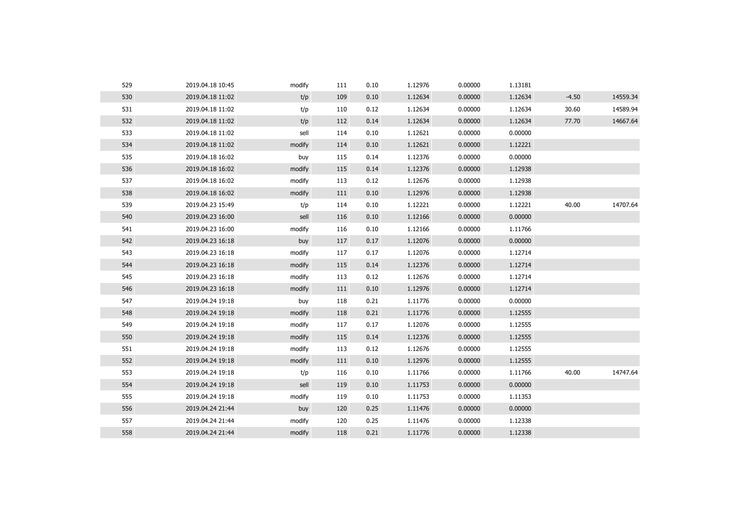| 529 | 2019.04.18 10:45 | modify | 111 | 0.10 | 1.12976 | 0.00000 | 1.13181 |         |          |
|-----|------------------|--------|-----|------|---------|---------|---------|---------|----------|
| 530 | 2019.04.18 11:02 | t/p    | 109 | 0.10 | 1.12634 | 0.00000 | 1.12634 | $-4.50$ | 14559.34 |
| 531 | 2019.04.18 11:02 | t/p    | 110 | 0.12 | 1.12634 | 0.00000 | 1.12634 | 30.60   | 14589.94 |
| 532 | 2019.04.18 11:02 | t/p    | 112 | 0.14 | 1.12634 | 0.00000 | 1.12634 | 77.70   | 14667.64 |
| 533 | 2019.04.18 11:02 | sell   | 114 | 0.10 | 1.12621 | 0.00000 | 0.00000 |         |          |
| 534 | 2019.04.18 11:02 | modify | 114 | 0.10 | 1.12621 | 0.00000 | 1.12221 |         |          |
| 535 | 2019.04.18 16:02 | buy    | 115 | 0.14 | 1.12376 | 0.00000 | 0.00000 |         |          |
| 536 | 2019.04.18 16:02 | modify | 115 | 0.14 | 1.12376 | 0.00000 | 1.12938 |         |          |
| 537 | 2019.04.18 16:02 | modify | 113 | 0.12 | 1.12676 | 0.00000 | 1.12938 |         |          |
| 538 | 2019.04.18 16:02 | modify | 111 | 0.10 | 1.12976 | 0.00000 | 1.12938 |         |          |
| 539 | 2019.04.23 15:49 | t/p    | 114 | 0.10 | 1.12221 | 0.00000 | 1.12221 | 40.00   | 14707.64 |
| 540 | 2019.04.23 16:00 | sell   | 116 | 0.10 | 1.12166 | 0.00000 | 0.00000 |         |          |
| 541 | 2019.04.23 16:00 | modify | 116 | 0.10 | 1.12166 | 0.00000 | 1.11766 |         |          |
| 542 | 2019.04.23 16:18 | buy    | 117 | 0.17 | 1.12076 | 0.00000 | 0.00000 |         |          |
| 543 | 2019.04.23 16:18 | modify | 117 | 0.17 | 1.12076 | 0.00000 | 1.12714 |         |          |
| 544 | 2019.04.23 16:18 | modify | 115 | 0.14 | 1.12376 | 0.00000 | 1.12714 |         |          |
| 545 | 2019.04.23 16:18 | modify | 113 | 0.12 | 1.12676 | 0.00000 | 1.12714 |         |          |
| 546 | 2019.04.23 16:18 | modify | 111 | 0.10 | 1.12976 | 0.00000 | 1.12714 |         |          |
| 547 | 2019.04.24 19:18 | buy    | 118 | 0.21 | 1.11776 | 0.00000 | 0.00000 |         |          |
| 548 | 2019.04.24 19:18 | modify | 118 | 0.21 | 1.11776 | 0.00000 | 1.12555 |         |          |
| 549 | 2019.04.24 19:18 | modify | 117 | 0.17 | 1.12076 | 0.00000 | 1.12555 |         |          |
| 550 | 2019.04.24 19:18 | modify | 115 | 0.14 | 1.12376 | 0.00000 | 1.12555 |         |          |
| 551 | 2019.04.24 19:18 | modify | 113 | 0.12 | 1.12676 | 0.00000 | 1.12555 |         |          |
| 552 | 2019.04.24 19:18 | modify | 111 | 0.10 | 1.12976 | 0.00000 | 1.12555 |         |          |
| 553 | 2019.04.24 19:18 | t/p    | 116 | 0.10 | 1.11766 | 0.00000 | 1.11766 | 40.00   | 14747.64 |
| 554 | 2019.04.24 19:18 | sell   | 119 | 0.10 | 1.11753 | 0.00000 | 0.00000 |         |          |
| 555 | 2019.04.24 19:18 | modify | 119 | 0.10 | 1.11753 | 0.00000 | 1.11353 |         |          |
| 556 | 2019.04.24 21:44 | buy    | 120 | 0.25 | 1.11476 | 0.00000 | 0.00000 |         |          |
| 557 | 2019.04.24 21:44 | modify | 120 | 0.25 | 1.11476 | 0.00000 | 1.12338 |         |          |
| 558 | 2019.04.24 21:44 | modify | 118 | 0.21 | 1.11776 | 0.00000 | 1.12338 |         |          |
|     |                  |        |     |      |         |         |         |         |          |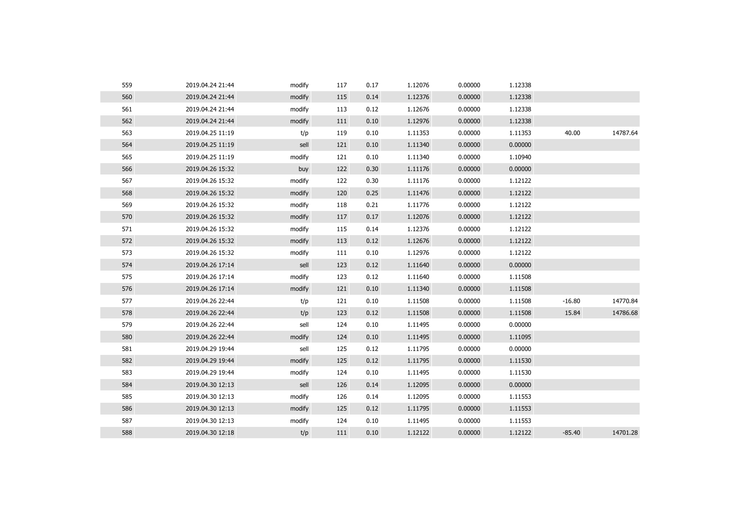| 559 | 2019.04.24 21:44 | modify | 117 | 0.17 | 1.12076 | 0.00000 | 1.12338 |          |          |
|-----|------------------|--------|-----|------|---------|---------|---------|----------|----------|
| 560 | 2019.04.24 21:44 | modify | 115 | 0.14 | 1.12376 | 0.00000 | 1.12338 |          |          |
| 561 | 2019.04.24 21:44 | modify | 113 | 0.12 | 1.12676 | 0.00000 | 1.12338 |          |          |
| 562 | 2019.04.24 21:44 | modify | 111 | 0.10 | 1.12976 | 0.00000 | 1.12338 |          |          |
| 563 | 2019.04.25 11:19 | t/p    | 119 | 0.10 | 1.11353 | 0.00000 | 1.11353 | 40.00    | 14787.64 |
| 564 | 2019.04.25 11:19 | sell   | 121 | 0.10 | 1.11340 | 0.00000 | 0.00000 |          |          |
| 565 | 2019.04.25 11:19 | modify | 121 | 0.10 | 1.11340 | 0.00000 | 1.10940 |          |          |
| 566 | 2019.04.26 15:32 | buy    | 122 | 0.30 | 1.11176 | 0.00000 | 0.00000 |          |          |
| 567 | 2019.04.26 15:32 | modify | 122 | 0.30 | 1.11176 | 0.00000 | 1.12122 |          |          |
| 568 | 2019.04.26 15:32 | modify | 120 | 0.25 | 1.11476 | 0.00000 | 1.12122 |          |          |
| 569 | 2019.04.26 15:32 | modify | 118 | 0.21 | 1.11776 | 0.00000 | 1.12122 |          |          |
| 570 | 2019.04.26 15:32 | modify | 117 | 0.17 | 1.12076 | 0.00000 | 1.12122 |          |          |
| 571 | 2019.04.26 15:32 | modify | 115 | 0.14 | 1.12376 | 0.00000 | 1.12122 |          |          |
| 572 | 2019.04.26 15:32 | modify | 113 | 0.12 | 1.12676 | 0.00000 | 1.12122 |          |          |
| 573 | 2019.04.26 15:32 | modify | 111 | 0.10 | 1.12976 | 0.00000 | 1.12122 |          |          |
| 574 | 2019.04.26 17:14 | sell   | 123 | 0.12 | 1.11640 | 0.00000 | 0.00000 |          |          |
| 575 | 2019.04.26 17:14 | modify | 123 | 0.12 | 1.11640 | 0.00000 | 1.11508 |          |          |
| 576 | 2019.04.26 17:14 | modify | 121 | 0.10 | 1.11340 | 0.00000 | 1.11508 |          |          |
| 577 | 2019.04.26 22:44 | t/p    | 121 | 0.10 | 1.11508 | 0.00000 | 1.11508 | $-16.80$ | 14770.84 |
| 578 | 2019.04.26 22:44 | t/p    | 123 | 0.12 | 1.11508 | 0.00000 | 1.11508 | 15.84    | 14786.68 |
| 579 | 2019.04.26 22:44 | sell   | 124 | 0.10 | 1.11495 | 0.00000 | 0.00000 |          |          |
| 580 | 2019.04.26 22:44 | modify | 124 | 0.10 | 1.11495 | 0.00000 | 1.11095 |          |          |
| 581 | 2019.04.29 19:44 | sell   | 125 | 0.12 | 1.11795 | 0.00000 | 0.00000 |          |          |
| 582 | 2019.04.29 19:44 | modify | 125 | 0.12 | 1.11795 | 0.00000 | 1.11530 |          |          |
| 583 | 2019.04.29 19:44 | modify | 124 | 0.10 | 1.11495 | 0.00000 | 1.11530 |          |          |
| 584 | 2019.04.30 12:13 | sell   | 126 | 0.14 | 1.12095 | 0.00000 | 0.00000 |          |          |
| 585 | 2019.04.30 12:13 | modify | 126 | 0.14 | 1.12095 | 0.00000 | 1.11553 |          |          |
| 586 | 2019.04.30 12:13 | modify | 125 | 0.12 | 1.11795 | 0.00000 | 1.11553 |          |          |
| 587 | 2019.04.30 12:13 | modify | 124 | 0.10 | 1.11495 | 0.00000 | 1.11553 |          |          |
| 588 | 2019.04.30 12:18 | t/p    | 111 | 0.10 | 1.12122 | 0.00000 | 1.12122 | $-85.40$ | 14701.28 |
|     |                  |        |     |      |         |         |         |          |          |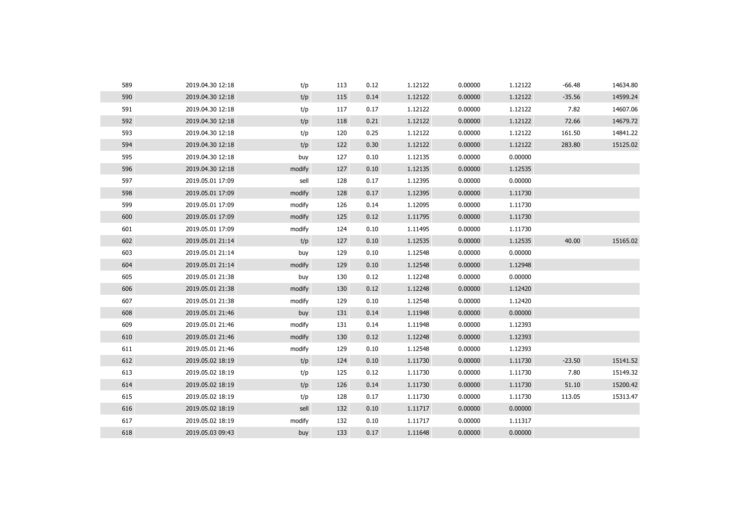| 589 | 2019.04.30 12:18 | t/p    | 113 | 0.12 | 1.12122 | 0.00000 | 1.12122 | $-66.48$ | 14634.80 |
|-----|------------------|--------|-----|------|---------|---------|---------|----------|----------|
| 590 | 2019.04.30 12:18 | t/p    | 115 | 0.14 | 1.12122 | 0.00000 | 1.12122 | $-35.56$ | 14599.24 |
| 591 | 2019.04.30 12:18 | t/p    | 117 | 0.17 | 1.12122 | 0.00000 | 1.12122 | 7.82     | 14607.06 |
| 592 | 2019.04.30 12:18 | t/p    | 118 | 0.21 | 1.12122 | 0.00000 | 1.12122 | 72.66    | 14679.72 |
| 593 | 2019.04.30 12:18 | t/p    | 120 | 0.25 | 1.12122 | 0.00000 | 1.12122 | 161.50   | 14841.22 |
| 594 | 2019.04.30 12:18 | t/p    | 122 | 0.30 | 1.12122 | 0.00000 | 1.12122 | 283.80   | 15125.02 |
| 595 | 2019.04.30 12:18 | buy    | 127 | 0.10 | 1.12135 | 0.00000 | 0.00000 |          |          |
| 596 | 2019.04.30 12:18 | modify | 127 | 0.10 | 1.12135 | 0.00000 | 1.12535 |          |          |
| 597 | 2019.05.01 17:09 | sell   | 128 | 0.17 | 1.12395 | 0.00000 | 0.00000 |          |          |
| 598 | 2019.05.01 17:09 | modify | 128 | 0.17 | 1.12395 | 0.00000 | 1.11730 |          |          |
| 599 | 2019.05.01 17:09 | modify | 126 | 0.14 | 1.12095 | 0.00000 | 1.11730 |          |          |
| 600 | 2019.05.01 17:09 | modify | 125 | 0.12 | 1.11795 | 0.00000 | 1.11730 |          |          |
| 601 | 2019.05.01 17:09 | modify | 124 | 0.10 | 1.11495 | 0.00000 | 1.11730 |          |          |
| 602 | 2019.05.01 21:14 | t/p    | 127 | 0.10 | 1.12535 | 0.00000 | 1.12535 | 40.00    | 15165.02 |
| 603 | 2019.05.01 21:14 | buy    | 129 | 0.10 | 1.12548 | 0.00000 | 0.00000 |          |          |
| 604 | 2019.05.01 21:14 | modify | 129 | 0.10 | 1.12548 | 0.00000 | 1.12948 |          |          |
| 605 | 2019.05.01 21:38 | buy    | 130 | 0.12 | 1.12248 | 0.00000 | 0.00000 |          |          |
| 606 | 2019.05.01 21:38 | modify | 130 | 0.12 | 1.12248 | 0.00000 | 1.12420 |          |          |
| 607 | 2019.05.01 21:38 | modify | 129 | 0.10 | 1.12548 | 0.00000 | 1.12420 |          |          |
| 608 | 2019.05.01 21:46 | buy    | 131 | 0.14 | 1.11948 | 0.00000 | 0.00000 |          |          |
| 609 | 2019.05.01 21:46 | modify | 131 | 0.14 | 1.11948 | 0.00000 | 1.12393 |          |          |
| 610 | 2019.05.01 21:46 | modify | 130 | 0.12 | 1.12248 | 0.00000 | 1.12393 |          |          |
| 611 | 2019.05.01 21:46 | modify | 129 | 0.10 | 1.12548 | 0.00000 | 1.12393 |          |          |
| 612 | 2019.05.02 18:19 | t/p    | 124 | 0.10 | 1.11730 | 0.00000 | 1.11730 | $-23.50$ | 15141.52 |
| 613 | 2019.05.02 18:19 | t/p    | 125 | 0.12 | 1.11730 | 0.00000 | 1.11730 | 7.80     | 15149.32 |
| 614 | 2019.05.02 18:19 | t/p    | 126 | 0.14 | 1.11730 | 0.00000 | 1.11730 | 51.10    | 15200.42 |
| 615 | 2019.05.02 18:19 | t/p    | 128 | 0.17 | 1.11730 | 0.00000 | 1.11730 | 113.05   | 15313.47 |
| 616 | 2019.05.02 18:19 | sell   | 132 | 0.10 | 1.11717 | 0.00000 | 0.00000 |          |          |
| 617 | 2019.05.02 18:19 | modify | 132 | 0.10 | 1.11717 | 0.00000 | 1.11317 |          |          |
| 618 | 2019.05.03 09:43 | buy    | 133 | 0.17 | 1.11648 | 0.00000 | 0.00000 |          |          |
|     |                  |        |     |      |         |         |         |          |          |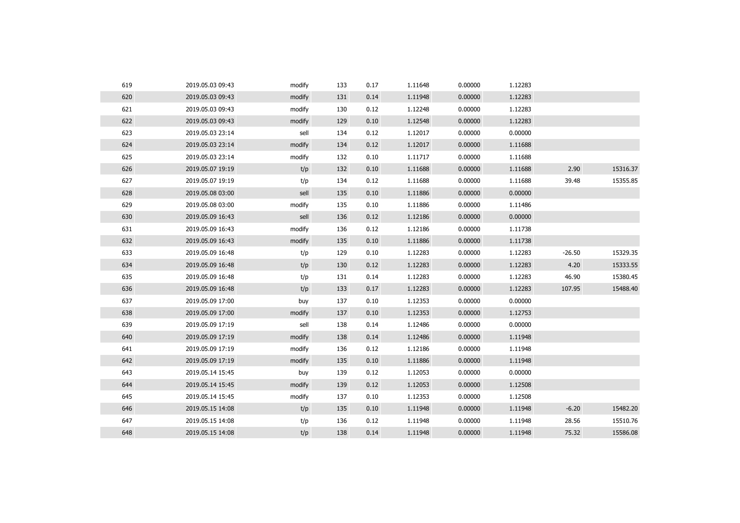| 619 | 2019.05.03 09:43 | modify | 133 | 0.17 | 1.11648 | 0.00000 | 1.12283 |          |          |
|-----|------------------|--------|-----|------|---------|---------|---------|----------|----------|
| 620 | 2019.05.03 09:43 | modify | 131 | 0.14 | 1.11948 | 0.00000 | 1.12283 |          |          |
| 621 | 2019.05.03 09:43 | modify | 130 | 0.12 | 1.12248 | 0.00000 | 1.12283 |          |          |
| 622 | 2019.05.03 09:43 | modify | 129 | 0.10 | 1.12548 | 0.00000 | 1.12283 |          |          |
| 623 | 2019.05.03 23:14 | sell   | 134 | 0.12 | 1.12017 | 0.00000 | 0.00000 |          |          |
| 624 | 2019.05.03 23:14 | modify | 134 | 0.12 | 1.12017 | 0.00000 | 1.11688 |          |          |
| 625 | 2019.05.03 23:14 | modify | 132 | 0.10 | 1.11717 | 0.00000 | 1.11688 |          |          |
| 626 | 2019.05.07 19:19 | t/p    | 132 | 0.10 | 1.11688 | 0.00000 | 1.11688 | 2.90     | 15316.37 |
| 627 | 2019.05.07 19:19 | t/p    | 134 | 0.12 | 1.11688 | 0.00000 | 1.11688 | 39.48    | 15355.85 |
| 628 | 2019.05.08 03:00 | sell   | 135 | 0.10 | 1.11886 | 0.00000 | 0.00000 |          |          |
| 629 | 2019.05.08 03:00 | modify | 135 | 0.10 | 1.11886 | 0.00000 | 1.11486 |          |          |
| 630 | 2019.05.09 16:43 | sell   | 136 | 0.12 | 1.12186 | 0.00000 | 0.00000 |          |          |
| 631 | 2019.05.09 16:43 | modify | 136 | 0.12 | 1.12186 | 0.00000 | 1.11738 |          |          |
| 632 | 2019.05.09 16:43 | modify | 135 | 0.10 | 1.11886 | 0.00000 | 1.11738 |          |          |
| 633 | 2019.05.09 16:48 | t/p    | 129 | 0.10 | 1.12283 | 0.00000 | 1.12283 | $-26.50$ | 15329.35 |
| 634 | 2019.05.09 16:48 | t/p    | 130 | 0.12 | 1.12283 | 0.00000 | 1.12283 | 4.20     | 15333.55 |
| 635 | 2019.05.09 16:48 | t/p    | 131 | 0.14 | 1.12283 | 0.00000 | 1.12283 | 46.90    | 15380.45 |
| 636 | 2019.05.09 16:48 | t/p    | 133 | 0.17 | 1.12283 | 0.00000 | 1.12283 | 107.95   | 15488.40 |
| 637 | 2019.05.09 17:00 | buy    | 137 | 0.10 | 1.12353 | 0.00000 | 0.00000 |          |          |
| 638 | 2019.05.09 17:00 | modify | 137 | 0.10 | 1.12353 | 0.00000 | 1.12753 |          |          |
| 639 | 2019.05.09 17:19 | sell   | 138 | 0.14 | 1.12486 | 0.00000 | 0.00000 |          |          |
| 640 | 2019.05.09 17:19 | modify | 138 | 0.14 | 1.12486 | 0.00000 | 1.11948 |          |          |
| 641 | 2019.05.09 17:19 | modify | 136 | 0.12 | 1.12186 | 0.00000 | 1.11948 |          |          |
| 642 | 2019.05.09 17:19 | modify | 135 | 0.10 | 1.11886 | 0.00000 | 1.11948 |          |          |
| 643 | 2019.05.14 15:45 | buy    | 139 | 0.12 | 1.12053 | 0.00000 | 0.00000 |          |          |
| 644 | 2019.05.14 15:45 | modify | 139 | 0.12 | 1.12053 | 0.00000 | 1.12508 |          |          |
| 645 | 2019.05.14 15:45 | modify | 137 | 0.10 | 1.12353 | 0.00000 | 1.12508 |          |          |
| 646 | 2019.05.15 14:08 | t/p    | 135 | 0.10 | 1.11948 | 0.00000 | 1.11948 | $-6.20$  | 15482.20 |
| 647 | 2019.05.15 14:08 | t/p    | 136 | 0.12 | 1.11948 | 0.00000 | 1.11948 | 28.56    | 15510.76 |
| 648 | 2019.05.15 14:08 | t/p    | 138 | 0.14 | 1.11948 | 0.00000 | 1.11948 | 75.32    | 15586.08 |
|     |                  |        |     |      |         |         |         |          |          |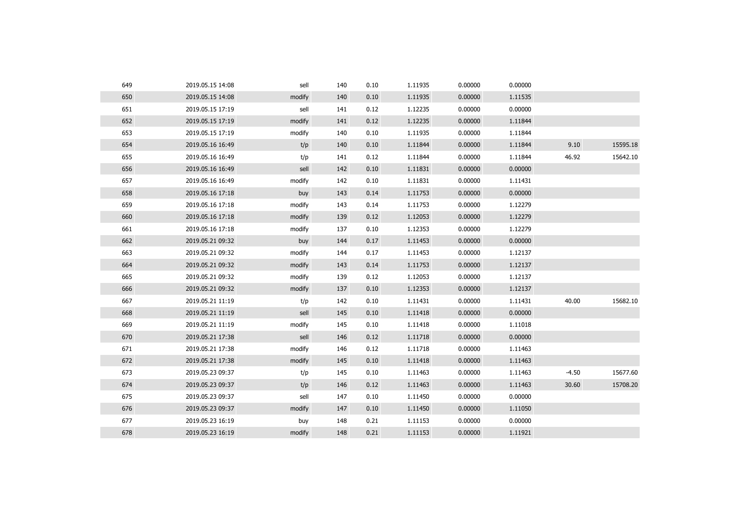| 649 | 2019.05.15 14:08 | sell   | 140 | 0.10 | 1.11935 | 0.00000 | 0.00000 |         |          |
|-----|------------------|--------|-----|------|---------|---------|---------|---------|----------|
| 650 | 2019.05.15 14:08 | modify | 140 | 0.10 | 1.11935 | 0.00000 | 1.11535 |         |          |
| 651 | 2019.05.15 17:19 | sell   | 141 | 0.12 | 1.12235 | 0.00000 | 0.00000 |         |          |
| 652 | 2019.05.15 17:19 | modify | 141 | 0.12 | 1.12235 | 0.00000 | 1.11844 |         |          |
| 653 | 2019.05.15 17:19 | modify | 140 | 0.10 | 1.11935 | 0.00000 | 1.11844 |         |          |
| 654 | 2019.05.16 16:49 | t/p    | 140 | 0.10 | 1.11844 | 0.00000 | 1.11844 | 9.10    | 15595.18 |
| 655 | 2019.05.16 16:49 | t/p    | 141 | 0.12 | 1.11844 | 0.00000 | 1.11844 | 46.92   | 15642.10 |
| 656 | 2019.05.16 16:49 | sell   | 142 | 0.10 | 1.11831 | 0.00000 | 0.00000 |         |          |
| 657 | 2019.05.16 16:49 | modify | 142 | 0.10 | 1.11831 | 0.00000 | 1.11431 |         |          |
| 658 | 2019.05.16 17:18 | buy    | 143 | 0.14 | 1.11753 | 0.00000 | 0.00000 |         |          |
| 659 | 2019.05.16 17:18 | modify | 143 | 0.14 | 1.11753 | 0.00000 | 1.12279 |         |          |
| 660 | 2019.05.16 17:18 | modify | 139 | 0.12 | 1.12053 | 0.00000 | 1.12279 |         |          |
| 661 | 2019.05.16 17:18 | modify | 137 | 0.10 | 1.12353 | 0.00000 | 1.12279 |         |          |
| 662 | 2019.05.21 09:32 | buy    | 144 | 0.17 | 1.11453 | 0.00000 | 0.00000 |         |          |
| 663 | 2019.05.21 09:32 | modify | 144 | 0.17 | 1.11453 | 0.00000 | 1.12137 |         |          |
| 664 | 2019.05.21 09:32 | modify | 143 | 0.14 | 1.11753 | 0.00000 | 1.12137 |         |          |
| 665 | 2019.05.21 09:32 | modify | 139 | 0.12 | 1.12053 | 0.00000 | 1.12137 |         |          |
| 666 | 2019.05.21 09:32 | modify | 137 | 0.10 | 1.12353 | 0.00000 | 1.12137 |         |          |
| 667 | 2019.05.21 11:19 | t/p    | 142 | 0.10 | 1.11431 | 0.00000 | 1.11431 | 40.00   | 15682.10 |
| 668 | 2019.05.21 11:19 | sell   | 145 | 0.10 | 1.11418 | 0.00000 | 0.00000 |         |          |
| 669 | 2019.05.21 11:19 | modify | 145 | 0.10 | 1.11418 | 0.00000 | 1.11018 |         |          |
| 670 | 2019.05.21 17:38 | sell   | 146 | 0.12 | 1.11718 | 0.00000 | 0.00000 |         |          |
| 671 | 2019.05.21 17:38 | modify | 146 | 0.12 | 1.11718 | 0.00000 | 1.11463 |         |          |
| 672 | 2019.05.21 17:38 | modify | 145 | 0.10 | 1.11418 | 0.00000 | 1.11463 |         |          |
| 673 | 2019.05.23 09:37 | t/p    | 145 | 0.10 | 1.11463 | 0.00000 | 1.11463 | $-4.50$ | 15677.60 |
| 674 | 2019.05.23 09:37 | t/p    | 146 | 0.12 | 1.11463 | 0.00000 | 1.11463 | 30.60   | 15708.20 |
| 675 | 2019.05.23 09:37 | sell   | 147 | 0.10 | 1.11450 | 0.00000 | 0.00000 |         |          |
| 676 | 2019.05.23 09:37 | modify | 147 | 0.10 | 1.11450 | 0.00000 | 1.11050 |         |          |
| 677 | 2019.05.23 16:19 | buy    | 148 | 0.21 | 1.11153 | 0.00000 | 0.00000 |         |          |
| 678 | 2019.05.23 16:19 | modify | 148 | 0.21 | 1.11153 | 0.00000 | 1.11921 |         |          |
|     |                  |        |     |      |         |         |         |         |          |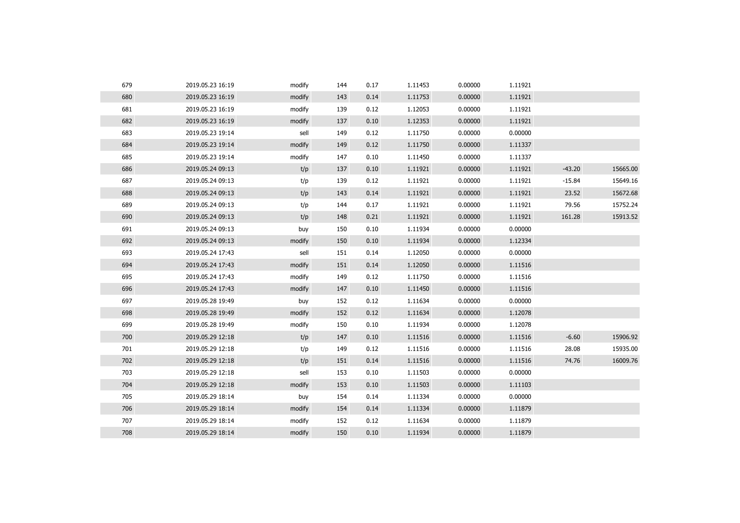| 679 | 2019.05.23 16:19 | modify | 144 | 0.17 | 1.11453 | 0.00000 | 1.11921 |          |          |
|-----|------------------|--------|-----|------|---------|---------|---------|----------|----------|
| 680 | 2019.05.23 16:19 | modify | 143 | 0.14 | 1.11753 | 0.00000 | 1.11921 |          |          |
| 681 | 2019.05.23 16:19 | modify | 139 | 0.12 | 1.12053 | 0.00000 | 1.11921 |          |          |
| 682 | 2019.05.23 16:19 | modify | 137 | 0.10 | 1.12353 | 0.00000 | 1.11921 |          |          |
| 683 | 2019.05.23 19:14 | sell   | 149 | 0.12 | 1.11750 | 0.00000 | 0.00000 |          |          |
| 684 | 2019.05.23 19:14 | modify | 149 | 0.12 | 1.11750 | 0.00000 | 1.11337 |          |          |
| 685 | 2019.05.23 19:14 | modify | 147 | 0.10 | 1.11450 | 0.00000 | 1.11337 |          |          |
| 686 | 2019.05.24 09:13 | t/p    | 137 | 0.10 | 1.11921 | 0.00000 | 1.11921 | $-43.20$ | 15665.00 |
| 687 | 2019.05.24 09:13 | t/p    | 139 | 0.12 | 1.11921 | 0.00000 | 1.11921 | $-15.84$ | 15649.16 |
| 688 | 2019.05.24 09:13 | t/p    | 143 | 0.14 | 1.11921 | 0.00000 | 1.11921 | 23.52    | 15672.68 |
| 689 | 2019.05.24 09:13 | t/p    | 144 | 0.17 | 1.11921 | 0.00000 | 1.11921 | 79.56    | 15752.24 |
| 690 | 2019.05.24 09:13 | t/p    | 148 | 0.21 | 1.11921 | 0.00000 | 1.11921 | 161.28   | 15913.52 |
| 691 | 2019.05.24 09:13 | buy    | 150 | 0.10 | 1.11934 | 0.00000 | 0.00000 |          |          |
| 692 | 2019.05.24 09:13 | modify | 150 | 0.10 | 1.11934 | 0.00000 | 1.12334 |          |          |
| 693 | 2019.05.24 17:43 | sell   | 151 | 0.14 | 1.12050 | 0.00000 | 0.00000 |          |          |
| 694 | 2019.05.24 17:43 | modify | 151 | 0.14 | 1.12050 | 0.00000 | 1.11516 |          |          |
| 695 | 2019.05.24 17:43 | modify | 149 | 0.12 | 1.11750 | 0.00000 | 1.11516 |          |          |
| 696 | 2019.05.24 17:43 | modify | 147 | 0.10 | 1.11450 | 0.00000 | 1.11516 |          |          |
| 697 | 2019.05.28 19:49 | buy    | 152 | 0.12 | 1.11634 | 0.00000 | 0.00000 |          |          |
| 698 | 2019.05.28 19:49 | modify | 152 | 0.12 | 1.11634 | 0.00000 | 1.12078 |          |          |
| 699 | 2019.05.28 19:49 | modify | 150 | 0.10 | 1.11934 | 0.00000 | 1.12078 |          |          |
| 700 | 2019.05.29 12:18 | t/p    | 147 | 0.10 | 1.11516 | 0.00000 | 1.11516 | $-6.60$  | 15906.92 |
| 701 | 2019.05.29 12:18 | t/p    | 149 | 0.12 | 1.11516 | 0.00000 | 1.11516 | 28.08    | 15935.00 |
| 702 | 2019.05.29 12:18 | t/p    | 151 | 0.14 | 1.11516 | 0.00000 | 1.11516 | 74.76    | 16009.76 |
| 703 | 2019.05.29 12:18 | sell   | 153 | 0.10 | 1.11503 | 0.00000 | 0.00000 |          |          |
| 704 | 2019.05.29 12:18 | modify | 153 | 0.10 | 1.11503 | 0.00000 | 1.11103 |          |          |
| 705 | 2019.05.29 18:14 | buy    | 154 | 0.14 | 1.11334 | 0.00000 | 0.00000 |          |          |
| 706 | 2019.05.29 18:14 | modify | 154 | 0.14 | 1.11334 | 0.00000 | 1.11879 |          |          |
| 707 | 2019.05.29 18:14 | modify | 152 | 0.12 | 1.11634 | 0.00000 | 1.11879 |          |          |
| 708 | 2019.05.29 18:14 | modify | 150 | 0.10 | 1.11934 | 0.00000 | 1.11879 |          |          |
|     |                  |        |     |      |         |         |         |          |          |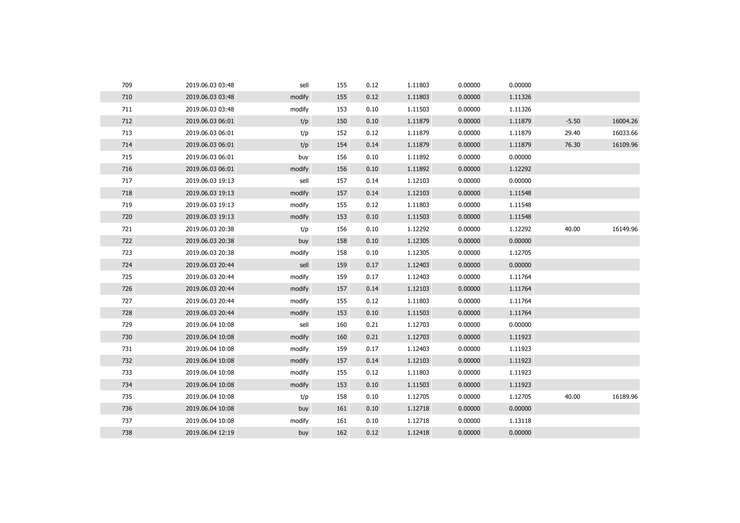| 709 | 2019.06.03 03:48 | sell   | 155 | 0.12 | 1.11803 | 0.00000 | 0.00000 |         |          |
|-----|------------------|--------|-----|------|---------|---------|---------|---------|----------|
| 710 | 2019.06.03 03:48 | modify | 155 | 0.12 | 1.11803 | 0.00000 | 1.11326 |         |          |
| 711 | 2019.06.03 03:48 | modify | 153 | 0.10 | 1.11503 | 0.00000 | 1.11326 |         |          |
| 712 | 2019.06.03 06:01 | t/p    | 150 | 0.10 | 1.11879 | 0.00000 | 1.11879 | $-5.50$ | 16004.26 |
| 713 | 2019.06.03 06:01 | t/p    | 152 | 0.12 | 1.11879 | 0.00000 | 1.11879 | 29.40   | 16033.66 |
| 714 | 2019.06.03 06:01 | t/p    | 154 | 0.14 | 1.11879 | 0.00000 | 1.11879 | 76.30   | 16109.96 |
| 715 | 2019.06.03 06:01 | buy    | 156 | 0.10 | 1.11892 | 0.00000 | 0.00000 |         |          |
| 716 | 2019.06.03 06:01 | modify | 156 | 0.10 | 1.11892 | 0.00000 | 1.12292 |         |          |
| 717 | 2019.06.03 19:13 | sell   | 157 | 0.14 | 1.12103 | 0.00000 | 0.00000 |         |          |
| 718 | 2019.06.03 19:13 | modify | 157 | 0.14 | 1.12103 | 0.00000 | 1.11548 |         |          |
| 719 | 2019.06.03 19:13 | modify | 155 | 0.12 | 1.11803 | 0.00000 | 1.11548 |         |          |
| 720 | 2019.06.03 19:13 | modify | 153 | 0.10 | 1.11503 | 0.00000 | 1.11548 |         |          |
| 721 | 2019.06.03 20:38 | t/p    | 156 | 0.10 | 1.12292 | 0.00000 | 1.12292 | 40.00   | 16149.96 |
| 722 | 2019.06.03 20:38 | buy    | 158 | 0.10 | 1.12305 | 0.00000 | 0.00000 |         |          |
| 723 | 2019.06.03 20:38 | modify | 158 | 0.10 | 1.12305 | 0.00000 | 1.12705 |         |          |
| 724 | 2019.06.03 20:44 | sell   | 159 | 0.17 | 1.12403 | 0.00000 | 0.00000 |         |          |
| 725 | 2019.06.03 20:44 | modify | 159 | 0.17 | 1.12403 | 0.00000 | 1.11764 |         |          |
| 726 | 2019.06.03 20:44 | modify | 157 | 0.14 | 1.12103 | 0.00000 | 1.11764 |         |          |
| 727 | 2019.06.03 20:44 | modify | 155 | 0.12 | 1.11803 | 0.00000 | 1.11764 |         |          |
| 728 | 2019.06.03 20:44 | modify | 153 | 0.10 | 1.11503 | 0.00000 | 1.11764 |         |          |
| 729 | 2019.06.04 10:08 | sell   | 160 | 0.21 | 1.12703 | 0.00000 | 0.00000 |         |          |
| 730 | 2019.06.04 10:08 | modify | 160 | 0.21 | 1.12703 | 0.00000 | 1.11923 |         |          |
| 731 | 2019.06.04 10:08 | modify | 159 | 0.17 | 1.12403 | 0.00000 | 1.11923 |         |          |
| 732 | 2019.06.04 10:08 | modify | 157 | 0.14 | 1.12103 | 0.00000 | 1.11923 |         |          |
| 733 | 2019.06.04 10:08 | modify | 155 | 0.12 | 1.11803 | 0.00000 | 1.11923 |         |          |
| 734 | 2019.06.04 10:08 | modify | 153 | 0.10 | 1.11503 | 0.00000 | 1.11923 |         |          |
| 735 | 2019.06.04 10:08 | t/p    | 158 | 0.10 | 1.12705 | 0.00000 | 1.12705 | 40.00   | 16189.96 |
| 736 | 2019.06.04 10:08 | buy    | 161 | 0.10 | 1.12718 | 0.00000 | 0.00000 |         |          |
| 737 | 2019.06.04 10:08 | modify | 161 | 0.10 | 1.12718 | 0.00000 | 1.13118 |         |          |
| 738 | 2019.06.04 12:19 | buy    | 162 | 0.12 | 1.12418 | 0.00000 | 0.00000 |         |          |
|     |                  |        |     |      |         |         |         |         |          |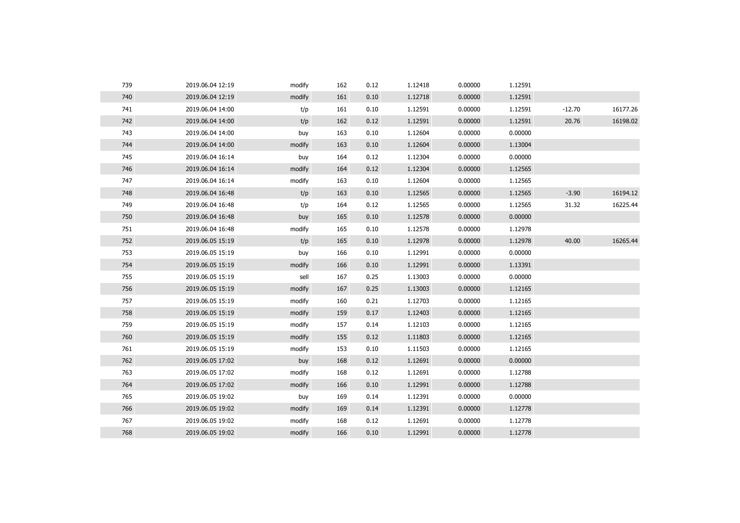| 739 | 2019.06.04 12:19 | modify | 162 | 0.12 | 1.12418 | 0.00000 | 1.12591 |          |          |
|-----|------------------|--------|-----|------|---------|---------|---------|----------|----------|
| 740 | 2019.06.04 12:19 | modify | 161 | 0.10 | 1.12718 | 0.00000 | 1.12591 |          |          |
| 741 | 2019.06.04 14:00 | t/p    | 161 | 0.10 | 1.12591 | 0.00000 | 1.12591 | $-12.70$ | 16177.26 |
| 742 | 2019.06.04 14:00 | t/p    | 162 | 0.12 | 1.12591 | 0.00000 | 1.12591 | 20.76    | 16198.02 |
| 743 | 2019.06.04 14:00 | buy    | 163 | 0.10 | 1.12604 | 0.00000 | 0.00000 |          |          |
| 744 | 2019.06.04 14:00 | modify | 163 | 0.10 | 1.12604 | 0.00000 | 1.13004 |          |          |
| 745 | 2019.06.04 16:14 | buy    | 164 | 0.12 | 1.12304 | 0.00000 | 0.00000 |          |          |
| 746 | 2019.06.04 16:14 | modify | 164 | 0.12 | 1.12304 | 0.00000 | 1.12565 |          |          |
| 747 | 2019.06.04 16:14 | modify | 163 | 0.10 | 1.12604 | 0.00000 | 1.12565 |          |          |
| 748 | 2019.06.04 16:48 | t/p    | 163 | 0.10 | 1.12565 | 0.00000 | 1.12565 | $-3.90$  | 16194.12 |
| 749 | 2019.06.04 16:48 | t/p    | 164 | 0.12 | 1.12565 | 0.00000 | 1.12565 | 31.32    | 16225.44 |
| 750 | 2019.06.04 16:48 | buy    | 165 | 0.10 | 1.12578 | 0.00000 | 0.00000 |          |          |
| 751 | 2019.06.04 16:48 | modify | 165 | 0.10 | 1.12578 | 0.00000 | 1.12978 |          |          |
| 752 | 2019.06.05 15:19 | t/p    | 165 | 0.10 | 1.12978 | 0.00000 | 1.12978 | 40.00    | 16265.44 |
| 753 | 2019.06.05 15:19 | buy    | 166 | 0.10 | 1.12991 | 0.00000 | 0.00000 |          |          |
| 754 | 2019.06.05 15:19 | modify | 166 | 0.10 | 1.12991 | 0.00000 | 1.13391 |          |          |
| 755 | 2019.06.05 15:19 | sell   | 167 | 0.25 | 1.13003 | 0.00000 | 0.00000 |          |          |
| 756 | 2019.06.05 15:19 | modify | 167 | 0.25 | 1.13003 | 0.00000 | 1.12165 |          |          |
| 757 | 2019.06.05 15:19 | modify | 160 | 0.21 | 1.12703 | 0.00000 | 1.12165 |          |          |
| 758 | 2019.06.05 15:19 | modify | 159 | 0.17 | 1.12403 | 0.00000 | 1.12165 |          |          |
| 759 | 2019.06.05 15:19 | modify | 157 | 0.14 | 1.12103 | 0.00000 | 1.12165 |          |          |
| 760 | 2019.06.05 15:19 | modify | 155 | 0.12 | 1.11803 | 0.00000 | 1.12165 |          |          |
| 761 | 2019.06.05 15:19 | modify | 153 | 0.10 | 1.11503 | 0.00000 | 1.12165 |          |          |
| 762 | 2019.06.05 17:02 | buy    | 168 | 0.12 | 1.12691 | 0.00000 | 0.00000 |          |          |
| 763 | 2019.06.05 17:02 | modify | 168 | 0.12 | 1.12691 | 0.00000 | 1.12788 |          |          |
| 764 | 2019.06.05 17:02 | modify | 166 | 0.10 | 1.12991 | 0.00000 | 1.12788 |          |          |
| 765 | 2019.06.05 19:02 | buy    | 169 | 0.14 | 1.12391 | 0.00000 | 0.00000 |          |          |
| 766 | 2019.06.05 19:02 | modify | 169 | 0.14 | 1.12391 | 0.00000 | 1.12778 |          |          |
| 767 | 2019.06.05 19:02 | modify | 168 | 0.12 | 1.12691 | 0.00000 | 1.12778 |          |          |
| 768 | 2019.06.05 19:02 | modify | 166 | 0.10 | 1.12991 | 0.00000 | 1.12778 |          |          |
|     |                  |        |     |      |         |         |         |          |          |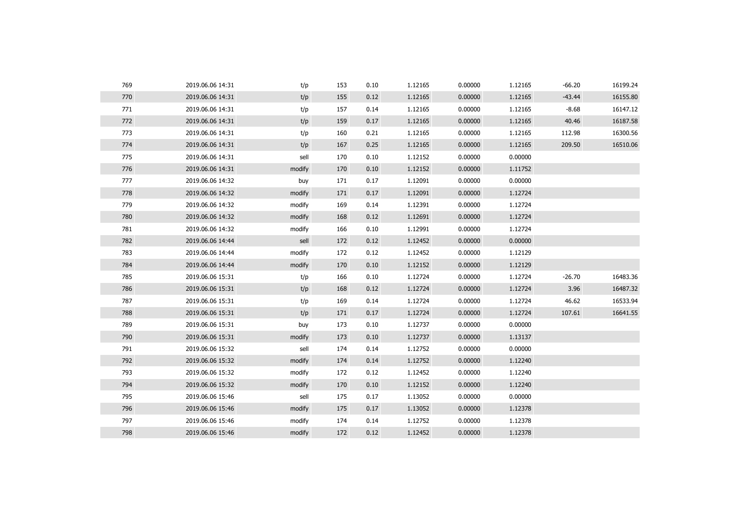| 769 | 2019.06.06 14:31 | t/p    | 153 | 0.10 | 1.12165 | 0.00000 | 1.12165 | $-66.20$ | 16199.24 |
|-----|------------------|--------|-----|------|---------|---------|---------|----------|----------|
| 770 | 2019.06.06 14:31 | t/p    | 155 | 0.12 | 1.12165 | 0.00000 | 1.12165 | $-43.44$ | 16155.80 |
| 771 | 2019.06.06 14:31 | t/p    | 157 | 0.14 | 1.12165 | 0.00000 | 1.12165 | $-8.68$  | 16147.12 |
| 772 | 2019.06.06 14:31 | t/p    | 159 | 0.17 | 1.12165 | 0.00000 | 1.12165 | 40.46    | 16187.58 |
| 773 | 2019.06.06 14:31 | t/p    | 160 | 0.21 | 1.12165 | 0.00000 | 1.12165 | 112.98   | 16300.56 |
| 774 | 2019.06.06 14:31 | t/p    | 167 | 0.25 | 1.12165 | 0.00000 | 1.12165 | 209.50   | 16510.06 |
| 775 | 2019.06.06 14:31 | sell   | 170 | 0.10 | 1.12152 | 0.00000 | 0.00000 |          |          |
| 776 | 2019.06.06 14:31 | modify | 170 | 0.10 | 1.12152 | 0.00000 | 1.11752 |          |          |
| 777 | 2019.06.06 14:32 | buy    | 171 | 0.17 | 1.12091 | 0.00000 | 0.00000 |          |          |
| 778 | 2019.06.06 14:32 | modify | 171 | 0.17 | 1.12091 | 0.00000 | 1.12724 |          |          |
| 779 | 2019.06.06 14:32 | modify | 169 | 0.14 | 1.12391 | 0.00000 | 1.12724 |          |          |
| 780 | 2019.06.06 14:32 | modify | 168 | 0.12 | 1.12691 | 0.00000 | 1.12724 |          |          |
| 781 | 2019.06.06 14:32 | modify | 166 | 0.10 | 1.12991 | 0.00000 | 1.12724 |          |          |
| 782 | 2019.06.06 14:44 | sell   | 172 | 0.12 | 1.12452 | 0.00000 | 0.00000 |          |          |
| 783 | 2019.06.06 14:44 | modify | 172 | 0.12 | 1.12452 | 0.00000 | 1.12129 |          |          |
| 784 | 2019.06.06 14:44 | modify | 170 | 0.10 | 1.12152 | 0.00000 | 1.12129 |          |          |
| 785 | 2019.06.06 15:31 | t/p    | 166 | 0.10 | 1.12724 | 0.00000 | 1.12724 | $-26.70$ | 16483.36 |
| 786 | 2019.06.06 15:31 | t/p    | 168 | 0.12 | 1.12724 | 0.00000 | 1.12724 | 3.96     | 16487.32 |
| 787 | 2019.06.06 15:31 | t/p    | 169 | 0.14 | 1.12724 | 0.00000 | 1.12724 | 46.62    | 16533.94 |
| 788 | 2019.06.06 15:31 | t/p    | 171 | 0.17 | 1.12724 | 0.00000 | 1.12724 | 107.61   | 16641.55 |
| 789 | 2019.06.06 15:31 | buy    | 173 | 0.10 | 1.12737 | 0.00000 | 0.00000 |          |          |
| 790 | 2019.06.06 15:31 | modify | 173 | 0.10 | 1.12737 | 0.00000 | 1.13137 |          |          |
| 791 | 2019.06.06 15:32 | sell   | 174 | 0.14 | 1.12752 | 0.00000 | 0.00000 |          |          |
| 792 | 2019.06.06 15:32 | modify | 174 | 0.14 | 1.12752 | 0.00000 | 1.12240 |          |          |
| 793 | 2019.06.06 15:32 | modify | 172 | 0.12 | 1.12452 | 0.00000 | 1.12240 |          |          |
| 794 | 2019.06.06 15:32 | modify | 170 | 0.10 | 1.12152 | 0.00000 | 1.12240 |          |          |
| 795 | 2019.06.06 15:46 | sell   | 175 | 0.17 | 1.13052 | 0.00000 | 0.00000 |          |          |
| 796 | 2019.06.06 15:46 | modify | 175 | 0.17 | 1.13052 | 0.00000 | 1.12378 |          |          |
| 797 | 2019.06.06 15:46 | modify | 174 | 0.14 | 1.12752 | 0.00000 | 1.12378 |          |          |
| 798 | 2019.06.06 15:46 | modify | 172 | 0.12 | 1.12452 | 0.00000 | 1.12378 |          |          |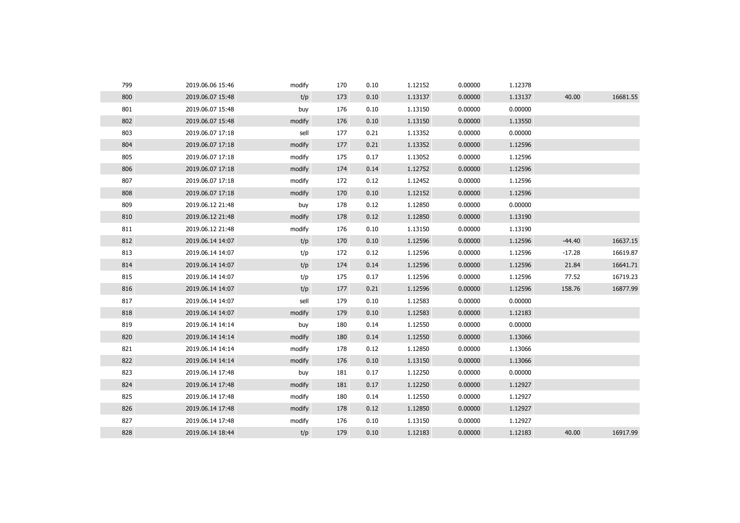| 799 | 2019.06.06 15:46 | modify | 170 | 0.10 | 1.12152 | 0.00000 | 1.12378 |          |          |
|-----|------------------|--------|-----|------|---------|---------|---------|----------|----------|
| 800 | 2019.06.07 15:48 | t/p    | 173 | 0.10 | 1.13137 | 0.00000 | 1.13137 | 40.00    | 16681.55 |
| 801 | 2019.06.07 15:48 | buy    | 176 | 0.10 | 1.13150 | 0.00000 | 0.00000 |          |          |
| 802 | 2019.06.07 15:48 | modify | 176 | 0.10 | 1.13150 | 0.00000 | 1.13550 |          |          |
| 803 | 2019.06.07 17:18 | sell   | 177 | 0.21 | 1.13352 | 0.00000 | 0.00000 |          |          |
| 804 | 2019.06.07 17:18 | modify | 177 | 0.21 | 1.13352 | 0.00000 | 1.12596 |          |          |
| 805 | 2019.06.07 17:18 | modify | 175 | 0.17 | 1.13052 | 0.00000 | 1.12596 |          |          |
| 806 | 2019.06.07 17:18 | modify | 174 | 0.14 | 1.12752 | 0.00000 | 1.12596 |          |          |
| 807 | 2019.06.07 17:18 | modify | 172 | 0.12 | 1.12452 | 0.00000 | 1.12596 |          |          |
| 808 | 2019.06.07 17:18 | modify | 170 | 0.10 | 1.12152 | 0.00000 | 1.12596 |          |          |
| 809 | 2019.06.12 21:48 | buy    | 178 | 0.12 | 1.12850 | 0.00000 | 0.00000 |          |          |
| 810 | 2019.06.12 21:48 | modify | 178 | 0.12 | 1.12850 | 0.00000 | 1.13190 |          |          |
| 811 | 2019.06.12 21:48 | modify | 176 | 0.10 | 1.13150 | 0.00000 | 1.13190 |          |          |
| 812 | 2019.06.14 14:07 | t/p    | 170 | 0.10 | 1.12596 | 0.00000 | 1.12596 | $-44.40$ | 16637.15 |
| 813 | 2019.06.14 14:07 | t/p    | 172 | 0.12 | 1.12596 | 0.00000 | 1.12596 | $-17.28$ | 16619.87 |
| 814 | 2019.06.14 14:07 | t/p    | 174 | 0.14 | 1.12596 | 0.00000 | 1.12596 | 21.84    | 16641.71 |
| 815 | 2019.06.14 14:07 | t/p    | 175 | 0.17 | 1.12596 | 0.00000 | 1.12596 | 77.52    | 16719.23 |
| 816 | 2019.06.14 14:07 | t/p    | 177 | 0.21 | 1.12596 | 0.00000 | 1.12596 | 158.76   | 16877.99 |
| 817 | 2019.06.14 14:07 | sell   | 179 | 0.10 | 1.12583 | 0.00000 | 0.00000 |          |          |
| 818 | 2019.06.14 14:07 | modify | 179 | 0.10 | 1.12583 | 0.00000 | 1.12183 |          |          |
| 819 | 2019.06.14 14:14 | buy    | 180 | 0.14 | 1.12550 | 0.00000 | 0.00000 |          |          |
| 820 | 2019.06.14 14:14 | modify | 180 | 0.14 | 1.12550 | 0.00000 | 1.13066 |          |          |
| 821 | 2019.06.14 14:14 | modify | 178 | 0.12 | 1.12850 | 0.00000 | 1.13066 |          |          |
| 822 | 2019.06.14 14:14 | modify | 176 | 0.10 | 1.13150 | 0.00000 | 1.13066 |          |          |
| 823 | 2019.06.14 17:48 | buy    | 181 | 0.17 | 1.12250 | 0.00000 | 0.00000 |          |          |
| 824 | 2019.06.14 17:48 | modify | 181 | 0.17 | 1.12250 | 0.00000 | 1.12927 |          |          |
| 825 | 2019.06.14 17:48 | modify | 180 | 0.14 | 1.12550 | 0.00000 | 1.12927 |          |          |
| 826 | 2019.06.14 17:48 | modify | 178 | 0.12 | 1.12850 | 0.00000 | 1.12927 |          |          |
| 827 | 2019.06.14 17:48 | modify | 176 | 0.10 | 1.13150 | 0.00000 | 1.12927 |          |          |
| 828 | 2019.06.14 18:44 | t/p    | 179 | 0.10 | 1.12183 | 0.00000 | 1.12183 | 40.00    | 16917.99 |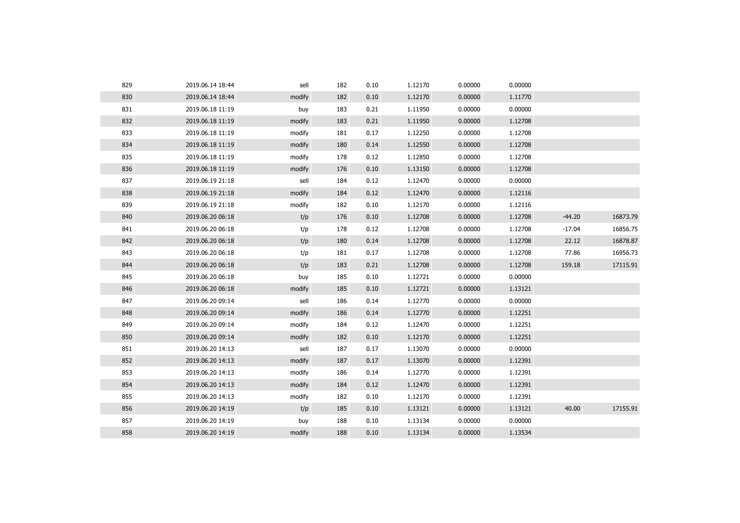| 829 | 2019.06.14 18:44 | sell   | 182 | 0.10 | 1.12170 | 0.00000 | 0.00000 |          |          |
|-----|------------------|--------|-----|------|---------|---------|---------|----------|----------|
| 830 | 2019.06.14 18:44 | modify | 182 | 0.10 | 1.12170 | 0.00000 | 1.11770 |          |          |
| 831 | 2019.06.18 11:19 | buy    | 183 | 0.21 | 1.11950 | 0.00000 | 0.00000 |          |          |
| 832 | 2019.06.18 11:19 | modify | 183 | 0.21 | 1.11950 | 0.00000 | 1.12708 |          |          |
| 833 | 2019.06.18 11:19 | modify | 181 | 0.17 | 1.12250 | 0.00000 | 1.12708 |          |          |
| 834 | 2019.06.18 11:19 | modify | 180 | 0.14 | 1.12550 | 0.00000 | 1.12708 |          |          |
| 835 | 2019.06.18 11:19 | modify | 178 | 0.12 | 1.12850 | 0.00000 | 1.12708 |          |          |
| 836 | 2019.06.18 11:19 | modify | 176 | 0.10 | 1.13150 | 0.00000 | 1.12708 |          |          |
| 837 | 2019.06.19 21:18 | sell   | 184 | 0.12 | 1.12470 | 0.00000 | 0.00000 |          |          |
| 838 | 2019.06.19 21:18 | modify | 184 | 0.12 | 1.12470 | 0.00000 | 1.12116 |          |          |
| 839 | 2019.06.19 21:18 | modify | 182 | 0.10 | 1.12170 | 0.00000 | 1.12116 |          |          |
| 840 | 2019.06.20 06:18 | t/p    | 176 | 0.10 | 1.12708 | 0.00000 | 1.12708 | $-44.20$ | 16873.79 |
| 841 | 2019.06.20 06:18 | t/p    | 178 | 0.12 | 1.12708 | 0.00000 | 1.12708 | $-17.04$ | 16856.75 |
| 842 | 2019.06.20 06:18 | t/p    | 180 | 0.14 | 1.12708 | 0.00000 | 1.12708 | 22.12    | 16878.87 |
| 843 | 2019.06.20 06:18 | t/p    | 181 | 0.17 | 1.12708 | 0.00000 | 1.12708 | 77.86    | 16956.73 |
| 844 | 2019.06.20 06:18 | t/p    | 183 | 0.21 | 1.12708 | 0.00000 | 1.12708 | 159.18   | 17115.91 |
| 845 | 2019.06.20 06:18 | buy    | 185 | 0.10 | 1.12721 | 0.00000 | 0.00000 |          |          |
| 846 | 2019.06.20 06:18 | modify | 185 | 0.10 | 1.12721 | 0.00000 | 1.13121 |          |          |
| 847 | 2019.06.20 09:14 | sell   | 186 | 0.14 | 1.12770 | 0.00000 | 0.00000 |          |          |
| 848 | 2019.06.20 09:14 | modify | 186 | 0.14 | 1.12770 | 0.00000 | 1.12251 |          |          |
| 849 | 2019.06.20 09:14 | modify | 184 | 0.12 | 1.12470 | 0.00000 | 1.12251 |          |          |
| 850 | 2019.06.20 09:14 | modify | 182 | 0.10 | 1.12170 | 0.00000 | 1.12251 |          |          |
| 851 | 2019.06.20 14:13 | sell   | 187 | 0.17 | 1.13070 | 0.00000 | 0.00000 |          |          |
| 852 | 2019.06.20 14:13 | modify | 187 | 0.17 | 1.13070 | 0.00000 | 1.12391 |          |          |
| 853 | 2019.06.20 14:13 | modify | 186 | 0.14 | 1.12770 | 0.00000 | 1.12391 |          |          |
| 854 | 2019.06.20 14:13 | modify | 184 | 0.12 | 1.12470 | 0.00000 | 1.12391 |          |          |
| 855 | 2019.06.20 14:13 | modify | 182 | 0.10 | 1.12170 | 0.00000 | 1.12391 |          |          |
| 856 | 2019.06.20 14:19 | t/p    | 185 | 0.10 | 1.13121 | 0.00000 | 1.13121 | 40.00    | 17155.91 |
| 857 | 2019.06.20 14:19 | buy    | 188 | 0.10 | 1.13134 | 0.00000 | 0.00000 |          |          |
| 858 | 2019.06.20 14:19 | modify | 188 | 0.10 | 1.13134 | 0.00000 | 1.13534 |          |          |
|     |                  |        |     |      |         |         |         |          |          |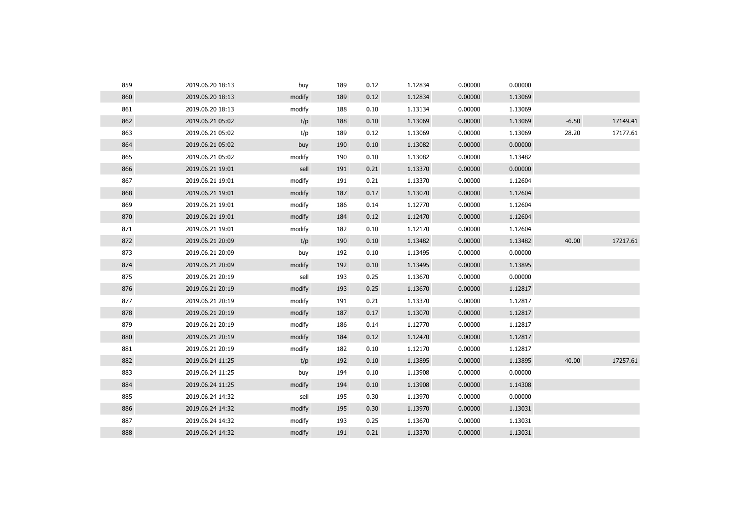| 859 | 2019.06.20 18:13 | buy    | 189 | 0.12 | 1.12834 | 0.00000 | 0.00000 |         |          |
|-----|------------------|--------|-----|------|---------|---------|---------|---------|----------|
| 860 | 2019.06.20 18:13 | modify | 189 | 0.12 | 1.12834 | 0.00000 | 1.13069 |         |          |
| 861 | 2019.06.20 18:13 | modify | 188 | 0.10 | 1.13134 | 0.00000 | 1.13069 |         |          |
| 862 | 2019.06.21 05:02 | t/p    | 188 | 0.10 | 1.13069 | 0.00000 | 1.13069 | $-6.50$ | 17149.41 |
| 863 | 2019.06.21 05:02 | t/p    | 189 | 0.12 | 1.13069 | 0.00000 | 1.13069 | 28.20   | 17177.61 |
| 864 | 2019.06.21 05:02 | buy    | 190 | 0.10 | 1.13082 | 0.00000 | 0.00000 |         |          |
| 865 | 2019.06.21 05:02 | modify | 190 | 0.10 | 1.13082 | 0.00000 | 1.13482 |         |          |
| 866 | 2019.06.21 19:01 | sell   | 191 | 0.21 | 1.13370 | 0.00000 | 0.00000 |         |          |
| 867 | 2019.06.21 19:01 | modify | 191 | 0.21 | 1.13370 | 0.00000 | 1.12604 |         |          |
| 868 | 2019.06.21 19:01 | modify | 187 | 0.17 | 1.13070 | 0.00000 | 1.12604 |         |          |
| 869 | 2019.06.21 19:01 | modify | 186 | 0.14 | 1.12770 | 0.00000 | 1.12604 |         |          |
| 870 | 2019.06.21 19:01 | modify | 184 | 0.12 | 1.12470 | 0.00000 | 1.12604 |         |          |
| 871 | 2019.06.21 19:01 | modify | 182 | 0.10 | 1.12170 | 0.00000 | 1.12604 |         |          |
| 872 | 2019.06.21 20:09 | t/p    | 190 | 0.10 | 1.13482 | 0.00000 | 1.13482 | 40.00   | 17217.61 |
| 873 | 2019.06.21 20:09 | buy    | 192 | 0.10 | 1.13495 | 0.00000 | 0.00000 |         |          |
| 874 | 2019.06.21 20:09 | modify | 192 | 0.10 | 1.13495 | 0.00000 | 1.13895 |         |          |
| 875 | 2019.06.21 20:19 | sell   | 193 | 0.25 | 1.13670 | 0.00000 | 0.00000 |         |          |
| 876 | 2019.06.21 20:19 | modify | 193 | 0.25 | 1.13670 | 0.00000 | 1.12817 |         |          |
| 877 | 2019.06.21 20:19 | modify | 191 | 0.21 | 1.13370 | 0.00000 | 1.12817 |         |          |
| 878 | 2019.06.21 20:19 | modify | 187 | 0.17 | 1.13070 | 0.00000 | 1.12817 |         |          |
| 879 | 2019.06.21 20:19 | modify | 186 | 0.14 | 1.12770 | 0.00000 | 1.12817 |         |          |
| 880 | 2019.06.21 20:19 | modify | 184 | 0.12 | 1.12470 | 0.00000 | 1.12817 |         |          |
| 881 | 2019.06.21 20:19 | modify | 182 | 0.10 | 1.12170 | 0.00000 | 1.12817 |         |          |
| 882 | 2019.06.24 11:25 | t/p    | 192 | 0.10 | 1.13895 | 0.00000 | 1.13895 | 40.00   | 17257.61 |
| 883 | 2019.06.24 11:25 | buy    | 194 | 0.10 | 1.13908 | 0.00000 | 0.00000 |         |          |
| 884 | 2019.06.24 11:25 | modify | 194 | 0.10 | 1.13908 | 0.00000 | 1.14308 |         |          |
| 885 | 2019.06.24 14:32 | sell   | 195 | 0.30 | 1.13970 | 0.00000 | 0.00000 |         |          |
| 886 | 2019.06.24 14:32 | modify | 195 | 0.30 | 1.13970 | 0.00000 | 1.13031 |         |          |
| 887 | 2019.06.24 14:32 | modify | 193 | 0.25 | 1.13670 | 0.00000 | 1.13031 |         |          |
| 888 | 2019.06.24 14:32 | modify | 191 | 0.21 | 1.13370 | 0.00000 | 1.13031 |         |          |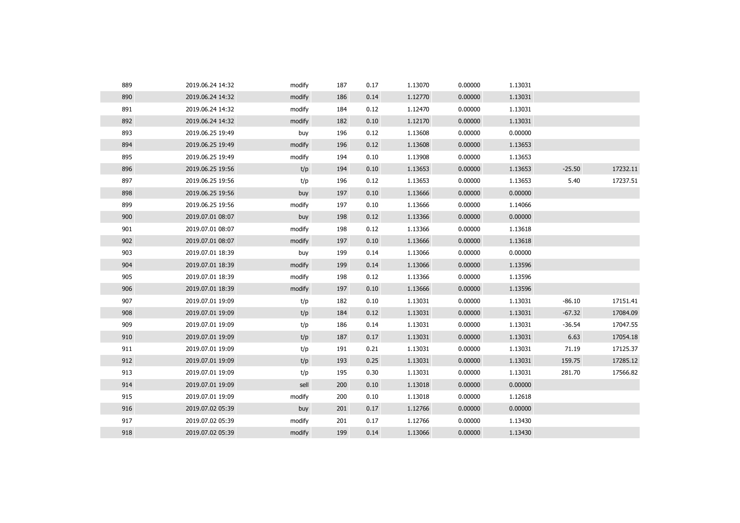| 889 | 2019.06.24 14:32 | modify | 187 | 0.17 | 1.13070 | 0.00000 | 1.13031 |          |          |
|-----|------------------|--------|-----|------|---------|---------|---------|----------|----------|
| 890 | 2019.06.24 14:32 | modify | 186 | 0.14 | 1.12770 | 0.00000 | 1.13031 |          |          |
| 891 | 2019.06.24 14:32 | modify | 184 | 0.12 | 1.12470 | 0.00000 | 1.13031 |          |          |
| 892 | 2019.06.24 14:32 | modify | 182 | 0.10 | 1.12170 | 0.00000 | 1.13031 |          |          |
| 893 | 2019.06.25 19:49 | buy    | 196 | 0.12 | 1.13608 | 0.00000 | 0.00000 |          |          |
| 894 | 2019.06.25 19:49 | modify | 196 | 0.12 | 1.13608 | 0.00000 | 1.13653 |          |          |
| 895 | 2019.06.25 19:49 | modify | 194 | 0.10 | 1.13908 | 0.00000 | 1.13653 |          |          |
| 896 | 2019.06.25 19:56 | t/p    | 194 | 0.10 | 1.13653 | 0.00000 | 1.13653 | $-25.50$ | 17232.11 |
| 897 | 2019.06.25 19:56 | t/p    | 196 | 0.12 | 1.13653 | 0.00000 | 1.13653 | 5.40     | 17237.51 |
| 898 | 2019.06.25 19:56 | buy    | 197 | 0.10 | 1.13666 | 0.00000 | 0.00000 |          |          |
| 899 | 2019.06.25 19:56 | modify | 197 | 0.10 | 1.13666 | 0.00000 | 1.14066 |          |          |
| 900 | 2019.07.01 08:07 | buy    | 198 | 0.12 | 1.13366 | 0.00000 | 0.00000 |          |          |
| 901 | 2019.07.01 08:07 | modify | 198 | 0.12 | 1.13366 | 0.00000 | 1.13618 |          |          |
| 902 | 2019.07.01 08:07 | modify | 197 | 0.10 | 1.13666 | 0.00000 | 1.13618 |          |          |
| 903 | 2019.07.01 18:39 | buy    | 199 | 0.14 | 1.13066 | 0.00000 | 0.00000 |          |          |
| 904 | 2019.07.01 18:39 | modify | 199 | 0.14 | 1.13066 | 0.00000 | 1.13596 |          |          |
| 905 | 2019.07.01 18:39 | modify | 198 | 0.12 | 1.13366 | 0.00000 | 1.13596 |          |          |
| 906 | 2019.07.01 18:39 | modify | 197 | 0.10 | 1.13666 | 0.00000 | 1.13596 |          |          |
| 907 | 2019.07.01 19:09 | t/p    | 182 | 0.10 | 1.13031 | 0.00000 | 1.13031 | $-86.10$ | 17151.41 |
| 908 | 2019.07.01 19:09 | t/p    | 184 | 0.12 | 1.13031 | 0.00000 | 1.13031 | $-67.32$ | 17084.09 |
| 909 | 2019.07.01 19:09 | t/p    | 186 | 0.14 | 1.13031 | 0.00000 | 1.13031 | $-36.54$ | 17047.55 |
| 910 | 2019.07.01 19:09 | t/p    | 187 | 0.17 | 1.13031 | 0.00000 | 1.13031 | 6.63     | 17054.18 |
| 911 | 2019.07.01 19:09 | t/p    | 191 | 0.21 | 1.13031 | 0.00000 | 1.13031 | 71.19    | 17125.37 |
| 912 | 2019.07.01 19:09 | t/p    | 193 | 0.25 | 1.13031 | 0.00000 | 1.13031 | 159.75   | 17285.12 |
| 913 | 2019.07.01 19:09 | t/p    | 195 | 0.30 | 1.13031 | 0.00000 | 1.13031 | 281.70   | 17566.82 |
| 914 | 2019.07.01 19:09 | sell   | 200 | 0.10 | 1.13018 | 0.00000 | 0.00000 |          |          |
| 915 | 2019.07.01 19:09 | modify | 200 | 0.10 | 1.13018 | 0.00000 | 1.12618 |          |          |
| 916 | 2019.07.02 05:39 | buy    | 201 | 0.17 | 1.12766 | 0.00000 | 0.00000 |          |          |
| 917 | 2019.07.02 05:39 | modify | 201 | 0.17 | 1.12766 | 0.00000 | 1.13430 |          |          |
| 918 | 2019.07.02 05:39 | modify | 199 | 0.14 | 1.13066 | 0.00000 | 1.13430 |          |          |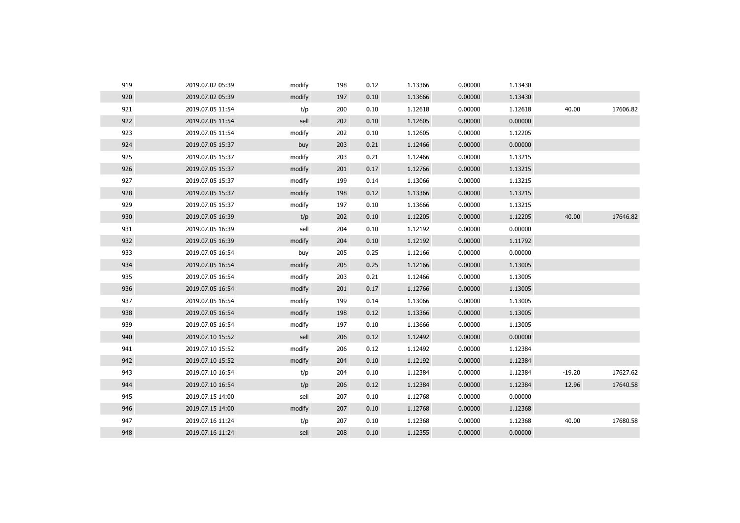| 919 | 2019.07.02 05:39 | modify | 198 | 0.12 | 1.13366 | 0.00000 | 1.13430 |          |          |
|-----|------------------|--------|-----|------|---------|---------|---------|----------|----------|
| 920 | 2019.07.02 05:39 | modify | 197 | 0.10 | 1.13666 | 0.00000 | 1.13430 |          |          |
| 921 | 2019.07.05 11:54 | t/p    | 200 | 0.10 | 1.12618 | 0.00000 | 1.12618 | 40.00    | 17606.82 |
| 922 | 2019.07.05 11:54 | sell   | 202 | 0.10 | 1.12605 | 0.00000 | 0.00000 |          |          |
| 923 | 2019.07.05 11:54 | modify | 202 | 0.10 | 1.12605 | 0.00000 | 1.12205 |          |          |
| 924 | 2019.07.05 15:37 | buy    | 203 | 0.21 | 1.12466 | 0.00000 | 0.00000 |          |          |
| 925 | 2019.07.05 15:37 | modify | 203 | 0.21 | 1.12466 | 0.00000 | 1.13215 |          |          |
| 926 | 2019.07.05 15:37 | modify | 201 | 0.17 | 1.12766 | 0.00000 | 1.13215 |          |          |
| 927 | 2019.07.05 15:37 | modify | 199 | 0.14 | 1.13066 | 0.00000 | 1.13215 |          |          |
| 928 | 2019.07.05 15:37 | modify | 198 | 0.12 | 1.13366 | 0.00000 | 1.13215 |          |          |
| 929 | 2019.07.05 15:37 | modify | 197 | 0.10 | 1.13666 | 0.00000 | 1.13215 |          |          |
| 930 | 2019.07.05 16:39 | t/p    | 202 | 0.10 | 1.12205 | 0.00000 | 1.12205 | 40.00    | 17646.82 |
| 931 | 2019.07.05 16:39 | sell   | 204 | 0.10 | 1.12192 | 0.00000 | 0.00000 |          |          |
| 932 | 2019.07.05 16:39 | modify | 204 | 0.10 | 1.12192 | 0.00000 | 1.11792 |          |          |
| 933 | 2019.07.05 16:54 | buy    | 205 | 0.25 | 1.12166 | 0.00000 | 0.00000 |          |          |
| 934 | 2019.07.05 16:54 | modify | 205 | 0.25 | 1.12166 | 0.00000 | 1.13005 |          |          |
| 935 | 2019.07.05 16:54 | modify | 203 | 0.21 | 1.12466 | 0.00000 | 1.13005 |          |          |
| 936 | 2019.07.05 16:54 | modify | 201 | 0.17 | 1.12766 | 0.00000 | 1.13005 |          |          |
| 937 | 2019.07.05 16:54 | modify | 199 | 0.14 | 1.13066 | 0.00000 | 1.13005 |          |          |
| 938 | 2019.07.05 16:54 | modify | 198 | 0.12 | 1.13366 | 0.00000 | 1.13005 |          |          |
| 939 | 2019.07.05 16:54 | modify | 197 | 0.10 | 1.13666 | 0.00000 | 1.13005 |          |          |
| 940 | 2019.07.10 15:52 | sell   | 206 | 0.12 | 1.12492 | 0.00000 | 0.00000 |          |          |
| 941 | 2019.07.10 15:52 | modify | 206 | 0.12 | 1.12492 | 0.00000 | 1.12384 |          |          |
| 942 | 2019.07.10 15:52 | modify | 204 | 0.10 | 1.12192 | 0.00000 | 1.12384 |          |          |
| 943 | 2019.07.10 16:54 | t/p    | 204 | 0.10 | 1.12384 | 0.00000 | 1.12384 | $-19.20$ | 17627.62 |
| 944 | 2019.07.10 16:54 | t/p    | 206 | 0.12 | 1.12384 | 0.00000 | 1.12384 | 12.96    | 17640.58 |
| 945 | 2019.07.15 14:00 | sell   | 207 | 0.10 | 1.12768 | 0.00000 | 0.00000 |          |          |
| 946 | 2019.07.15 14:00 | modify | 207 | 0.10 | 1.12768 | 0.00000 | 1.12368 |          |          |
| 947 | 2019.07.16 11:24 | t/p    | 207 | 0.10 | 1.12368 | 0.00000 | 1.12368 | 40.00    | 17680.58 |
| 948 | 2019.07.16 11:24 | sell   | 208 | 0.10 | 1.12355 | 0.00000 | 0.00000 |          |          |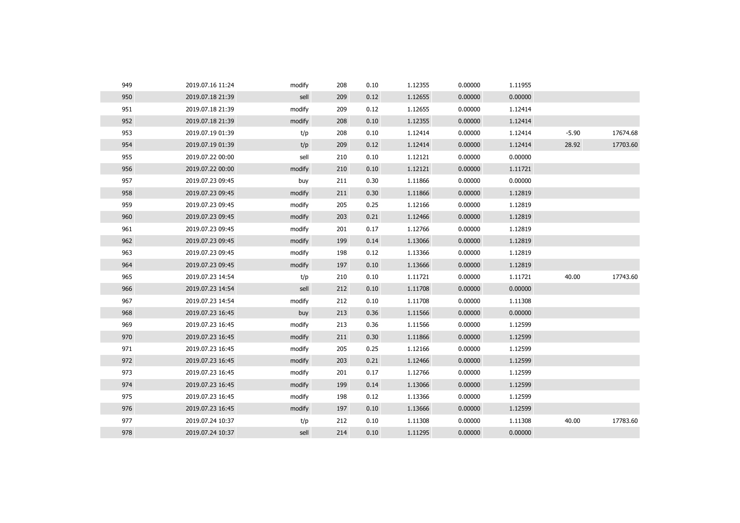| 950<br>0.00000<br>0.00000<br>2019.07.18 21:39<br>sell<br>209<br>0.12<br>1.12655<br>951<br>0.12<br>1.12655<br>2019.07.18 21:39<br>modify<br>209<br>0.00000<br>1.12414<br>952<br>2019.07.18 21:39<br>0.10<br>1.12355<br>0.00000<br>1.12414<br>modify<br>208<br>953<br>$-5.90$<br>t/p<br>208<br>0.10<br>1.12414<br>0.00000<br>1.12414<br>2019.07.19 01:39<br>954<br>t/p<br>0.12<br>1.12414<br>0.00000<br>1.12414<br>28.92<br>2019.07.19 01:39<br>209<br>955<br>sell<br>0.10<br>1.12121<br>0.00000<br>0.00000<br>2019.07.22 00:00<br>210<br>956<br>1.12121<br>0.00000<br>1.11721<br>2019.07.22 00:00<br>modify<br>210<br>0.10<br>957<br>1.11866<br>0.00000<br>0.00000<br>2019.07.23 09:45<br>buy<br>211<br>0.30<br>958<br>0.00000<br>1.12819<br>2019.07.23 09:45<br>211<br>0.30<br>1.11866<br>modify<br>959<br>2019.07.23 09:45<br>modify<br>205<br>0.25<br>1.12166<br>0.00000<br>1.12819<br>960<br>0.00000<br>2019.07.23 09:45<br>modify<br>203<br>0.21<br>1.12466<br>1.12819<br>961<br>0.17<br>1.12766<br>2019.07.23 09:45<br>modify<br>201<br>0.00000<br>1.12819<br>962<br>0.14<br>1.13066<br>0.00000<br>1.12819<br>2019.07.23 09:45<br>modify<br>199<br>963<br>modify<br>0.12<br>1.13366<br>0.00000<br>1.12819<br>2019.07.23 09:45<br>198<br>964<br>0.10<br>1.13666<br>0.00000<br>1.12819<br>2019.07.23 09:45<br>modify<br>197<br>965<br>40.00<br>t/p<br>210<br>0.10<br>1.11721<br>0.00000<br>1.11721<br>2019.07.23 14:54<br>966<br>1.11708<br>0.00000<br>0.00000<br>2019.07.23 14:54<br>sell<br>212<br>0.10<br>967<br>212<br>0.10<br>1.11708<br>0.00000<br>2019.07.23 14:54<br>modify<br>1.11308<br>968<br>0.00000<br>2019.07.23 16:45<br>0.36<br>1.11566<br>0.00000<br>buy<br>213<br>969<br>2019.07.23 16:45<br>modify<br>213<br>0.36<br>1.11566<br>0.00000<br>1.12599<br>970<br>2019.07.23 16:45<br>0.30<br>1.11866<br>0.00000<br>1.12599<br>modify<br>211<br>971<br>2019.07.23 16:45<br>modify<br>205<br>0.25<br>1.12166<br>0.00000<br>1.12599<br>972<br>0.21<br>1.12466<br>0.00000<br>1.12599<br>2019.07.23 16:45<br>modify<br>203<br>973<br>0.17<br>1.12766<br>2019.07.23 16:45<br>modify<br>201<br>0.00000<br>1.12599<br>974<br>1.13066<br>0.00000<br>1.12599<br>2019.07.23 16:45<br>modify<br>199<br>0.14<br>975<br>0.12<br>1.13366<br>0.00000<br>1.12599<br>2019.07.23 16:45<br>modify<br>198<br>976<br>0.10<br>0.00000<br>2019.07.23 16:45<br>modify<br>197<br>1.13666<br>1.12599<br>977<br>40.00<br>2019.07.24 10:37<br>t/p<br>212<br>0.10<br>1.11308<br>0.00000<br>1.11308<br>978<br>0.00000<br>2019.07.24 10:37<br>sell<br>214<br>0.10<br>1.11295<br>0.00000 | 949 | 2019.07.16 11:24 | modify | 208 | 0.10 | 1.12355 | 0.00000 | 1.11955 |          |
|---------------------------------------------------------------------------------------------------------------------------------------------------------------------------------------------------------------------------------------------------------------------------------------------------------------------------------------------------------------------------------------------------------------------------------------------------------------------------------------------------------------------------------------------------------------------------------------------------------------------------------------------------------------------------------------------------------------------------------------------------------------------------------------------------------------------------------------------------------------------------------------------------------------------------------------------------------------------------------------------------------------------------------------------------------------------------------------------------------------------------------------------------------------------------------------------------------------------------------------------------------------------------------------------------------------------------------------------------------------------------------------------------------------------------------------------------------------------------------------------------------------------------------------------------------------------------------------------------------------------------------------------------------------------------------------------------------------------------------------------------------------------------------------------------------------------------------------------------------------------------------------------------------------------------------------------------------------------------------------------------------------------------------------------------------------------------------------------------------------------------------------------------------------------------------------------------------------------------------------------------------------------------------------------------------------------------------------------------------------------------------------------------------------------------------------------------------------------------------------------------------------------------------------------------------------------------|-----|------------------|--------|-----|------|---------|---------|---------|----------|
|                                                                                                                                                                                                                                                                                                                                                                                                                                                                                                                                                                                                                                                                                                                                                                                                                                                                                                                                                                                                                                                                                                                                                                                                                                                                                                                                                                                                                                                                                                                                                                                                                                                                                                                                                                                                                                                                                                                                                                                                                                                                                                                                                                                                                                                                                                                                                                                                                                                                                                                                                                           |     |                  |        |     |      |         |         |         |          |
|                                                                                                                                                                                                                                                                                                                                                                                                                                                                                                                                                                                                                                                                                                                                                                                                                                                                                                                                                                                                                                                                                                                                                                                                                                                                                                                                                                                                                                                                                                                                                                                                                                                                                                                                                                                                                                                                                                                                                                                                                                                                                                                                                                                                                                                                                                                                                                                                                                                                                                                                                                           |     |                  |        |     |      |         |         |         |          |
|                                                                                                                                                                                                                                                                                                                                                                                                                                                                                                                                                                                                                                                                                                                                                                                                                                                                                                                                                                                                                                                                                                                                                                                                                                                                                                                                                                                                                                                                                                                                                                                                                                                                                                                                                                                                                                                                                                                                                                                                                                                                                                                                                                                                                                                                                                                                                                                                                                                                                                                                                                           |     |                  |        |     |      |         |         |         |          |
|                                                                                                                                                                                                                                                                                                                                                                                                                                                                                                                                                                                                                                                                                                                                                                                                                                                                                                                                                                                                                                                                                                                                                                                                                                                                                                                                                                                                                                                                                                                                                                                                                                                                                                                                                                                                                                                                                                                                                                                                                                                                                                                                                                                                                                                                                                                                                                                                                                                                                                                                                                           |     |                  |        |     |      |         |         |         | 17674.68 |
|                                                                                                                                                                                                                                                                                                                                                                                                                                                                                                                                                                                                                                                                                                                                                                                                                                                                                                                                                                                                                                                                                                                                                                                                                                                                                                                                                                                                                                                                                                                                                                                                                                                                                                                                                                                                                                                                                                                                                                                                                                                                                                                                                                                                                                                                                                                                                                                                                                                                                                                                                                           |     |                  |        |     |      |         |         |         | 17703.60 |
|                                                                                                                                                                                                                                                                                                                                                                                                                                                                                                                                                                                                                                                                                                                                                                                                                                                                                                                                                                                                                                                                                                                                                                                                                                                                                                                                                                                                                                                                                                                                                                                                                                                                                                                                                                                                                                                                                                                                                                                                                                                                                                                                                                                                                                                                                                                                                                                                                                                                                                                                                                           |     |                  |        |     |      |         |         |         |          |
|                                                                                                                                                                                                                                                                                                                                                                                                                                                                                                                                                                                                                                                                                                                                                                                                                                                                                                                                                                                                                                                                                                                                                                                                                                                                                                                                                                                                                                                                                                                                                                                                                                                                                                                                                                                                                                                                                                                                                                                                                                                                                                                                                                                                                                                                                                                                                                                                                                                                                                                                                                           |     |                  |        |     |      |         |         |         |          |
|                                                                                                                                                                                                                                                                                                                                                                                                                                                                                                                                                                                                                                                                                                                                                                                                                                                                                                                                                                                                                                                                                                                                                                                                                                                                                                                                                                                                                                                                                                                                                                                                                                                                                                                                                                                                                                                                                                                                                                                                                                                                                                                                                                                                                                                                                                                                                                                                                                                                                                                                                                           |     |                  |        |     |      |         |         |         |          |
|                                                                                                                                                                                                                                                                                                                                                                                                                                                                                                                                                                                                                                                                                                                                                                                                                                                                                                                                                                                                                                                                                                                                                                                                                                                                                                                                                                                                                                                                                                                                                                                                                                                                                                                                                                                                                                                                                                                                                                                                                                                                                                                                                                                                                                                                                                                                                                                                                                                                                                                                                                           |     |                  |        |     |      |         |         |         |          |
|                                                                                                                                                                                                                                                                                                                                                                                                                                                                                                                                                                                                                                                                                                                                                                                                                                                                                                                                                                                                                                                                                                                                                                                                                                                                                                                                                                                                                                                                                                                                                                                                                                                                                                                                                                                                                                                                                                                                                                                                                                                                                                                                                                                                                                                                                                                                                                                                                                                                                                                                                                           |     |                  |        |     |      |         |         |         |          |
|                                                                                                                                                                                                                                                                                                                                                                                                                                                                                                                                                                                                                                                                                                                                                                                                                                                                                                                                                                                                                                                                                                                                                                                                                                                                                                                                                                                                                                                                                                                                                                                                                                                                                                                                                                                                                                                                                                                                                                                                                                                                                                                                                                                                                                                                                                                                                                                                                                                                                                                                                                           |     |                  |        |     |      |         |         |         |          |
|                                                                                                                                                                                                                                                                                                                                                                                                                                                                                                                                                                                                                                                                                                                                                                                                                                                                                                                                                                                                                                                                                                                                                                                                                                                                                                                                                                                                                                                                                                                                                                                                                                                                                                                                                                                                                                                                                                                                                                                                                                                                                                                                                                                                                                                                                                                                                                                                                                                                                                                                                                           |     |                  |        |     |      |         |         |         |          |
|                                                                                                                                                                                                                                                                                                                                                                                                                                                                                                                                                                                                                                                                                                                                                                                                                                                                                                                                                                                                                                                                                                                                                                                                                                                                                                                                                                                                                                                                                                                                                                                                                                                                                                                                                                                                                                                                                                                                                                                                                                                                                                                                                                                                                                                                                                                                                                                                                                                                                                                                                                           |     |                  |        |     |      |         |         |         |          |
|                                                                                                                                                                                                                                                                                                                                                                                                                                                                                                                                                                                                                                                                                                                                                                                                                                                                                                                                                                                                                                                                                                                                                                                                                                                                                                                                                                                                                                                                                                                                                                                                                                                                                                                                                                                                                                                                                                                                                                                                                                                                                                                                                                                                                                                                                                                                                                                                                                                                                                                                                                           |     |                  |        |     |      |         |         |         |          |
|                                                                                                                                                                                                                                                                                                                                                                                                                                                                                                                                                                                                                                                                                                                                                                                                                                                                                                                                                                                                                                                                                                                                                                                                                                                                                                                                                                                                                                                                                                                                                                                                                                                                                                                                                                                                                                                                                                                                                                                                                                                                                                                                                                                                                                                                                                                                                                                                                                                                                                                                                                           |     |                  |        |     |      |         |         |         |          |
|                                                                                                                                                                                                                                                                                                                                                                                                                                                                                                                                                                                                                                                                                                                                                                                                                                                                                                                                                                                                                                                                                                                                                                                                                                                                                                                                                                                                                                                                                                                                                                                                                                                                                                                                                                                                                                                                                                                                                                                                                                                                                                                                                                                                                                                                                                                                                                                                                                                                                                                                                                           |     |                  |        |     |      |         |         |         | 17743.60 |
|                                                                                                                                                                                                                                                                                                                                                                                                                                                                                                                                                                                                                                                                                                                                                                                                                                                                                                                                                                                                                                                                                                                                                                                                                                                                                                                                                                                                                                                                                                                                                                                                                                                                                                                                                                                                                                                                                                                                                                                                                                                                                                                                                                                                                                                                                                                                                                                                                                                                                                                                                                           |     |                  |        |     |      |         |         |         |          |
|                                                                                                                                                                                                                                                                                                                                                                                                                                                                                                                                                                                                                                                                                                                                                                                                                                                                                                                                                                                                                                                                                                                                                                                                                                                                                                                                                                                                                                                                                                                                                                                                                                                                                                                                                                                                                                                                                                                                                                                                                                                                                                                                                                                                                                                                                                                                                                                                                                                                                                                                                                           |     |                  |        |     |      |         |         |         |          |
|                                                                                                                                                                                                                                                                                                                                                                                                                                                                                                                                                                                                                                                                                                                                                                                                                                                                                                                                                                                                                                                                                                                                                                                                                                                                                                                                                                                                                                                                                                                                                                                                                                                                                                                                                                                                                                                                                                                                                                                                                                                                                                                                                                                                                                                                                                                                                                                                                                                                                                                                                                           |     |                  |        |     |      |         |         |         |          |
|                                                                                                                                                                                                                                                                                                                                                                                                                                                                                                                                                                                                                                                                                                                                                                                                                                                                                                                                                                                                                                                                                                                                                                                                                                                                                                                                                                                                                                                                                                                                                                                                                                                                                                                                                                                                                                                                                                                                                                                                                                                                                                                                                                                                                                                                                                                                                                                                                                                                                                                                                                           |     |                  |        |     |      |         |         |         |          |
|                                                                                                                                                                                                                                                                                                                                                                                                                                                                                                                                                                                                                                                                                                                                                                                                                                                                                                                                                                                                                                                                                                                                                                                                                                                                                                                                                                                                                                                                                                                                                                                                                                                                                                                                                                                                                                                                                                                                                                                                                                                                                                                                                                                                                                                                                                                                                                                                                                                                                                                                                                           |     |                  |        |     |      |         |         |         |          |
|                                                                                                                                                                                                                                                                                                                                                                                                                                                                                                                                                                                                                                                                                                                                                                                                                                                                                                                                                                                                                                                                                                                                                                                                                                                                                                                                                                                                                                                                                                                                                                                                                                                                                                                                                                                                                                                                                                                                                                                                                                                                                                                                                                                                                                                                                                                                                                                                                                                                                                                                                                           |     |                  |        |     |      |         |         |         |          |
|                                                                                                                                                                                                                                                                                                                                                                                                                                                                                                                                                                                                                                                                                                                                                                                                                                                                                                                                                                                                                                                                                                                                                                                                                                                                                                                                                                                                                                                                                                                                                                                                                                                                                                                                                                                                                                                                                                                                                                                                                                                                                                                                                                                                                                                                                                                                                                                                                                                                                                                                                                           |     |                  |        |     |      |         |         |         |          |
|                                                                                                                                                                                                                                                                                                                                                                                                                                                                                                                                                                                                                                                                                                                                                                                                                                                                                                                                                                                                                                                                                                                                                                                                                                                                                                                                                                                                                                                                                                                                                                                                                                                                                                                                                                                                                                                                                                                                                                                                                                                                                                                                                                                                                                                                                                                                                                                                                                                                                                                                                                           |     |                  |        |     |      |         |         |         |          |
|                                                                                                                                                                                                                                                                                                                                                                                                                                                                                                                                                                                                                                                                                                                                                                                                                                                                                                                                                                                                                                                                                                                                                                                                                                                                                                                                                                                                                                                                                                                                                                                                                                                                                                                                                                                                                                                                                                                                                                                                                                                                                                                                                                                                                                                                                                                                                                                                                                                                                                                                                                           |     |                  |        |     |      |         |         |         |          |
|                                                                                                                                                                                                                                                                                                                                                                                                                                                                                                                                                                                                                                                                                                                                                                                                                                                                                                                                                                                                                                                                                                                                                                                                                                                                                                                                                                                                                                                                                                                                                                                                                                                                                                                                                                                                                                                                                                                                                                                                                                                                                                                                                                                                                                                                                                                                                                                                                                                                                                                                                                           |     |                  |        |     |      |         |         |         |          |
|                                                                                                                                                                                                                                                                                                                                                                                                                                                                                                                                                                                                                                                                                                                                                                                                                                                                                                                                                                                                                                                                                                                                                                                                                                                                                                                                                                                                                                                                                                                                                                                                                                                                                                                                                                                                                                                                                                                                                                                                                                                                                                                                                                                                                                                                                                                                                                                                                                                                                                                                                                           |     |                  |        |     |      |         |         |         |          |
|                                                                                                                                                                                                                                                                                                                                                                                                                                                                                                                                                                                                                                                                                                                                                                                                                                                                                                                                                                                                                                                                                                                                                                                                                                                                                                                                                                                                                                                                                                                                                                                                                                                                                                                                                                                                                                                                                                                                                                                                                                                                                                                                                                                                                                                                                                                                                                                                                                                                                                                                                                           |     |                  |        |     |      |         |         |         | 17783.60 |
|                                                                                                                                                                                                                                                                                                                                                                                                                                                                                                                                                                                                                                                                                                                                                                                                                                                                                                                                                                                                                                                                                                                                                                                                                                                                                                                                                                                                                                                                                                                                                                                                                                                                                                                                                                                                                                                                                                                                                                                                                                                                                                                                                                                                                                                                                                                                                                                                                                                                                                                                                                           |     |                  |        |     |      |         |         |         |          |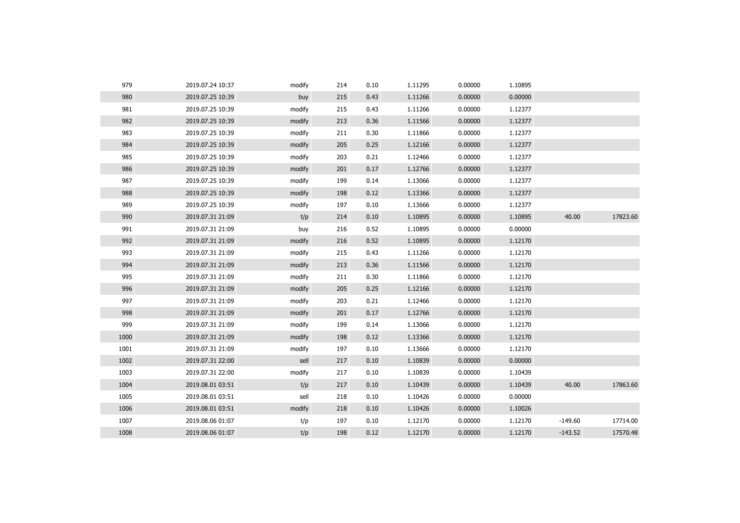| 979  | 2019.07.24 10:37 | modify | 214 | 0.10 | 1.11295 | 0.00000 | 1.10895 |           |          |
|------|------------------|--------|-----|------|---------|---------|---------|-----------|----------|
| 980  | 2019.07.25 10:39 | buy    | 215 | 0.43 | 1.11266 | 0.00000 | 0.00000 |           |          |
| 981  | 2019.07.25 10:39 | modify | 215 | 0.43 | 1.11266 | 0.00000 | 1.12377 |           |          |
| 982  | 2019.07.25 10:39 | modify | 213 | 0.36 | 1.11566 | 0.00000 | 1.12377 |           |          |
| 983  | 2019.07.25 10:39 | modify | 211 | 0.30 | 1.11866 | 0.00000 | 1.12377 |           |          |
| 984  | 2019.07.25 10:39 | modify | 205 | 0.25 | 1.12166 | 0.00000 | 1.12377 |           |          |
| 985  | 2019.07.25 10:39 | modify | 203 | 0.21 | 1.12466 | 0.00000 | 1.12377 |           |          |
| 986  | 2019.07.25 10:39 | modify | 201 | 0.17 | 1.12766 | 0.00000 | 1.12377 |           |          |
| 987  | 2019.07.25 10:39 | modify | 199 | 0.14 | 1.13066 | 0.00000 | 1.12377 |           |          |
| 988  | 2019.07.25 10:39 | modify | 198 | 0.12 | 1.13366 | 0.00000 | 1.12377 |           |          |
| 989  | 2019.07.25 10:39 | modify | 197 | 0.10 | 1.13666 | 0.00000 | 1.12377 |           |          |
| 990  | 2019.07.31 21:09 | t/p    | 214 | 0.10 | 1.10895 | 0.00000 | 1.10895 | 40.00     | 17823.60 |
| 991  | 2019.07.31 21:09 | buy    | 216 | 0.52 | 1.10895 | 0.00000 | 0.00000 |           |          |
| 992  | 2019.07.31 21:09 | modify | 216 | 0.52 | 1.10895 | 0.00000 | 1.12170 |           |          |
| 993  | 2019.07.31 21:09 | modify | 215 | 0.43 | 1.11266 | 0.00000 | 1.12170 |           |          |
| 994  | 2019.07.31 21:09 | modify | 213 | 0.36 | 1.11566 | 0.00000 | 1.12170 |           |          |
| 995  | 2019.07.31 21:09 | modify | 211 | 0.30 | 1.11866 | 0.00000 | 1.12170 |           |          |
| 996  | 2019.07.31 21:09 | modify | 205 | 0.25 | 1.12166 | 0.00000 | 1.12170 |           |          |
| 997  | 2019.07.31 21:09 | modify | 203 | 0.21 | 1.12466 | 0.00000 | 1.12170 |           |          |
| 998  | 2019.07.31 21:09 | modify | 201 | 0.17 | 1.12766 | 0.00000 | 1.12170 |           |          |
| 999  | 2019.07.31 21:09 | modify | 199 | 0.14 | 1.13066 | 0.00000 | 1.12170 |           |          |
| 1000 | 2019.07.31 21:09 | modify | 198 | 0.12 | 1.13366 | 0.00000 | 1.12170 |           |          |
| 1001 | 2019.07.31 21:09 | modify | 197 | 0.10 | 1.13666 | 0.00000 | 1.12170 |           |          |
| 1002 | 2019.07.31 22:00 | sell   | 217 | 0.10 | 1.10839 | 0.00000 | 0.00000 |           |          |
| 1003 | 2019.07.31 22:00 | modify | 217 | 0.10 | 1.10839 | 0.00000 | 1.10439 |           |          |
| 1004 | 2019.08.01 03:51 | t/p    | 217 | 0.10 | 1.10439 | 0.00000 | 1.10439 | 40.00     | 17863.60 |
| 1005 | 2019.08.01 03:51 | sell   | 218 | 0.10 | 1.10426 | 0.00000 | 0.00000 |           |          |
| 1006 | 2019.08.01 03:51 | modify | 218 | 0.10 | 1.10426 | 0.00000 | 1.10026 |           |          |
| 1007 | 2019.08.06 01:07 | t/p    | 197 | 0.10 | 1.12170 | 0.00000 | 1.12170 | $-149.60$ | 17714.00 |
| 1008 | 2019.08.06 01:07 | t/p    | 198 | 0.12 | 1.12170 | 0.00000 | 1.12170 | $-143.52$ | 17570.48 |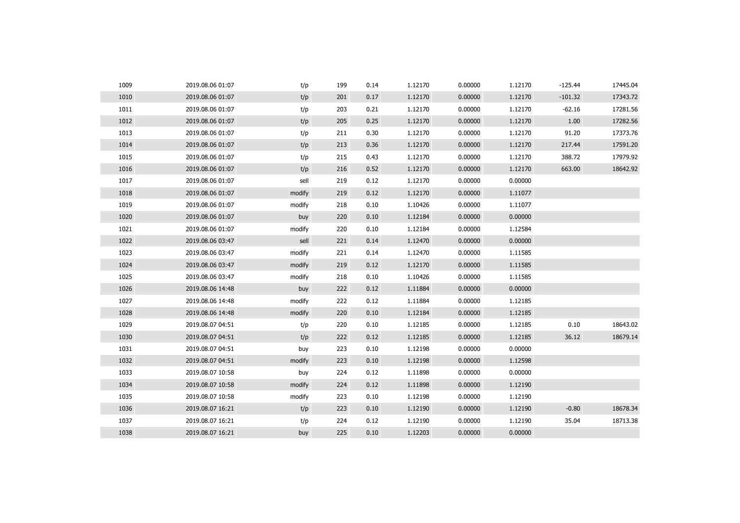| 1009 | 2019.08.06 01:07 | t/p    | 199 | 0.14 | 1.12170 | 0.00000 | 1.12170 | $-125.44$ | 17445.04 |
|------|------------------|--------|-----|------|---------|---------|---------|-----------|----------|
| 1010 | 2019.08.06 01:07 | t/p    | 201 | 0.17 | 1.12170 | 0.00000 | 1.12170 | $-101.32$ | 17343.72 |
| 1011 | 2019.08.06 01:07 | t/p    | 203 | 0.21 | 1.12170 | 0.00000 | 1.12170 | $-62.16$  | 17281.56 |
| 1012 | 2019.08.06 01:07 | t/p    | 205 | 0.25 | 1.12170 | 0.00000 | 1.12170 | 1.00      | 17282.56 |
| 1013 | 2019.08.06 01:07 | t/p    | 211 | 0.30 | 1.12170 | 0.00000 | 1.12170 | 91.20     | 17373.76 |
| 1014 | 2019.08.06 01:07 | t/p    | 213 | 0.36 | 1.12170 | 0.00000 | 1.12170 | 217.44    | 17591.20 |
| 1015 | 2019.08.06 01:07 | t/p    | 215 | 0.43 | 1.12170 | 0.00000 | 1.12170 | 388.72    | 17979.92 |
| 1016 | 2019.08.06 01:07 | t/p    | 216 | 0.52 | 1.12170 | 0.00000 | 1.12170 | 663.00    | 18642.92 |
| 1017 | 2019.08.06 01:07 | sell   | 219 | 0.12 | 1.12170 | 0.00000 | 0.00000 |           |          |
| 1018 | 2019.08.06 01:07 | modify | 219 | 0.12 | 1.12170 | 0.00000 | 1.11077 |           |          |
| 1019 | 2019.08.06 01:07 | modify | 218 | 0.10 | 1.10426 | 0.00000 | 1.11077 |           |          |
| 1020 | 2019.08.06 01:07 | buy    | 220 | 0.10 | 1.12184 | 0.00000 | 0.00000 |           |          |
| 1021 | 2019.08.06 01:07 | modify | 220 | 0.10 | 1.12184 | 0.00000 | 1.12584 |           |          |
| 1022 | 2019.08.06 03:47 | sell   | 221 | 0.14 | 1.12470 | 0.00000 | 0.00000 |           |          |
| 1023 | 2019.08.06 03:47 | modify | 221 | 0.14 | 1.12470 | 0.00000 | 1.11585 |           |          |
| 1024 | 2019.08.06 03:47 | modify | 219 | 0.12 | 1.12170 | 0.00000 | 1.11585 |           |          |
| 1025 | 2019.08.06 03:47 | modify | 218 | 0.10 | 1.10426 | 0.00000 | 1.11585 |           |          |
| 1026 | 2019.08.06 14:48 | buy    | 222 | 0.12 | 1.11884 | 0.00000 | 0.00000 |           |          |
| 1027 | 2019.08.06 14:48 | modify | 222 | 0.12 | 1.11884 | 0.00000 | 1.12185 |           |          |
| 1028 | 2019.08.06 14:48 | modify | 220 | 0.10 | 1.12184 | 0.00000 | 1.12185 |           |          |
| 1029 | 2019.08.07 04:51 | t/p    | 220 | 0.10 | 1.12185 | 0.00000 | 1.12185 | 0.10      | 18643.02 |
| 1030 | 2019.08.07 04:51 | t/p    | 222 | 0.12 | 1.12185 | 0.00000 | 1.12185 | 36.12     | 18679.14 |
| 1031 | 2019.08.07 04:51 | buy    | 223 | 0.10 | 1.12198 | 0.00000 | 0.00000 |           |          |
| 1032 | 2019.08.07 04:51 | modify | 223 | 0.10 | 1.12198 | 0.00000 | 1.12598 |           |          |
| 1033 | 2019.08.07 10:58 | buy    | 224 | 0.12 | 1.11898 | 0.00000 | 0.00000 |           |          |
| 1034 | 2019.08.07 10:58 | modify | 224 | 0.12 | 1.11898 | 0.00000 | 1.12190 |           |          |
| 1035 | 2019.08.07 10:58 | modify | 223 | 0.10 | 1.12198 | 0.00000 | 1.12190 |           |          |
| 1036 | 2019.08.07 16:21 | t/p    | 223 | 0.10 | 1.12190 | 0.00000 | 1.12190 | $-0.80$   | 18678.34 |
| 1037 | 2019.08.07 16:21 | t/p    | 224 | 0.12 | 1.12190 | 0.00000 | 1.12190 | 35.04     | 18713.38 |
| 1038 | 2019.08.07 16:21 | buy    | 225 | 0.10 | 1.12203 | 0.00000 | 0.00000 |           |          |
|      |                  |        |     |      |         |         |         |           |          |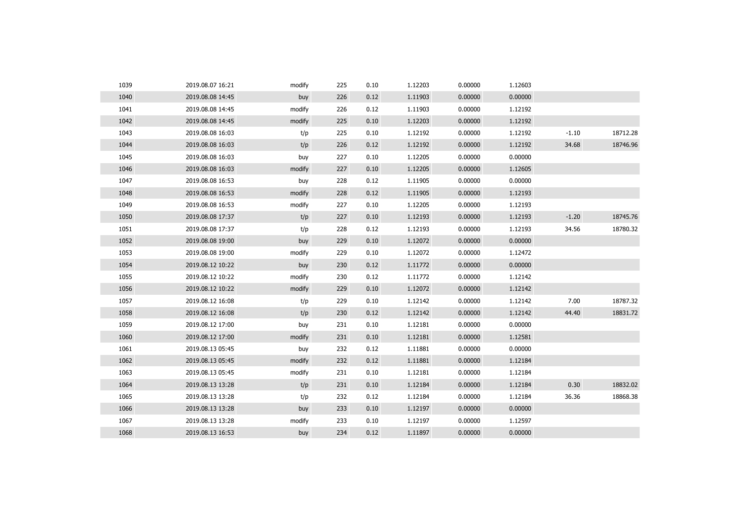| 1039 | 2019.08.07 16:21 | modify | 225 | 0.10 | 1.12203 | 0.00000 | 1.12603 |         |          |
|------|------------------|--------|-----|------|---------|---------|---------|---------|----------|
| 1040 | 2019.08.08 14:45 | buy    | 226 | 0.12 | 1.11903 | 0.00000 | 0.00000 |         |          |
| 1041 | 2019.08.08 14:45 | modify | 226 | 0.12 | 1.11903 | 0.00000 | 1.12192 |         |          |
| 1042 | 2019.08.08 14:45 | modify | 225 | 0.10 | 1.12203 | 0.00000 | 1.12192 |         |          |
| 1043 | 2019.08.08 16:03 | t/p    | 225 | 0.10 | 1.12192 | 0.00000 | 1.12192 | $-1.10$ | 18712.28 |
| 1044 | 2019.08.08 16:03 | t/p    | 226 | 0.12 | 1.12192 | 0.00000 | 1.12192 | 34.68   | 18746.96 |
| 1045 | 2019.08.08 16:03 | buy    | 227 | 0.10 | 1.12205 | 0.00000 | 0.00000 |         |          |
| 1046 | 2019.08.08 16:03 | modify | 227 | 0.10 | 1.12205 | 0.00000 | 1.12605 |         |          |
| 1047 | 2019.08.08 16:53 | buy    | 228 | 0.12 | 1.11905 | 0.00000 | 0.00000 |         |          |
| 1048 | 2019.08.08 16:53 | modify | 228 | 0.12 | 1.11905 | 0.00000 | 1.12193 |         |          |
| 1049 | 2019.08.08 16:53 | modify | 227 | 0.10 | 1.12205 | 0.00000 | 1.12193 |         |          |
| 1050 | 2019.08.08 17:37 | t/p    | 227 | 0.10 | 1.12193 | 0.00000 | 1.12193 | $-1.20$ | 18745.76 |
| 1051 | 2019.08.08 17:37 | t/p    | 228 | 0.12 | 1.12193 | 0.00000 | 1.12193 | 34.56   | 18780.32 |
| 1052 | 2019.08.08 19:00 | buy    | 229 | 0.10 | 1.12072 | 0.00000 | 0.00000 |         |          |
| 1053 | 2019.08.08 19:00 | modify | 229 | 0.10 | 1.12072 | 0.00000 | 1.12472 |         |          |
| 1054 | 2019.08.12 10:22 | buy    | 230 | 0.12 | 1.11772 | 0.00000 | 0.00000 |         |          |
| 1055 | 2019.08.12 10:22 | modify | 230 | 0.12 | 1.11772 | 0.00000 | 1.12142 |         |          |
| 1056 | 2019.08.12 10:22 | modify | 229 | 0.10 | 1.12072 | 0.00000 | 1.12142 |         |          |
| 1057 | 2019.08.12 16:08 | t/p    | 229 | 0.10 | 1.12142 | 0.00000 | 1.12142 | 7.00    | 18787.32 |
| 1058 | 2019.08.12 16:08 | t/p    | 230 | 0.12 | 1.12142 | 0.00000 | 1.12142 | 44.40   | 18831.72 |
| 1059 | 2019.08.12 17:00 | buy    | 231 | 0.10 | 1.12181 | 0.00000 | 0.00000 |         |          |
| 1060 | 2019.08.12 17:00 | modify | 231 | 0.10 | 1.12181 | 0.00000 | 1.12581 |         |          |
| 1061 | 2019.08.13 05:45 | buy    | 232 | 0.12 | 1.11881 | 0.00000 | 0.00000 |         |          |
| 1062 | 2019.08.13 05:45 | modify | 232 | 0.12 | 1.11881 | 0.00000 | 1.12184 |         |          |
| 1063 | 2019.08.13 05:45 | modify | 231 | 0.10 | 1.12181 | 0.00000 | 1.12184 |         |          |
| 1064 | 2019.08.13 13:28 | t/p    | 231 | 0.10 | 1.12184 | 0.00000 | 1.12184 | 0.30    | 18832.02 |
| 1065 | 2019.08.13 13:28 | t/p    | 232 | 0.12 | 1.12184 | 0.00000 | 1.12184 | 36.36   | 18868.38 |
| 1066 | 2019.08.13 13:28 | buy    | 233 | 0.10 | 1.12197 | 0.00000 | 0.00000 |         |          |
| 1067 | 2019.08.13 13:28 | modify | 233 | 0.10 | 1.12197 | 0.00000 | 1.12597 |         |          |
| 1068 | 2019.08.13 16:53 | buy    | 234 | 0.12 | 1.11897 | 0.00000 | 0.00000 |         |          |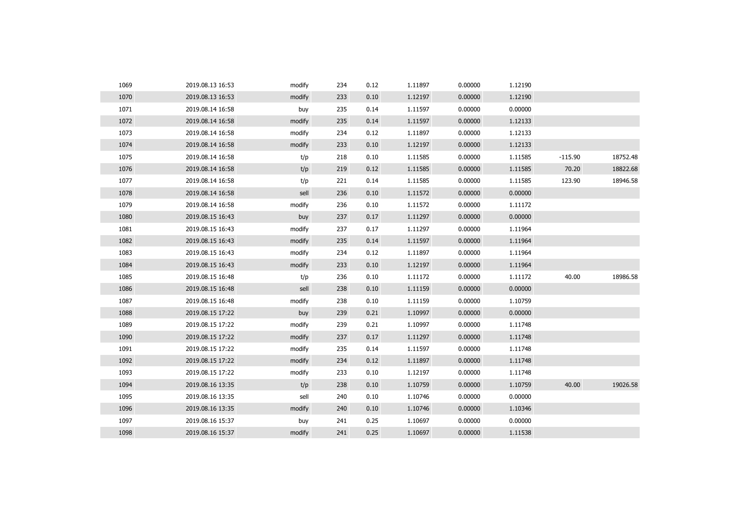| 1069 | 2019.08.13 16:53 | modify | 234 | 0.12 | 1.11897 | 0.00000 | 1.12190 |           |          |
|------|------------------|--------|-----|------|---------|---------|---------|-----------|----------|
| 1070 | 2019.08.13 16:53 | modify | 233 | 0.10 | 1.12197 | 0.00000 | 1.12190 |           |          |
| 1071 | 2019.08.14 16:58 | buy    | 235 | 0.14 | 1.11597 | 0.00000 | 0.00000 |           |          |
| 1072 | 2019.08.14 16:58 | modify | 235 | 0.14 | 1.11597 | 0.00000 | 1.12133 |           |          |
| 1073 | 2019.08.14 16:58 | modify | 234 | 0.12 | 1.11897 | 0.00000 | 1.12133 |           |          |
| 1074 | 2019.08.14 16:58 | modify | 233 | 0.10 | 1.12197 | 0.00000 | 1.12133 |           |          |
| 1075 | 2019.08.14 16:58 | t/p    | 218 | 0.10 | 1.11585 | 0.00000 | 1.11585 | $-115.90$ | 18752.48 |
| 1076 | 2019.08.14 16:58 | t/p    | 219 | 0.12 | 1.11585 | 0.00000 | 1.11585 | 70.20     | 18822.68 |
| 1077 | 2019.08.14 16:58 | t/p    | 221 | 0.14 | 1.11585 | 0.00000 | 1.11585 | 123.90    | 18946.58 |
| 1078 | 2019.08.14 16:58 | sell   | 236 | 0.10 | 1.11572 | 0.00000 | 0.00000 |           |          |
| 1079 | 2019.08.14 16:58 | modify | 236 | 0.10 | 1.11572 | 0.00000 | 1.11172 |           |          |
| 1080 | 2019.08.15 16:43 | buy    | 237 | 0.17 | 1.11297 | 0.00000 | 0.00000 |           |          |
| 1081 | 2019.08.15 16:43 | modify | 237 | 0.17 | 1.11297 | 0.00000 | 1.11964 |           |          |
| 1082 | 2019.08.15 16:43 | modify | 235 | 0.14 | 1.11597 | 0.00000 | 1.11964 |           |          |
| 1083 | 2019.08.15 16:43 | modify | 234 | 0.12 | 1.11897 | 0.00000 | 1.11964 |           |          |
| 1084 | 2019.08.15 16:43 | modify | 233 | 0.10 | 1.12197 | 0.00000 | 1.11964 |           |          |
| 1085 | 2019.08.15 16:48 | t/p    | 236 | 0.10 | 1.11172 | 0.00000 | 1.11172 | 40.00     | 18986.58 |
| 1086 | 2019.08.15 16:48 | sell   | 238 | 0.10 | 1.11159 | 0.00000 | 0.00000 |           |          |
| 1087 | 2019.08.15 16:48 | modify | 238 | 0.10 | 1.11159 | 0.00000 | 1.10759 |           |          |
| 1088 | 2019.08.15 17:22 | buy    | 239 | 0.21 | 1.10997 | 0.00000 | 0.00000 |           |          |
| 1089 | 2019.08.15 17:22 | modify | 239 | 0.21 | 1.10997 | 0.00000 | 1.11748 |           |          |
| 1090 | 2019.08.15 17:22 | modify | 237 | 0.17 | 1.11297 | 0.00000 | 1.11748 |           |          |
| 1091 | 2019.08.15 17:22 | modify | 235 | 0.14 | 1.11597 | 0.00000 | 1.11748 |           |          |
| 1092 | 2019.08.15 17:22 | modify | 234 | 0.12 | 1.11897 | 0.00000 | 1.11748 |           |          |
| 1093 | 2019.08.15 17:22 | modify | 233 | 0.10 | 1.12197 | 0.00000 | 1.11748 |           |          |
| 1094 | 2019.08.16 13:35 | t/p    | 238 | 0.10 | 1.10759 | 0.00000 | 1.10759 | 40.00     | 19026.58 |
| 1095 | 2019.08.16 13:35 | sell   | 240 | 0.10 | 1.10746 | 0.00000 | 0.00000 |           |          |
| 1096 | 2019.08.16 13:35 | modify | 240 | 0.10 | 1.10746 | 0.00000 | 1.10346 |           |          |
| 1097 | 2019.08.16 15:37 | buy    | 241 | 0.25 | 1.10697 | 0.00000 | 0.00000 |           |          |
| 1098 | 2019.08.16 15:37 | modify | 241 | 0.25 | 1.10697 | 0.00000 | 1.11538 |           |          |
|      |                  |        |     |      |         |         |         |           |          |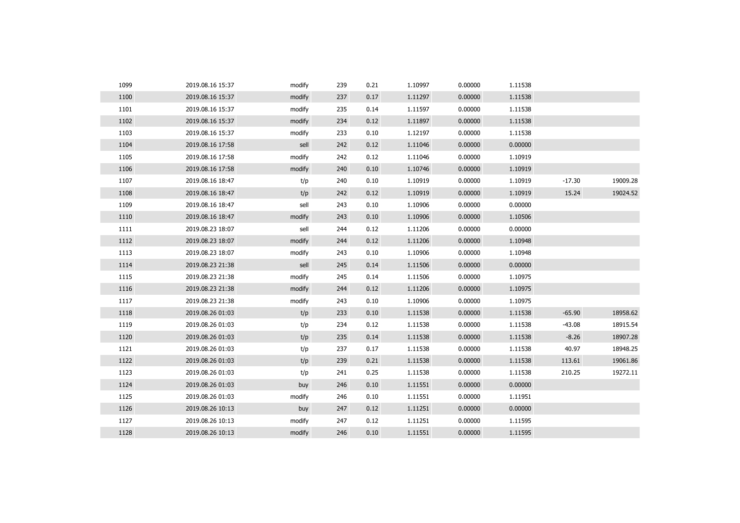| 1099 | 2019.08.16 15:37 | modify | 239 | 0.21 | 1.10997 | 0.00000 | 1.11538 |          |          |
|------|------------------|--------|-----|------|---------|---------|---------|----------|----------|
| 1100 | 2019.08.16 15:37 | modify | 237 | 0.17 | 1.11297 | 0.00000 | 1.11538 |          |          |
| 1101 | 2019.08.16 15:37 | modify | 235 | 0.14 | 1.11597 | 0.00000 | 1.11538 |          |          |
| 1102 | 2019.08.16 15:37 | modify | 234 | 0.12 | 1.11897 | 0.00000 | 1.11538 |          |          |
| 1103 | 2019.08.16 15:37 | modify | 233 | 0.10 | 1.12197 | 0.00000 | 1.11538 |          |          |
| 1104 | 2019.08.16 17:58 | sell   | 242 | 0.12 | 1.11046 | 0.00000 | 0.00000 |          |          |
| 1105 | 2019.08.16 17:58 | modify | 242 | 0.12 | 1.11046 | 0.00000 | 1.10919 |          |          |
| 1106 | 2019.08.16 17:58 | modify | 240 | 0.10 | 1.10746 | 0.00000 | 1.10919 |          |          |
| 1107 | 2019.08.16 18:47 | t/p    | 240 | 0.10 | 1.10919 | 0.00000 | 1.10919 | $-17.30$ | 19009.28 |
| 1108 | 2019.08.16 18:47 | t/p    | 242 | 0.12 | 1.10919 | 0.00000 | 1.10919 | 15.24    | 19024.52 |
| 1109 | 2019.08.16 18:47 | sell   | 243 | 0.10 | 1.10906 | 0.00000 | 0.00000 |          |          |
| 1110 | 2019.08.16 18:47 | modify | 243 | 0.10 | 1.10906 | 0.00000 | 1.10506 |          |          |
| 1111 | 2019.08.23 18:07 | sell   | 244 | 0.12 | 1.11206 | 0.00000 | 0.00000 |          |          |
| 1112 | 2019.08.23 18:07 | modify | 244 | 0.12 | 1.11206 | 0.00000 | 1.10948 |          |          |
| 1113 | 2019.08.23 18:07 | modify | 243 | 0.10 | 1.10906 | 0.00000 | 1.10948 |          |          |
| 1114 | 2019.08.23 21:38 | sell   | 245 | 0.14 | 1.11506 | 0.00000 | 0.00000 |          |          |
| 1115 | 2019.08.23 21:38 | modify | 245 | 0.14 | 1.11506 | 0.00000 | 1.10975 |          |          |
| 1116 | 2019.08.23 21:38 | modify | 244 | 0.12 | 1.11206 | 0.00000 | 1.10975 |          |          |
| 1117 | 2019.08.23 21:38 | modify | 243 | 0.10 | 1.10906 | 0.00000 | 1.10975 |          |          |
| 1118 | 2019.08.26 01:03 | t/p    | 233 | 0.10 | 1.11538 | 0.00000 | 1.11538 | $-65.90$ | 18958.62 |
| 1119 | 2019.08.26 01:03 | t/p    | 234 | 0.12 | 1.11538 | 0.00000 | 1.11538 | $-43.08$ | 18915.54 |
| 1120 | 2019.08.26 01:03 | t/p    | 235 | 0.14 | 1.11538 | 0.00000 | 1.11538 | $-8.26$  | 18907.28 |
| 1121 | 2019.08.26 01:03 | t/p    | 237 | 0.17 | 1.11538 | 0.00000 | 1.11538 | 40.97    | 18948.25 |
| 1122 | 2019.08.26 01:03 | t/p    | 239 | 0.21 | 1.11538 | 0.00000 | 1.11538 | 113.61   | 19061.86 |
| 1123 | 2019.08.26 01:03 | t/p    | 241 | 0.25 | 1.11538 | 0.00000 | 1.11538 | 210.25   | 19272.11 |
| 1124 | 2019.08.26 01:03 | buy    | 246 | 0.10 | 1.11551 | 0.00000 | 0.00000 |          |          |
| 1125 | 2019.08.26 01:03 | modify | 246 | 0.10 | 1.11551 | 0.00000 | 1.11951 |          |          |
| 1126 | 2019.08.26 10:13 | buy    | 247 | 0.12 | 1.11251 | 0.00000 | 0.00000 |          |          |
| 1127 | 2019.08.26 10:13 | modify | 247 | 0.12 | 1.11251 | 0.00000 | 1.11595 |          |          |
| 1128 | 2019.08.26 10:13 | modify | 246 | 0.10 | 1.11551 | 0.00000 | 1.11595 |          |          |
|      |                  |        |     |      |         |         |         |          |          |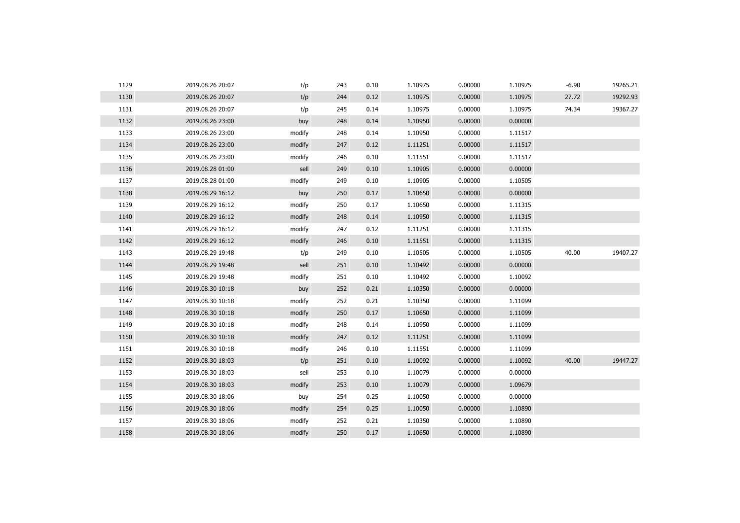| 1129 | 2019.08.26 20:07 | t/p    | 243 | 0.10 | 1.10975 | 0.00000 | 1.10975 | $-6.90$ | 19265.21 |
|------|------------------|--------|-----|------|---------|---------|---------|---------|----------|
| 1130 | 2019.08.26 20:07 | t/p    | 244 | 0.12 | 1.10975 | 0.00000 | 1.10975 | 27.72   | 19292.93 |
| 1131 | 2019.08.26 20:07 | t/p    | 245 | 0.14 | 1.10975 | 0.00000 | 1.10975 | 74.34   | 19367.27 |
| 1132 | 2019.08.26 23:00 | buy    | 248 | 0.14 | 1.10950 | 0.00000 | 0.00000 |         |          |
| 1133 | 2019.08.26 23:00 | modify | 248 | 0.14 | 1.10950 | 0.00000 | 1.11517 |         |          |
| 1134 | 2019.08.26 23:00 | modify | 247 | 0.12 | 1.11251 | 0.00000 | 1.11517 |         |          |
| 1135 | 2019.08.26 23:00 | modify | 246 | 0.10 | 1.11551 | 0.00000 | 1.11517 |         |          |
| 1136 | 2019.08.28 01:00 | sell   | 249 | 0.10 | 1.10905 | 0.00000 | 0.00000 |         |          |
| 1137 | 2019.08.28 01:00 | modify | 249 | 0.10 | 1.10905 | 0.00000 | 1.10505 |         |          |
| 1138 | 2019.08.29 16:12 | buy    | 250 | 0.17 | 1.10650 | 0.00000 | 0.00000 |         |          |
| 1139 | 2019.08.29 16:12 | modify | 250 | 0.17 | 1.10650 | 0.00000 | 1.11315 |         |          |
| 1140 | 2019.08.29 16:12 | modify | 248 | 0.14 | 1.10950 | 0.00000 | 1.11315 |         |          |
| 1141 | 2019.08.29 16:12 | modify | 247 | 0.12 | 1.11251 | 0.00000 | 1.11315 |         |          |
| 1142 | 2019.08.29 16:12 | modify | 246 | 0.10 | 1.11551 | 0.00000 | 1.11315 |         |          |
| 1143 | 2019.08.29 19:48 | t/p    | 249 | 0.10 | 1.10505 | 0.00000 | 1.10505 | 40.00   | 19407.27 |
| 1144 | 2019.08.29 19:48 | sell   | 251 | 0.10 | 1.10492 | 0.00000 | 0.00000 |         |          |
| 1145 | 2019.08.29 19:48 | modify | 251 | 0.10 | 1.10492 | 0.00000 | 1.10092 |         |          |
| 1146 | 2019.08.30 10:18 | buy    | 252 | 0.21 | 1.10350 | 0.00000 | 0.00000 |         |          |
| 1147 | 2019.08.30 10:18 | modify | 252 | 0.21 | 1.10350 | 0.00000 | 1.11099 |         |          |
| 1148 | 2019.08.30 10:18 | modify | 250 | 0.17 | 1.10650 | 0.00000 | 1.11099 |         |          |
| 1149 | 2019.08.30 10:18 | modify | 248 | 0.14 | 1.10950 | 0.00000 | 1.11099 |         |          |
| 1150 | 2019.08.30 10:18 | modify | 247 | 0.12 | 1.11251 | 0.00000 | 1.11099 |         |          |
| 1151 | 2019.08.30 10:18 | modify | 246 | 0.10 | 1.11551 | 0.00000 | 1.11099 |         |          |
| 1152 | 2019.08.30 18:03 | t/p    | 251 | 0.10 | 1.10092 | 0.00000 | 1.10092 | 40.00   | 19447.27 |
| 1153 | 2019.08.30 18:03 | sell   | 253 | 0.10 | 1.10079 | 0.00000 | 0.00000 |         |          |
| 1154 | 2019.08.30 18:03 | modify | 253 | 0.10 | 1.10079 | 0.00000 | 1.09679 |         |          |
| 1155 | 2019.08.30 18:06 | buy    | 254 | 0.25 | 1.10050 | 0.00000 | 0.00000 |         |          |
| 1156 | 2019.08.30 18:06 | modify | 254 | 0.25 | 1.10050 | 0.00000 | 1.10890 |         |          |
| 1157 | 2019.08.30 18:06 | modify | 252 | 0.21 | 1.10350 | 0.00000 | 1.10890 |         |          |
| 1158 | 2019.08.30 18:06 | modify | 250 | 0.17 | 1.10650 | 0.00000 | 1.10890 |         |          |
|      |                  |        |     |      |         |         |         |         |          |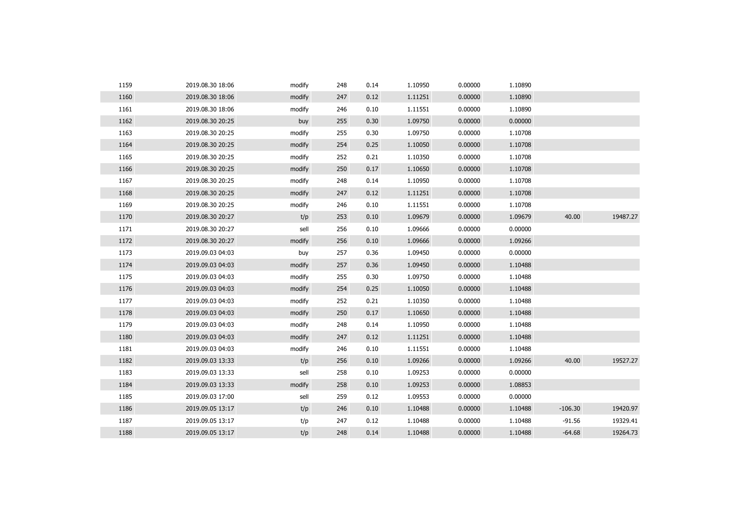| 1159 | 2019.08.30 18:06 | modify | 248 | 0.14 | 1.10950 | 0.00000 | 1.10890 |           |          |
|------|------------------|--------|-----|------|---------|---------|---------|-----------|----------|
| 1160 | 2019.08.30 18:06 | modify | 247 | 0.12 | 1.11251 | 0.00000 | 1.10890 |           |          |
| 1161 | 2019.08.30 18:06 | modify | 246 | 0.10 | 1.11551 | 0.00000 | 1.10890 |           |          |
| 1162 | 2019.08.30 20:25 | buy    | 255 | 0.30 | 1.09750 | 0.00000 | 0.00000 |           |          |
| 1163 | 2019.08.30 20:25 | modify | 255 | 0.30 | 1.09750 | 0.00000 | 1.10708 |           |          |
| 1164 | 2019.08.30 20:25 | modify | 254 | 0.25 | 1.10050 | 0.00000 | 1.10708 |           |          |
| 1165 | 2019.08.30 20:25 | modify | 252 | 0.21 | 1.10350 | 0.00000 | 1.10708 |           |          |
| 1166 | 2019.08.30 20:25 | modify | 250 | 0.17 | 1.10650 | 0.00000 | 1.10708 |           |          |
| 1167 | 2019.08.30 20:25 | modify | 248 | 0.14 | 1.10950 | 0.00000 | 1.10708 |           |          |
| 1168 | 2019.08.30 20:25 | modify | 247 | 0.12 | 1.11251 | 0.00000 | 1.10708 |           |          |
| 1169 | 2019.08.30 20:25 | modify | 246 | 0.10 | 1.11551 | 0.00000 | 1.10708 |           |          |
| 1170 | 2019.08.30 20:27 | t/p    | 253 | 0.10 | 1.09679 | 0.00000 | 1.09679 | 40.00     | 19487.27 |
| 1171 | 2019.08.30 20:27 | sell   | 256 | 0.10 | 1.09666 | 0.00000 | 0.00000 |           |          |
| 1172 | 2019.08.30 20:27 | modify | 256 | 0.10 | 1.09666 | 0.00000 | 1.09266 |           |          |
| 1173 | 2019.09.03 04:03 | buy    | 257 | 0.36 | 1.09450 | 0.00000 | 0.00000 |           |          |
| 1174 | 2019.09.03 04:03 | modify | 257 | 0.36 | 1.09450 | 0.00000 | 1.10488 |           |          |
| 1175 | 2019.09.03 04:03 | modify | 255 | 0.30 | 1.09750 | 0.00000 | 1.10488 |           |          |
| 1176 | 2019.09.03 04:03 | modify | 254 | 0.25 | 1.10050 | 0.00000 | 1.10488 |           |          |
| 1177 | 2019.09.03 04:03 | modify | 252 | 0.21 | 1.10350 | 0.00000 | 1.10488 |           |          |
| 1178 | 2019.09.03 04:03 | modify | 250 | 0.17 | 1.10650 | 0.00000 | 1.10488 |           |          |
| 1179 | 2019.09.03 04:03 | modify | 248 | 0.14 | 1.10950 | 0.00000 | 1.10488 |           |          |
| 1180 | 2019.09.03 04:03 | modify | 247 | 0.12 | 1.11251 | 0.00000 | 1.10488 |           |          |
| 1181 | 2019.09.03 04:03 | modify | 246 | 0.10 | 1.11551 | 0.00000 | 1.10488 |           |          |
| 1182 | 2019.09.03 13:33 | t/p    | 256 | 0.10 | 1.09266 | 0.00000 | 1.09266 | 40.00     | 19527.27 |
| 1183 | 2019.09.03 13:33 | sell   | 258 | 0.10 | 1.09253 | 0.00000 | 0.00000 |           |          |
| 1184 | 2019.09.03 13:33 | modify | 258 | 0.10 | 1.09253 | 0.00000 | 1.08853 |           |          |
| 1185 | 2019.09.03 17:00 | sell   | 259 | 0.12 | 1.09553 | 0.00000 | 0.00000 |           |          |
| 1186 | 2019.09.05 13:17 | t/p    | 246 | 0.10 | 1.10488 | 0.00000 | 1.10488 | $-106.30$ | 19420.97 |
| 1187 | 2019.09.05 13:17 | t/p    | 247 | 0.12 | 1.10488 | 0.00000 | 1.10488 | $-91.56$  | 19329.41 |
| 1188 | 2019.09.05 13:17 | t/p    | 248 | 0.14 | 1.10488 | 0.00000 | 1.10488 | $-64.68$  | 19264.73 |
|      |                  |        |     |      |         |         |         |           |          |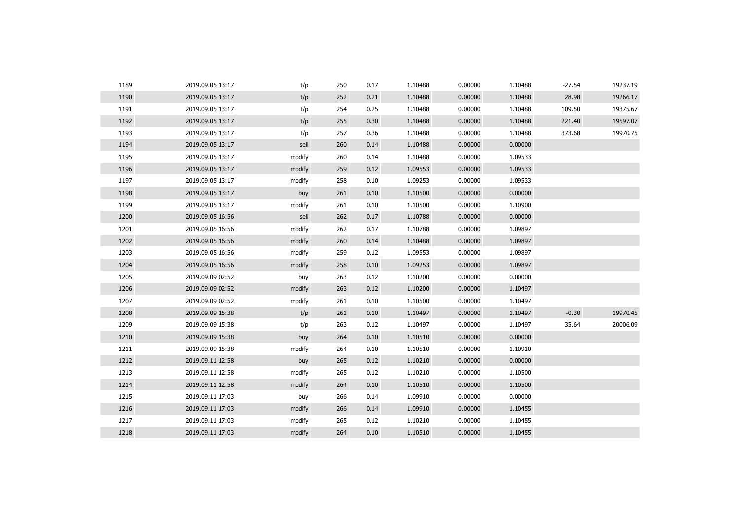| 1189 | 2019.09.05 13:17 | t/p    | 250 | 0.17 | 1.10488 | 0.00000 | 1.10488 | $-27.54$ | 19237.19 |
|------|------------------|--------|-----|------|---------|---------|---------|----------|----------|
| 1190 | 2019.09.05 13:17 | t/p    | 252 | 0.21 | 1.10488 | 0.00000 | 1.10488 | 28.98    | 19266.17 |
| 1191 | 2019.09.05 13:17 | t/p    | 254 | 0.25 | 1.10488 | 0.00000 | 1.10488 | 109.50   | 19375.67 |
| 1192 | 2019.09.05 13:17 | t/p    | 255 | 0.30 | 1.10488 | 0.00000 | 1.10488 | 221.40   | 19597.07 |
| 1193 | 2019.09.05 13:17 | t/p    | 257 | 0.36 | 1.10488 | 0.00000 | 1.10488 | 373.68   | 19970.75 |
| 1194 | 2019.09.05 13:17 | sell   | 260 | 0.14 | 1.10488 | 0.00000 | 0.00000 |          |          |
| 1195 | 2019.09.05 13:17 | modify | 260 | 0.14 | 1.10488 | 0.00000 | 1.09533 |          |          |
| 1196 | 2019.09.05 13:17 | modify | 259 | 0.12 | 1.09553 | 0.00000 | 1.09533 |          |          |
| 1197 | 2019.09.05 13:17 | modify | 258 | 0.10 | 1.09253 | 0.00000 | 1.09533 |          |          |
| 1198 | 2019.09.05 13:17 | buy    | 261 | 0.10 | 1.10500 | 0.00000 | 0.00000 |          |          |
| 1199 | 2019.09.05 13:17 | modify | 261 | 0.10 | 1.10500 | 0.00000 | 1.10900 |          |          |
| 1200 | 2019.09.05 16:56 | sell   | 262 | 0.17 | 1.10788 | 0.00000 | 0.00000 |          |          |
| 1201 | 2019.09.05 16:56 | modify | 262 | 0.17 | 1.10788 | 0.00000 | 1.09897 |          |          |
| 1202 | 2019.09.05 16:56 | modify | 260 | 0.14 | 1.10488 | 0.00000 | 1.09897 |          |          |
| 1203 | 2019.09.05 16:56 | modify | 259 | 0.12 | 1.09553 | 0.00000 | 1.09897 |          |          |
| 1204 | 2019.09.05 16:56 | modify | 258 | 0.10 | 1.09253 | 0.00000 | 1.09897 |          |          |
| 1205 | 2019.09.09 02:52 | buy    | 263 | 0.12 | 1.10200 | 0.00000 | 0.00000 |          |          |
| 1206 | 2019.09.09 02:52 | modify | 263 | 0.12 | 1.10200 | 0.00000 | 1.10497 |          |          |
| 1207 | 2019.09.09 02:52 | modify | 261 | 0.10 | 1.10500 | 0.00000 | 1.10497 |          |          |
| 1208 | 2019.09.09 15:38 | t/p    | 261 | 0.10 | 1.10497 | 0.00000 | 1.10497 | $-0.30$  | 19970.45 |
| 1209 | 2019.09.09 15:38 | t/p    | 263 | 0.12 | 1.10497 | 0.00000 | 1.10497 | 35.64    | 20006.09 |
| 1210 | 2019.09.09 15:38 | buy    | 264 | 0.10 | 1.10510 | 0.00000 | 0.00000 |          |          |
| 1211 | 2019.09.09 15:38 | modify | 264 | 0.10 | 1.10510 | 0.00000 | 1.10910 |          |          |
| 1212 | 2019.09.11 12:58 | buy    | 265 | 0.12 | 1.10210 | 0.00000 | 0.00000 |          |          |
| 1213 | 2019.09.11 12:58 | modify | 265 | 0.12 | 1.10210 | 0.00000 | 1.10500 |          |          |
| 1214 | 2019.09.11 12:58 | modify | 264 | 0.10 | 1.10510 | 0.00000 | 1.10500 |          |          |
| 1215 | 2019.09.11 17:03 | buy    | 266 | 0.14 | 1.09910 | 0.00000 | 0.00000 |          |          |
| 1216 | 2019.09.11 17:03 | modify | 266 | 0.14 | 1.09910 | 0.00000 | 1.10455 |          |          |
| 1217 | 2019.09.11 17:03 | modify | 265 | 0.12 | 1.10210 | 0.00000 | 1.10455 |          |          |
| 1218 | 2019.09.11 17:03 | modify | 264 | 0.10 | 1.10510 | 0.00000 | 1.10455 |          |          |
|      |                  |        |     |      |         |         |         |          |          |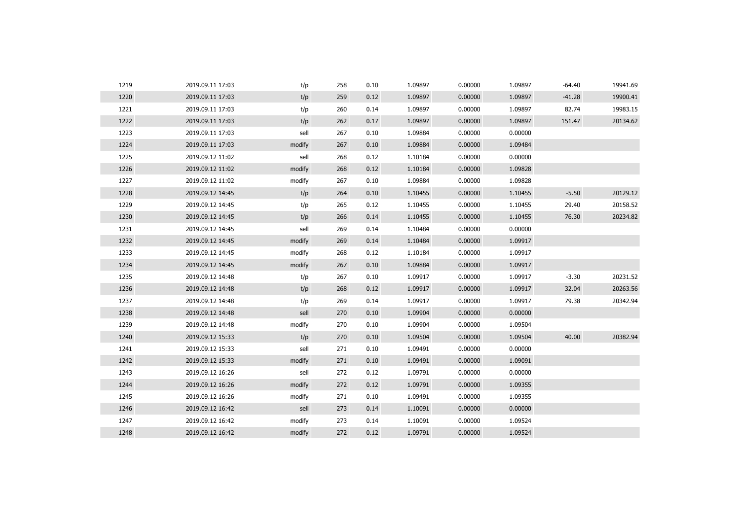| 1219 | 2019.09.11 17:03 | t/p    | 258 | 0.10 | 1.09897 | 0.00000 | 1.09897 | $-64.40$ | 19941.69 |
|------|------------------|--------|-----|------|---------|---------|---------|----------|----------|
| 1220 | 2019.09.11 17:03 | t/p    | 259 | 0.12 | 1.09897 | 0.00000 | 1.09897 | $-41.28$ | 19900.41 |
| 1221 | 2019.09.11 17:03 | t/p    | 260 | 0.14 | 1.09897 | 0.00000 | 1.09897 | 82.74    | 19983.15 |
| 1222 | 2019.09.11 17:03 | t/p    | 262 | 0.17 | 1.09897 | 0.00000 | 1.09897 | 151.47   | 20134.62 |
| 1223 | 2019.09.11 17:03 | sell   | 267 | 0.10 | 1.09884 | 0.00000 | 0.00000 |          |          |
| 1224 | 2019.09.11 17:03 | modify | 267 | 0.10 | 1.09884 | 0.00000 | 1.09484 |          |          |
| 1225 | 2019.09.12 11:02 | sell   | 268 | 0.12 | 1.10184 | 0.00000 | 0.00000 |          |          |
| 1226 | 2019.09.12 11:02 | modify | 268 | 0.12 | 1.10184 | 0.00000 | 1.09828 |          |          |
| 1227 | 2019.09.12 11:02 | modify | 267 | 0.10 | 1.09884 | 0.00000 | 1.09828 |          |          |
| 1228 | 2019.09.12 14:45 | t/p    | 264 | 0.10 | 1.10455 | 0.00000 | 1.10455 | $-5.50$  | 20129.12 |
| 1229 | 2019.09.12 14:45 | t/p    | 265 | 0.12 | 1.10455 | 0.00000 | 1.10455 | 29.40    | 20158.52 |
| 1230 | 2019.09.12 14:45 | t/p    | 266 | 0.14 | 1.10455 | 0.00000 | 1.10455 | 76.30    | 20234.82 |
| 1231 | 2019.09.12 14:45 | sell   | 269 | 0.14 | 1.10484 | 0.00000 | 0.00000 |          |          |
| 1232 | 2019.09.12 14:45 | modify | 269 | 0.14 | 1.10484 | 0.00000 | 1.09917 |          |          |
| 1233 | 2019.09.12 14:45 | modify | 268 | 0.12 | 1.10184 | 0.00000 | 1.09917 |          |          |
| 1234 | 2019.09.12 14:45 | modify | 267 | 0.10 | 1.09884 | 0.00000 | 1.09917 |          |          |
| 1235 | 2019.09.12 14:48 | t/p    | 267 | 0.10 | 1.09917 | 0.00000 | 1.09917 | $-3.30$  | 20231.52 |
| 1236 | 2019.09.12 14:48 | t/p    | 268 | 0.12 | 1.09917 | 0.00000 | 1.09917 | 32.04    | 20263.56 |
| 1237 | 2019.09.12 14:48 | t/p    | 269 | 0.14 | 1.09917 | 0.00000 | 1.09917 | 79.38    | 20342.94 |
| 1238 | 2019.09.12 14:48 | sell   | 270 | 0.10 | 1.09904 | 0.00000 | 0.00000 |          |          |
| 1239 | 2019.09.12 14:48 | modify | 270 | 0.10 | 1.09904 | 0.00000 | 1.09504 |          |          |
| 1240 | 2019.09.12 15:33 | t/p    | 270 | 0.10 | 1.09504 | 0.00000 | 1.09504 | 40.00    | 20382.94 |
| 1241 | 2019.09.12 15:33 | sell   | 271 | 0.10 | 1.09491 | 0.00000 | 0.00000 |          |          |
| 1242 | 2019.09.12 15:33 | modify | 271 | 0.10 | 1.09491 | 0.00000 | 1.09091 |          |          |
| 1243 | 2019.09.12 16:26 | sell   | 272 | 0.12 | 1.09791 | 0.00000 | 0.00000 |          |          |
| 1244 | 2019.09.12 16:26 | modify | 272 | 0.12 | 1.09791 | 0.00000 | 1.09355 |          |          |
| 1245 | 2019.09.12 16:26 | modify | 271 | 0.10 | 1.09491 | 0.00000 | 1.09355 |          |          |
| 1246 | 2019.09.12 16:42 | sell   | 273 | 0.14 | 1.10091 | 0.00000 | 0.00000 |          |          |
| 1247 | 2019.09.12 16:42 | modify | 273 | 0.14 | 1.10091 | 0.00000 | 1.09524 |          |          |
| 1248 | 2019.09.12 16:42 | modify | 272 | 0.12 | 1.09791 | 0.00000 | 1.09524 |          |          |
|      |                  |        |     |      |         |         |         |          |          |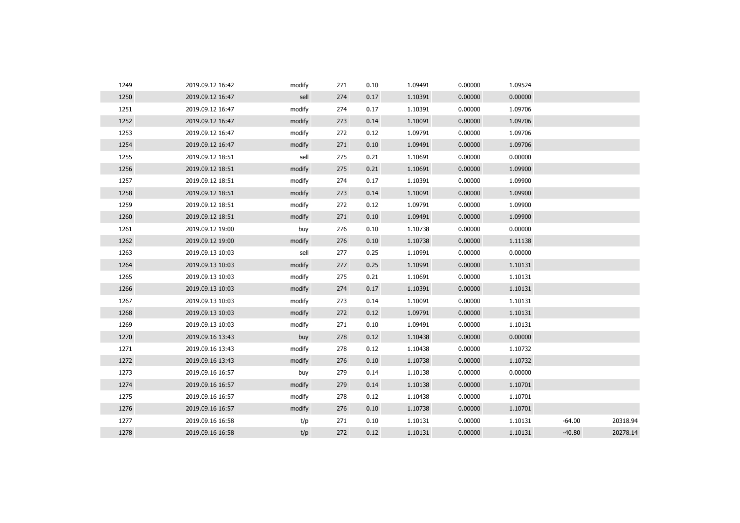| 1249 | 2019.09.12 16:42 | modify | 271 | 0.10 | 1.09491 | 0.00000 | 1.09524 |          |          |
|------|------------------|--------|-----|------|---------|---------|---------|----------|----------|
| 1250 | 2019.09.12 16:47 | sell   | 274 | 0.17 | 1.10391 | 0.00000 | 0.00000 |          |          |
| 1251 | 2019.09.12 16:47 | modify | 274 | 0.17 | 1.10391 | 0.00000 | 1.09706 |          |          |
| 1252 | 2019.09.12 16:47 | modify | 273 | 0.14 | 1.10091 | 0.00000 | 1.09706 |          |          |
| 1253 | 2019.09.12 16:47 | modify | 272 | 0.12 | 1.09791 | 0.00000 | 1.09706 |          |          |
| 1254 | 2019.09.12 16:47 | modify | 271 | 0.10 | 1.09491 | 0.00000 | 1.09706 |          |          |
| 1255 | 2019.09.12 18:51 | sell   | 275 | 0.21 | 1.10691 | 0.00000 | 0.00000 |          |          |
| 1256 | 2019.09.12 18:51 | modify | 275 | 0.21 | 1.10691 | 0.00000 | 1.09900 |          |          |
| 1257 | 2019.09.12 18:51 | modify | 274 | 0.17 | 1.10391 | 0.00000 | 1.09900 |          |          |
| 1258 | 2019.09.12 18:51 | modify | 273 | 0.14 | 1.10091 | 0.00000 | 1.09900 |          |          |
| 1259 | 2019.09.12 18:51 | modify | 272 | 0.12 | 1.09791 | 0.00000 | 1.09900 |          |          |
| 1260 | 2019.09.12 18:51 | modify | 271 | 0.10 | 1.09491 | 0.00000 | 1.09900 |          |          |
| 1261 | 2019.09.12 19:00 | buy    | 276 | 0.10 | 1.10738 | 0.00000 | 0.00000 |          |          |
| 1262 | 2019.09.12 19:00 | modify | 276 | 0.10 | 1.10738 | 0.00000 | 1.11138 |          |          |
| 1263 | 2019.09.13 10:03 | sell   | 277 | 0.25 | 1.10991 | 0.00000 | 0.00000 |          |          |
| 1264 | 2019.09.13 10:03 | modify | 277 | 0.25 | 1.10991 | 0.00000 | 1.10131 |          |          |
| 1265 | 2019.09.13 10:03 | modify | 275 | 0.21 | 1.10691 | 0.00000 | 1.10131 |          |          |
| 1266 | 2019.09.13 10:03 | modify | 274 | 0.17 | 1.10391 | 0.00000 | 1.10131 |          |          |
| 1267 | 2019.09.13 10:03 | modify | 273 | 0.14 | 1.10091 | 0.00000 | 1.10131 |          |          |
| 1268 | 2019.09.13 10:03 | modify | 272 | 0.12 | 1.09791 | 0.00000 | 1.10131 |          |          |
| 1269 | 2019.09.13 10:03 | modify | 271 | 0.10 | 1.09491 | 0.00000 | 1.10131 |          |          |
| 1270 | 2019.09.16 13:43 | buy    | 278 | 0.12 | 1.10438 | 0.00000 | 0.00000 |          |          |
| 1271 | 2019.09.16 13:43 | modify | 278 | 0.12 | 1.10438 | 0.00000 | 1.10732 |          |          |
| 1272 | 2019.09.16 13:43 | modify | 276 | 0.10 | 1.10738 | 0.00000 | 1.10732 |          |          |
| 1273 | 2019.09.16 16:57 | buy    | 279 | 0.14 | 1.10138 | 0.00000 | 0.00000 |          |          |
| 1274 | 2019.09.16 16:57 | modify | 279 | 0.14 | 1.10138 | 0.00000 | 1.10701 |          |          |
| 1275 | 2019.09.16 16:57 | modify | 278 | 0.12 | 1.10438 | 0.00000 | 1.10701 |          |          |
| 1276 | 2019.09.16 16:57 | modify | 276 | 0.10 | 1.10738 | 0.00000 | 1.10701 |          |          |
| 1277 | 2019.09.16 16:58 | t/p    | 271 | 0.10 | 1.10131 | 0.00000 | 1.10131 | $-64.00$ | 20318.94 |
| 1278 | 2019.09.16 16:58 | t/p    | 272 | 0.12 | 1.10131 | 0.00000 | 1.10131 | $-40.80$ | 20278.14 |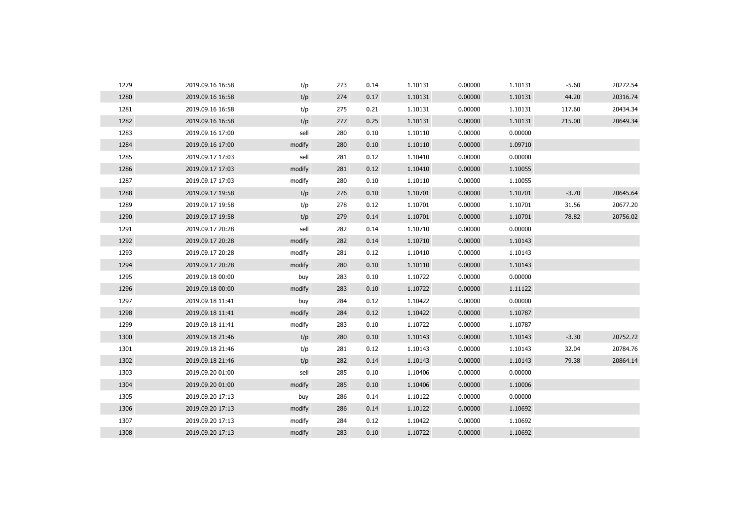| 1279 | 2019.09.16 16:58 | t/p    | 273 | 0.14 | 1.10131 | 0.00000 | 1.10131 | $-5.60$ | 20272.54 |
|------|------------------|--------|-----|------|---------|---------|---------|---------|----------|
| 1280 | 2019.09.16 16:58 | t/p    | 274 | 0.17 | 1.10131 | 0.00000 | 1.10131 | 44.20   | 20316.74 |
| 1281 | 2019.09.16 16:58 | t/p    | 275 | 0.21 | 1.10131 | 0.00000 | 1.10131 | 117.60  | 20434.34 |
| 1282 | 2019.09.16 16:58 | t/p    | 277 | 0.25 | 1.10131 | 0.00000 | 1.10131 | 215.00  | 20649.34 |
| 1283 | 2019.09.16 17:00 | sell   | 280 | 0.10 | 1.10110 | 0.00000 | 0.00000 |         |          |
| 1284 | 2019.09.16 17:00 | modify | 280 | 0.10 | 1.10110 | 0.00000 | 1.09710 |         |          |
| 1285 | 2019.09.17 17:03 | sell   | 281 | 0.12 | 1.10410 | 0.00000 | 0.00000 |         |          |
| 1286 | 2019.09.17 17:03 | modify | 281 | 0.12 | 1.10410 | 0.00000 | 1.10055 |         |          |
| 1287 | 2019.09.17 17:03 | modify | 280 | 0.10 | 1.10110 | 0.00000 | 1.10055 |         |          |
| 1288 | 2019.09.17 19:58 | t/p    | 276 | 0.10 | 1.10701 | 0.00000 | 1.10701 | $-3.70$ | 20645.64 |
| 1289 | 2019.09.17 19:58 | t/p    | 278 | 0.12 | 1.10701 | 0.00000 | 1.10701 | 31.56   | 20677.20 |
| 1290 | 2019.09.17 19:58 | t/p    | 279 | 0.14 | 1.10701 | 0.00000 | 1.10701 | 78.82   | 20756.02 |
| 1291 | 2019.09.17 20:28 | sell   | 282 | 0.14 | 1.10710 | 0.00000 | 0.00000 |         |          |
| 1292 | 2019.09.17 20:28 | modify | 282 | 0.14 | 1.10710 | 0.00000 | 1.10143 |         |          |
| 1293 | 2019.09.17 20:28 | modify | 281 | 0.12 | 1.10410 | 0.00000 | 1.10143 |         |          |
| 1294 | 2019.09.17 20:28 | modify | 280 | 0.10 | 1.10110 | 0.00000 | 1.10143 |         |          |
| 1295 | 2019.09.18 00:00 | buy    | 283 | 0.10 | 1.10722 | 0.00000 | 0.00000 |         |          |
| 1296 | 2019.09.18 00:00 | modify | 283 | 0.10 | 1.10722 | 0.00000 | 1.11122 |         |          |
| 1297 | 2019.09.18 11:41 | buy    | 284 | 0.12 | 1.10422 | 0.00000 | 0.00000 |         |          |
| 1298 | 2019.09.18 11:41 | modify | 284 | 0.12 | 1.10422 | 0.00000 | 1.10787 |         |          |
| 1299 | 2019.09.18 11:41 | modify | 283 | 0.10 | 1.10722 | 0.00000 | 1.10787 |         |          |
| 1300 | 2019.09.18 21:46 | t/p    | 280 | 0.10 | 1.10143 | 0.00000 | 1.10143 | $-3.30$ | 20752.72 |
| 1301 | 2019.09.18 21:46 | t/p    | 281 | 0.12 | 1.10143 | 0.00000 | 1.10143 | 32.04   | 20784.76 |
| 1302 | 2019.09.18 21:46 | t/p    | 282 | 0.14 | 1.10143 | 0.00000 | 1.10143 | 79.38   | 20864.14 |
| 1303 | 2019.09.20 01:00 | sell   | 285 | 0.10 | 1.10406 | 0.00000 | 0.00000 |         |          |
| 1304 | 2019.09.20 01:00 | modify | 285 | 0.10 | 1.10406 | 0.00000 | 1.10006 |         |          |
| 1305 | 2019.09.20 17:13 | buy    | 286 | 0.14 | 1.10122 | 0.00000 | 0.00000 |         |          |
| 1306 | 2019.09.20 17:13 | modify | 286 | 0.14 | 1.10122 | 0.00000 | 1.10692 |         |          |
| 1307 | 2019.09.20 17:13 | modify | 284 | 0.12 | 1.10422 | 0.00000 | 1.10692 |         |          |
| 1308 | 2019.09.20 17:13 | modify | 283 | 0.10 | 1.10722 | 0.00000 | 1.10692 |         |          |
|      |                  |        |     |      |         |         |         |         |          |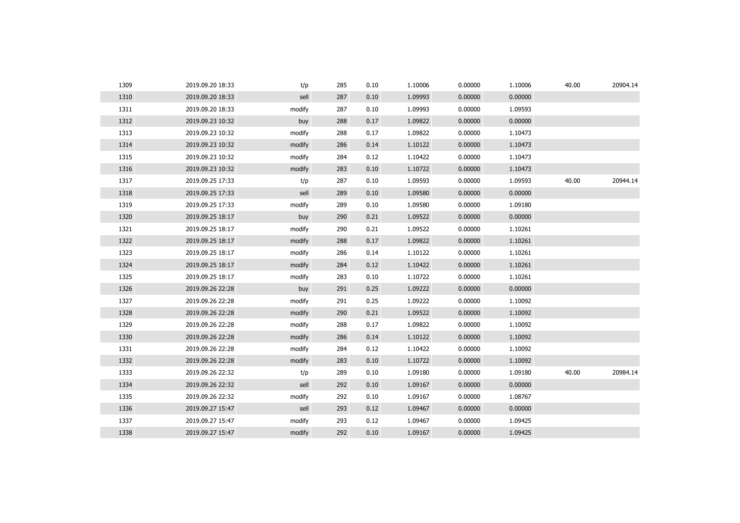| 1309 | 2019.09.20 18:33 | t/p    | 285 | 0.10 | 1.10006 | 0.00000 | 1.10006 | 40.00 | 20904.14 |
|------|------------------|--------|-----|------|---------|---------|---------|-------|----------|
| 1310 | 2019.09.20 18:33 | sell   | 287 | 0.10 | 1.09993 | 0.00000 | 0.00000 |       |          |
| 1311 | 2019.09.20 18:33 | modify | 287 | 0.10 | 1.09993 | 0.00000 | 1.09593 |       |          |
| 1312 | 2019.09.23 10:32 | buy    | 288 | 0.17 | 1.09822 | 0.00000 | 0.00000 |       |          |
| 1313 | 2019.09.23 10:32 | modify | 288 | 0.17 | 1.09822 | 0.00000 | 1.10473 |       |          |
| 1314 | 2019.09.23 10:32 | modify | 286 | 0.14 | 1.10122 | 0.00000 | 1.10473 |       |          |
| 1315 | 2019.09.23 10:32 | modify | 284 | 0.12 | 1.10422 | 0.00000 | 1.10473 |       |          |
| 1316 | 2019.09.23 10:32 | modify | 283 | 0.10 | 1.10722 | 0.00000 | 1.10473 |       |          |
| 1317 | 2019.09.25 17:33 | t/p    | 287 | 0.10 | 1.09593 | 0.00000 | 1.09593 | 40.00 | 20944.14 |
| 1318 | 2019.09.25 17:33 | sell   | 289 | 0.10 | 1.09580 | 0.00000 | 0.00000 |       |          |
| 1319 | 2019.09.25 17:33 | modify | 289 | 0.10 | 1.09580 | 0.00000 | 1.09180 |       |          |
| 1320 | 2019.09.25 18:17 | buy    | 290 | 0.21 | 1.09522 | 0.00000 | 0.00000 |       |          |
| 1321 | 2019.09.25 18:17 | modify | 290 | 0.21 | 1.09522 | 0.00000 | 1.10261 |       |          |
| 1322 | 2019.09.25 18:17 | modify | 288 | 0.17 | 1.09822 | 0.00000 | 1.10261 |       |          |
| 1323 | 2019.09.25 18:17 | modify | 286 | 0.14 | 1.10122 | 0.00000 | 1.10261 |       |          |
| 1324 | 2019.09.25 18:17 | modify | 284 | 0.12 | 1.10422 | 0.00000 | 1.10261 |       |          |
| 1325 | 2019.09.25 18:17 | modify | 283 | 0.10 | 1.10722 | 0.00000 | 1.10261 |       |          |
| 1326 | 2019.09.26 22:28 | buy    | 291 | 0.25 | 1.09222 | 0.00000 | 0.00000 |       |          |
| 1327 | 2019.09.26 22:28 | modify | 291 | 0.25 | 1.09222 | 0.00000 | 1.10092 |       |          |
| 1328 | 2019.09.26 22:28 | modify | 290 | 0.21 | 1.09522 | 0.00000 | 1.10092 |       |          |
| 1329 | 2019.09.26 22:28 | modify | 288 | 0.17 | 1.09822 | 0.00000 | 1.10092 |       |          |
| 1330 | 2019.09.26 22:28 | modify | 286 | 0.14 | 1.10122 | 0.00000 | 1.10092 |       |          |
| 1331 | 2019.09.26 22:28 | modify | 284 | 0.12 | 1.10422 | 0.00000 | 1.10092 |       |          |
| 1332 | 2019.09.26 22:28 | modify | 283 | 0.10 | 1.10722 | 0.00000 | 1.10092 |       |          |
| 1333 | 2019.09.26 22:32 | t/p    | 289 | 0.10 | 1.09180 | 0.00000 | 1.09180 | 40.00 | 20984.14 |
| 1334 | 2019.09.26 22:32 | sell   | 292 | 0.10 | 1.09167 | 0.00000 | 0.00000 |       |          |
| 1335 | 2019.09.26 22:32 | modify | 292 | 0.10 | 1.09167 | 0.00000 | 1.08767 |       |          |
| 1336 | 2019.09.27 15:47 | sell   | 293 | 0.12 | 1.09467 | 0.00000 | 0.00000 |       |          |
| 1337 | 2019.09.27 15:47 | modify | 293 | 0.12 | 1.09467 | 0.00000 | 1.09425 |       |          |
| 1338 | 2019.09.27 15:47 | modify | 292 | 0.10 | 1.09167 | 0.00000 | 1.09425 |       |          |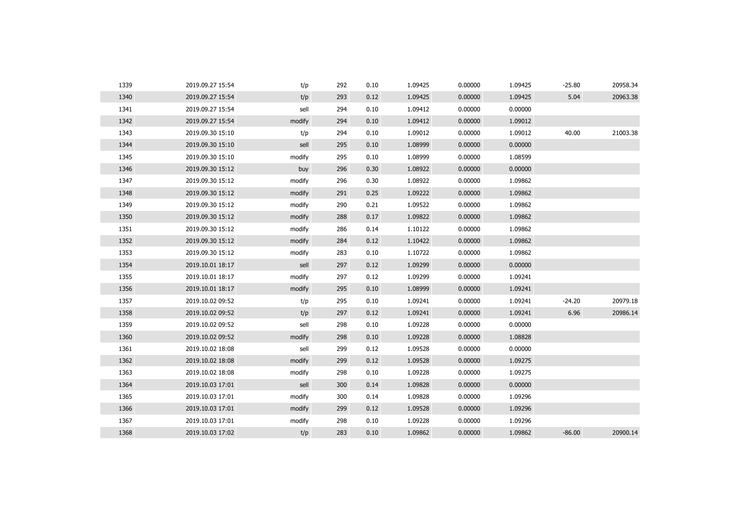| 1339 | 2019.09.27 15:54 | t/p    | 292 | 0.10 | 1.09425 | 0.00000 | 1.09425 | $-25.80$ | 20958.34 |
|------|------------------|--------|-----|------|---------|---------|---------|----------|----------|
| 1340 | 2019.09.27 15:54 | t/p    | 293 | 0.12 | 1.09425 | 0.00000 | 1.09425 | 5.04     | 20963.38 |
| 1341 | 2019.09.27 15:54 | sell   | 294 | 0.10 | 1.09412 | 0.00000 | 0.00000 |          |          |
| 1342 | 2019.09.27 15:54 | modify | 294 | 0.10 | 1.09412 | 0.00000 | 1.09012 |          |          |
| 1343 | 2019.09.30 15:10 | t/p    | 294 | 0.10 | 1.09012 | 0.00000 | 1.09012 | 40.00    | 21003.38 |
| 1344 | 2019.09.30 15:10 | sell   | 295 | 0.10 | 1.08999 | 0.00000 | 0.00000 |          |          |
| 1345 | 2019.09.30 15:10 | modify | 295 | 0.10 | 1.08999 | 0.00000 | 1.08599 |          |          |
| 1346 | 2019.09.30 15:12 | buy    | 296 | 0.30 | 1.08922 | 0.00000 | 0.00000 |          |          |
| 1347 | 2019.09.30 15:12 | modify | 296 | 0.30 | 1.08922 | 0.00000 | 1.09862 |          |          |
| 1348 | 2019.09.30 15:12 | modify | 291 | 0.25 | 1.09222 | 0.00000 | 1.09862 |          |          |
| 1349 | 2019.09.30 15:12 | modify | 290 | 0.21 | 1.09522 | 0.00000 | 1.09862 |          |          |
| 1350 | 2019.09.30 15:12 | modify | 288 | 0.17 | 1.09822 | 0.00000 | 1.09862 |          |          |
| 1351 | 2019.09.30 15:12 | modify | 286 | 0.14 | 1.10122 | 0.00000 | 1.09862 |          |          |
| 1352 | 2019.09.30 15:12 | modify | 284 | 0.12 | 1.10422 | 0.00000 | 1.09862 |          |          |
| 1353 | 2019.09.30 15:12 | modify | 283 | 0.10 | 1.10722 | 0.00000 | 1.09862 |          |          |
| 1354 | 2019.10.01 18:17 | sell   | 297 | 0.12 | 1.09299 | 0.00000 | 0.00000 |          |          |
| 1355 | 2019.10.01 18:17 | modify | 297 | 0.12 | 1.09299 | 0.00000 | 1.09241 |          |          |
| 1356 | 2019.10.01 18:17 | modify | 295 | 0.10 | 1.08999 | 0.00000 | 1.09241 |          |          |
| 1357 | 2019.10.02 09:52 | t/p    | 295 | 0.10 | 1.09241 | 0.00000 | 1.09241 | $-24.20$ | 20979.18 |
| 1358 | 2019.10.02 09:52 | t/p    | 297 | 0.12 | 1.09241 | 0.00000 | 1.09241 | 6.96     | 20986.14 |
| 1359 | 2019.10.02 09:52 | sell   | 298 | 0.10 | 1.09228 | 0.00000 | 0.00000 |          |          |
| 1360 | 2019.10.02 09:52 | modify | 298 | 0.10 | 1.09228 | 0.00000 | 1.08828 |          |          |
| 1361 | 2019.10.02 18:08 | sell   | 299 | 0.12 | 1.09528 | 0.00000 | 0.00000 |          |          |
| 1362 | 2019.10.02 18:08 | modify | 299 | 0.12 | 1.09528 | 0.00000 | 1.09275 |          |          |
| 1363 | 2019.10.02 18:08 | modify | 298 | 0.10 | 1.09228 | 0.00000 | 1.09275 |          |          |
| 1364 | 2019.10.03 17:01 | sell   | 300 | 0.14 | 1.09828 | 0.00000 | 0.00000 |          |          |
| 1365 | 2019.10.03 17:01 | modify | 300 | 0.14 | 1.09828 | 0.00000 | 1.09296 |          |          |
| 1366 | 2019.10.03 17:01 | modify | 299 | 0.12 | 1.09528 | 0.00000 | 1.09296 |          |          |
| 1367 | 2019.10.03 17:01 | modify | 298 | 0.10 | 1.09228 | 0.00000 | 1.09296 |          |          |
| 1368 | 2019.10.03 17:02 | t/p    | 283 | 0.10 | 1.09862 | 0.00000 | 1.09862 | $-86.00$ | 20900.14 |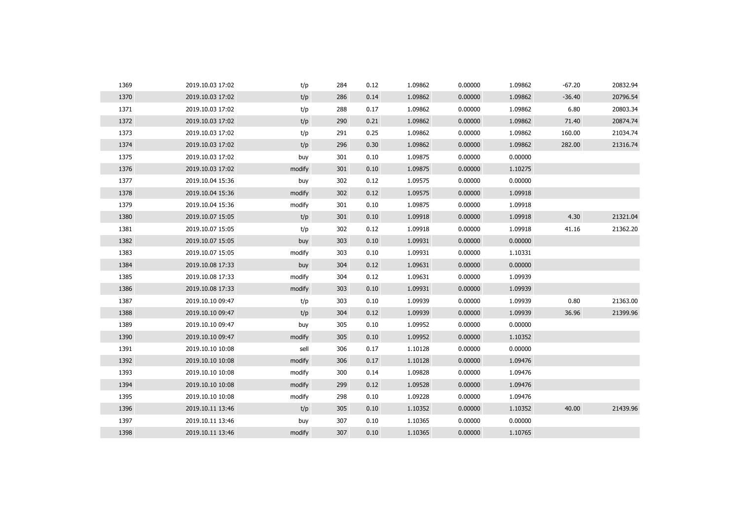| 1369 | 2019.10.03 17:02 | t/p    | 284 | 0.12 | 1.09862 | 0.00000 | 1.09862 | $-67.20$ | 20832.94 |
|------|------------------|--------|-----|------|---------|---------|---------|----------|----------|
| 1370 | 2019.10.03 17:02 | t/p    | 286 | 0.14 | 1.09862 | 0.00000 | 1.09862 | $-36.40$ | 20796.54 |
| 1371 | 2019.10.03 17:02 | t/p    | 288 | 0.17 | 1.09862 | 0.00000 | 1.09862 | 6.80     | 20803.34 |
| 1372 | 2019.10.03 17:02 | t/p    | 290 | 0.21 | 1.09862 | 0.00000 | 1.09862 | 71.40    | 20874.74 |
| 1373 | 2019.10.03 17:02 | t/p    | 291 | 0.25 | 1.09862 | 0.00000 | 1.09862 | 160.00   | 21034.74 |
| 1374 | 2019.10.03 17:02 | t/p    | 296 | 0.30 | 1.09862 | 0.00000 | 1.09862 | 282.00   | 21316.74 |
| 1375 | 2019.10.03 17:02 | buy    | 301 | 0.10 | 1.09875 | 0.00000 | 0.00000 |          |          |
| 1376 | 2019.10.03 17:02 | modify | 301 | 0.10 | 1.09875 | 0.00000 | 1.10275 |          |          |
| 1377 | 2019.10.04 15:36 | buy    | 302 | 0.12 | 1.09575 | 0.00000 | 0.00000 |          |          |
| 1378 | 2019.10.04 15:36 | modify | 302 | 0.12 | 1.09575 | 0.00000 | 1.09918 |          |          |
| 1379 | 2019.10.04 15:36 | modify | 301 | 0.10 | 1.09875 | 0.00000 | 1.09918 |          |          |
| 1380 | 2019.10.07 15:05 | t/p    | 301 | 0.10 | 1.09918 | 0.00000 | 1.09918 | 4.30     | 21321.04 |
| 1381 | 2019.10.07 15:05 | t/p    | 302 | 0.12 | 1.09918 | 0.00000 | 1.09918 | 41.16    | 21362.20 |
| 1382 | 2019.10.07 15:05 | buy    | 303 | 0.10 | 1.09931 | 0.00000 | 0.00000 |          |          |
| 1383 | 2019.10.07 15:05 | modify | 303 | 0.10 | 1.09931 | 0.00000 | 1.10331 |          |          |
| 1384 | 2019.10.08 17:33 | buy    | 304 | 0.12 | 1.09631 | 0.00000 | 0.00000 |          |          |
| 1385 | 2019.10.08 17:33 | modify | 304 | 0.12 | 1.09631 | 0.00000 | 1.09939 |          |          |
| 1386 | 2019.10.08 17:33 | modify | 303 | 0.10 | 1.09931 | 0.00000 | 1.09939 |          |          |
| 1387 | 2019.10.10 09:47 | t/p    | 303 | 0.10 | 1.09939 | 0.00000 | 1.09939 | 0.80     | 21363.00 |
| 1388 | 2019.10.10 09:47 | t/p    | 304 | 0.12 | 1.09939 | 0.00000 | 1.09939 | 36.96    | 21399.96 |
| 1389 | 2019.10.10 09:47 | buy    | 305 | 0.10 | 1.09952 | 0.00000 | 0.00000 |          |          |
| 1390 | 2019.10.10 09:47 | modify | 305 | 0.10 | 1.09952 | 0.00000 | 1.10352 |          |          |
| 1391 | 2019.10.10 10:08 | sell   | 306 | 0.17 | 1.10128 | 0.00000 | 0.00000 |          |          |
| 1392 | 2019.10.10 10:08 | modify | 306 | 0.17 | 1.10128 | 0.00000 | 1.09476 |          |          |
| 1393 | 2019.10.10 10:08 | modify | 300 | 0.14 | 1.09828 | 0.00000 | 1.09476 |          |          |
| 1394 | 2019.10.10 10:08 | modify | 299 | 0.12 | 1.09528 | 0.00000 | 1.09476 |          |          |
| 1395 | 2019.10.10 10:08 | modify | 298 | 0.10 | 1.09228 | 0.00000 | 1.09476 |          |          |
| 1396 | 2019.10.11 13:46 | t/p    | 305 | 0.10 | 1.10352 | 0.00000 | 1.10352 | 40.00    | 21439.96 |
| 1397 | 2019.10.11 13:46 | buy    | 307 | 0.10 | 1.10365 | 0.00000 | 0.00000 |          |          |
| 1398 | 2019.10.11 13:46 | modify | 307 | 0.10 | 1.10365 | 0.00000 | 1.10765 |          |          |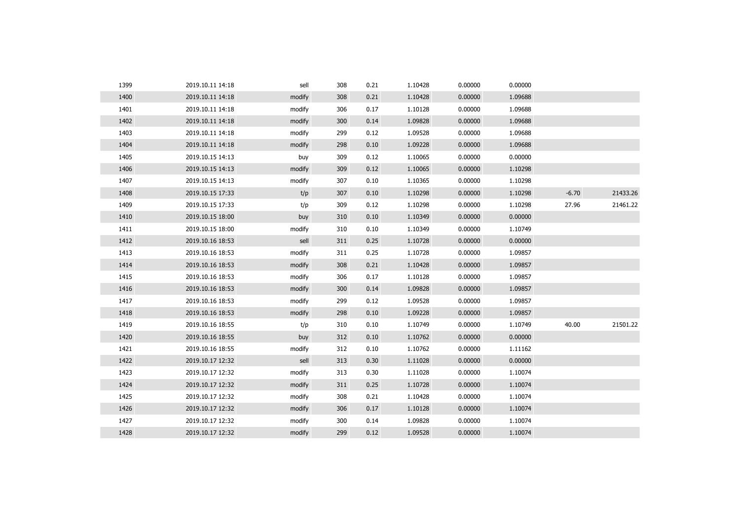| 1399 | 2019.10.11 14:18 | sell   | 308 | 0.21 | 1.10428 | 0.00000 | 0.00000 |         |          |
|------|------------------|--------|-----|------|---------|---------|---------|---------|----------|
| 1400 | 2019.10.11 14:18 | modify | 308 | 0.21 | 1.10428 | 0.00000 | 1.09688 |         |          |
| 1401 | 2019.10.11 14:18 | modify | 306 | 0.17 | 1.10128 | 0.00000 | 1.09688 |         |          |
| 1402 | 2019.10.11 14:18 | modify | 300 | 0.14 | 1.09828 | 0.00000 | 1.09688 |         |          |
| 1403 | 2019.10.11 14:18 | modify | 299 | 0.12 | 1.09528 | 0.00000 | 1.09688 |         |          |
| 1404 | 2019.10.11 14:18 | modify | 298 | 0.10 | 1.09228 | 0.00000 | 1.09688 |         |          |
| 1405 | 2019.10.15 14:13 | buy    | 309 | 0.12 | 1.10065 | 0.00000 | 0.00000 |         |          |
| 1406 | 2019.10.15 14:13 | modify | 309 | 0.12 | 1.10065 | 0.00000 | 1.10298 |         |          |
| 1407 | 2019.10.15 14:13 | modify | 307 | 0.10 | 1.10365 | 0.00000 | 1.10298 |         |          |
| 1408 | 2019.10.15 17:33 | t/p    | 307 | 0.10 | 1.10298 | 0.00000 | 1.10298 | $-6.70$ | 21433.26 |
| 1409 | 2019.10.15 17:33 | t/p    | 309 | 0.12 | 1.10298 | 0.00000 | 1.10298 | 27.96   | 21461.22 |
| 1410 | 2019.10.15 18:00 | buy    | 310 | 0.10 | 1.10349 | 0.00000 | 0.00000 |         |          |
| 1411 | 2019.10.15 18:00 | modify | 310 | 0.10 | 1.10349 | 0.00000 | 1.10749 |         |          |
| 1412 | 2019.10.16 18:53 | sell   | 311 | 0.25 | 1.10728 | 0.00000 | 0.00000 |         |          |
| 1413 | 2019.10.16 18:53 | modify | 311 | 0.25 | 1.10728 | 0.00000 | 1.09857 |         |          |
| 1414 | 2019.10.16 18:53 | modify | 308 | 0.21 | 1.10428 | 0.00000 | 1.09857 |         |          |
| 1415 | 2019.10.16 18:53 | modify | 306 | 0.17 | 1.10128 | 0.00000 | 1.09857 |         |          |
| 1416 | 2019.10.16 18:53 | modify | 300 | 0.14 | 1.09828 | 0.00000 | 1.09857 |         |          |
| 1417 | 2019.10.16 18:53 | modify | 299 | 0.12 | 1.09528 | 0.00000 | 1.09857 |         |          |
| 1418 | 2019.10.16 18:53 | modify | 298 | 0.10 | 1.09228 | 0.00000 | 1.09857 |         |          |
| 1419 | 2019.10.16 18:55 | t/p    | 310 | 0.10 | 1.10749 | 0.00000 | 1.10749 | 40.00   | 21501.22 |
| 1420 | 2019.10.16 18:55 | buy    | 312 | 0.10 | 1.10762 | 0.00000 | 0.00000 |         |          |
| 1421 | 2019.10.16 18:55 | modify | 312 | 0.10 | 1.10762 | 0.00000 | 1.11162 |         |          |
| 1422 | 2019.10.17 12:32 | sell   | 313 | 0.30 | 1.11028 | 0.00000 | 0.00000 |         |          |
| 1423 | 2019.10.17 12:32 | modify | 313 | 0.30 | 1.11028 | 0.00000 | 1.10074 |         |          |
| 1424 | 2019.10.17 12:32 | modify | 311 | 0.25 | 1.10728 | 0.00000 | 1.10074 |         |          |
| 1425 | 2019.10.17 12:32 | modify | 308 | 0.21 | 1.10428 | 0.00000 | 1.10074 |         |          |
| 1426 | 2019.10.17 12:32 | modify | 306 | 0.17 | 1.10128 | 0.00000 | 1.10074 |         |          |
| 1427 | 2019.10.17 12:32 | modify | 300 | 0.14 | 1.09828 | 0.00000 | 1.10074 |         |          |
| 1428 | 2019.10.17 12:32 | modify | 299 | 0.12 | 1.09528 | 0.00000 | 1.10074 |         |          |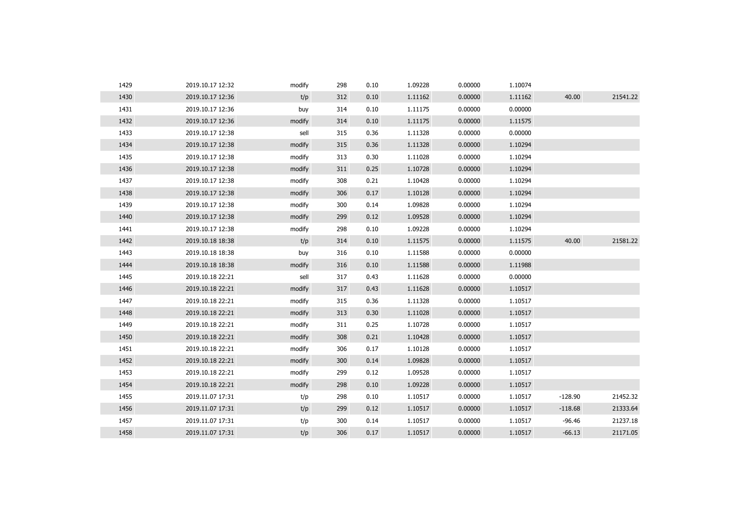| 1429 | 2019.10.17 12:32 | modify | 298 | 0.10 | 1.09228 | 0.00000 | 1.10074 |           |          |
|------|------------------|--------|-----|------|---------|---------|---------|-----------|----------|
| 1430 | 2019.10.17 12:36 | t/p    | 312 | 0.10 | 1.11162 | 0.00000 | 1.11162 | 40.00     | 21541.22 |
| 1431 | 2019.10.17 12:36 | buy    | 314 | 0.10 | 1.11175 | 0.00000 | 0.00000 |           |          |
| 1432 | 2019.10.17 12:36 | modify | 314 | 0.10 | 1.11175 | 0.00000 | 1.11575 |           |          |
| 1433 | 2019.10.17 12:38 | sell   | 315 | 0.36 | 1.11328 | 0.00000 | 0.00000 |           |          |
| 1434 | 2019.10.17 12:38 | modify | 315 | 0.36 | 1.11328 | 0.00000 | 1.10294 |           |          |
| 1435 | 2019.10.17 12:38 | modify | 313 | 0.30 | 1.11028 | 0.00000 | 1.10294 |           |          |
| 1436 | 2019.10.17 12:38 | modify | 311 | 0.25 | 1.10728 | 0.00000 | 1.10294 |           |          |
| 1437 | 2019.10.17 12:38 | modify | 308 | 0.21 | 1.10428 | 0.00000 | 1.10294 |           |          |
| 1438 | 2019.10.17 12:38 | modify | 306 | 0.17 | 1.10128 | 0.00000 | 1.10294 |           |          |
| 1439 | 2019.10.17 12:38 | modify | 300 | 0.14 | 1.09828 | 0.00000 | 1.10294 |           |          |
| 1440 | 2019.10.17 12:38 | modify | 299 | 0.12 | 1.09528 | 0.00000 | 1.10294 |           |          |
| 1441 | 2019.10.17 12:38 | modify | 298 | 0.10 | 1.09228 | 0.00000 | 1.10294 |           |          |
| 1442 | 2019.10.18 18:38 | t/p    | 314 | 0.10 | 1.11575 | 0.00000 | 1.11575 | 40.00     | 21581.22 |
| 1443 | 2019.10.18 18:38 | buy    | 316 | 0.10 | 1.11588 | 0.00000 | 0.00000 |           |          |
| 1444 | 2019.10.18 18:38 | modify | 316 | 0.10 | 1.11588 | 0.00000 | 1.11988 |           |          |
| 1445 | 2019.10.18 22:21 | sell   | 317 | 0.43 | 1.11628 | 0.00000 | 0.00000 |           |          |
| 1446 | 2019.10.18 22:21 | modify | 317 | 0.43 | 1.11628 | 0.00000 | 1.10517 |           |          |
| 1447 | 2019.10.18 22:21 | modify | 315 | 0.36 | 1.11328 | 0.00000 | 1.10517 |           |          |
| 1448 | 2019.10.18 22:21 | modify | 313 | 0.30 | 1.11028 | 0.00000 | 1.10517 |           |          |
| 1449 | 2019.10.18 22:21 | modify | 311 | 0.25 | 1.10728 | 0.00000 | 1.10517 |           |          |
| 1450 | 2019.10.18 22:21 | modify | 308 | 0.21 | 1.10428 | 0.00000 | 1.10517 |           |          |
| 1451 | 2019.10.18 22:21 | modify | 306 | 0.17 | 1.10128 | 0.00000 | 1.10517 |           |          |
| 1452 | 2019.10.18 22:21 | modify | 300 | 0.14 | 1.09828 | 0.00000 | 1.10517 |           |          |
| 1453 | 2019.10.18 22:21 | modify | 299 | 0.12 | 1.09528 | 0.00000 | 1.10517 |           |          |
| 1454 | 2019.10.18 22:21 | modify | 298 | 0.10 | 1.09228 | 0.00000 | 1.10517 |           |          |
| 1455 | 2019.11.07 17:31 | t/p    | 298 | 0.10 | 1.10517 | 0.00000 | 1.10517 | $-128.90$ | 21452.32 |
| 1456 | 2019.11.07 17:31 | t/p    | 299 | 0.12 | 1.10517 | 0.00000 | 1.10517 | $-118.68$ | 21333.64 |
| 1457 | 2019.11.07 17:31 | t/p    | 300 | 0.14 | 1.10517 | 0.00000 | 1.10517 | $-96.46$  | 21237.18 |
| 1458 | 2019.11.07 17:31 | t/p    | 306 | 0.17 | 1.10517 | 0.00000 | 1.10517 | $-66.13$  | 21171.05 |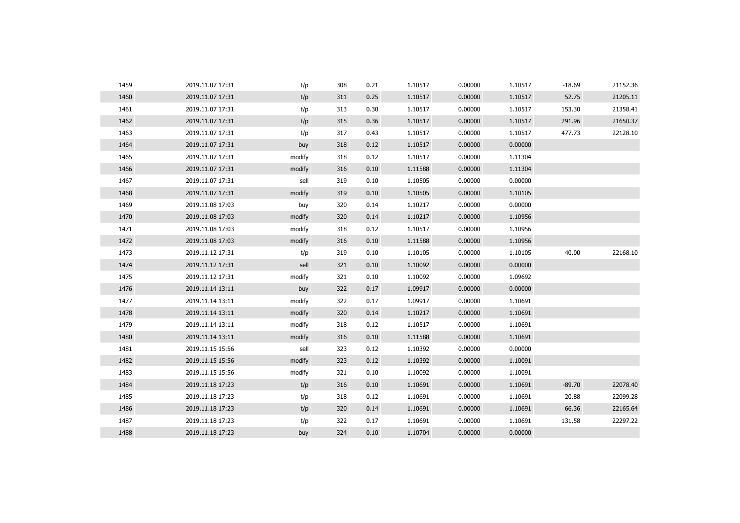| 1459 | 2019.11.07 17:31 | t/p    | 308 | 0.21 | 1.10517 | 0.00000 | 1.10517 | $-18.69$ | 21152.36 |
|------|------------------|--------|-----|------|---------|---------|---------|----------|----------|
| 1460 | 2019.11.07 17:31 | t/p    | 311 | 0.25 | 1.10517 | 0.00000 | 1.10517 | 52.75    | 21205.11 |
| 1461 | 2019.11.07 17:31 | t/p    | 313 | 0.30 | 1.10517 | 0.00000 | 1.10517 | 153.30   | 21358.41 |
| 1462 | 2019.11.07 17:31 | t/p    | 315 | 0.36 | 1.10517 | 0.00000 | 1.10517 | 291.96   | 21650.37 |
| 1463 | 2019.11.07 17:31 | t/p    | 317 | 0.43 | 1.10517 | 0.00000 | 1.10517 | 477.73   | 22128.10 |
| 1464 | 2019.11.07 17:31 | buy    | 318 | 0.12 | 1.10517 | 0.00000 | 0.00000 |          |          |
| 1465 | 2019.11.07 17:31 | modify | 318 | 0.12 | 1.10517 | 0.00000 | 1.11304 |          |          |
| 1466 | 2019.11.07 17:31 | modify | 316 | 0.10 | 1.11588 | 0.00000 | 1.11304 |          |          |
| 1467 | 2019.11.07 17:31 | sell   | 319 | 0.10 | 1.10505 | 0.00000 | 0.00000 |          |          |
| 1468 | 2019.11.07 17:31 | modify | 319 | 0.10 | 1.10505 | 0.00000 | 1.10105 |          |          |
| 1469 | 2019.11.08 17:03 | buy    | 320 | 0.14 | 1.10217 | 0.00000 | 0.00000 |          |          |
| 1470 | 2019.11.08 17:03 | modify | 320 | 0.14 | 1.10217 | 0.00000 | 1.10956 |          |          |
| 1471 | 2019.11.08 17:03 | modify | 318 | 0.12 | 1.10517 | 0.00000 | 1.10956 |          |          |
| 1472 | 2019.11.08 17:03 | modify | 316 | 0.10 | 1.11588 | 0.00000 | 1.10956 |          |          |
| 1473 | 2019.11.12 17:31 | t/p    | 319 | 0.10 | 1.10105 | 0.00000 | 1.10105 | 40.00    | 22168.10 |
| 1474 | 2019.11.12 17:31 | sell   | 321 | 0.10 | 1.10092 | 0.00000 | 0.00000 |          |          |
| 1475 | 2019.11.12 17:31 | modify | 321 | 0.10 | 1.10092 | 0.00000 | 1.09692 |          |          |
| 1476 | 2019.11.14 13:11 | buy    | 322 | 0.17 | 1.09917 | 0.00000 | 0.00000 |          |          |
| 1477 | 2019.11.14 13:11 | modify | 322 | 0.17 | 1.09917 | 0.00000 | 1.10691 |          |          |
| 1478 | 2019.11.14 13:11 | modify | 320 | 0.14 | 1.10217 | 0.00000 | 1.10691 |          |          |
| 1479 | 2019.11.14 13:11 | modify | 318 | 0.12 | 1.10517 | 0.00000 | 1.10691 |          |          |
| 1480 | 2019.11.14 13:11 | modify | 316 | 0.10 | 1.11588 | 0.00000 | 1.10691 |          |          |
| 1481 | 2019.11.15 15:56 | sell   | 323 | 0.12 | 1.10392 | 0.00000 | 0.00000 |          |          |
| 1482 | 2019.11.15 15:56 | modify | 323 | 0.12 | 1.10392 | 0.00000 | 1.10091 |          |          |
| 1483 | 2019.11.15 15:56 | modify | 321 | 0.10 | 1.10092 | 0.00000 | 1.10091 |          |          |
| 1484 | 2019.11.18 17:23 | t/p    | 316 | 0.10 | 1.10691 | 0.00000 | 1.10691 | $-89.70$ | 22078.40 |
| 1485 | 2019.11.18 17:23 | t/p    | 318 | 0.12 | 1.10691 | 0.00000 | 1.10691 | 20.88    | 22099.28 |
| 1486 | 2019.11.18 17:23 | t/p    | 320 | 0.14 | 1.10691 | 0.00000 | 1.10691 | 66.36    | 22165.64 |
| 1487 | 2019.11.18 17:23 | t/p    | 322 | 0.17 | 1.10691 | 0.00000 | 1.10691 | 131.58   | 22297.22 |
| 1488 | 2019.11.18 17:23 | buy    | 324 | 0.10 | 1.10704 | 0.00000 | 0.00000 |          |          |
|      |                  |        |     |      |         |         |         |          |          |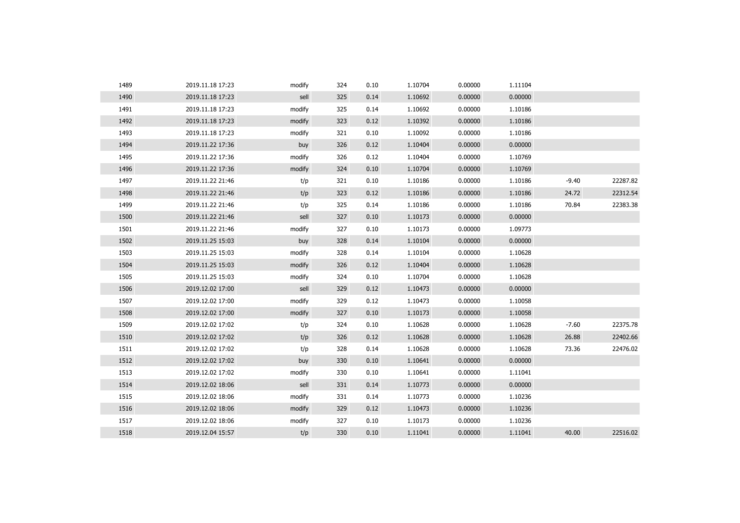| 1489 | 2019.11.18 17:23 | modify | 324 | 0.10 | 1.10704 | 0.00000 | 1.11104 |         |          |
|------|------------------|--------|-----|------|---------|---------|---------|---------|----------|
| 1490 | 2019.11.18 17:23 | sell   | 325 | 0.14 | 1.10692 | 0.00000 | 0.00000 |         |          |
| 1491 | 2019.11.18 17:23 | modify | 325 | 0.14 | 1.10692 | 0.00000 | 1.10186 |         |          |
| 1492 | 2019.11.18 17:23 | modify | 323 | 0.12 | 1.10392 | 0.00000 | 1.10186 |         |          |
| 1493 | 2019.11.18 17:23 | modify | 321 | 0.10 | 1.10092 | 0.00000 | 1.10186 |         |          |
| 1494 | 2019.11.22 17:36 | buy    | 326 | 0.12 | 1.10404 | 0.00000 | 0.00000 |         |          |
| 1495 | 2019.11.22 17:36 | modify | 326 | 0.12 | 1.10404 | 0.00000 | 1.10769 |         |          |
| 1496 | 2019.11.22 17:36 | modify | 324 | 0.10 | 1.10704 | 0.00000 | 1.10769 |         |          |
| 1497 | 2019.11.22 21:46 | t/p    | 321 | 0.10 | 1.10186 | 0.00000 | 1.10186 | $-9.40$ | 22287.82 |
| 1498 | 2019.11.22 21:46 | t/p    | 323 | 0.12 | 1.10186 | 0.00000 | 1.10186 | 24.72   | 22312.54 |
| 1499 | 2019.11.22 21:46 | t/p    | 325 | 0.14 | 1.10186 | 0.00000 | 1.10186 | 70.84   | 22383.38 |
| 1500 | 2019.11.22 21:46 | sell   | 327 | 0.10 | 1.10173 | 0.00000 | 0.00000 |         |          |
| 1501 | 2019.11.22 21:46 | modify | 327 | 0.10 | 1.10173 | 0.00000 | 1.09773 |         |          |
| 1502 | 2019.11.25 15:03 | buy    | 328 | 0.14 | 1.10104 | 0.00000 | 0.00000 |         |          |
| 1503 | 2019.11.25 15:03 | modify | 328 | 0.14 | 1.10104 | 0.00000 | 1.10628 |         |          |
| 1504 | 2019.11.25 15:03 | modify | 326 | 0.12 | 1.10404 | 0.00000 | 1.10628 |         |          |
| 1505 | 2019.11.25 15:03 | modify | 324 | 0.10 | 1.10704 | 0.00000 | 1.10628 |         |          |
| 1506 | 2019.12.02 17:00 | sell   | 329 | 0.12 | 1.10473 | 0.00000 | 0.00000 |         |          |
| 1507 | 2019.12.02 17:00 | modify | 329 | 0.12 | 1.10473 | 0.00000 | 1.10058 |         |          |
| 1508 | 2019.12.02 17:00 | modify | 327 | 0.10 | 1.10173 | 0.00000 | 1.10058 |         |          |
| 1509 | 2019.12.02 17:02 | t/p    | 324 | 0.10 | 1.10628 | 0.00000 | 1.10628 | $-7.60$ | 22375.78 |
| 1510 | 2019.12.02 17:02 | t/p    | 326 | 0.12 | 1.10628 | 0.00000 | 1.10628 | 26.88   | 22402.66 |
| 1511 | 2019.12.02 17:02 | t/p    | 328 | 0.14 | 1.10628 | 0.00000 | 1.10628 | 73.36   | 22476.02 |
| 1512 | 2019.12.02 17:02 | buy    | 330 | 0.10 | 1.10641 | 0.00000 | 0.00000 |         |          |
| 1513 | 2019.12.02 17:02 | modify | 330 | 0.10 | 1.10641 | 0.00000 | 1.11041 |         |          |
| 1514 | 2019.12.02 18:06 | sell   | 331 | 0.14 | 1.10773 | 0.00000 | 0.00000 |         |          |
| 1515 | 2019.12.02 18:06 | modify | 331 | 0.14 | 1.10773 | 0.00000 | 1.10236 |         |          |
| 1516 | 2019.12.02 18:06 | modify | 329 | 0.12 | 1.10473 | 0.00000 | 1.10236 |         |          |
| 1517 | 2019.12.02 18:06 | modify | 327 | 0.10 | 1.10173 | 0.00000 | 1.10236 |         |          |
| 1518 | 2019.12.04 15:57 | t/p    | 330 | 0.10 | 1.11041 | 0.00000 | 1.11041 | 40.00   | 22516.02 |
|      |                  |        |     |      |         |         |         |         |          |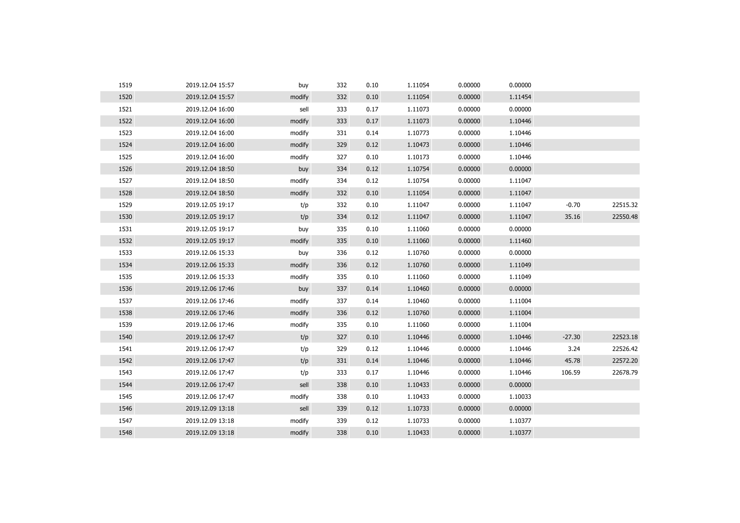| 1519 | 2019.12.04 15:57 | buy    | 332 | 0.10 | 1.11054 | 0.00000 | 0.00000 |          |          |
|------|------------------|--------|-----|------|---------|---------|---------|----------|----------|
| 1520 | 2019.12.04 15:57 | modify | 332 | 0.10 | 1.11054 | 0.00000 | 1.11454 |          |          |
| 1521 | 2019.12.04 16:00 | sell   | 333 | 0.17 | 1.11073 | 0.00000 | 0.00000 |          |          |
| 1522 | 2019.12.04 16:00 | modify | 333 | 0.17 | 1.11073 | 0.00000 | 1.10446 |          |          |
| 1523 | 2019.12.04 16:00 | modify | 331 | 0.14 | 1.10773 | 0.00000 | 1.10446 |          |          |
| 1524 | 2019.12.04 16:00 | modify | 329 | 0.12 | 1.10473 | 0.00000 | 1.10446 |          |          |
| 1525 | 2019.12.04 16:00 | modify | 327 | 0.10 | 1.10173 | 0.00000 | 1.10446 |          |          |
| 1526 | 2019.12.04 18:50 | buy    | 334 | 0.12 | 1.10754 | 0.00000 | 0.00000 |          |          |
| 1527 | 2019.12.04 18:50 | modify | 334 | 0.12 | 1.10754 | 0.00000 | 1.11047 |          |          |
| 1528 | 2019.12.04 18:50 | modify | 332 | 0.10 | 1.11054 | 0.00000 | 1.11047 |          |          |
| 1529 | 2019.12.05 19:17 | t/p    | 332 | 0.10 | 1.11047 | 0.00000 | 1.11047 | $-0.70$  | 22515.32 |
| 1530 | 2019.12.05 19:17 | t/p    | 334 | 0.12 | 1.11047 | 0.00000 | 1.11047 | 35.16    | 22550.48 |
| 1531 | 2019.12.05 19:17 | buy    | 335 | 0.10 | 1.11060 | 0.00000 | 0.00000 |          |          |
| 1532 | 2019.12.05 19:17 | modify | 335 | 0.10 | 1.11060 | 0.00000 | 1.11460 |          |          |
| 1533 | 2019.12.06 15:33 | buy    | 336 | 0.12 | 1.10760 | 0.00000 | 0.00000 |          |          |
| 1534 | 2019.12.06 15:33 | modify | 336 | 0.12 | 1.10760 | 0.00000 | 1.11049 |          |          |
| 1535 | 2019.12.06 15:33 | modify | 335 | 0.10 | 1.11060 | 0.00000 | 1.11049 |          |          |
| 1536 | 2019.12.06 17:46 | buy    | 337 | 0.14 | 1.10460 | 0.00000 | 0.00000 |          |          |
| 1537 | 2019.12.06 17:46 | modify | 337 | 0.14 | 1.10460 | 0.00000 | 1.11004 |          |          |
| 1538 | 2019.12.06 17:46 | modify | 336 | 0.12 | 1.10760 | 0.00000 | 1.11004 |          |          |
| 1539 | 2019.12.06 17:46 | modify | 335 | 0.10 | 1.11060 | 0.00000 | 1.11004 |          |          |
| 1540 | 2019.12.06 17:47 | t/p    | 327 | 0.10 | 1.10446 | 0.00000 | 1.10446 | $-27.30$ | 22523.18 |
| 1541 | 2019.12.06 17:47 | t/p    | 329 | 0.12 | 1.10446 | 0.00000 | 1.10446 | 3.24     | 22526.42 |
| 1542 | 2019.12.06 17:47 | t/p    | 331 | 0.14 | 1.10446 | 0.00000 | 1.10446 | 45.78    | 22572.20 |
| 1543 | 2019.12.06 17:47 | t/p    | 333 | 0.17 | 1.10446 | 0.00000 | 1.10446 | 106.59   | 22678.79 |
| 1544 | 2019.12.06 17:47 | sell   | 338 | 0.10 | 1.10433 | 0.00000 | 0.00000 |          |          |
| 1545 | 2019.12.06 17:47 | modify | 338 | 0.10 | 1.10433 | 0.00000 | 1.10033 |          |          |
| 1546 | 2019.12.09 13:18 | sell   | 339 | 0.12 | 1.10733 | 0.00000 | 0.00000 |          |          |
| 1547 | 2019.12.09 13:18 | modify | 339 | 0.12 | 1.10733 | 0.00000 | 1.10377 |          |          |
| 1548 | 2019.12.09 13:18 | modify | 338 | 0.10 | 1.10433 | 0.00000 | 1.10377 |          |          |
|      |                  |        |     |      |         |         |         |          |          |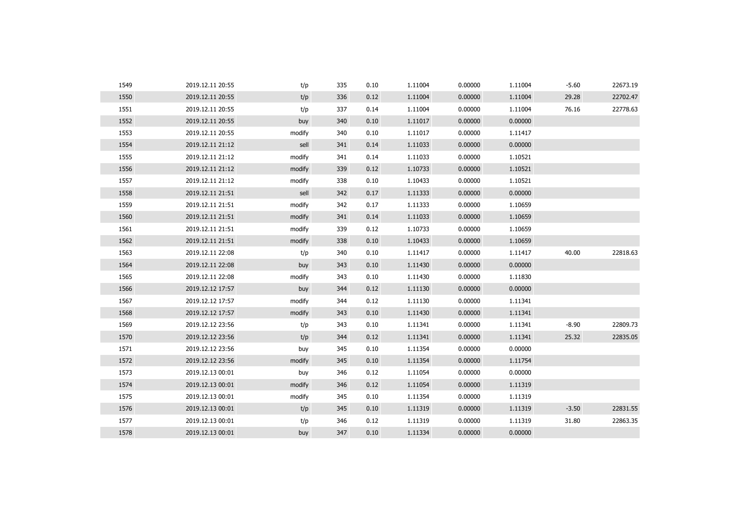| 1549 | 2019.12.11 20:55 | t/p    | 335 | 0.10 | 1.11004 | 0.00000 | 1.11004 | $-5.60$ | 22673.19 |
|------|------------------|--------|-----|------|---------|---------|---------|---------|----------|
| 1550 | 2019.12.11 20:55 | t/p    | 336 | 0.12 | 1.11004 | 0.00000 | 1.11004 | 29.28   | 22702.47 |
| 1551 | 2019.12.11 20:55 | t/p    | 337 | 0.14 | 1.11004 | 0.00000 | 1.11004 | 76.16   | 22778.63 |
| 1552 | 2019.12.11 20:55 | buy    | 340 | 0.10 | 1.11017 | 0.00000 | 0.00000 |         |          |
| 1553 | 2019.12.11 20:55 | modify | 340 | 0.10 | 1.11017 | 0.00000 | 1.11417 |         |          |
| 1554 | 2019.12.11 21:12 | sell   | 341 | 0.14 | 1.11033 | 0.00000 | 0.00000 |         |          |
| 1555 | 2019.12.11 21:12 | modify | 341 | 0.14 | 1.11033 | 0.00000 | 1.10521 |         |          |
| 1556 | 2019.12.11 21:12 | modify | 339 | 0.12 | 1.10733 | 0.00000 | 1.10521 |         |          |
| 1557 | 2019.12.11 21:12 | modify | 338 | 0.10 | 1.10433 | 0.00000 | 1.10521 |         |          |
| 1558 | 2019.12.11 21:51 | sell   | 342 | 0.17 | 1.11333 | 0.00000 | 0.00000 |         |          |
| 1559 | 2019.12.11 21:51 | modify | 342 | 0.17 | 1.11333 | 0.00000 | 1.10659 |         |          |
| 1560 | 2019.12.11 21:51 | modify | 341 | 0.14 | 1.11033 | 0.00000 | 1.10659 |         |          |
| 1561 | 2019.12.11 21:51 | modify | 339 | 0.12 | 1.10733 | 0.00000 | 1.10659 |         |          |
| 1562 | 2019.12.11 21:51 | modify | 338 | 0.10 | 1.10433 | 0.00000 | 1.10659 |         |          |
| 1563 | 2019.12.11 22:08 | t/p    | 340 | 0.10 | 1.11417 | 0.00000 | 1.11417 | 40.00   | 22818.63 |
| 1564 | 2019.12.11 22:08 | buy    | 343 | 0.10 | 1.11430 | 0.00000 | 0.00000 |         |          |
| 1565 | 2019.12.11 22:08 | modify | 343 | 0.10 | 1.11430 | 0.00000 | 1.11830 |         |          |
| 1566 | 2019.12.12 17:57 | buy    | 344 | 0.12 | 1.11130 | 0.00000 | 0.00000 |         |          |
| 1567 | 2019.12.12 17:57 | modify | 344 | 0.12 | 1.11130 | 0.00000 | 1.11341 |         |          |
| 1568 | 2019.12.12 17:57 | modify | 343 | 0.10 | 1.11430 | 0.00000 | 1.11341 |         |          |
| 1569 | 2019.12.12 23:56 | t/p    | 343 | 0.10 | 1.11341 | 0.00000 | 1.11341 | $-8.90$ | 22809.73 |
| 1570 | 2019.12.12 23:56 | t/p    | 344 | 0.12 | 1.11341 | 0.00000 | 1.11341 | 25.32   | 22835.05 |
| 1571 | 2019.12.12 23:56 | buy    | 345 | 0.10 | 1.11354 | 0.00000 | 0.00000 |         |          |
| 1572 | 2019.12.12 23:56 | modify | 345 | 0.10 | 1.11354 | 0.00000 | 1.11754 |         |          |
| 1573 | 2019.12.13 00:01 | buy    | 346 | 0.12 | 1.11054 | 0.00000 | 0.00000 |         |          |
| 1574 | 2019.12.13 00:01 | modify | 346 | 0.12 | 1.11054 | 0.00000 | 1.11319 |         |          |
| 1575 | 2019.12.13 00:01 | modify | 345 | 0.10 | 1.11354 | 0.00000 | 1.11319 |         |          |
| 1576 | 2019.12.13 00:01 | t/p    | 345 | 0.10 | 1.11319 | 0.00000 | 1.11319 | $-3.50$ | 22831.55 |
| 1577 | 2019.12.13 00:01 | t/p    | 346 | 0.12 | 1.11319 | 0.00000 | 1.11319 | 31.80   | 22863.35 |
| 1578 | 2019.12.13 00:01 | buy    | 347 | 0.10 | 1.11334 | 0.00000 | 0.00000 |         |          |
|      |                  |        |     |      |         |         |         |         |          |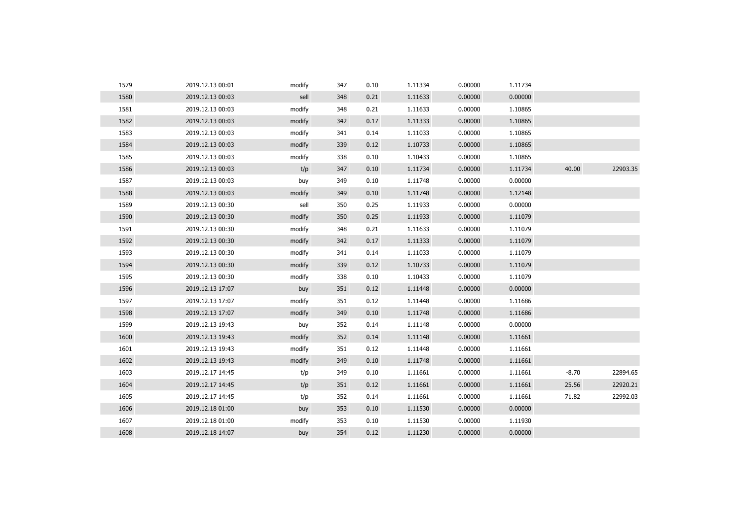| 1579 | 2019.12.13 00:01 | modify | 347 | 0.10 | 1.11334 | 0.00000 | 1.11734 |         |          |
|------|------------------|--------|-----|------|---------|---------|---------|---------|----------|
| 1580 | 2019.12.13 00:03 | sell   | 348 | 0.21 | 1.11633 | 0.00000 | 0.00000 |         |          |
| 1581 | 2019.12.13 00:03 | modify | 348 | 0.21 | 1.11633 | 0.00000 | 1.10865 |         |          |
| 1582 | 2019.12.13 00:03 | modify | 342 | 0.17 | 1.11333 | 0.00000 | 1.10865 |         |          |
| 1583 | 2019.12.13 00:03 | modify | 341 | 0.14 | 1.11033 | 0.00000 | 1.10865 |         |          |
| 1584 | 2019.12.13 00:03 | modify | 339 | 0.12 | 1.10733 | 0.00000 | 1.10865 |         |          |
| 1585 | 2019.12.13 00:03 | modify | 338 | 0.10 | 1.10433 | 0.00000 | 1.10865 |         |          |
| 1586 | 2019.12.13 00:03 | t/p    | 347 | 0.10 | 1.11734 | 0.00000 | 1.11734 | 40.00   | 22903.35 |
| 1587 | 2019.12.13 00:03 | buy    | 349 | 0.10 | 1.11748 | 0.00000 | 0.00000 |         |          |
| 1588 | 2019.12.13 00:03 | modify | 349 | 0.10 | 1.11748 | 0.00000 | 1.12148 |         |          |
| 1589 | 2019.12.13 00:30 | sell   | 350 | 0.25 | 1.11933 | 0.00000 | 0.00000 |         |          |
| 1590 | 2019.12.13 00:30 | modify | 350 | 0.25 | 1.11933 | 0.00000 | 1.11079 |         |          |
| 1591 | 2019.12.13 00:30 | modify | 348 | 0.21 | 1.11633 | 0.00000 | 1.11079 |         |          |
| 1592 | 2019.12.13 00:30 | modify | 342 | 0.17 | 1.11333 | 0.00000 | 1.11079 |         |          |
| 1593 | 2019.12.13 00:30 | modify | 341 | 0.14 | 1.11033 | 0.00000 | 1.11079 |         |          |
| 1594 | 2019.12.13 00:30 | modify | 339 | 0.12 | 1.10733 | 0.00000 | 1.11079 |         |          |
| 1595 | 2019.12.13 00:30 | modify | 338 | 0.10 | 1.10433 | 0.00000 | 1.11079 |         |          |
| 1596 | 2019.12.13 17:07 | buy    | 351 | 0.12 | 1.11448 | 0.00000 | 0.00000 |         |          |
| 1597 | 2019.12.13 17:07 | modify | 351 | 0.12 | 1.11448 | 0.00000 | 1.11686 |         |          |
| 1598 | 2019.12.13 17:07 | modify | 349 | 0.10 | 1.11748 | 0.00000 | 1.11686 |         |          |
| 1599 | 2019.12.13 19:43 | buy    | 352 | 0.14 | 1.11148 | 0.00000 | 0.00000 |         |          |
| 1600 | 2019.12.13 19:43 | modify | 352 | 0.14 | 1.11148 | 0.00000 | 1.11661 |         |          |
| 1601 | 2019.12.13 19:43 | modify | 351 | 0.12 | 1.11448 | 0.00000 | 1.11661 |         |          |
| 1602 | 2019.12.13 19:43 | modify | 349 | 0.10 | 1.11748 | 0.00000 | 1.11661 |         |          |
| 1603 | 2019.12.17 14:45 | t/p    | 349 | 0.10 | 1.11661 | 0.00000 | 1.11661 | $-8.70$ | 22894.65 |
| 1604 | 2019.12.17 14:45 | t/p    | 351 | 0.12 | 1.11661 | 0.00000 | 1.11661 | 25.56   | 22920.21 |
| 1605 | 2019.12.17 14:45 | t/p    | 352 | 0.14 | 1.11661 | 0.00000 | 1.11661 | 71.82   | 22992.03 |
| 1606 | 2019.12.18 01:00 | buy    | 353 | 0.10 | 1.11530 | 0.00000 | 0.00000 |         |          |
| 1607 | 2019.12.18 01:00 | modify | 353 | 0.10 | 1.11530 | 0.00000 | 1.11930 |         |          |
| 1608 | 2019.12.18 14:07 | buy    | 354 | 0.12 | 1.11230 | 0.00000 | 0.00000 |         |          |
|      |                  |        |     |      |         |         |         |         |          |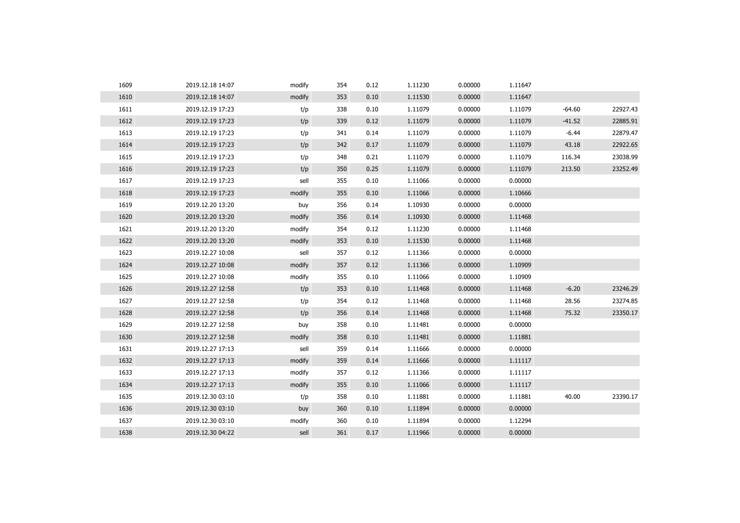| 1609 | 2019.12.18 14:07 | modify | 354 | 0.12 | 1.11230 | 0.00000 | 1.11647 |          |          |
|------|------------------|--------|-----|------|---------|---------|---------|----------|----------|
| 1610 | 2019.12.18 14:07 | modify | 353 | 0.10 | 1.11530 | 0.00000 | 1.11647 |          |          |
| 1611 | 2019.12.19 17:23 | t/p    | 338 | 0.10 | 1.11079 | 0.00000 | 1.11079 | $-64.60$ | 22927.43 |
| 1612 | 2019.12.19 17:23 | t/p    | 339 | 0.12 | 1.11079 | 0.00000 | 1.11079 | $-41.52$ | 22885.91 |
| 1613 | 2019.12.19 17:23 | t/p    | 341 | 0.14 | 1.11079 | 0.00000 | 1.11079 | $-6.44$  | 22879.47 |
| 1614 | 2019.12.19 17:23 | t/p    | 342 | 0.17 | 1.11079 | 0.00000 | 1.11079 | 43.18    | 22922.65 |
| 1615 | 2019.12.19 17:23 | t/p    | 348 | 0.21 | 1.11079 | 0.00000 | 1.11079 | 116.34   | 23038.99 |
| 1616 | 2019.12.19 17:23 | t/p    | 350 | 0.25 | 1.11079 | 0.00000 | 1.11079 | 213.50   | 23252.49 |
| 1617 | 2019.12.19 17:23 | sell   | 355 | 0.10 | 1.11066 | 0.00000 | 0.00000 |          |          |
| 1618 | 2019.12.19 17:23 | modify | 355 | 0.10 | 1.11066 | 0.00000 | 1.10666 |          |          |
| 1619 | 2019.12.20 13:20 | buy    | 356 | 0.14 | 1.10930 | 0.00000 | 0.00000 |          |          |
| 1620 | 2019.12.20 13:20 | modify | 356 | 0.14 | 1.10930 | 0.00000 | 1.11468 |          |          |
| 1621 | 2019.12.20 13:20 | modify | 354 | 0.12 | 1.11230 | 0.00000 | 1.11468 |          |          |
| 1622 | 2019.12.20 13:20 | modify | 353 | 0.10 | 1.11530 | 0.00000 | 1.11468 |          |          |
| 1623 | 2019.12.27 10:08 | sell   | 357 | 0.12 | 1.11366 | 0.00000 | 0.00000 |          |          |
| 1624 | 2019.12.27 10:08 | modify | 357 | 0.12 | 1.11366 | 0.00000 | 1.10909 |          |          |
| 1625 | 2019.12.27 10:08 | modify | 355 | 0.10 | 1.11066 | 0.00000 | 1.10909 |          |          |
| 1626 | 2019.12.27 12:58 | t/p    | 353 | 0.10 | 1.11468 | 0.00000 | 1.11468 | $-6.20$  | 23246.29 |
| 1627 | 2019.12.27 12:58 | t/p    | 354 | 0.12 | 1.11468 | 0.00000 | 1.11468 | 28.56    | 23274.85 |
| 1628 | 2019.12.27 12:58 | t/p    | 356 | 0.14 | 1.11468 | 0.00000 | 1.11468 | 75.32    | 23350.17 |
| 1629 | 2019.12.27 12:58 | buy    | 358 | 0.10 | 1.11481 | 0.00000 | 0.00000 |          |          |
| 1630 | 2019.12.27 12:58 | modify | 358 | 0.10 | 1.11481 | 0.00000 | 1.11881 |          |          |
| 1631 | 2019.12.27 17:13 | sell   | 359 | 0.14 | 1.11666 | 0.00000 | 0.00000 |          |          |
| 1632 | 2019.12.27 17:13 | modify | 359 | 0.14 | 1.11666 | 0.00000 | 1.11117 |          |          |
| 1633 | 2019.12.27 17:13 | modify | 357 | 0.12 | 1.11366 | 0.00000 | 1.11117 |          |          |
| 1634 | 2019.12.27 17:13 | modify | 355 | 0.10 | 1.11066 | 0.00000 | 1.11117 |          |          |
| 1635 | 2019.12.30 03:10 | t/p    | 358 | 0.10 | 1.11881 | 0.00000 | 1.11881 | 40.00    | 23390.17 |
| 1636 | 2019.12.30 03:10 | buy    | 360 | 0.10 | 1.11894 | 0.00000 | 0.00000 |          |          |
| 1637 | 2019.12.30 03:10 | modify | 360 | 0.10 | 1.11894 | 0.00000 | 1.12294 |          |          |
| 1638 | 2019.12.30 04:22 | sell   | 361 | 0.17 | 1.11966 | 0.00000 | 0.00000 |          |          |
|      |                  |        |     |      |         |         |         |          |          |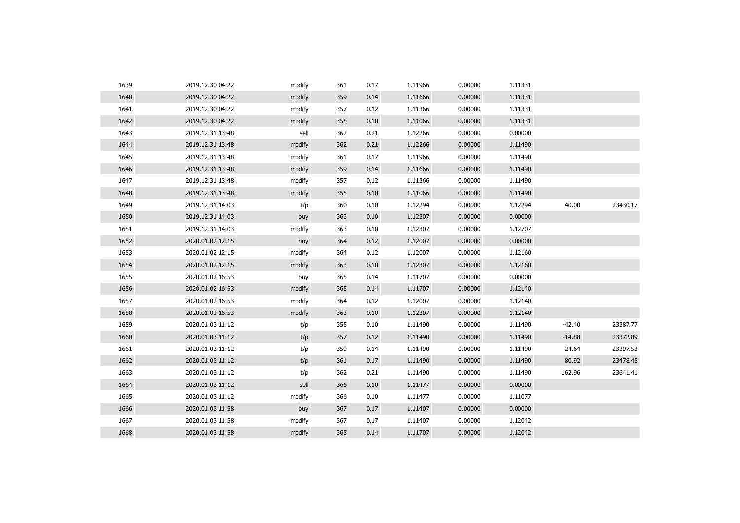| 1639 | 2019.12.30 04:22 | modify | 361 | 0.17 | 1.11966 | 0.00000 | 1.11331 |          |          |
|------|------------------|--------|-----|------|---------|---------|---------|----------|----------|
| 1640 | 2019.12.30 04:22 | modify | 359 | 0.14 | 1.11666 | 0.00000 | 1.11331 |          |          |
| 1641 | 2019.12.30 04:22 | modify | 357 | 0.12 | 1.11366 | 0.00000 | 1.11331 |          |          |
| 1642 | 2019.12.30 04:22 | modify | 355 | 0.10 | 1.11066 | 0.00000 | 1.11331 |          |          |
| 1643 | 2019.12.31 13:48 | sell   | 362 | 0.21 | 1.12266 | 0.00000 | 0.00000 |          |          |
| 1644 | 2019.12.31 13:48 | modify | 362 | 0.21 | 1.12266 | 0.00000 | 1.11490 |          |          |
| 1645 | 2019.12.31 13:48 | modify | 361 | 0.17 | 1.11966 | 0.00000 | 1.11490 |          |          |
| 1646 | 2019.12.31 13:48 | modify | 359 | 0.14 | 1.11666 | 0.00000 | 1.11490 |          |          |
| 1647 | 2019.12.31 13:48 | modify | 357 | 0.12 | 1.11366 | 0.00000 | 1.11490 |          |          |
| 1648 | 2019.12.31 13:48 | modify | 355 | 0.10 | 1.11066 | 0.00000 | 1.11490 |          |          |
| 1649 | 2019.12.31 14:03 | t/p    | 360 | 0.10 | 1.12294 | 0.00000 | 1.12294 | 40.00    | 23430.17 |
| 1650 | 2019.12.31 14:03 | buy    | 363 | 0.10 | 1.12307 | 0.00000 | 0.00000 |          |          |
| 1651 | 2019.12.31 14:03 | modify | 363 | 0.10 | 1.12307 | 0.00000 | 1.12707 |          |          |
| 1652 | 2020.01.02 12:15 | buy    | 364 | 0.12 | 1.12007 | 0.00000 | 0.00000 |          |          |
| 1653 | 2020.01.02 12:15 | modify | 364 | 0.12 | 1.12007 | 0.00000 | 1.12160 |          |          |
| 1654 | 2020.01.02 12:15 | modify | 363 | 0.10 | 1.12307 | 0.00000 | 1.12160 |          |          |
| 1655 | 2020.01.02 16:53 | buy    | 365 | 0.14 | 1.11707 | 0.00000 | 0.00000 |          |          |
| 1656 | 2020.01.02 16:53 | modify | 365 | 0.14 | 1.11707 | 0.00000 | 1.12140 |          |          |
| 1657 | 2020.01.02 16:53 | modify | 364 | 0.12 | 1.12007 | 0.00000 | 1.12140 |          |          |
| 1658 | 2020.01.02 16:53 | modify | 363 | 0.10 | 1.12307 | 0.00000 | 1.12140 |          |          |
| 1659 | 2020.01.03 11:12 | t/p    | 355 | 0.10 | 1.11490 | 0.00000 | 1.11490 | $-42.40$ | 23387.77 |
| 1660 | 2020.01.03 11:12 | t/p    | 357 | 0.12 | 1.11490 | 0.00000 | 1.11490 | $-14.88$ | 23372.89 |
| 1661 | 2020.01.03 11:12 | t/p    | 359 | 0.14 | 1.11490 | 0.00000 | 1.11490 | 24.64    | 23397.53 |
| 1662 | 2020.01.03 11:12 | t/p    | 361 | 0.17 | 1.11490 | 0.00000 | 1.11490 | 80.92    | 23478.45 |
| 1663 | 2020.01.03 11:12 | t/p    | 362 | 0.21 | 1.11490 | 0.00000 | 1.11490 | 162.96   | 23641.41 |
| 1664 | 2020.01.03 11:12 | sell   | 366 | 0.10 | 1.11477 | 0.00000 | 0.00000 |          |          |
| 1665 | 2020.01.03 11:12 | modify | 366 | 0.10 | 1.11477 | 0.00000 | 1.11077 |          |          |
| 1666 | 2020.01.03 11:58 | buy    | 367 | 0.17 | 1.11407 | 0.00000 | 0.00000 |          |          |
| 1667 | 2020.01.03 11:58 | modify | 367 | 0.17 | 1.11407 | 0.00000 | 1.12042 |          |          |
| 1668 | 2020.01.03 11:58 | modify | 365 | 0.14 | 1.11707 | 0.00000 | 1.12042 |          |          |
|      |                  |        |     |      |         |         |         |          |          |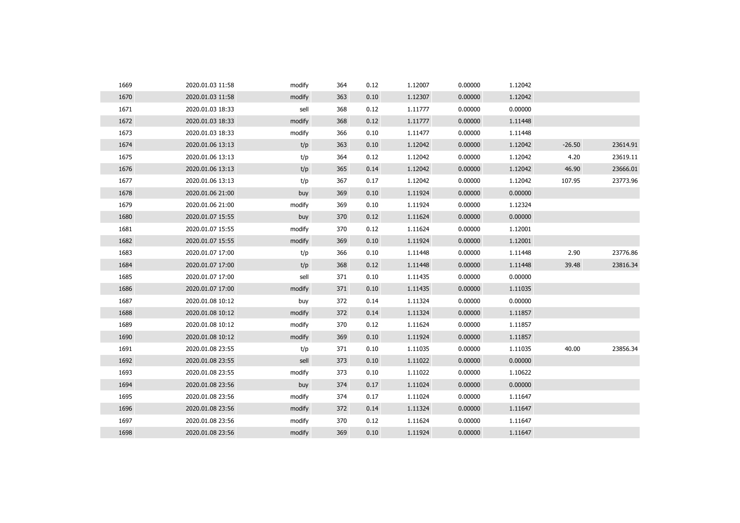| 1669 | 2020.01.03 11:58 | modify | 364 | 0.12 | 1.12007 | 0.00000 | 1.12042 |          |          |
|------|------------------|--------|-----|------|---------|---------|---------|----------|----------|
| 1670 | 2020.01.03 11:58 | modify | 363 | 0.10 | 1.12307 | 0.00000 | 1.12042 |          |          |
| 1671 | 2020.01.03 18:33 | sell   | 368 | 0.12 | 1.11777 | 0.00000 | 0.00000 |          |          |
| 1672 | 2020.01.03 18:33 | modify | 368 | 0.12 | 1.11777 | 0.00000 | 1.11448 |          |          |
| 1673 | 2020.01.03 18:33 | modify | 366 | 0.10 | 1.11477 | 0.00000 | 1.11448 |          |          |
| 1674 | 2020.01.06 13:13 | t/p    | 363 | 0.10 | 1.12042 | 0.00000 | 1.12042 | $-26.50$ | 23614.91 |
| 1675 | 2020.01.06 13:13 | t/p    | 364 | 0.12 | 1.12042 | 0.00000 | 1.12042 | 4.20     | 23619.11 |
| 1676 | 2020.01.06 13:13 | t/p    | 365 | 0.14 | 1.12042 | 0.00000 | 1.12042 | 46.90    | 23666.01 |
| 1677 | 2020.01.06 13:13 | t/p    | 367 | 0.17 | 1.12042 | 0.00000 | 1.12042 | 107.95   | 23773.96 |
| 1678 | 2020.01.06 21:00 | buy    | 369 | 0.10 | 1.11924 | 0.00000 | 0.00000 |          |          |
| 1679 | 2020.01.06 21:00 | modify | 369 | 0.10 | 1.11924 | 0.00000 | 1.12324 |          |          |
| 1680 | 2020.01.07 15:55 | buy    | 370 | 0.12 | 1.11624 | 0.00000 | 0.00000 |          |          |
| 1681 | 2020.01.07 15:55 | modify | 370 | 0.12 | 1.11624 | 0.00000 | 1.12001 |          |          |
| 1682 | 2020.01.07 15:55 | modify | 369 | 0.10 | 1.11924 | 0.00000 | 1.12001 |          |          |
| 1683 | 2020.01.07 17:00 | t/p    | 366 | 0.10 | 1.11448 | 0.00000 | 1.11448 | 2.90     | 23776.86 |
| 1684 | 2020.01.07 17:00 | t/p    | 368 | 0.12 | 1.11448 | 0.00000 | 1.11448 | 39.48    | 23816.34 |
| 1685 | 2020.01.07 17:00 | sell   | 371 | 0.10 | 1.11435 | 0.00000 | 0.00000 |          |          |
| 1686 | 2020.01.07 17:00 | modify | 371 | 0.10 | 1.11435 | 0.00000 | 1.11035 |          |          |
| 1687 | 2020.01.08 10:12 | buy    | 372 | 0.14 | 1.11324 | 0.00000 | 0.00000 |          |          |
| 1688 | 2020.01.08 10:12 | modify | 372 | 0.14 | 1.11324 | 0.00000 | 1.11857 |          |          |
| 1689 | 2020.01.08 10:12 | modify | 370 | 0.12 | 1.11624 | 0.00000 | 1.11857 |          |          |
| 1690 | 2020.01.08 10:12 | modify | 369 | 0.10 | 1.11924 | 0.00000 | 1.11857 |          |          |
| 1691 | 2020.01.08 23:55 | t/p    | 371 | 0.10 | 1.11035 | 0.00000 | 1.11035 | 40.00    | 23856.34 |
| 1692 | 2020.01.08 23:55 | sell   | 373 | 0.10 | 1.11022 | 0.00000 | 0.00000 |          |          |
| 1693 | 2020.01.08 23:55 | modify | 373 | 0.10 | 1.11022 | 0.00000 | 1.10622 |          |          |
| 1694 | 2020.01.08 23:56 | buy    | 374 | 0.17 | 1.11024 | 0.00000 | 0.00000 |          |          |
| 1695 | 2020.01.08 23:56 | modify | 374 | 0.17 | 1.11024 | 0.00000 | 1.11647 |          |          |
| 1696 | 2020.01.08 23:56 | modify | 372 | 0.14 | 1.11324 | 0.00000 | 1.11647 |          |          |
| 1697 | 2020.01.08 23:56 | modify | 370 | 0.12 | 1.11624 | 0.00000 | 1.11647 |          |          |
| 1698 | 2020.01.08 23:56 | modify | 369 | 0.10 | 1.11924 | 0.00000 | 1.11647 |          |          |
|      |                  |        |     |      |         |         |         |          |          |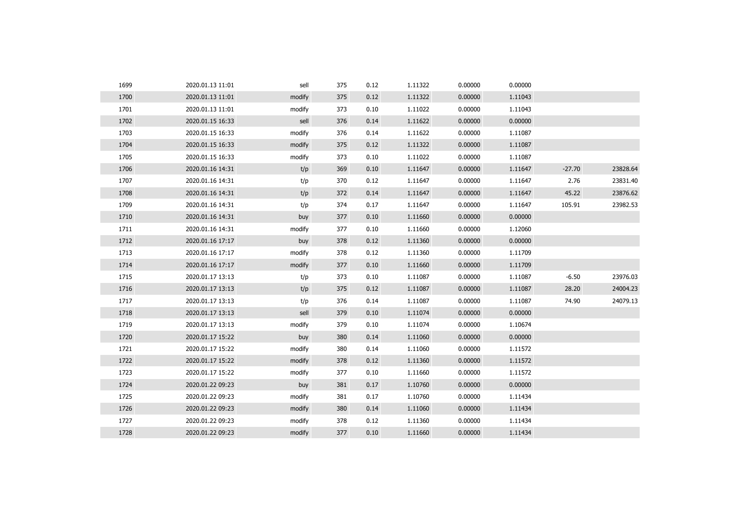| 1699 | 2020.01.13 11:01 | sell   | 375 | 0.12 | 1.11322 | 0.00000 | 0.00000 |          |          |
|------|------------------|--------|-----|------|---------|---------|---------|----------|----------|
| 1700 | 2020.01.13 11:01 | modify | 375 | 0.12 | 1.11322 | 0.00000 | 1.11043 |          |          |
| 1701 | 2020.01.13 11:01 | modify | 373 | 0.10 | 1.11022 | 0.00000 | 1.11043 |          |          |
| 1702 | 2020.01.15 16:33 | sell   | 376 | 0.14 | 1.11622 | 0.00000 | 0.00000 |          |          |
| 1703 | 2020.01.15 16:33 | modify | 376 | 0.14 | 1.11622 | 0.00000 | 1.11087 |          |          |
| 1704 | 2020.01.15 16:33 | modify | 375 | 0.12 | 1.11322 | 0.00000 | 1.11087 |          |          |
| 1705 | 2020.01.15 16:33 | modify | 373 | 0.10 | 1.11022 | 0.00000 | 1.11087 |          |          |
| 1706 | 2020.01.16 14:31 | t/p    | 369 | 0.10 | 1.11647 | 0.00000 | 1.11647 | $-27.70$ | 23828.64 |
| 1707 | 2020.01.16 14:31 | t/p    | 370 | 0.12 | 1.11647 | 0.00000 | 1.11647 | 2.76     | 23831.40 |
| 1708 | 2020.01.16 14:31 | t/p    | 372 | 0.14 | 1.11647 | 0.00000 | 1.11647 | 45.22    | 23876.62 |
| 1709 | 2020.01.16 14:31 | t/p    | 374 | 0.17 | 1.11647 | 0.00000 | 1.11647 | 105.91   | 23982.53 |
| 1710 | 2020.01.16 14:31 | buy    | 377 | 0.10 | 1.11660 | 0.00000 | 0.00000 |          |          |
| 1711 | 2020.01.16 14:31 | modify | 377 | 0.10 | 1.11660 | 0.00000 | 1.12060 |          |          |
| 1712 | 2020.01.16 17:17 | buy    | 378 | 0.12 | 1.11360 | 0.00000 | 0.00000 |          |          |
| 1713 | 2020.01.16 17:17 | modify | 378 | 0.12 | 1.11360 | 0.00000 | 1.11709 |          |          |
| 1714 | 2020.01.16 17:17 | modify | 377 | 0.10 | 1.11660 | 0.00000 | 1.11709 |          |          |
| 1715 | 2020.01.17 13:13 | t/p    | 373 | 0.10 | 1.11087 | 0.00000 | 1.11087 | $-6.50$  | 23976.03 |
| 1716 | 2020.01.17 13:13 | t/p    | 375 | 0.12 | 1.11087 | 0.00000 | 1.11087 | 28.20    | 24004.23 |
| 1717 | 2020.01.17 13:13 | t/p    | 376 | 0.14 | 1.11087 | 0.00000 | 1.11087 | 74.90    | 24079.13 |
| 1718 | 2020.01.17 13:13 | sell   | 379 | 0.10 | 1.11074 | 0.00000 | 0.00000 |          |          |
| 1719 | 2020.01.17 13:13 | modify | 379 | 0.10 | 1.11074 | 0.00000 | 1.10674 |          |          |
| 1720 | 2020.01.17 15:22 | buy    | 380 | 0.14 | 1.11060 | 0.00000 | 0.00000 |          |          |
| 1721 | 2020.01.17 15:22 | modify | 380 | 0.14 | 1.11060 | 0.00000 | 1.11572 |          |          |
| 1722 | 2020.01.17 15:22 | modify | 378 | 0.12 | 1.11360 | 0.00000 | 1.11572 |          |          |
| 1723 | 2020.01.17 15:22 | modify | 377 | 0.10 | 1.11660 | 0.00000 | 1.11572 |          |          |
| 1724 | 2020.01.22 09:23 | buy    | 381 | 0.17 | 1.10760 | 0.00000 | 0.00000 |          |          |
| 1725 | 2020.01.22 09:23 | modify | 381 | 0.17 | 1.10760 | 0.00000 | 1.11434 |          |          |
| 1726 | 2020.01.22 09:23 | modify | 380 | 0.14 | 1.11060 | 0.00000 | 1.11434 |          |          |
| 1727 | 2020.01.22 09:23 | modify | 378 | 0.12 | 1.11360 | 0.00000 | 1.11434 |          |          |
| 1728 | 2020.01.22 09:23 | modify | 377 | 0.10 | 1.11660 | 0.00000 | 1.11434 |          |          |
|      |                  |        |     |      |         |         |         |          |          |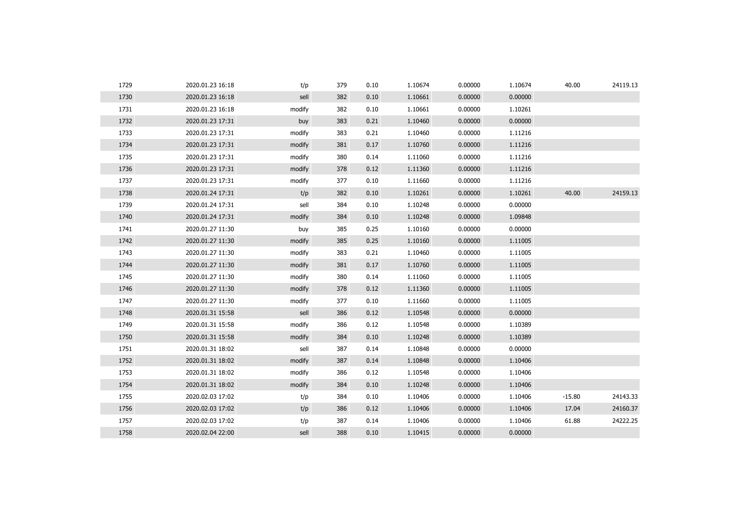| 1730<br>2020.01.23 16:18<br>382<br>0.00000<br>0.00000<br>sell<br>0.10<br>1.10661<br>1731<br>382<br>0.10<br>1.10661<br>0.00000<br>1.10261<br>2020.01.23 16:18<br>modify<br>1732<br>0.00000<br>383<br>0.21<br>1.10460<br>0.00000<br>2020.01.23 17:31<br>buy<br>1733<br>0.00000<br>2020.01.23 17:31<br>383<br>0.21<br>1.10460<br>1.11216<br>modify<br>1734<br>1.10760<br>0.00000<br>1.11216<br>2020.01.23 17:31<br>modify<br>381<br>0.17<br>1735<br>380<br>1.11060<br>0.00000<br>1.11216<br>2020.01.23 17:31<br>modify<br>0.14<br>1736<br>0.00000<br>1.11216<br>2020.01.23 17:31<br>modify<br>378<br>0.12<br>1.11360<br>1737<br>0.00000<br>1.11216<br>2020.01.23 17:31<br>modify<br>377<br>0.10<br>1.11660<br>40.00<br>1738<br>382<br>1.10261<br>0.00000<br>1.10261<br>2020.01.24 17:31<br>t/p<br>0.10<br>1739<br>sell<br>0.10<br>1.10248<br>0.00000<br>0.00000<br>2020.01.24 17:31<br>384<br>1740<br>1.10248<br>0.00000<br>1.09848<br>2020.01.24 17:31<br>modify<br>384<br>0.10<br>1741<br>0.00000<br>1.10160<br>0.00000<br>2020.01.27 11:30<br>385<br>0.25<br>buy<br>1742<br>1.10160<br>0.00000<br>1.11005<br>2020.01.27 11:30<br>modify<br>385<br>0.25<br>1743<br>0.00000<br>2020.01.27 11:30<br>modify<br>383<br>0.21<br>1.10460<br>1.11005<br>1744<br>0.17<br>1.10760<br>0.00000<br>1.11005<br>2020.01.27 11:30<br>modify<br>381<br>1745<br>1.11060<br>0.00000<br>1.11005<br>2020.01.27 11:30<br>modify<br>380<br>0.14<br>1746<br>0.00000<br>2020.01.27 11:30<br>modify<br>378<br>0.12<br>1.11360<br>1.11005<br>1747<br>0.00000<br>1.11005<br>2020.01.27 11:30<br>modify<br>377<br>0.10<br>1.11660<br>1748<br>sell<br>0.12<br>1.10548<br>0.00000<br>0.00000<br>2020.01.31 15:58<br>386<br>1749<br>0.00000<br>2020.01.31 15:58<br>modify<br>386<br>0.12<br>1.10548<br>1.10389<br>1750<br>1.10248<br>0.00000<br>1.10389<br>2020.01.31 15:58<br>modify<br>384<br>0.10<br>1751<br>2020.01.31 18:02<br>sell<br>0.14<br>1.10848<br>0.00000<br>0.00000<br>387<br>1752<br>0.00000<br>2020.01.31 18:02<br>modify<br>387<br>0.14<br>1.10848<br>1.10406<br>1753<br>0.00000<br>1.10406<br>2020.01.31 18:02<br>modify<br>386<br>0.12<br>1.10548<br>1754<br>2020.01.31 18:02<br>modify<br>384<br>0.10<br>1.10248<br>0.00000<br>1.10406<br>1755<br>2020.02.03 17:02<br>0.10<br>1.10406<br>0.00000<br>1.10406<br>$-15.80$<br>t/p<br>384<br>1756<br>0.12<br>1.10406<br>0.00000<br>1.10406<br>17.04<br>2020.02.03 17:02<br>t/p<br>386<br>1757<br>t/p<br>1.10406<br>0.00000<br>1.10406<br>61.88<br>2020.02.03 17:02<br>387<br>0.14<br>1758<br>2020.02.04 22:00<br>sell<br>388<br>0.10<br>1.10415<br>0.00000<br>0.00000 | 1729 | 2020.01.23 16:18 | t/p | 379 | 0.10 | 1.10674 | 0.00000 | 1.10674 | 40.00 | 24119.13 |
|-------------------------------------------------------------------------------------------------------------------------------------------------------------------------------------------------------------------------------------------------------------------------------------------------------------------------------------------------------------------------------------------------------------------------------------------------------------------------------------------------------------------------------------------------------------------------------------------------------------------------------------------------------------------------------------------------------------------------------------------------------------------------------------------------------------------------------------------------------------------------------------------------------------------------------------------------------------------------------------------------------------------------------------------------------------------------------------------------------------------------------------------------------------------------------------------------------------------------------------------------------------------------------------------------------------------------------------------------------------------------------------------------------------------------------------------------------------------------------------------------------------------------------------------------------------------------------------------------------------------------------------------------------------------------------------------------------------------------------------------------------------------------------------------------------------------------------------------------------------------------------------------------------------------------------------------------------------------------------------------------------------------------------------------------------------------------------------------------------------------------------------------------------------------------------------------------------------------------------------------------------------------------------------------------------------------------------------------------------------------------------------------------------------------------------------------------------------------------------------------------------------------------------------------------------------------------------------------------------|------|------------------|-----|-----|------|---------|---------|---------|-------|----------|
|                                                                                                                                                                                                                                                                                                                                                                                                                                                                                                                                                                                                                                                                                                                                                                                                                                                                                                                                                                                                                                                                                                                                                                                                                                                                                                                                                                                                                                                                                                                                                                                                                                                                                                                                                                                                                                                                                                                                                                                                                                                                                                                                                                                                                                                                                                                                                                                                                                                                                                                                                                                                       |      |                  |     |     |      |         |         |         |       |          |
|                                                                                                                                                                                                                                                                                                                                                                                                                                                                                                                                                                                                                                                                                                                                                                                                                                                                                                                                                                                                                                                                                                                                                                                                                                                                                                                                                                                                                                                                                                                                                                                                                                                                                                                                                                                                                                                                                                                                                                                                                                                                                                                                                                                                                                                                                                                                                                                                                                                                                                                                                                                                       |      |                  |     |     |      |         |         |         |       |          |
|                                                                                                                                                                                                                                                                                                                                                                                                                                                                                                                                                                                                                                                                                                                                                                                                                                                                                                                                                                                                                                                                                                                                                                                                                                                                                                                                                                                                                                                                                                                                                                                                                                                                                                                                                                                                                                                                                                                                                                                                                                                                                                                                                                                                                                                                                                                                                                                                                                                                                                                                                                                                       |      |                  |     |     |      |         |         |         |       |          |
|                                                                                                                                                                                                                                                                                                                                                                                                                                                                                                                                                                                                                                                                                                                                                                                                                                                                                                                                                                                                                                                                                                                                                                                                                                                                                                                                                                                                                                                                                                                                                                                                                                                                                                                                                                                                                                                                                                                                                                                                                                                                                                                                                                                                                                                                                                                                                                                                                                                                                                                                                                                                       |      |                  |     |     |      |         |         |         |       |          |
|                                                                                                                                                                                                                                                                                                                                                                                                                                                                                                                                                                                                                                                                                                                                                                                                                                                                                                                                                                                                                                                                                                                                                                                                                                                                                                                                                                                                                                                                                                                                                                                                                                                                                                                                                                                                                                                                                                                                                                                                                                                                                                                                                                                                                                                                                                                                                                                                                                                                                                                                                                                                       |      |                  |     |     |      |         |         |         |       |          |
|                                                                                                                                                                                                                                                                                                                                                                                                                                                                                                                                                                                                                                                                                                                                                                                                                                                                                                                                                                                                                                                                                                                                                                                                                                                                                                                                                                                                                                                                                                                                                                                                                                                                                                                                                                                                                                                                                                                                                                                                                                                                                                                                                                                                                                                                                                                                                                                                                                                                                                                                                                                                       |      |                  |     |     |      |         |         |         |       |          |
|                                                                                                                                                                                                                                                                                                                                                                                                                                                                                                                                                                                                                                                                                                                                                                                                                                                                                                                                                                                                                                                                                                                                                                                                                                                                                                                                                                                                                                                                                                                                                                                                                                                                                                                                                                                                                                                                                                                                                                                                                                                                                                                                                                                                                                                                                                                                                                                                                                                                                                                                                                                                       |      |                  |     |     |      |         |         |         |       |          |
|                                                                                                                                                                                                                                                                                                                                                                                                                                                                                                                                                                                                                                                                                                                                                                                                                                                                                                                                                                                                                                                                                                                                                                                                                                                                                                                                                                                                                                                                                                                                                                                                                                                                                                                                                                                                                                                                                                                                                                                                                                                                                                                                                                                                                                                                                                                                                                                                                                                                                                                                                                                                       |      |                  |     |     |      |         |         |         |       |          |
|                                                                                                                                                                                                                                                                                                                                                                                                                                                                                                                                                                                                                                                                                                                                                                                                                                                                                                                                                                                                                                                                                                                                                                                                                                                                                                                                                                                                                                                                                                                                                                                                                                                                                                                                                                                                                                                                                                                                                                                                                                                                                                                                                                                                                                                                                                                                                                                                                                                                                                                                                                                                       |      |                  |     |     |      |         |         |         |       | 24159.13 |
|                                                                                                                                                                                                                                                                                                                                                                                                                                                                                                                                                                                                                                                                                                                                                                                                                                                                                                                                                                                                                                                                                                                                                                                                                                                                                                                                                                                                                                                                                                                                                                                                                                                                                                                                                                                                                                                                                                                                                                                                                                                                                                                                                                                                                                                                                                                                                                                                                                                                                                                                                                                                       |      |                  |     |     |      |         |         |         |       |          |
|                                                                                                                                                                                                                                                                                                                                                                                                                                                                                                                                                                                                                                                                                                                                                                                                                                                                                                                                                                                                                                                                                                                                                                                                                                                                                                                                                                                                                                                                                                                                                                                                                                                                                                                                                                                                                                                                                                                                                                                                                                                                                                                                                                                                                                                                                                                                                                                                                                                                                                                                                                                                       |      |                  |     |     |      |         |         |         |       |          |
|                                                                                                                                                                                                                                                                                                                                                                                                                                                                                                                                                                                                                                                                                                                                                                                                                                                                                                                                                                                                                                                                                                                                                                                                                                                                                                                                                                                                                                                                                                                                                                                                                                                                                                                                                                                                                                                                                                                                                                                                                                                                                                                                                                                                                                                                                                                                                                                                                                                                                                                                                                                                       |      |                  |     |     |      |         |         |         |       |          |
|                                                                                                                                                                                                                                                                                                                                                                                                                                                                                                                                                                                                                                                                                                                                                                                                                                                                                                                                                                                                                                                                                                                                                                                                                                                                                                                                                                                                                                                                                                                                                                                                                                                                                                                                                                                                                                                                                                                                                                                                                                                                                                                                                                                                                                                                                                                                                                                                                                                                                                                                                                                                       |      |                  |     |     |      |         |         |         |       |          |
|                                                                                                                                                                                                                                                                                                                                                                                                                                                                                                                                                                                                                                                                                                                                                                                                                                                                                                                                                                                                                                                                                                                                                                                                                                                                                                                                                                                                                                                                                                                                                                                                                                                                                                                                                                                                                                                                                                                                                                                                                                                                                                                                                                                                                                                                                                                                                                                                                                                                                                                                                                                                       |      |                  |     |     |      |         |         |         |       |          |
|                                                                                                                                                                                                                                                                                                                                                                                                                                                                                                                                                                                                                                                                                                                                                                                                                                                                                                                                                                                                                                                                                                                                                                                                                                                                                                                                                                                                                                                                                                                                                                                                                                                                                                                                                                                                                                                                                                                                                                                                                                                                                                                                                                                                                                                                                                                                                                                                                                                                                                                                                                                                       |      |                  |     |     |      |         |         |         |       |          |
|                                                                                                                                                                                                                                                                                                                                                                                                                                                                                                                                                                                                                                                                                                                                                                                                                                                                                                                                                                                                                                                                                                                                                                                                                                                                                                                                                                                                                                                                                                                                                                                                                                                                                                                                                                                                                                                                                                                                                                                                                                                                                                                                                                                                                                                                                                                                                                                                                                                                                                                                                                                                       |      |                  |     |     |      |         |         |         |       |          |
|                                                                                                                                                                                                                                                                                                                                                                                                                                                                                                                                                                                                                                                                                                                                                                                                                                                                                                                                                                                                                                                                                                                                                                                                                                                                                                                                                                                                                                                                                                                                                                                                                                                                                                                                                                                                                                                                                                                                                                                                                                                                                                                                                                                                                                                                                                                                                                                                                                                                                                                                                                                                       |      |                  |     |     |      |         |         |         |       |          |
|                                                                                                                                                                                                                                                                                                                                                                                                                                                                                                                                                                                                                                                                                                                                                                                                                                                                                                                                                                                                                                                                                                                                                                                                                                                                                                                                                                                                                                                                                                                                                                                                                                                                                                                                                                                                                                                                                                                                                                                                                                                                                                                                                                                                                                                                                                                                                                                                                                                                                                                                                                                                       |      |                  |     |     |      |         |         |         |       |          |
|                                                                                                                                                                                                                                                                                                                                                                                                                                                                                                                                                                                                                                                                                                                                                                                                                                                                                                                                                                                                                                                                                                                                                                                                                                                                                                                                                                                                                                                                                                                                                                                                                                                                                                                                                                                                                                                                                                                                                                                                                                                                                                                                                                                                                                                                                                                                                                                                                                                                                                                                                                                                       |      |                  |     |     |      |         |         |         |       |          |
|                                                                                                                                                                                                                                                                                                                                                                                                                                                                                                                                                                                                                                                                                                                                                                                                                                                                                                                                                                                                                                                                                                                                                                                                                                                                                                                                                                                                                                                                                                                                                                                                                                                                                                                                                                                                                                                                                                                                                                                                                                                                                                                                                                                                                                                                                                                                                                                                                                                                                                                                                                                                       |      |                  |     |     |      |         |         |         |       |          |
|                                                                                                                                                                                                                                                                                                                                                                                                                                                                                                                                                                                                                                                                                                                                                                                                                                                                                                                                                                                                                                                                                                                                                                                                                                                                                                                                                                                                                                                                                                                                                                                                                                                                                                                                                                                                                                                                                                                                                                                                                                                                                                                                                                                                                                                                                                                                                                                                                                                                                                                                                                                                       |      |                  |     |     |      |         |         |         |       |          |
|                                                                                                                                                                                                                                                                                                                                                                                                                                                                                                                                                                                                                                                                                                                                                                                                                                                                                                                                                                                                                                                                                                                                                                                                                                                                                                                                                                                                                                                                                                                                                                                                                                                                                                                                                                                                                                                                                                                                                                                                                                                                                                                                                                                                                                                                                                                                                                                                                                                                                                                                                                                                       |      |                  |     |     |      |         |         |         |       |          |
|                                                                                                                                                                                                                                                                                                                                                                                                                                                                                                                                                                                                                                                                                                                                                                                                                                                                                                                                                                                                                                                                                                                                                                                                                                                                                                                                                                                                                                                                                                                                                                                                                                                                                                                                                                                                                                                                                                                                                                                                                                                                                                                                                                                                                                                                                                                                                                                                                                                                                                                                                                                                       |      |                  |     |     |      |         |         |         |       |          |
|                                                                                                                                                                                                                                                                                                                                                                                                                                                                                                                                                                                                                                                                                                                                                                                                                                                                                                                                                                                                                                                                                                                                                                                                                                                                                                                                                                                                                                                                                                                                                                                                                                                                                                                                                                                                                                                                                                                                                                                                                                                                                                                                                                                                                                                                                                                                                                                                                                                                                                                                                                                                       |      |                  |     |     |      |         |         |         |       |          |
|                                                                                                                                                                                                                                                                                                                                                                                                                                                                                                                                                                                                                                                                                                                                                                                                                                                                                                                                                                                                                                                                                                                                                                                                                                                                                                                                                                                                                                                                                                                                                                                                                                                                                                                                                                                                                                                                                                                                                                                                                                                                                                                                                                                                                                                                                                                                                                                                                                                                                                                                                                                                       |      |                  |     |     |      |         |         |         |       |          |
|                                                                                                                                                                                                                                                                                                                                                                                                                                                                                                                                                                                                                                                                                                                                                                                                                                                                                                                                                                                                                                                                                                                                                                                                                                                                                                                                                                                                                                                                                                                                                                                                                                                                                                                                                                                                                                                                                                                                                                                                                                                                                                                                                                                                                                                                                                                                                                                                                                                                                                                                                                                                       |      |                  |     |     |      |         |         |         |       | 24143.33 |
|                                                                                                                                                                                                                                                                                                                                                                                                                                                                                                                                                                                                                                                                                                                                                                                                                                                                                                                                                                                                                                                                                                                                                                                                                                                                                                                                                                                                                                                                                                                                                                                                                                                                                                                                                                                                                                                                                                                                                                                                                                                                                                                                                                                                                                                                                                                                                                                                                                                                                                                                                                                                       |      |                  |     |     |      |         |         |         |       | 24160.37 |
|                                                                                                                                                                                                                                                                                                                                                                                                                                                                                                                                                                                                                                                                                                                                                                                                                                                                                                                                                                                                                                                                                                                                                                                                                                                                                                                                                                                                                                                                                                                                                                                                                                                                                                                                                                                                                                                                                                                                                                                                                                                                                                                                                                                                                                                                                                                                                                                                                                                                                                                                                                                                       |      |                  |     |     |      |         |         |         |       | 24222.25 |
|                                                                                                                                                                                                                                                                                                                                                                                                                                                                                                                                                                                                                                                                                                                                                                                                                                                                                                                                                                                                                                                                                                                                                                                                                                                                                                                                                                                                                                                                                                                                                                                                                                                                                                                                                                                                                                                                                                                                                                                                                                                                                                                                                                                                                                                                                                                                                                                                                                                                                                                                                                                                       |      |                  |     |     |      |         |         |         |       |          |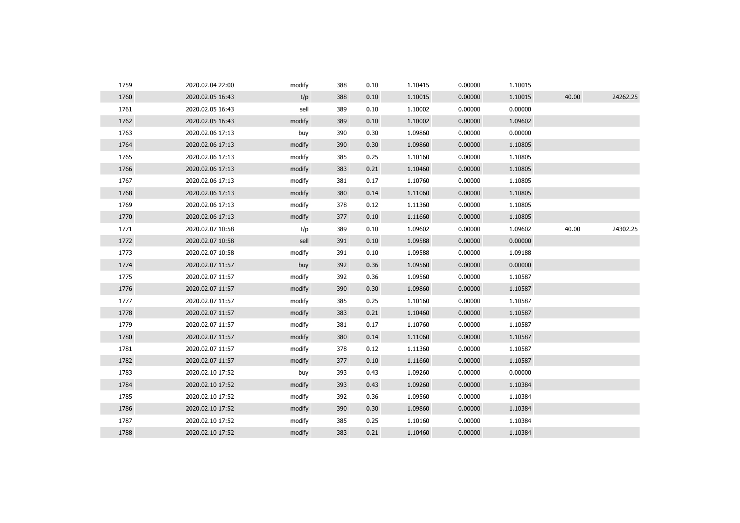| 1759 | 2020.02.04 22:00 | modify | 388 | 0.10 | 1.10415 | 0.00000 | 1.10015 |       |          |
|------|------------------|--------|-----|------|---------|---------|---------|-------|----------|
| 1760 | 2020.02.05 16:43 | t/p    | 388 | 0.10 | 1.10015 | 0.00000 | 1.10015 | 40.00 | 24262.25 |
| 1761 | 2020.02.05 16:43 | sell   | 389 | 0.10 | 1.10002 | 0.00000 | 0.00000 |       |          |
| 1762 | 2020.02.05 16:43 | modify | 389 | 0.10 | 1.10002 | 0.00000 | 1.09602 |       |          |
| 1763 | 2020.02.06 17:13 | buy    | 390 | 0.30 | 1.09860 | 0.00000 | 0.00000 |       |          |
| 1764 | 2020.02.06 17:13 | modify | 390 | 0.30 | 1.09860 | 0.00000 | 1.10805 |       |          |
| 1765 | 2020.02.06 17:13 | modify | 385 | 0.25 | 1.10160 | 0.00000 | 1.10805 |       |          |
| 1766 | 2020.02.06 17:13 | modify | 383 | 0.21 | 1.10460 | 0.00000 | 1.10805 |       |          |
| 1767 | 2020.02.06 17:13 | modify | 381 | 0.17 | 1.10760 | 0.00000 | 1.10805 |       |          |
| 1768 | 2020.02.06 17:13 | modify | 380 | 0.14 | 1.11060 | 0.00000 | 1.10805 |       |          |
| 1769 | 2020.02.06 17:13 | modify | 378 | 0.12 | 1.11360 | 0.00000 | 1.10805 |       |          |
| 1770 | 2020.02.06 17:13 | modify | 377 | 0.10 | 1.11660 | 0.00000 | 1.10805 |       |          |
| 1771 | 2020.02.07 10:58 | t/p    | 389 | 0.10 | 1.09602 | 0.00000 | 1.09602 | 40.00 | 24302.25 |
| 1772 | 2020.02.07 10:58 | sell   | 391 | 0.10 | 1.09588 | 0.00000 | 0.00000 |       |          |
| 1773 | 2020.02.07 10:58 | modify | 391 | 0.10 | 1.09588 | 0.00000 | 1.09188 |       |          |
| 1774 | 2020.02.07 11:57 | buy    | 392 | 0.36 | 1.09560 | 0.00000 | 0.00000 |       |          |
| 1775 | 2020.02.07 11:57 | modify | 392 | 0.36 | 1.09560 | 0.00000 | 1.10587 |       |          |
| 1776 | 2020.02.07 11:57 | modify | 390 | 0.30 | 1.09860 | 0.00000 | 1.10587 |       |          |
| 1777 | 2020.02.07 11:57 | modify | 385 | 0.25 | 1.10160 | 0.00000 | 1.10587 |       |          |
| 1778 | 2020.02.07 11:57 | modify | 383 | 0.21 | 1.10460 | 0.00000 | 1.10587 |       |          |
| 1779 | 2020.02.07 11:57 | modify | 381 | 0.17 | 1.10760 | 0.00000 | 1.10587 |       |          |
| 1780 | 2020.02.07 11:57 | modify | 380 | 0.14 | 1.11060 | 0.00000 | 1.10587 |       |          |
| 1781 | 2020.02.07 11:57 | modify | 378 | 0.12 | 1.11360 | 0.00000 | 1.10587 |       |          |
| 1782 | 2020.02.07 11:57 | modify | 377 | 0.10 | 1.11660 | 0.00000 | 1.10587 |       |          |
| 1783 | 2020.02.10 17:52 | buy    | 393 | 0.43 | 1.09260 | 0.00000 | 0.00000 |       |          |
| 1784 | 2020.02.10 17:52 | modify | 393 | 0.43 | 1.09260 | 0.00000 | 1.10384 |       |          |
| 1785 | 2020.02.10 17:52 | modify | 392 | 0.36 | 1.09560 | 0.00000 | 1.10384 |       |          |
| 1786 | 2020.02.10 17:52 | modify | 390 | 0.30 | 1.09860 | 0.00000 | 1.10384 |       |          |
| 1787 | 2020.02.10 17:52 | modify | 385 | 0.25 | 1.10160 | 0.00000 | 1.10384 |       |          |
| 1788 | 2020.02.10 17:52 | modify | 383 | 0.21 | 1.10460 | 0.00000 | 1.10384 |       |          |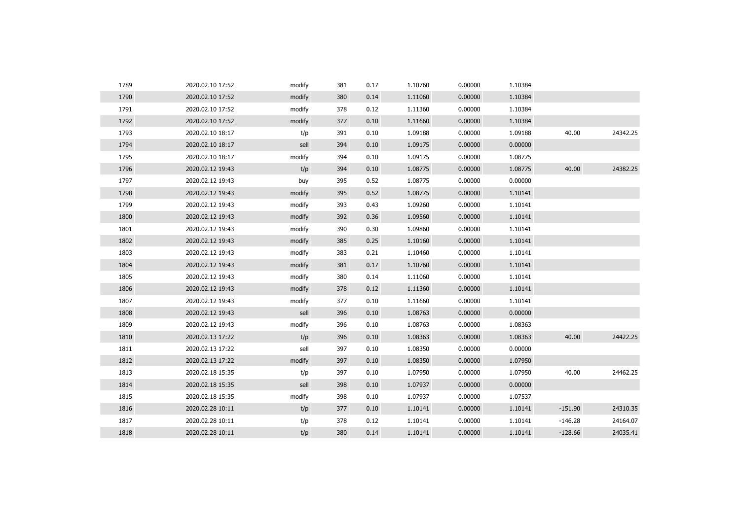| 1789 | 2020.02.10 17:52 | modify | 381 | 0.17 | 1.10760 | 0.00000 | 1.10384 |           |          |
|------|------------------|--------|-----|------|---------|---------|---------|-----------|----------|
| 1790 | 2020.02.10 17:52 | modify | 380 | 0.14 | 1.11060 | 0.00000 | 1.10384 |           |          |
| 1791 | 2020.02.10 17:52 | modify | 378 | 0.12 | 1.11360 | 0.00000 | 1.10384 |           |          |
| 1792 | 2020.02.10 17:52 | modify | 377 | 0.10 | 1.11660 | 0.00000 | 1.10384 |           |          |
| 1793 | 2020.02.10 18:17 | t/p    | 391 | 0.10 | 1.09188 | 0.00000 | 1.09188 | 40.00     | 24342.25 |
| 1794 | 2020.02.10 18:17 | sell   | 394 | 0.10 | 1.09175 | 0.00000 | 0.00000 |           |          |
| 1795 | 2020.02.10 18:17 | modify | 394 | 0.10 | 1.09175 | 0.00000 | 1.08775 |           |          |
| 1796 | 2020.02.12 19:43 | t/p    | 394 | 0.10 | 1.08775 | 0.00000 | 1.08775 | 40.00     | 24382.25 |
| 1797 | 2020.02.12 19:43 | buy    | 395 | 0.52 | 1.08775 | 0.00000 | 0.00000 |           |          |
| 1798 | 2020.02.12 19:43 | modify | 395 | 0.52 | 1.08775 | 0.00000 | 1.10141 |           |          |
| 1799 | 2020.02.12 19:43 | modify | 393 | 0.43 | 1.09260 | 0.00000 | 1.10141 |           |          |
| 1800 | 2020.02.12 19:43 | modify | 392 | 0.36 | 1.09560 | 0.00000 | 1.10141 |           |          |
| 1801 | 2020.02.12 19:43 | modify | 390 | 0.30 | 1.09860 | 0.00000 | 1.10141 |           |          |
| 1802 | 2020.02.12 19:43 | modify | 385 | 0.25 | 1.10160 | 0.00000 | 1.10141 |           |          |
| 1803 | 2020.02.12 19:43 | modify | 383 | 0.21 | 1.10460 | 0.00000 | 1.10141 |           |          |
| 1804 | 2020.02.12 19:43 | modify | 381 | 0.17 | 1.10760 | 0.00000 | 1.10141 |           |          |
| 1805 | 2020.02.12 19:43 | modify | 380 | 0.14 | 1.11060 | 0.00000 | 1.10141 |           |          |
| 1806 | 2020.02.12 19:43 | modify | 378 | 0.12 | 1.11360 | 0.00000 | 1.10141 |           |          |
| 1807 | 2020.02.12 19:43 | modify | 377 | 0.10 | 1.11660 | 0.00000 | 1.10141 |           |          |
| 1808 | 2020.02.12 19:43 | sell   | 396 | 0.10 | 1.08763 | 0.00000 | 0.00000 |           |          |
| 1809 | 2020.02.12 19:43 | modify | 396 | 0.10 | 1.08763 | 0.00000 | 1.08363 |           |          |
| 1810 | 2020.02.13 17:22 | t/p    | 396 | 0.10 | 1.08363 | 0.00000 | 1.08363 | 40.00     | 24422.25 |
| 1811 | 2020.02.13 17:22 | sell   | 397 | 0.10 | 1.08350 | 0.00000 | 0.00000 |           |          |
| 1812 | 2020.02.13 17:22 | modify | 397 | 0.10 | 1.08350 | 0.00000 | 1.07950 |           |          |
| 1813 | 2020.02.18 15:35 | t/p    | 397 | 0.10 | 1.07950 | 0.00000 | 1.07950 | 40.00     | 24462.25 |
| 1814 | 2020.02.18 15:35 | sell   | 398 | 0.10 | 1.07937 | 0.00000 | 0.00000 |           |          |
| 1815 | 2020.02.18 15:35 | modify | 398 | 0.10 | 1.07937 | 0.00000 | 1.07537 |           |          |
| 1816 | 2020.02.28 10:11 | t/p    | 377 | 0.10 | 1.10141 | 0.00000 | 1.10141 | $-151.90$ | 24310.35 |
| 1817 | 2020.02.28 10:11 | t/p    | 378 | 0.12 | 1.10141 | 0.00000 | 1.10141 | $-146.28$ | 24164.07 |
| 1818 | 2020.02.28 10:11 | t/p    | 380 | 0.14 | 1.10141 | 0.00000 | 1.10141 | $-128.66$ | 24035.41 |
|      |                  |        |     |      |         |         |         |           |          |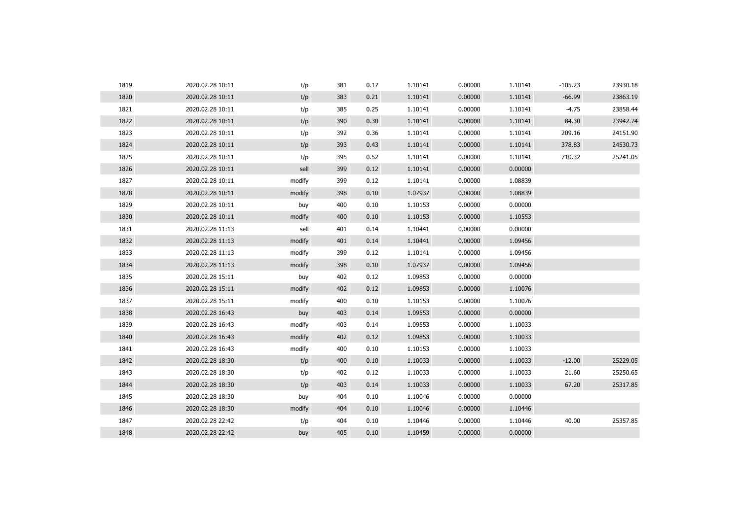| 1819 | 2020.02.28 10:11 | t/p    | 381 | 0.17 | 1.10141 | 0.00000 | 1.10141 | $-105.23$ | 23930.18 |
|------|------------------|--------|-----|------|---------|---------|---------|-----------|----------|
| 1820 | 2020.02.28 10:11 | t/p    | 383 | 0.21 | 1.10141 | 0.00000 | 1.10141 | $-66.99$  | 23863.19 |
| 1821 | 2020.02.28 10:11 | t/p    | 385 | 0.25 | 1.10141 | 0.00000 | 1.10141 | $-4.75$   | 23858.44 |
| 1822 | 2020.02.28 10:11 | t/p    | 390 | 0.30 | 1.10141 | 0.00000 | 1.10141 | 84.30     | 23942.74 |
| 1823 | 2020.02.28 10:11 | t/p    | 392 | 0.36 | 1.10141 | 0.00000 | 1.10141 | 209.16    | 24151.90 |
| 1824 | 2020.02.28 10:11 | t/p    | 393 | 0.43 | 1.10141 | 0.00000 | 1.10141 | 378.83    | 24530.73 |
| 1825 | 2020.02.28 10:11 | t/p    | 395 | 0.52 | 1.10141 | 0.00000 | 1.10141 | 710.32    | 25241.05 |
| 1826 | 2020.02.28 10:11 | sell   | 399 | 0.12 | 1.10141 | 0.00000 | 0.00000 |           |          |
| 1827 | 2020.02.28 10:11 | modify | 399 | 0.12 | 1.10141 | 0.00000 | 1.08839 |           |          |
| 1828 | 2020.02.28 10:11 | modify | 398 | 0.10 | 1.07937 | 0.00000 | 1.08839 |           |          |
| 1829 | 2020.02.28 10:11 | buy    | 400 | 0.10 | 1.10153 | 0.00000 | 0.00000 |           |          |
| 1830 | 2020.02.28 10:11 | modify | 400 | 0.10 | 1.10153 | 0.00000 | 1.10553 |           |          |
| 1831 | 2020.02.28 11:13 | sell   | 401 | 0.14 | 1.10441 | 0.00000 | 0.00000 |           |          |
| 1832 | 2020.02.28 11:13 | modify | 401 | 0.14 | 1.10441 | 0.00000 | 1.09456 |           |          |
| 1833 | 2020.02.28 11:13 | modify | 399 | 0.12 | 1.10141 | 0.00000 | 1.09456 |           |          |
| 1834 | 2020.02.28 11:13 | modify | 398 | 0.10 | 1.07937 | 0.00000 | 1.09456 |           |          |
| 1835 | 2020.02.28 15:11 | buy    | 402 | 0.12 | 1.09853 | 0.00000 | 0.00000 |           |          |
| 1836 | 2020.02.28 15:11 | modify | 402 | 0.12 | 1.09853 | 0.00000 | 1.10076 |           |          |
| 1837 | 2020.02.28 15:11 | modify | 400 | 0.10 | 1.10153 | 0.00000 | 1.10076 |           |          |
| 1838 | 2020.02.28 16:43 | buy    | 403 | 0.14 | 1.09553 | 0.00000 | 0.00000 |           |          |
| 1839 | 2020.02.28 16:43 | modify | 403 | 0.14 | 1.09553 | 0.00000 | 1.10033 |           |          |
| 1840 | 2020.02.28 16:43 | modify | 402 | 0.12 | 1.09853 | 0.00000 | 1.10033 |           |          |
| 1841 | 2020.02.28 16:43 | modify | 400 | 0.10 | 1.10153 | 0.00000 | 1.10033 |           |          |
| 1842 | 2020.02.28 18:30 | t/p    | 400 | 0.10 | 1.10033 | 0.00000 | 1.10033 | $-12.00$  | 25229.05 |
| 1843 | 2020.02.28 18:30 | t/p    | 402 | 0.12 | 1.10033 | 0.00000 | 1.10033 | 21.60     | 25250.65 |
| 1844 | 2020.02.28 18:30 | t/p    | 403 | 0.14 | 1.10033 | 0.00000 | 1.10033 | 67.20     | 25317.85 |
| 1845 | 2020.02.28 18:30 | buy    | 404 | 0.10 | 1.10046 | 0.00000 | 0.00000 |           |          |
| 1846 | 2020.02.28 18:30 | modify | 404 | 0.10 | 1.10046 | 0.00000 | 1.10446 |           |          |
| 1847 | 2020.02.28 22:42 | t/p    | 404 | 0.10 | 1.10446 | 0.00000 | 1.10446 | 40.00     | 25357.85 |
| 1848 | 2020.02.28 22:42 | buy    | 405 | 0.10 | 1.10459 | 0.00000 | 0.00000 |           |          |
|      |                  |        |     |      |         |         |         |           |          |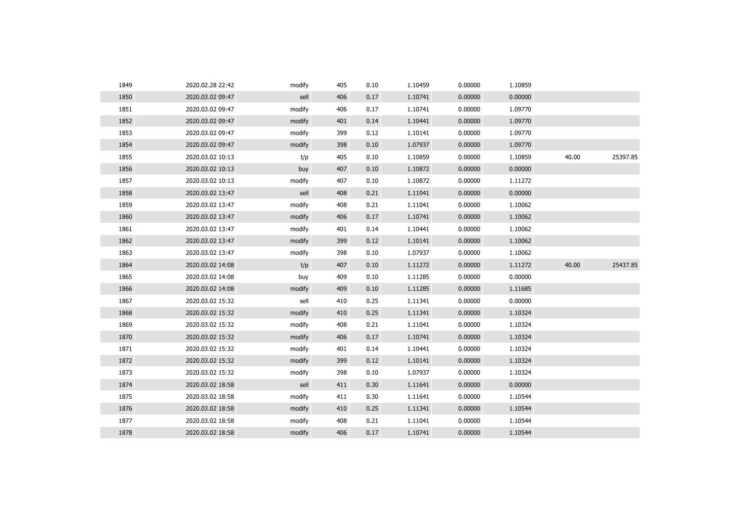| 1849 | 2020.02.28 22:42 | modify | 405 | 0.10 | 1.10459 | 0.00000 | 1.10859 |       |          |
|------|------------------|--------|-----|------|---------|---------|---------|-------|----------|
| 1850 | 2020.03.02 09:47 | sell   | 406 | 0.17 | 1.10741 | 0.00000 | 0.00000 |       |          |
| 1851 | 2020.03.02 09:47 | modify | 406 | 0.17 | 1.10741 | 0.00000 | 1.09770 |       |          |
| 1852 | 2020.03.02 09:47 | modify | 401 | 0.14 | 1.10441 | 0.00000 | 1.09770 |       |          |
| 1853 | 2020.03.02 09:47 | modify | 399 | 0.12 | 1.10141 | 0.00000 | 1.09770 |       |          |
| 1854 | 2020.03.02 09:47 | modify | 398 | 0.10 | 1.07937 | 0.00000 | 1.09770 |       |          |
| 1855 | 2020.03.02 10:13 | t/p    | 405 | 0.10 | 1.10859 | 0.00000 | 1.10859 | 40.00 | 25397.85 |
| 1856 | 2020.03.02 10:13 | buy    | 407 | 0.10 | 1.10872 | 0.00000 | 0.00000 |       |          |
| 1857 | 2020.03.02 10:13 | modify | 407 | 0.10 | 1.10872 | 0.00000 | 1.11272 |       |          |
| 1858 | 2020.03.02 13:47 | sell   | 408 | 0.21 | 1.11041 | 0.00000 | 0.00000 |       |          |
| 1859 | 2020.03.02 13:47 | modify | 408 | 0.21 | 1.11041 | 0.00000 | 1.10062 |       |          |
| 1860 | 2020.03.02 13:47 | modify | 406 | 0.17 | 1.10741 | 0.00000 | 1.10062 |       |          |
| 1861 | 2020.03.02 13:47 | modify | 401 | 0.14 | 1.10441 | 0.00000 | 1.10062 |       |          |
| 1862 | 2020.03.02 13:47 | modify | 399 | 0.12 | 1.10141 | 0.00000 | 1.10062 |       |          |
| 1863 | 2020.03.02 13:47 | modify | 398 | 0.10 | 1.07937 | 0.00000 | 1.10062 |       |          |
| 1864 | 2020.03.02 14:08 | t/p    | 407 | 0.10 | 1.11272 | 0.00000 | 1.11272 | 40.00 | 25437.85 |
| 1865 | 2020.03.02 14:08 | buy    | 409 | 0.10 | 1.11285 | 0.00000 | 0.00000 |       |          |
| 1866 | 2020.03.02 14:08 | modify | 409 | 0.10 | 1.11285 | 0.00000 | 1.11685 |       |          |
| 1867 | 2020.03.02 15:32 | sell   | 410 | 0.25 | 1.11341 | 0.00000 | 0.00000 |       |          |
| 1868 | 2020.03.02 15:32 | modify | 410 | 0.25 | 1.11341 | 0.00000 | 1.10324 |       |          |
| 1869 | 2020.03.02 15:32 | modify | 408 | 0.21 | 1.11041 | 0.00000 | 1.10324 |       |          |
| 1870 | 2020.03.02 15:32 | modify | 406 | 0.17 | 1.10741 | 0.00000 | 1.10324 |       |          |
| 1871 | 2020.03.02 15:32 | modify | 401 | 0.14 | 1.10441 | 0.00000 | 1.10324 |       |          |
| 1872 | 2020.03.02 15:32 | modify | 399 | 0.12 | 1.10141 | 0.00000 | 1.10324 |       |          |
| 1873 | 2020.03.02 15:32 | modify | 398 | 0.10 | 1.07937 | 0.00000 | 1.10324 |       |          |
| 1874 | 2020.03.02 18:58 | sell   | 411 | 0.30 | 1.11641 | 0.00000 | 0.00000 |       |          |
| 1875 | 2020.03.02 18:58 | modify | 411 | 0.30 | 1.11641 | 0.00000 | 1.10544 |       |          |
| 1876 | 2020.03.02 18:58 | modify | 410 | 0.25 | 1.11341 | 0.00000 | 1.10544 |       |          |
| 1877 | 2020.03.02 18:58 | modify | 408 | 0.21 | 1.11041 | 0.00000 | 1.10544 |       |          |
| 1878 | 2020.03.02 18:58 | modify | 406 | 0.17 | 1.10741 | 0.00000 | 1.10544 |       |          |
|      |                  |        |     |      |         |         |         |       |          |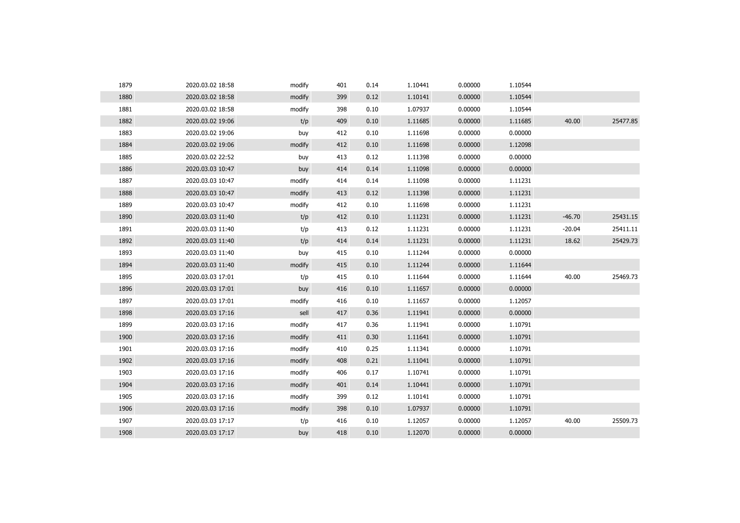| 1879 | 2020.03.02 18:58 | modify | 401 | 0.14 | 1.10441 | 0.00000 | 1.10544 |          |          |
|------|------------------|--------|-----|------|---------|---------|---------|----------|----------|
| 1880 | 2020.03.02 18:58 | modify | 399 | 0.12 | 1.10141 | 0.00000 | 1.10544 |          |          |
| 1881 | 2020.03.02 18:58 | modify | 398 | 0.10 | 1.07937 | 0.00000 | 1.10544 |          |          |
| 1882 | 2020.03.02 19:06 | t/p    | 409 | 0.10 | 1.11685 | 0.00000 | 1.11685 | 40.00    | 25477.85 |
| 1883 | 2020.03.02 19:06 | buy    | 412 | 0.10 | 1.11698 | 0.00000 | 0.00000 |          |          |
| 1884 | 2020.03.02 19:06 | modify | 412 | 0.10 | 1.11698 | 0.00000 | 1.12098 |          |          |
| 1885 | 2020.03.02 22:52 | buy    | 413 | 0.12 | 1.11398 | 0.00000 | 0.00000 |          |          |
| 1886 | 2020.03.03 10:47 | buy    | 414 | 0.14 | 1.11098 | 0.00000 | 0.00000 |          |          |
| 1887 | 2020.03.03 10:47 | modify | 414 | 0.14 | 1.11098 | 0.00000 | 1.11231 |          |          |
| 1888 | 2020.03.03 10:47 | modify | 413 | 0.12 | 1.11398 | 0.00000 | 1.11231 |          |          |
| 1889 | 2020.03.03 10:47 | modify | 412 | 0.10 | 1.11698 | 0.00000 | 1.11231 |          |          |
| 1890 | 2020.03.03 11:40 | t/p    | 412 | 0.10 | 1.11231 | 0.00000 | 1.11231 | $-46.70$ | 25431.15 |
| 1891 | 2020.03.03 11:40 | t/p    | 413 | 0.12 | 1.11231 | 0.00000 | 1.11231 | $-20.04$ | 25411.11 |
| 1892 | 2020.03.03 11:40 | t/p    | 414 | 0.14 | 1.11231 | 0.00000 | 1.11231 | 18.62    | 25429.73 |
| 1893 | 2020.03.03 11:40 | buy    | 415 | 0.10 | 1.11244 | 0.00000 | 0.00000 |          |          |
| 1894 | 2020.03.03 11:40 | modify | 415 | 0.10 | 1.11244 | 0.00000 | 1.11644 |          |          |
| 1895 | 2020.03.03 17:01 | t/p    | 415 | 0.10 | 1.11644 | 0.00000 | 1.11644 | 40.00    | 25469.73 |
| 1896 | 2020.03.03 17:01 | buy    | 416 | 0.10 | 1.11657 | 0.00000 | 0.00000 |          |          |
| 1897 | 2020.03.03 17:01 | modify | 416 | 0.10 | 1.11657 | 0.00000 | 1.12057 |          |          |
| 1898 | 2020.03.03 17:16 | sell   | 417 | 0.36 | 1.11941 | 0.00000 | 0.00000 |          |          |
| 1899 | 2020.03.03 17:16 | modify | 417 | 0.36 | 1.11941 | 0.00000 | 1.10791 |          |          |
| 1900 | 2020.03.03 17:16 | modify | 411 | 0.30 | 1.11641 | 0.00000 | 1.10791 |          |          |
| 1901 | 2020.03.03 17:16 | modify | 410 | 0.25 | 1.11341 | 0.00000 | 1.10791 |          |          |
| 1902 | 2020.03.03 17:16 | modify | 408 | 0.21 | 1.11041 | 0.00000 | 1.10791 |          |          |
| 1903 | 2020.03.03 17:16 | modify | 406 | 0.17 | 1.10741 | 0.00000 | 1.10791 |          |          |
| 1904 | 2020.03.03 17:16 | modify | 401 | 0.14 | 1.10441 | 0.00000 | 1.10791 |          |          |
| 1905 | 2020.03.03 17:16 | modify | 399 | 0.12 | 1.10141 | 0.00000 | 1.10791 |          |          |
| 1906 | 2020.03.03 17:16 | modify | 398 | 0.10 | 1.07937 | 0.00000 | 1.10791 |          |          |
| 1907 | 2020.03.03 17:17 | t/p    | 416 | 0.10 | 1.12057 | 0.00000 | 1.12057 | 40.00    | 25509.73 |
| 1908 | 2020.03.03 17:17 | buy    | 418 | 0.10 | 1.12070 | 0.00000 | 0.00000 |          |          |
|      |                  |        |     |      |         |         |         |          |          |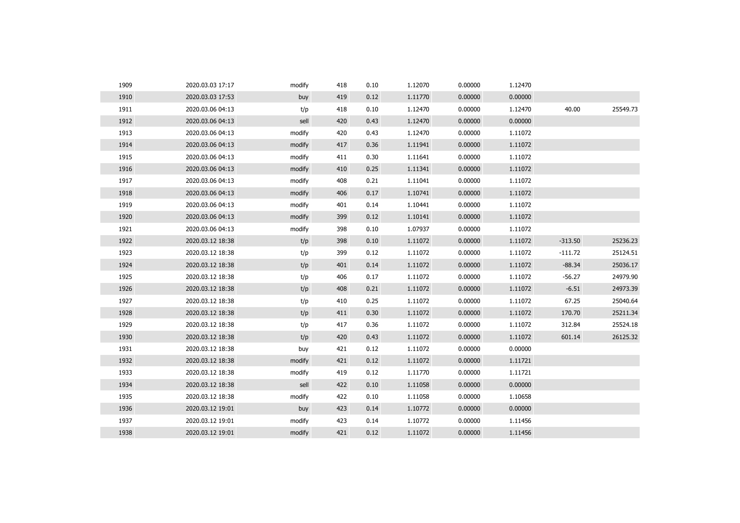| 1909 | 2020.03.03 17:17 | modify | 418 | 0.10 | 1.12070 | 0.00000 | 1.12470 |           |          |
|------|------------------|--------|-----|------|---------|---------|---------|-----------|----------|
| 1910 | 2020.03.03 17:53 | buy    | 419 | 0.12 | 1.11770 | 0.00000 | 0.00000 |           |          |
| 1911 | 2020.03.06 04:13 | t/p    | 418 | 0.10 | 1.12470 | 0.00000 | 1.12470 | 40.00     | 25549.73 |
| 1912 | 2020.03.06 04:13 | sell   | 420 | 0.43 | 1.12470 | 0.00000 | 0.00000 |           |          |
| 1913 | 2020.03.06 04:13 | modify | 420 | 0.43 | 1.12470 | 0.00000 | 1.11072 |           |          |
| 1914 | 2020.03.06 04:13 | modify | 417 | 0.36 | 1.11941 | 0.00000 | 1.11072 |           |          |
| 1915 | 2020.03.06 04:13 | modify | 411 | 0.30 | 1.11641 | 0.00000 | 1.11072 |           |          |
| 1916 | 2020.03.06 04:13 | modify | 410 | 0.25 | 1.11341 | 0.00000 | 1.11072 |           |          |
| 1917 | 2020.03.06 04:13 | modify | 408 | 0.21 | 1.11041 | 0.00000 | 1.11072 |           |          |
| 1918 | 2020.03.06 04:13 | modify | 406 | 0.17 | 1.10741 | 0.00000 | 1.11072 |           |          |
| 1919 | 2020.03.06 04:13 | modify | 401 | 0.14 | 1.10441 | 0.00000 | 1.11072 |           |          |
| 1920 | 2020.03.06 04:13 | modify | 399 | 0.12 | 1.10141 | 0.00000 | 1.11072 |           |          |
| 1921 | 2020.03.06 04:13 | modify | 398 | 0.10 | 1.07937 | 0.00000 | 1.11072 |           |          |
| 1922 | 2020.03.12 18:38 | t/p    | 398 | 0.10 | 1.11072 | 0.00000 | 1.11072 | $-313.50$ | 25236.23 |
| 1923 | 2020.03.12 18:38 | t/p    | 399 | 0.12 | 1.11072 | 0.00000 | 1.11072 | $-111.72$ | 25124.51 |
| 1924 | 2020.03.12 18:38 | t/p    | 401 | 0.14 | 1.11072 | 0.00000 | 1.11072 | $-88.34$  | 25036.17 |
| 1925 | 2020.03.12 18:38 | t/p    | 406 | 0.17 | 1.11072 | 0.00000 | 1.11072 | $-56.27$  | 24979.90 |
| 1926 | 2020.03.12 18:38 | t/p    | 408 | 0.21 | 1.11072 | 0.00000 | 1.11072 | $-6.51$   | 24973.39 |
| 1927 | 2020.03.12 18:38 | t/p    | 410 | 0.25 | 1.11072 | 0.00000 | 1.11072 | 67.25     | 25040.64 |
| 1928 | 2020.03.12 18:38 | t/p    | 411 | 0.30 | 1.11072 | 0.00000 | 1.11072 | 170.70    | 25211.34 |
| 1929 | 2020.03.12 18:38 | t/p    | 417 | 0.36 | 1.11072 | 0.00000 | 1.11072 | 312.84    | 25524.18 |
| 1930 | 2020.03.12 18:38 | t/p    | 420 | 0.43 | 1.11072 | 0.00000 | 1.11072 | 601.14    | 26125.32 |
| 1931 | 2020.03.12 18:38 | buy    | 421 | 0.12 | 1.11072 | 0.00000 | 0.00000 |           |          |
| 1932 | 2020.03.12 18:38 | modify | 421 | 0.12 | 1.11072 | 0.00000 | 1.11721 |           |          |
| 1933 | 2020.03.12 18:38 | modify | 419 | 0.12 | 1.11770 | 0.00000 | 1.11721 |           |          |
| 1934 | 2020.03.12 18:38 | sell   | 422 | 0.10 | 1.11058 | 0.00000 | 0.00000 |           |          |
| 1935 | 2020.03.12 18:38 | modify | 422 | 0.10 | 1.11058 | 0.00000 | 1.10658 |           |          |
| 1936 | 2020.03.12 19:01 | buy    | 423 | 0.14 | 1.10772 | 0.00000 | 0.00000 |           |          |
| 1937 | 2020.03.12 19:01 | modify | 423 | 0.14 | 1.10772 | 0.00000 | 1.11456 |           |          |
| 1938 | 2020.03.12 19:01 | modify | 421 | 0.12 | 1.11072 | 0.00000 | 1.11456 |           |          |
|      |                  |        |     |      |         |         |         |           |          |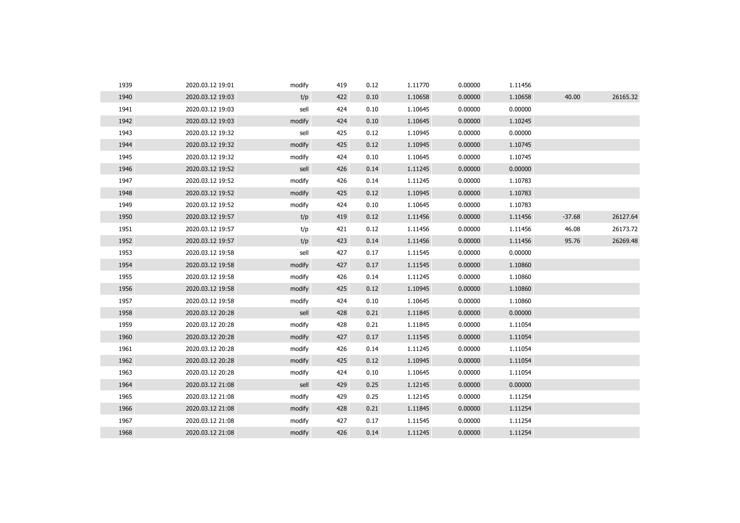| 1939 | 2020.03.12 19:01 | modify | 419 | 0.12 | 1.11770 | 0.00000 | 1.11456 |          |          |
|------|------------------|--------|-----|------|---------|---------|---------|----------|----------|
| 1940 | 2020.03.12 19:03 | t/p    | 422 | 0.10 | 1.10658 | 0.00000 | 1.10658 | 40.00    | 26165.32 |
| 1941 | 2020.03.12 19:03 | sell   | 424 | 0.10 | 1.10645 | 0.00000 | 0.00000 |          |          |
| 1942 | 2020.03.12 19:03 | modify | 424 | 0.10 | 1.10645 | 0.00000 | 1.10245 |          |          |
| 1943 | 2020.03.12 19:32 | sell   | 425 | 0.12 | 1.10945 | 0.00000 | 0.00000 |          |          |
| 1944 | 2020.03.12 19:32 | modify | 425 | 0.12 | 1.10945 | 0.00000 | 1.10745 |          |          |
| 1945 | 2020.03.12 19:32 | modify | 424 | 0.10 | 1.10645 | 0.00000 | 1.10745 |          |          |
| 1946 | 2020.03.12 19:52 | sell   | 426 | 0.14 | 1.11245 | 0.00000 | 0.00000 |          |          |
| 1947 | 2020.03.12 19:52 | modify | 426 | 0.14 | 1.11245 | 0.00000 | 1.10783 |          |          |
| 1948 | 2020.03.12 19:52 | modify | 425 | 0.12 | 1.10945 | 0.00000 | 1.10783 |          |          |
| 1949 | 2020.03.12 19:52 | modify | 424 | 0.10 | 1.10645 | 0.00000 | 1.10783 |          |          |
| 1950 | 2020.03.12 19:57 | t/p    | 419 | 0.12 | 1.11456 | 0.00000 | 1.11456 | $-37.68$ | 26127.64 |
| 1951 | 2020.03.12 19:57 | t/p    | 421 | 0.12 | 1.11456 | 0.00000 | 1.11456 | 46.08    | 26173.72 |
| 1952 | 2020.03.12 19:57 | t/p    | 423 | 0.14 | 1.11456 | 0.00000 | 1.11456 | 95.76    | 26269.48 |
| 1953 | 2020.03.12 19:58 | sell   | 427 | 0.17 | 1.11545 | 0.00000 | 0.00000 |          |          |
| 1954 | 2020.03.12 19:58 | modify | 427 | 0.17 | 1.11545 | 0.00000 | 1.10860 |          |          |
| 1955 | 2020.03.12 19:58 | modify | 426 | 0.14 | 1.11245 | 0.00000 | 1.10860 |          |          |
| 1956 | 2020.03.12 19:58 | modify | 425 | 0.12 | 1.10945 | 0.00000 | 1.10860 |          |          |
| 1957 | 2020.03.12 19:58 | modify | 424 | 0.10 | 1.10645 | 0.00000 | 1.10860 |          |          |
| 1958 | 2020.03.12 20:28 | sell   | 428 | 0.21 | 1.11845 | 0.00000 | 0.00000 |          |          |
| 1959 | 2020.03.12 20:28 | modify | 428 | 0.21 | 1.11845 | 0.00000 | 1.11054 |          |          |
| 1960 | 2020.03.12 20:28 | modify | 427 | 0.17 | 1.11545 | 0.00000 | 1.11054 |          |          |
| 1961 | 2020.03.12 20:28 | modify | 426 | 0.14 | 1.11245 | 0.00000 | 1.11054 |          |          |
| 1962 | 2020.03.12 20:28 | modify | 425 | 0.12 | 1.10945 | 0.00000 | 1.11054 |          |          |
| 1963 | 2020.03.12 20:28 | modify | 424 | 0.10 | 1.10645 | 0.00000 | 1.11054 |          |          |
| 1964 | 2020.03.12 21:08 | sell   | 429 | 0.25 | 1.12145 | 0.00000 | 0.00000 |          |          |
| 1965 | 2020.03.12 21:08 | modify | 429 | 0.25 | 1.12145 | 0.00000 | 1.11254 |          |          |
| 1966 | 2020.03.12 21:08 | modify | 428 | 0.21 | 1.11845 | 0.00000 | 1.11254 |          |          |
| 1967 | 2020.03.12 21:08 | modify | 427 | 0.17 | 1.11545 | 0.00000 | 1.11254 |          |          |
| 1968 | 2020.03.12 21:08 | modify | 426 | 0.14 | 1.11245 | 0.00000 | 1.11254 |          |          |
|      |                  |        |     |      |         |         |         |          |          |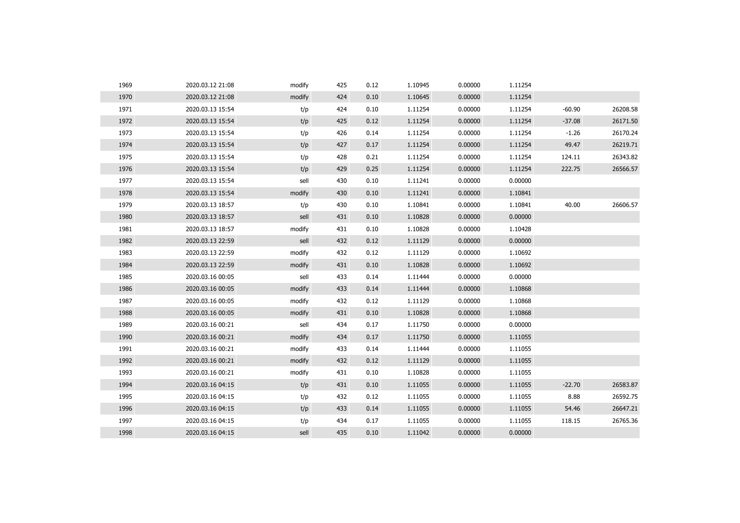| 1969 | 2020.03.12 21:08 | modify | 425 | 0.12 | 1.10945 | 0.00000 | 1.11254 |          |          |
|------|------------------|--------|-----|------|---------|---------|---------|----------|----------|
| 1970 | 2020.03.12 21:08 | modify | 424 | 0.10 | 1.10645 | 0.00000 | 1.11254 |          |          |
| 1971 | 2020.03.13 15:54 | t/p    | 424 | 0.10 | 1.11254 | 0.00000 | 1.11254 | $-60.90$ | 26208.58 |
| 1972 | 2020.03.13 15:54 | t/p    | 425 | 0.12 | 1.11254 | 0.00000 | 1.11254 | $-37.08$ | 26171.50 |
| 1973 | 2020.03.13 15:54 | t/p    | 426 | 0.14 | 1.11254 | 0.00000 | 1.11254 | $-1.26$  | 26170.24 |
| 1974 | 2020.03.13 15:54 | t/p    | 427 | 0.17 | 1.11254 | 0.00000 | 1.11254 | 49.47    | 26219.71 |
| 1975 | 2020.03.13 15:54 | t/p    | 428 | 0.21 | 1.11254 | 0.00000 | 1.11254 | 124.11   | 26343.82 |
| 1976 | 2020.03.13 15:54 | t/p    | 429 | 0.25 | 1.11254 | 0.00000 | 1.11254 | 222.75   | 26566.57 |
| 1977 | 2020.03.13 15:54 | sell   | 430 | 0.10 | 1.11241 | 0.00000 | 0.00000 |          |          |
| 1978 | 2020.03.13 15:54 | modify | 430 | 0.10 | 1.11241 | 0.00000 | 1.10841 |          |          |
| 1979 | 2020.03.13 18:57 | t/p    | 430 | 0.10 | 1.10841 | 0.00000 | 1.10841 | 40.00    | 26606.57 |
| 1980 | 2020.03.13 18:57 | sell   | 431 | 0.10 | 1.10828 | 0.00000 | 0.00000 |          |          |
| 1981 | 2020.03.13 18:57 | modify | 431 | 0.10 | 1.10828 | 0.00000 | 1.10428 |          |          |
| 1982 | 2020.03.13 22:59 | sell   | 432 | 0.12 | 1.11129 | 0.00000 | 0.00000 |          |          |
| 1983 | 2020.03.13 22:59 | modify | 432 | 0.12 | 1.11129 | 0.00000 | 1.10692 |          |          |
| 1984 | 2020.03.13 22:59 | modify | 431 | 0.10 | 1.10828 | 0.00000 | 1.10692 |          |          |
| 1985 | 2020.03.16 00:05 | sell   | 433 | 0.14 | 1.11444 | 0.00000 | 0.00000 |          |          |
| 1986 | 2020.03.16 00:05 | modify | 433 | 0.14 | 1.11444 | 0.00000 | 1.10868 |          |          |
| 1987 | 2020.03.16 00:05 | modify | 432 | 0.12 | 1.11129 | 0.00000 | 1.10868 |          |          |
| 1988 | 2020.03.16 00:05 | modify | 431 | 0.10 | 1.10828 | 0.00000 | 1.10868 |          |          |
| 1989 | 2020.03.16 00:21 | sell   | 434 | 0.17 | 1.11750 | 0.00000 | 0.00000 |          |          |
| 1990 | 2020.03.16 00:21 | modify | 434 | 0.17 | 1.11750 | 0.00000 | 1.11055 |          |          |
| 1991 | 2020.03.16 00:21 | modify | 433 | 0.14 | 1.11444 | 0.00000 | 1.11055 |          |          |
| 1992 | 2020.03.16 00:21 | modify | 432 | 0.12 | 1.11129 | 0.00000 | 1.11055 |          |          |
| 1993 | 2020.03.16 00:21 | modify | 431 | 0.10 | 1.10828 | 0.00000 | 1.11055 |          |          |
| 1994 | 2020.03.16 04:15 | t/p    | 431 | 0.10 | 1.11055 | 0.00000 | 1.11055 | $-22.70$ | 26583.87 |
| 1995 | 2020.03.16 04:15 | t/p    | 432 | 0.12 | 1.11055 | 0.00000 | 1.11055 | 8.88     | 26592.75 |
| 1996 | 2020.03.16 04:15 | t/p    | 433 | 0.14 | 1.11055 | 0.00000 | 1.11055 | 54.46    | 26647.21 |
| 1997 | 2020.03.16 04:15 | t/p    | 434 | 0.17 | 1.11055 | 0.00000 | 1.11055 | 118.15   | 26765.36 |
| 1998 | 2020.03.16 04:15 | sell   | 435 | 0.10 | 1.11042 | 0.00000 | 0.00000 |          |          |
|      |                  |        |     |      |         |         |         |          |          |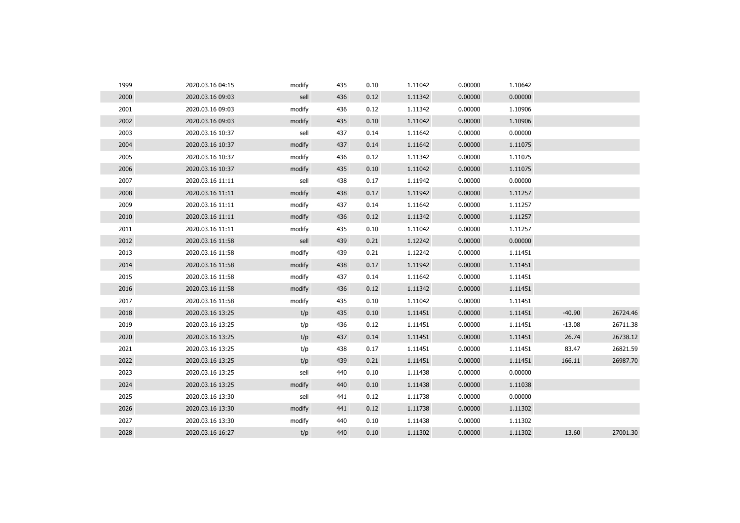| 1999 | 2020.03.16 04:15 | modify | 435 | 0.10 | 1.11042 | 0.00000 | 1.10642 |          |          |
|------|------------------|--------|-----|------|---------|---------|---------|----------|----------|
| 2000 | 2020.03.16 09:03 | sell   | 436 | 0.12 | 1.11342 | 0.00000 | 0.00000 |          |          |
| 2001 | 2020.03.16 09:03 | modify | 436 | 0.12 | 1.11342 | 0.00000 | 1.10906 |          |          |
| 2002 | 2020.03.16 09:03 | modify | 435 | 0.10 | 1.11042 | 0.00000 | 1.10906 |          |          |
| 2003 | 2020.03.16 10:37 | sell   | 437 | 0.14 | 1.11642 | 0.00000 | 0.00000 |          |          |
| 2004 | 2020.03.16 10:37 | modify | 437 | 0.14 | 1.11642 | 0.00000 | 1.11075 |          |          |
| 2005 | 2020.03.16 10:37 | modify | 436 | 0.12 | 1.11342 | 0.00000 | 1.11075 |          |          |
| 2006 | 2020.03.16 10:37 | modify | 435 | 0.10 | 1.11042 | 0.00000 | 1.11075 |          |          |
| 2007 | 2020.03.16 11:11 | sell   | 438 | 0.17 | 1.11942 | 0.00000 | 0.00000 |          |          |
| 2008 | 2020.03.16 11:11 | modify | 438 | 0.17 | 1.11942 | 0.00000 | 1.11257 |          |          |
| 2009 | 2020.03.16 11:11 | modify | 437 | 0.14 | 1.11642 | 0.00000 | 1.11257 |          |          |
| 2010 | 2020.03.16 11:11 | modify | 436 | 0.12 | 1.11342 | 0.00000 | 1.11257 |          |          |
| 2011 | 2020.03.16 11:11 | modify | 435 | 0.10 | 1.11042 | 0.00000 | 1.11257 |          |          |
| 2012 | 2020.03.16 11:58 | sell   | 439 | 0.21 | 1.12242 | 0.00000 | 0.00000 |          |          |
| 2013 | 2020.03.16 11:58 | modify | 439 | 0.21 | 1.12242 | 0.00000 | 1.11451 |          |          |
| 2014 | 2020.03.16 11:58 | modify | 438 | 0.17 | 1.11942 | 0.00000 | 1.11451 |          |          |
| 2015 | 2020.03.16 11:58 | modify | 437 | 0.14 | 1.11642 | 0.00000 | 1.11451 |          |          |
| 2016 | 2020.03.16 11:58 | modify | 436 | 0.12 | 1.11342 | 0.00000 | 1.11451 |          |          |
| 2017 | 2020.03.16 11:58 | modify | 435 | 0.10 | 1.11042 | 0.00000 | 1.11451 |          |          |
| 2018 | 2020.03.16 13:25 | t/p    | 435 | 0.10 | 1.11451 | 0.00000 | 1.11451 | $-40.90$ | 26724.46 |
| 2019 | 2020.03.16 13:25 | t/p    | 436 | 0.12 | 1.11451 | 0.00000 | 1.11451 | $-13.08$ | 26711.38 |
| 2020 | 2020.03.16 13:25 | t/p    | 437 | 0.14 | 1.11451 | 0.00000 | 1.11451 | 26.74    | 26738.12 |
| 2021 | 2020.03.16 13:25 | t/p    | 438 | 0.17 | 1.11451 | 0.00000 | 1.11451 | 83.47    | 26821.59 |
| 2022 | 2020.03.16 13:25 | t/p    | 439 | 0.21 | 1.11451 | 0.00000 | 1.11451 | 166.11   | 26987.70 |
| 2023 | 2020.03.16 13:25 | sell   | 440 | 0.10 | 1.11438 | 0.00000 | 0.00000 |          |          |
| 2024 | 2020.03.16 13:25 | modify | 440 | 0.10 | 1.11438 | 0.00000 | 1.11038 |          |          |
| 2025 | 2020.03.16 13:30 | sell   | 441 | 0.12 | 1.11738 | 0.00000 | 0.00000 |          |          |
| 2026 | 2020.03.16 13:30 | modify | 441 | 0.12 | 1.11738 | 0.00000 | 1.11302 |          |          |
| 2027 | 2020.03.16 13:30 | modify | 440 | 0.10 | 1.11438 | 0.00000 | 1.11302 |          |          |
| 2028 | 2020.03.16 16:27 | t/p    | 440 | 0.10 | 1.11302 | 0.00000 | 1.11302 | 13.60    | 27001.30 |
|      |                  |        |     |      |         |         |         |          |          |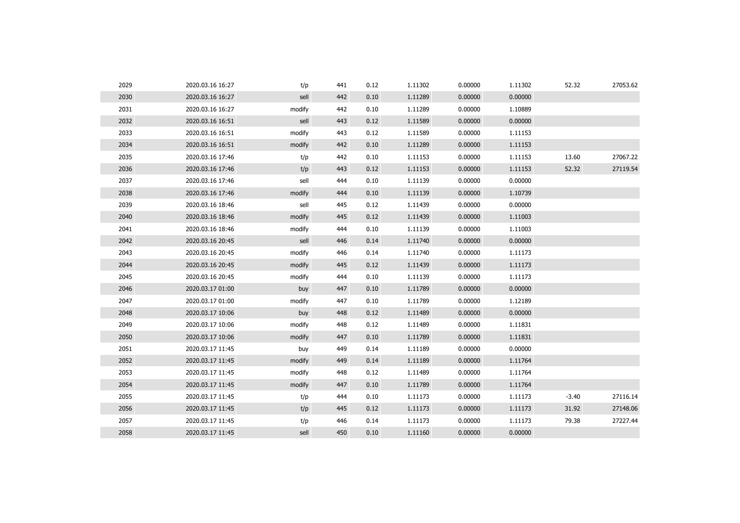| 2029 | 2020.03.16 16:27 | t/p    | 441 | 0.12 | 1.11302 | 0.00000 | 1.11302 | 52.32   | 27053.62 |
|------|------------------|--------|-----|------|---------|---------|---------|---------|----------|
| 2030 | 2020.03.16 16:27 | sell   | 442 | 0.10 | 1.11289 | 0.00000 | 0.00000 |         |          |
| 2031 | 2020.03.16 16:27 | modify | 442 | 0.10 | 1.11289 | 0.00000 | 1.10889 |         |          |
| 2032 | 2020.03.16 16:51 | sell   | 443 | 0.12 | 1.11589 | 0.00000 | 0.00000 |         |          |
| 2033 | 2020.03.16 16:51 | modify | 443 | 0.12 | 1.11589 | 0.00000 | 1.11153 |         |          |
| 2034 | 2020.03.16 16:51 | modify | 442 | 0.10 | 1.11289 | 0.00000 | 1.11153 |         |          |
| 2035 | 2020.03.16 17:46 | t/p    | 442 | 0.10 | 1.11153 | 0.00000 | 1.11153 | 13.60   | 27067.22 |
| 2036 | 2020.03.16 17:46 | t/p    | 443 | 0.12 | 1.11153 | 0.00000 | 1.11153 | 52.32   | 27119.54 |
| 2037 | 2020.03.16 17:46 | sell   | 444 | 0.10 | 1.11139 | 0.00000 | 0.00000 |         |          |
| 2038 | 2020.03.16 17:46 | modify | 444 | 0.10 | 1.11139 | 0.00000 | 1.10739 |         |          |
| 2039 | 2020.03.16 18:46 | sell   | 445 | 0.12 | 1.11439 | 0.00000 | 0.00000 |         |          |
| 2040 | 2020.03.16 18:46 | modify | 445 | 0.12 | 1.11439 | 0.00000 | 1.11003 |         |          |
| 2041 | 2020.03.16 18:46 | modify | 444 | 0.10 | 1.11139 | 0.00000 | 1.11003 |         |          |
| 2042 | 2020.03.16 20:45 | sell   | 446 | 0.14 | 1.11740 | 0.00000 | 0.00000 |         |          |
| 2043 | 2020.03.16 20:45 | modify | 446 | 0.14 | 1.11740 | 0.00000 | 1.11173 |         |          |
| 2044 | 2020.03.16 20:45 | modify | 445 | 0.12 | 1.11439 | 0.00000 | 1.11173 |         |          |
| 2045 | 2020.03.16 20:45 | modify | 444 | 0.10 | 1.11139 | 0.00000 | 1.11173 |         |          |
| 2046 | 2020.03.17 01:00 | buy    | 447 | 0.10 | 1.11789 | 0.00000 | 0.00000 |         |          |
| 2047 | 2020.03.17 01:00 | modify | 447 | 0.10 | 1.11789 | 0.00000 | 1.12189 |         |          |
| 2048 | 2020.03.17 10:06 | buy    | 448 | 0.12 | 1.11489 | 0.00000 | 0.00000 |         |          |
| 2049 | 2020.03.17 10:06 | modify | 448 | 0.12 | 1.11489 | 0.00000 | 1.11831 |         |          |
| 2050 | 2020.03.17 10:06 | modify | 447 | 0.10 | 1.11789 | 0.00000 | 1.11831 |         |          |
| 2051 | 2020.03.17 11:45 | buy    | 449 | 0.14 | 1.11189 | 0.00000 | 0.00000 |         |          |
| 2052 | 2020.03.17 11:45 | modify | 449 | 0.14 | 1.11189 | 0.00000 | 1.11764 |         |          |
| 2053 | 2020.03.17 11:45 | modify | 448 | 0.12 | 1.11489 | 0.00000 | 1.11764 |         |          |
| 2054 | 2020.03.17 11:45 | modify | 447 | 0.10 | 1.11789 | 0.00000 | 1.11764 |         |          |
| 2055 | 2020.03.17 11:45 | t/p    | 444 | 0.10 | 1.11173 | 0.00000 | 1.11173 | $-3.40$ | 27116.14 |
| 2056 | 2020.03.17 11:45 | t/p    | 445 | 0.12 | 1.11173 | 0.00000 | 1.11173 | 31.92   | 27148.06 |
| 2057 | 2020.03.17 11:45 | t/p    | 446 | 0.14 | 1.11173 | 0.00000 | 1.11173 | 79.38   | 27227.44 |
| 2058 | 2020.03.17 11:45 | sell   | 450 | 0.10 | 1.11160 | 0.00000 | 0.00000 |         |          |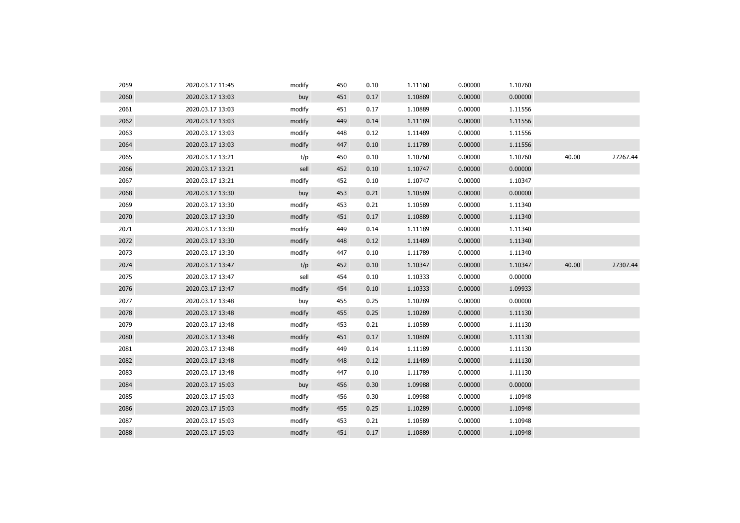| 2059 | 2020.03.17 11:45 | modify | 450 | 0.10 | 1.11160 | 0.00000 | 1.10760 |       |          |
|------|------------------|--------|-----|------|---------|---------|---------|-------|----------|
| 2060 | 2020.03.17 13:03 | buy    | 451 | 0.17 | 1.10889 | 0.00000 | 0.00000 |       |          |
| 2061 | 2020.03.17 13:03 | modify | 451 | 0.17 | 1.10889 | 0.00000 | 1.11556 |       |          |
| 2062 | 2020.03.17 13:03 | modify | 449 | 0.14 | 1.11189 | 0.00000 | 1.11556 |       |          |
| 2063 | 2020.03.17 13:03 | modify | 448 | 0.12 | 1.11489 | 0.00000 | 1.11556 |       |          |
| 2064 | 2020.03.17 13:03 | modify | 447 | 0.10 | 1.11789 | 0.00000 | 1.11556 |       |          |
| 2065 | 2020.03.17 13:21 | t/p    | 450 | 0.10 | 1.10760 | 0.00000 | 1.10760 | 40.00 | 27267.44 |
| 2066 | 2020.03.17 13:21 | sell   | 452 | 0.10 | 1.10747 | 0.00000 | 0.00000 |       |          |
| 2067 | 2020.03.17 13:21 | modify | 452 | 0.10 | 1.10747 | 0.00000 | 1.10347 |       |          |
| 2068 | 2020.03.17 13:30 | buy    | 453 | 0.21 | 1.10589 | 0.00000 | 0.00000 |       |          |
| 2069 | 2020.03.17 13:30 | modify | 453 | 0.21 | 1.10589 | 0.00000 | 1.11340 |       |          |
| 2070 | 2020.03.17 13:30 | modify | 451 | 0.17 | 1.10889 | 0.00000 | 1.11340 |       |          |
| 2071 | 2020.03.17 13:30 | modify | 449 | 0.14 | 1.11189 | 0.00000 | 1.11340 |       |          |
| 2072 | 2020.03.17 13:30 | modify | 448 | 0.12 | 1.11489 | 0.00000 | 1.11340 |       |          |
| 2073 | 2020.03.17 13:30 | modify | 447 | 0.10 | 1.11789 | 0.00000 | 1.11340 |       |          |
| 2074 | 2020.03.17 13:47 | t/p    | 452 | 0.10 | 1.10347 | 0.00000 | 1.10347 | 40.00 | 27307.44 |
| 2075 | 2020.03.17 13:47 | sell   | 454 | 0.10 | 1.10333 | 0.00000 | 0.00000 |       |          |
| 2076 | 2020.03.17 13:47 | modify | 454 | 0.10 | 1.10333 | 0.00000 | 1.09933 |       |          |
| 2077 | 2020.03.17 13:48 | buy    | 455 | 0.25 | 1.10289 | 0.00000 | 0.00000 |       |          |
| 2078 | 2020.03.17 13:48 | modify | 455 | 0.25 | 1.10289 | 0.00000 | 1.11130 |       |          |
| 2079 | 2020.03.17 13:48 | modify | 453 | 0.21 | 1.10589 | 0.00000 | 1.11130 |       |          |
| 2080 | 2020.03.17 13:48 | modify | 451 | 0.17 | 1.10889 | 0.00000 | 1.11130 |       |          |
| 2081 | 2020.03.17 13:48 | modify | 449 | 0.14 | 1.11189 | 0.00000 | 1.11130 |       |          |
| 2082 | 2020.03.17 13:48 | modify | 448 | 0.12 | 1.11489 | 0.00000 | 1.11130 |       |          |
| 2083 | 2020.03.17 13:48 | modify | 447 | 0.10 | 1.11789 | 0.00000 | 1.11130 |       |          |
| 2084 | 2020.03.17 15:03 | buy    | 456 | 0.30 | 1.09988 | 0.00000 | 0.00000 |       |          |
| 2085 | 2020.03.17 15:03 | modify | 456 | 0.30 | 1.09988 | 0.00000 | 1.10948 |       |          |
| 2086 | 2020.03.17 15:03 | modify | 455 | 0.25 | 1.10289 | 0.00000 | 1.10948 |       |          |
| 2087 | 2020.03.17 15:03 | modify | 453 | 0.21 | 1.10589 | 0.00000 | 1.10948 |       |          |
| 2088 | 2020.03.17 15:03 | modify | 451 | 0.17 | 1.10889 | 0.00000 | 1.10948 |       |          |
|      |                  |        |     |      |         |         |         |       |          |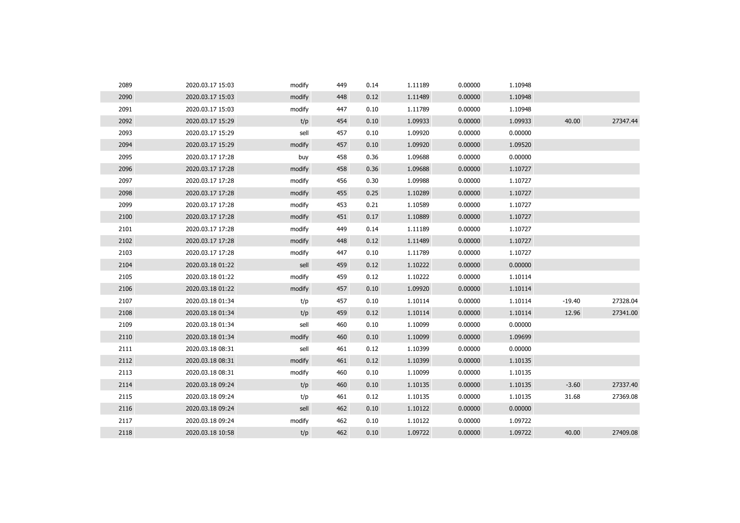| 2089 | 2020.03.17 15:03 | modify | 449 | 0.14 | 1.11189 | 0.00000 | 1.10948 |          |          |
|------|------------------|--------|-----|------|---------|---------|---------|----------|----------|
| 2090 | 2020.03.17 15:03 | modify | 448 | 0.12 | 1.11489 | 0.00000 | 1.10948 |          |          |
| 2091 | 2020.03.17 15:03 | modify | 447 | 0.10 | 1.11789 | 0.00000 | 1.10948 |          |          |
| 2092 | 2020.03.17 15:29 | t/p    | 454 | 0.10 | 1.09933 | 0.00000 | 1.09933 | 40.00    | 27347.44 |
| 2093 | 2020.03.17 15:29 | sell   | 457 | 0.10 | 1.09920 | 0.00000 | 0.00000 |          |          |
| 2094 | 2020.03.17 15:29 | modify | 457 | 0.10 | 1.09920 | 0.00000 | 1.09520 |          |          |
| 2095 | 2020.03.17 17:28 | buy    | 458 | 0.36 | 1.09688 | 0.00000 | 0.00000 |          |          |
| 2096 | 2020.03.17 17:28 | modify | 458 | 0.36 | 1.09688 | 0.00000 | 1.10727 |          |          |
| 2097 | 2020.03.17 17:28 | modify | 456 | 0.30 | 1.09988 | 0.00000 | 1.10727 |          |          |
| 2098 | 2020.03.17 17:28 | modify | 455 | 0.25 | 1.10289 | 0.00000 | 1.10727 |          |          |
| 2099 | 2020.03.17 17:28 | modify | 453 | 0.21 | 1.10589 | 0.00000 | 1.10727 |          |          |
| 2100 | 2020.03.17 17:28 | modify | 451 | 0.17 | 1.10889 | 0.00000 | 1.10727 |          |          |
| 2101 | 2020.03.17 17:28 | modify | 449 | 0.14 | 1.11189 | 0.00000 | 1.10727 |          |          |
| 2102 | 2020.03.17 17:28 | modify | 448 | 0.12 | 1.11489 | 0.00000 | 1.10727 |          |          |
| 2103 | 2020.03.17 17:28 | modify | 447 | 0.10 | 1.11789 | 0.00000 | 1.10727 |          |          |
| 2104 | 2020.03.18 01:22 | sell   | 459 | 0.12 | 1.10222 | 0.00000 | 0.00000 |          |          |
| 2105 | 2020.03.18 01:22 | modify | 459 | 0.12 | 1.10222 | 0.00000 | 1.10114 |          |          |
| 2106 | 2020.03.18 01:22 | modify | 457 | 0.10 | 1.09920 | 0.00000 | 1.10114 |          |          |
| 2107 | 2020.03.18 01:34 | t/p    | 457 | 0.10 | 1.10114 | 0.00000 | 1.10114 | $-19.40$ | 27328.04 |
| 2108 | 2020.03.18 01:34 | t/p    | 459 | 0.12 | 1.10114 | 0.00000 | 1.10114 | 12.96    | 27341.00 |
| 2109 | 2020.03.18 01:34 | sell   | 460 | 0.10 | 1.10099 | 0.00000 | 0.00000 |          |          |
| 2110 | 2020.03.18 01:34 | modify | 460 | 0.10 | 1.10099 | 0.00000 | 1.09699 |          |          |
| 2111 | 2020.03.18 08:31 | sell   | 461 | 0.12 | 1.10399 | 0.00000 | 0.00000 |          |          |
| 2112 | 2020.03.18 08:31 | modify | 461 | 0.12 | 1.10399 | 0.00000 | 1.10135 |          |          |
| 2113 | 2020.03.18 08:31 | modify | 460 | 0.10 | 1.10099 | 0.00000 | 1.10135 |          |          |
| 2114 | 2020.03.18 09:24 | t/p    | 460 | 0.10 | 1.10135 | 0.00000 | 1.10135 | $-3.60$  | 27337.40 |
| 2115 | 2020.03.18 09:24 | t/p    | 461 | 0.12 | 1.10135 | 0.00000 | 1.10135 | 31.68    | 27369.08 |
| 2116 | 2020.03.18 09:24 | sell   | 462 | 0.10 | 1.10122 | 0.00000 | 0.00000 |          |          |
| 2117 | 2020.03.18 09:24 | modify | 462 | 0.10 | 1.10122 | 0.00000 | 1.09722 |          |          |
| 2118 | 2020.03.18 10:58 | t/p    | 462 | 0.10 | 1.09722 | 0.00000 | 1.09722 | 40.00    | 27409.08 |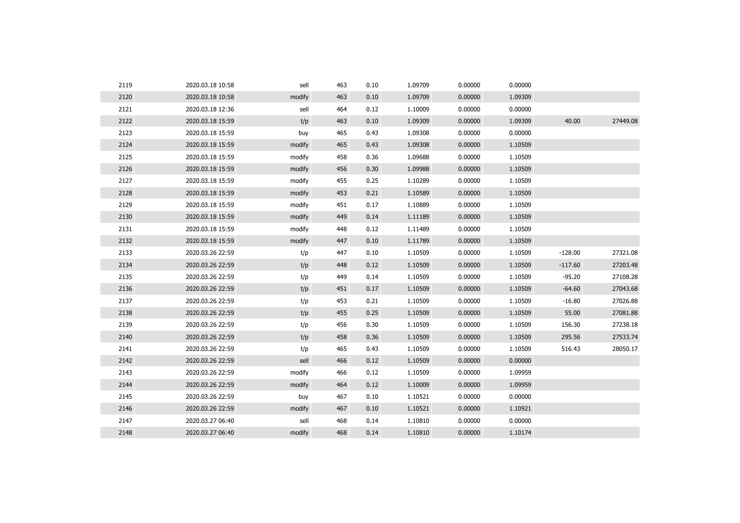| 2119 | 2020.03.18 10:58 | sell   | 463 | 0.10 | 1.09709 | 0.00000 | 0.00000 |           |          |
|------|------------------|--------|-----|------|---------|---------|---------|-----------|----------|
| 2120 | 2020.03.18 10:58 | modify | 463 | 0.10 | 1.09709 | 0.00000 | 1.09309 |           |          |
| 2121 | 2020.03.18 12:36 | sell   | 464 | 0.12 | 1.10009 | 0.00000 | 0.00000 |           |          |
| 2122 | 2020.03.18 15:59 | t/p    | 463 | 0.10 | 1.09309 | 0.00000 | 1.09309 | 40.00     | 27449.08 |
| 2123 | 2020.03.18 15:59 | buy    | 465 | 0.43 | 1.09308 | 0.00000 | 0.00000 |           |          |
| 2124 | 2020.03.18 15:59 | modify | 465 | 0.43 | 1.09308 | 0.00000 | 1.10509 |           |          |
| 2125 | 2020.03.18 15:59 | modify | 458 | 0.36 | 1.09688 | 0.00000 | 1.10509 |           |          |
| 2126 | 2020.03.18 15:59 | modify | 456 | 0.30 | 1.09988 | 0.00000 | 1.10509 |           |          |
| 2127 | 2020.03.18 15:59 | modify | 455 | 0.25 | 1.10289 | 0.00000 | 1.10509 |           |          |
| 2128 | 2020.03.18 15:59 | modify | 453 | 0.21 | 1.10589 | 0.00000 | 1.10509 |           |          |
| 2129 | 2020.03.18 15:59 | modify | 451 | 0.17 | 1.10889 | 0.00000 | 1.10509 |           |          |
| 2130 | 2020.03.18 15:59 | modify | 449 | 0.14 | 1.11189 | 0.00000 | 1.10509 |           |          |
| 2131 | 2020.03.18 15:59 | modify | 448 | 0.12 | 1.11489 | 0.00000 | 1.10509 |           |          |
| 2132 | 2020.03.18 15:59 | modify | 447 | 0.10 | 1.11789 | 0.00000 | 1.10509 |           |          |
| 2133 | 2020.03.26 22:59 | t/p    | 447 | 0.10 | 1.10509 | 0.00000 | 1.10509 | $-128.00$ | 27321.08 |
| 2134 | 2020.03.26 22:59 | t/p    | 448 | 0.12 | 1.10509 | 0.00000 | 1.10509 | $-117.60$ | 27203.48 |
| 2135 | 2020.03.26 22:59 | t/p    | 449 | 0.14 | 1.10509 | 0.00000 | 1.10509 | $-95.20$  | 27108.28 |
| 2136 | 2020.03.26 22:59 | t/p    | 451 | 0.17 | 1.10509 | 0.00000 | 1.10509 | $-64.60$  | 27043.68 |
| 2137 | 2020.03.26 22:59 | t/p    | 453 | 0.21 | 1.10509 | 0.00000 | 1.10509 | $-16.80$  | 27026.88 |
| 2138 | 2020.03.26 22:59 | t/p    | 455 | 0.25 | 1.10509 | 0.00000 | 1.10509 | 55.00     | 27081.88 |
| 2139 | 2020.03.26 22:59 | t/p    | 456 | 0.30 | 1.10509 | 0.00000 | 1.10509 | 156.30    | 27238.18 |
| 2140 | 2020.03.26 22:59 | t/p    | 458 | 0.36 | 1.10509 | 0.00000 | 1.10509 | 295.56    | 27533.74 |
| 2141 | 2020.03.26 22:59 | t/p    | 465 | 0.43 | 1.10509 | 0.00000 | 1.10509 | 516.43    | 28050.17 |
| 2142 | 2020.03.26 22:59 | sell   | 466 | 0.12 | 1.10509 | 0.00000 | 0.00000 |           |          |
| 2143 | 2020.03.26 22:59 | modify | 466 | 0.12 | 1.10509 | 0.00000 | 1.09959 |           |          |
| 2144 | 2020.03.26 22:59 | modify | 464 | 0.12 | 1.10009 | 0.00000 | 1.09959 |           |          |
| 2145 | 2020.03.26 22:59 | buy    | 467 | 0.10 | 1.10521 | 0.00000 | 0.00000 |           |          |
| 2146 | 2020.03.26 22:59 | modify | 467 | 0.10 | 1.10521 | 0.00000 | 1.10921 |           |          |
| 2147 | 2020.03.27 06:40 | sell   | 468 | 0.14 | 1.10810 | 0.00000 | 0.00000 |           |          |
| 2148 | 2020.03.27 06:40 | modify | 468 | 0.14 | 1.10810 | 0.00000 | 1.10174 |           |          |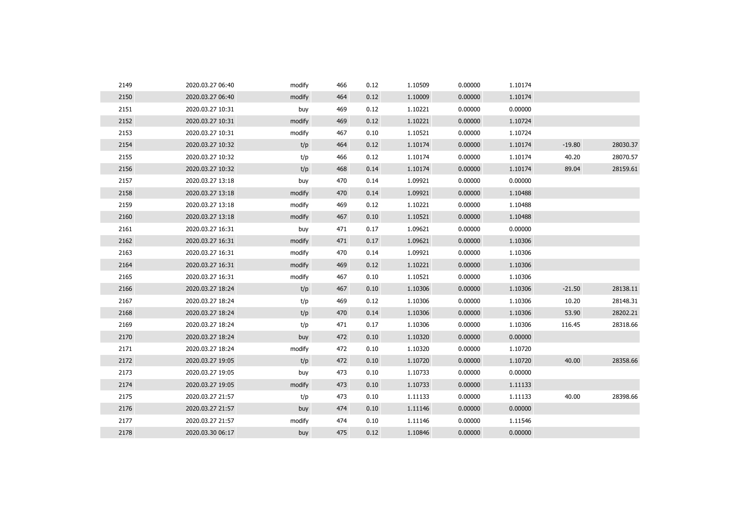| 2149 | 2020.03.27 06:40 | modify | 466 | 0.12 | 1.10509 | 0.00000 | 1.10174 |          |          |
|------|------------------|--------|-----|------|---------|---------|---------|----------|----------|
| 2150 | 2020.03.27 06:40 | modify | 464 | 0.12 | 1.10009 | 0.00000 | 1.10174 |          |          |
| 2151 | 2020.03.27 10:31 | buy    | 469 | 0.12 | 1.10221 | 0.00000 | 0.00000 |          |          |
| 2152 | 2020.03.27 10:31 | modify | 469 | 0.12 | 1.10221 | 0.00000 | 1.10724 |          |          |
| 2153 | 2020.03.27 10:31 | modify | 467 | 0.10 | 1.10521 | 0.00000 | 1.10724 |          |          |
| 2154 | 2020.03.27 10:32 | t/p    | 464 | 0.12 | 1.10174 | 0.00000 | 1.10174 | $-19.80$ | 28030.37 |
| 2155 | 2020.03.27 10:32 | t/p    | 466 | 0.12 | 1.10174 | 0.00000 | 1.10174 | 40.20    | 28070.57 |
| 2156 | 2020.03.27 10:32 | t/p    | 468 | 0.14 | 1.10174 | 0.00000 | 1.10174 | 89.04    | 28159.61 |
| 2157 | 2020.03.27 13:18 | buy    | 470 | 0.14 | 1.09921 | 0.00000 | 0.00000 |          |          |
| 2158 | 2020.03.27 13:18 | modify | 470 | 0.14 | 1.09921 | 0.00000 | 1.10488 |          |          |
| 2159 | 2020.03.27 13:18 | modify | 469 | 0.12 | 1.10221 | 0.00000 | 1.10488 |          |          |
| 2160 | 2020.03.27 13:18 | modify | 467 | 0.10 | 1.10521 | 0.00000 | 1.10488 |          |          |
| 2161 | 2020.03.27 16:31 | buy    | 471 | 0.17 | 1.09621 | 0.00000 | 0.00000 |          |          |
| 2162 | 2020.03.27 16:31 | modify | 471 | 0.17 | 1.09621 | 0.00000 | 1.10306 |          |          |
| 2163 | 2020.03.27 16:31 | modify | 470 | 0.14 | 1.09921 | 0.00000 | 1.10306 |          |          |
| 2164 | 2020.03.27 16:31 | modify | 469 | 0.12 | 1.10221 | 0.00000 | 1.10306 |          |          |
| 2165 | 2020.03.27 16:31 | modify | 467 | 0.10 | 1.10521 | 0.00000 | 1.10306 |          |          |
| 2166 | 2020.03.27 18:24 | t/p    | 467 | 0.10 | 1.10306 | 0.00000 | 1.10306 | $-21.50$ | 28138.11 |
| 2167 | 2020.03.27 18:24 | t/p    | 469 | 0.12 | 1.10306 | 0.00000 | 1.10306 | 10.20    | 28148.31 |
| 2168 | 2020.03.27 18:24 | t/p    | 470 | 0.14 | 1.10306 | 0.00000 | 1.10306 | 53.90    | 28202.21 |
| 2169 | 2020.03.27 18:24 | t/p    | 471 | 0.17 | 1.10306 | 0.00000 | 1.10306 | 116.45   | 28318.66 |
| 2170 | 2020.03.27 18:24 | buy    | 472 | 0.10 | 1.10320 | 0.00000 | 0.00000 |          |          |
| 2171 | 2020.03.27 18:24 | modify | 472 | 0.10 | 1.10320 | 0.00000 | 1.10720 |          |          |
| 2172 | 2020.03.27 19:05 | t/p    | 472 | 0.10 | 1.10720 | 0.00000 | 1.10720 | 40.00    | 28358.66 |
| 2173 | 2020.03.27 19:05 | buy    | 473 | 0.10 | 1.10733 | 0.00000 | 0.00000 |          |          |
| 2174 | 2020.03.27 19:05 | modify | 473 | 0.10 | 1.10733 | 0.00000 | 1.11133 |          |          |
| 2175 | 2020.03.27 21:57 | t/p    | 473 | 0.10 | 1.11133 | 0.00000 | 1.11133 | 40.00    | 28398.66 |
| 2176 | 2020.03.27 21:57 | buy    | 474 | 0.10 | 1.11146 | 0.00000 | 0.00000 |          |          |
| 2177 | 2020.03.27 21:57 | modify | 474 | 0.10 | 1.11146 | 0.00000 | 1.11546 |          |          |
| 2178 | 2020.03.30 06:17 | buy    | 475 | 0.12 | 1.10846 | 0.00000 | 0.00000 |          |          |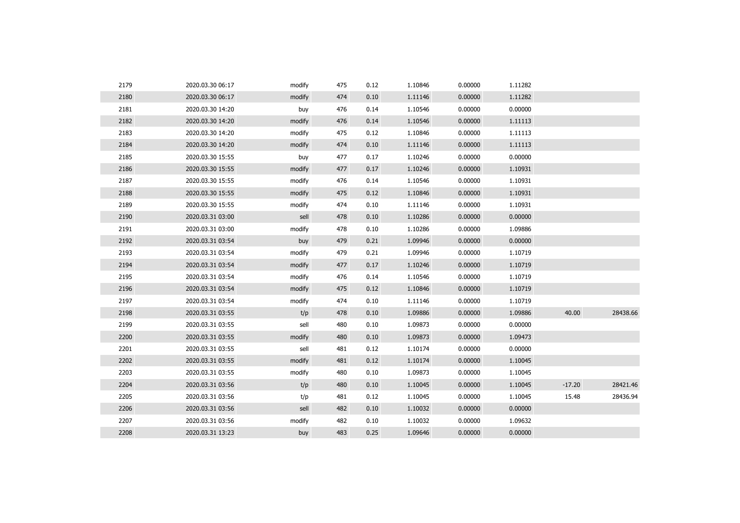| 2179 | 2020.03.30 06:17 | modify | 475 | 0.12 | 1.10846 | 0.00000 | 1.11282 |          |          |
|------|------------------|--------|-----|------|---------|---------|---------|----------|----------|
| 2180 | 2020.03.30 06:17 | modify | 474 | 0.10 | 1.11146 | 0.00000 | 1.11282 |          |          |
| 2181 | 2020.03.30 14:20 | buy    | 476 | 0.14 | 1.10546 | 0.00000 | 0.00000 |          |          |
| 2182 | 2020.03.30 14:20 | modify | 476 | 0.14 | 1.10546 | 0.00000 | 1.11113 |          |          |
| 2183 | 2020.03.30 14:20 | modify | 475 | 0.12 | 1.10846 | 0.00000 | 1.11113 |          |          |
| 2184 | 2020.03.30 14:20 | modify | 474 | 0.10 | 1.11146 | 0.00000 | 1.11113 |          |          |
| 2185 | 2020.03.30 15:55 | buy    | 477 | 0.17 | 1.10246 | 0.00000 | 0.00000 |          |          |
| 2186 | 2020.03.30 15:55 | modify | 477 | 0.17 | 1.10246 | 0.00000 | 1.10931 |          |          |
| 2187 | 2020.03.30 15:55 | modify | 476 | 0.14 | 1.10546 | 0.00000 | 1.10931 |          |          |
| 2188 | 2020.03.30 15:55 | modify | 475 | 0.12 | 1.10846 | 0.00000 | 1.10931 |          |          |
| 2189 | 2020.03.30 15:55 | modify | 474 | 0.10 | 1.11146 | 0.00000 | 1.10931 |          |          |
| 2190 | 2020.03.31 03:00 | sell   | 478 | 0.10 | 1.10286 | 0.00000 | 0.00000 |          |          |
| 2191 | 2020.03.31 03:00 | modify | 478 | 0.10 | 1.10286 | 0.00000 | 1.09886 |          |          |
| 2192 | 2020.03.31 03:54 | buy    | 479 | 0.21 | 1.09946 | 0.00000 | 0.00000 |          |          |
| 2193 | 2020.03.31 03:54 | modify | 479 | 0.21 | 1.09946 | 0.00000 | 1.10719 |          |          |
| 2194 | 2020.03.31 03:54 | modify | 477 | 0.17 | 1.10246 | 0.00000 | 1.10719 |          |          |
| 2195 | 2020.03.31 03:54 | modify | 476 | 0.14 | 1.10546 | 0.00000 | 1.10719 |          |          |
| 2196 | 2020.03.31 03:54 | modify | 475 | 0.12 | 1.10846 | 0.00000 | 1.10719 |          |          |
| 2197 | 2020.03.31 03:54 | modify | 474 | 0.10 | 1.11146 | 0.00000 | 1.10719 |          |          |
| 2198 | 2020.03.31 03:55 | t/p    | 478 | 0.10 | 1.09886 | 0.00000 | 1.09886 | 40.00    | 28438.66 |
| 2199 | 2020.03.31 03:55 | sell   | 480 | 0.10 | 1.09873 | 0.00000 | 0.00000 |          |          |
| 2200 | 2020.03.31 03:55 | modify | 480 | 0.10 | 1.09873 | 0.00000 | 1.09473 |          |          |
| 2201 | 2020.03.31 03:55 | sell   | 481 | 0.12 | 1.10174 | 0.00000 | 0.00000 |          |          |
| 2202 | 2020.03.31 03:55 | modify | 481 | 0.12 | 1.10174 | 0.00000 | 1.10045 |          |          |
| 2203 | 2020.03.31 03:55 | modify | 480 | 0.10 | 1.09873 | 0.00000 | 1.10045 |          |          |
| 2204 | 2020.03.31 03:56 | t/p    | 480 | 0.10 | 1.10045 | 0.00000 | 1.10045 | $-17.20$ | 28421.46 |
| 2205 | 2020.03.31 03:56 | t/p    | 481 | 0.12 | 1.10045 | 0.00000 | 1.10045 | 15.48    | 28436.94 |
| 2206 | 2020.03.31 03:56 | sell   | 482 | 0.10 | 1.10032 | 0.00000 | 0.00000 |          |          |
| 2207 | 2020.03.31 03:56 | modify | 482 | 0.10 | 1.10032 | 0.00000 | 1.09632 |          |          |
| 2208 | 2020.03.31 13:23 | buy    | 483 | 0.25 | 1.09646 | 0.00000 | 0.00000 |          |          |
|      |                  |        |     |      |         |         |         |          |          |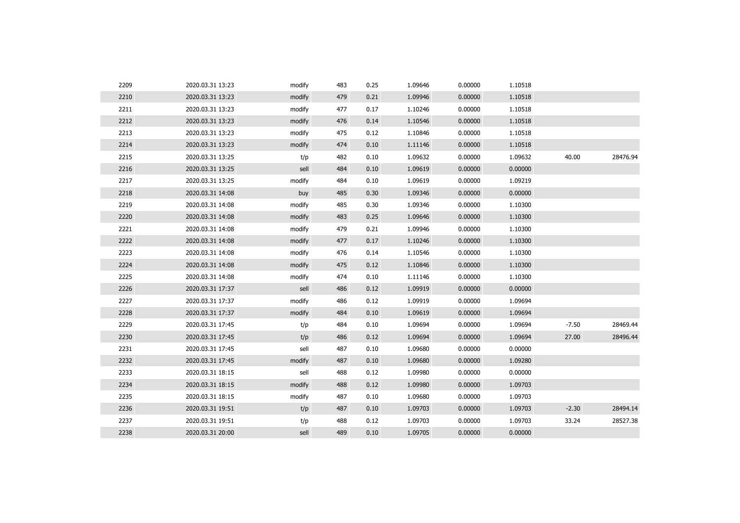| 2209 | 2020.03.31 13:23 | modify | 483 | 0.25 | 1.09646 | 0.00000 | 1.10518 |         |          |
|------|------------------|--------|-----|------|---------|---------|---------|---------|----------|
| 2210 | 2020.03.31 13:23 | modify | 479 | 0.21 | 1.09946 | 0.00000 | 1.10518 |         |          |
| 2211 | 2020.03.31 13:23 | modify | 477 | 0.17 | 1.10246 | 0.00000 | 1.10518 |         |          |
| 2212 | 2020.03.31 13:23 | modify | 476 | 0.14 | 1.10546 | 0.00000 | 1.10518 |         |          |
| 2213 | 2020.03.31 13:23 | modify | 475 | 0.12 | 1.10846 | 0.00000 | 1.10518 |         |          |
| 2214 | 2020.03.31 13:23 | modify | 474 | 0.10 | 1.11146 | 0.00000 | 1.10518 |         |          |
| 2215 | 2020.03.31 13:25 | t/p    | 482 | 0.10 | 1.09632 | 0.00000 | 1.09632 | 40.00   | 28476.94 |
| 2216 | 2020.03.31 13:25 | sell   | 484 | 0.10 | 1.09619 | 0.00000 | 0.00000 |         |          |
| 2217 | 2020.03.31 13:25 | modify | 484 | 0.10 | 1.09619 | 0.00000 | 1.09219 |         |          |
| 2218 | 2020.03.31 14:08 | buy    | 485 | 0.30 | 1.09346 | 0.00000 | 0.00000 |         |          |
| 2219 | 2020.03.31 14:08 | modify | 485 | 0.30 | 1.09346 | 0.00000 | 1.10300 |         |          |
| 2220 | 2020.03.31 14:08 | modify | 483 | 0.25 | 1.09646 | 0.00000 | 1.10300 |         |          |
| 2221 | 2020.03.31 14:08 | modify | 479 | 0.21 | 1.09946 | 0.00000 | 1.10300 |         |          |
| 2222 | 2020.03.31 14:08 | modify | 477 | 0.17 | 1.10246 | 0.00000 | 1.10300 |         |          |
| 2223 | 2020.03.31 14:08 | modify | 476 | 0.14 | 1.10546 | 0.00000 | 1.10300 |         |          |
| 2224 | 2020.03.31 14:08 | modify | 475 | 0.12 | 1.10846 | 0.00000 | 1.10300 |         |          |
| 2225 | 2020.03.31 14:08 | modify | 474 | 0.10 | 1.11146 | 0.00000 | 1.10300 |         |          |
| 2226 | 2020.03.31 17:37 | sell   | 486 | 0.12 | 1.09919 | 0.00000 | 0.00000 |         |          |
| 2227 | 2020.03.31 17:37 | modify | 486 | 0.12 | 1.09919 | 0.00000 | 1.09694 |         |          |
| 2228 | 2020.03.31 17:37 | modify | 484 | 0.10 | 1.09619 | 0.00000 | 1.09694 |         |          |
| 2229 | 2020.03.31 17:45 | t/p    | 484 | 0.10 | 1.09694 | 0.00000 | 1.09694 | $-7.50$ | 28469.44 |
| 2230 | 2020.03.31 17:45 | t/p    | 486 | 0.12 | 1.09694 | 0.00000 | 1.09694 | 27.00   | 28496.44 |
| 2231 | 2020.03.31 17:45 | sell   | 487 | 0.10 | 1.09680 | 0.00000 | 0.00000 |         |          |
| 2232 | 2020.03.31 17:45 | modify | 487 | 0.10 | 1.09680 | 0.00000 | 1.09280 |         |          |
| 2233 | 2020.03.31 18:15 | sell   | 488 | 0.12 | 1.09980 | 0.00000 | 0.00000 |         |          |
| 2234 | 2020.03.31 18:15 | modify | 488 | 0.12 | 1.09980 | 0.00000 | 1.09703 |         |          |
| 2235 | 2020.03.31 18:15 | modify | 487 | 0.10 | 1.09680 | 0.00000 | 1.09703 |         |          |
| 2236 | 2020.03.31 19:51 | t/p    | 487 | 0.10 | 1.09703 | 0.00000 | 1.09703 | $-2.30$ | 28494.14 |
| 2237 | 2020.03.31 19:51 | t/p    | 488 | 0.12 | 1.09703 | 0.00000 | 1.09703 | 33.24   | 28527.38 |
| 2238 | 2020.03.31 20:00 | sell   | 489 | 0.10 | 1.09705 | 0.00000 | 0.00000 |         |          |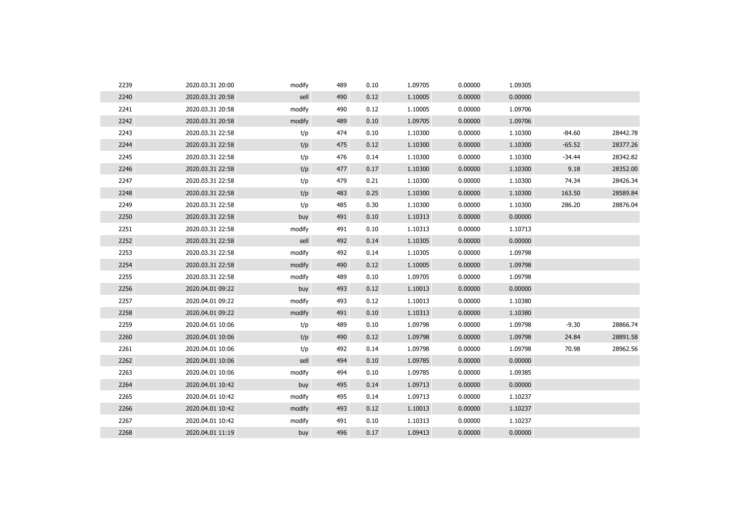| 2239 | 2020.03.31 20:00 | modify | 489 | 0.10 | 1.09705 | 0.00000 | 1.09305 |          |          |
|------|------------------|--------|-----|------|---------|---------|---------|----------|----------|
| 2240 | 2020.03.31 20:58 | sell   | 490 | 0.12 | 1.10005 | 0.00000 | 0.00000 |          |          |
| 2241 | 2020.03.31 20:58 | modify | 490 | 0.12 | 1.10005 | 0.00000 | 1.09706 |          |          |
| 2242 | 2020.03.31 20:58 | modify | 489 | 0.10 | 1.09705 | 0.00000 | 1.09706 |          |          |
| 2243 | 2020.03.31 22:58 | t/p    | 474 | 0.10 | 1.10300 | 0.00000 | 1.10300 | $-84.60$ | 28442.78 |
| 2244 | 2020.03.31 22:58 | t/p    | 475 | 0.12 | 1.10300 | 0.00000 | 1.10300 | $-65.52$ | 28377.26 |
| 2245 | 2020.03.31 22:58 | t/p    | 476 | 0.14 | 1.10300 | 0.00000 | 1.10300 | $-34.44$ | 28342.82 |
| 2246 | 2020.03.31 22:58 | t/p    | 477 | 0.17 | 1.10300 | 0.00000 | 1.10300 | 9.18     | 28352.00 |
| 2247 | 2020.03.31 22:58 | t/p    | 479 | 0.21 | 1.10300 | 0.00000 | 1.10300 | 74.34    | 28426.34 |
| 2248 | 2020.03.31 22:58 | t/p    | 483 | 0.25 | 1.10300 | 0.00000 | 1.10300 | 163.50   | 28589.84 |
| 2249 | 2020.03.31 22:58 | t/p    | 485 | 0.30 | 1.10300 | 0.00000 | 1.10300 | 286.20   | 28876.04 |
| 2250 | 2020.03.31 22:58 | buy    | 491 | 0.10 | 1.10313 | 0.00000 | 0.00000 |          |          |
| 2251 | 2020.03.31 22:58 | modify | 491 | 0.10 | 1.10313 | 0.00000 | 1.10713 |          |          |
| 2252 | 2020.03.31 22:58 | sell   | 492 | 0.14 | 1.10305 | 0.00000 | 0.00000 |          |          |
| 2253 | 2020.03.31 22:58 | modify | 492 | 0.14 | 1.10305 | 0.00000 | 1.09798 |          |          |
| 2254 | 2020.03.31 22:58 | modify | 490 | 0.12 | 1.10005 | 0.00000 | 1.09798 |          |          |
| 2255 | 2020.03.31 22:58 | modify | 489 | 0.10 | 1.09705 | 0.00000 | 1.09798 |          |          |
| 2256 | 2020.04.01 09:22 | buy    | 493 | 0.12 | 1.10013 | 0.00000 | 0.00000 |          |          |
| 2257 | 2020.04.01 09:22 | modify | 493 | 0.12 | 1.10013 | 0.00000 | 1.10380 |          |          |
| 2258 | 2020.04.01 09:22 | modify | 491 | 0.10 | 1.10313 | 0.00000 | 1.10380 |          |          |
| 2259 | 2020.04.01 10:06 | t/p    | 489 | 0.10 | 1.09798 | 0.00000 | 1.09798 | $-9.30$  | 28866.74 |
| 2260 | 2020.04.01 10:06 | t/p    | 490 | 0.12 | 1.09798 | 0.00000 | 1.09798 | 24.84    | 28891.58 |
| 2261 | 2020.04.01 10:06 | t/p    | 492 | 0.14 | 1.09798 | 0.00000 | 1.09798 | 70.98    | 28962.56 |
| 2262 | 2020.04.01 10:06 | sell   | 494 | 0.10 | 1.09785 | 0.00000 | 0.00000 |          |          |
| 2263 | 2020.04.01 10:06 | modify | 494 | 0.10 | 1.09785 | 0.00000 | 1.09385 |          |          |
| 2264 | 2020.04.01 10:42 | buy    | 495 | 0.14 | 1.09713 | 0.00000 | 0.00000 |          |          |
| 2265 | 2020.04.01 10:42 | modify | 495 | 0.14 | 1.09713 | 0.00000 | 1.10237 |          |          |
| 2266 | 2020.04.01 10:42 | modify | 493 | 0.12 | 1.10013 | 0.00000 | 1.10237 |          |          |
| 2267 | 2020.04.01 10:42 | modify | 491 | 0.10 | 1.10313 | 0.00000 | 1.10237 |          |          |
| 2268 | 2020.04.01 11:19 | buy    | 496 | 0.17 | 1.09413 | 0.00000 | 0.00000 |          |          |
|      |                  |        |     |      |         |         |         |          |          |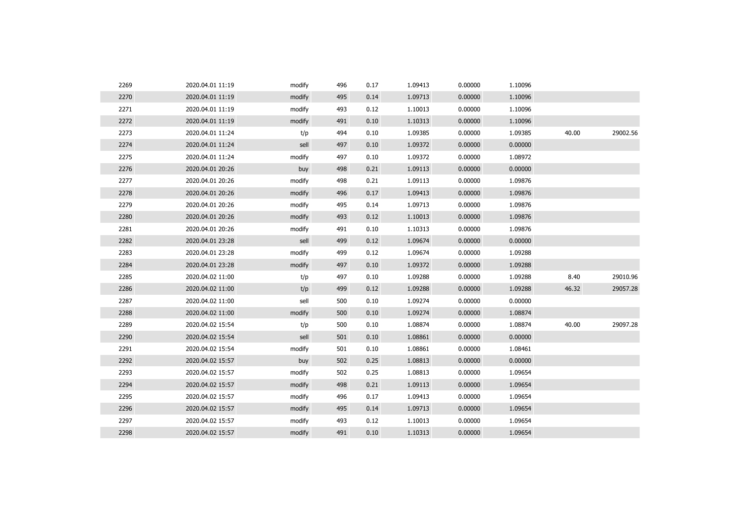| 2269 | 2020.04.01 11:19 | modify | 496 | 0.17 | 1.09413 | 0.00000 | 1.10096 |       |          |
|------|------------------|--------|-----|------|---------|---------|---------|-------|----------|
| 2270 | 2020.04.01 11:19 | modify | 495 | 0.14 | 1.09713 | 0.00000 | 1.10096 |       |          |
| 2271 | 2020.04.01 11:19 | modify | 493 | 0.12 | 1.10013 | 0.00000 | 1.10096 |       |          |
| 2272 | 2020.04.01 11:19 | modify | 491 | 0.10 | 1.10313 | 0.00000 | 1.10096 |       |          |
| 2273 | 2020.04.01 11:24 | t/p    | 494 | 0.10 | 1.09385 | 0.00000 | 1.09385 | 40.00 | 29002.56 |
| 2274 | 2020.04.01 11:24 | sell   | 497 | 0.10 | 1.09372 | 0.00000 | 0.00000 |       |          |
| 2275 | 2020.04.01 11:24 | modify | 497 | 0.10 | 1.09372 | 0.00000 | 1.08972 |       |          |
| 2276 | 2020.04.01 20:26 | buy    | 498 | 0.21 | 1.09113 | 0.00000 | 0.00000 |       |          |
| 2277 | 2020.04.01 20:26 | modify | 498 | 0.21 | 1.09113 | 0.00000 | 1.09876 |       |          |
| 2278 | 2020.04.01 20:26 | modify | 496 | 0.17 | 1.09413 | 0.00000 | 1.09876 |       |          |
| 2279 | 2020.04.01 20:26 | modify | 495 | 0.14 | 1.09713 | 0.00000 | 1.09876 |       |          |
| 2280 | 2020.04.01 20:26 | modify | 493 | 0.12 | 1.10013 | 0.00000 | 1.09876 |       |          |
| 2281 | 2020.04.01 20:26 | modify | 491 | 0.10 | 1.10313 | 0.00000 | 1.09876 |       |          |
| 2282 | 2020.04.01 23:28 | sell   | 499 | 0.12 | 1.09674 | 0.00000 | 0.00000 |       |          |
| 2283 | 2020.04.01 23:28 | modify | 499 | 0.12 | 1.09674 | 0.00000 | 1.09288 |       |          |
| 2284 | 2020.04.01 23:28 | modify | 497 | 0.10 | 1.09372 | 0.00000 | 1.09288 |       |          |
| 2285 | 2020.04.02 11:00 | t/p    | 497 | 0.10 | 1.09288 | 0.00000 | 1.09288 | 8.40  | 29010.96 |
| 2286 | 2020.04.02 11:00 | t/p    | 499 | 0.12 | 1.09288 | 0.00000 | 1.09288 | 46.32 | 29057.28 |
| 2287 | 2020.04.02 11:00 | sell   | 500 | 0.10 | 1.09274 | 0.00000 | 0.00000 |       |          |
| 2288 | 2020.04.02 11:00 | modify | 500 | 0.10 | 1.09274 | 0.00000 | 1.08874 |       |          |
| 2289 | 2020.04.02 15:54 | t/p    | 500 | 0.10 | 1.08874 | 0.00000 | 1.08874 | 40.00 | 29097.28 |
| 2290 | 2020.04.02 15:54 | sell   | 501 | 0.10 | 1.08861 | 0.00000 | 0.00000 |       |          |
| 2291 | 2020.04.02 15:54 | modify | 501 | 0.10 | 1.08861 | 0.00000 | 1.08461 |       |          |
| 2292 | 2020.04.02 15:57 | buy    | 502 | 0.25 | 1.08813 | 0.00000 | 0.00000 |       |          |
| 2293 | 2020.04.02 15:57 | modify | 502 | 0.25 | 1.08813 | 0.00000 | 1.09654 |       |          |
| 2294 | 2020.04.02 15:57 | modify | 498 | 0.21 | 1.09113 | 0.00000 | 1.09654 |       |          |
| 2295 | 2020.04.02 15:57 | modify | 496 | 0.17 | 1.09413 | 0.00000 | 1.09654 |       |          |
| 2296 | 2020.04.02 15:57 | modify | 495 | 0.14 | 1.09713 | 0.00000 | 1.09654 |       |          |
| 2297 | 2020.04.02 15:57 | modify | 493 | 0.12 | 1.10013 | 0.00000 | 1.09654 |       |          |
| 2298 | 2020.04.02 15:57 | modify | 491 | 0.10 | 1.10313 | 0.00000 | 1.09654 |       |          |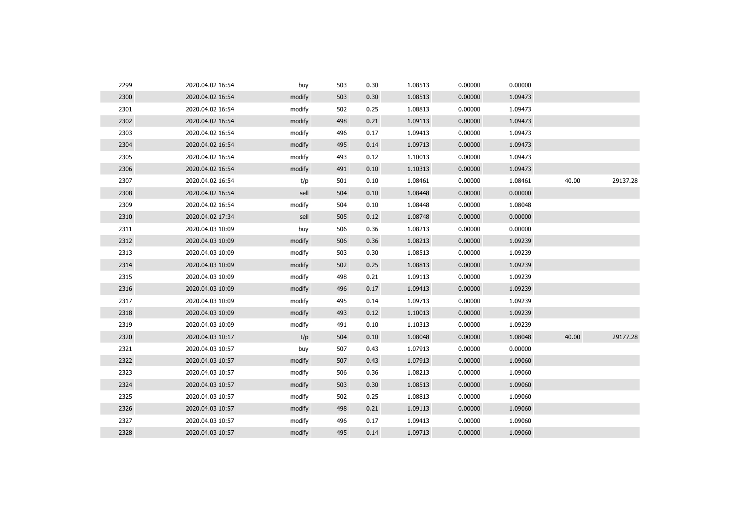| 2299 | 2020.04.02 16:54 | buy    | 503 | 0.30 | 1.08513 | 0.00000 | 0.00000 |       |          |
|------|------------------|--------|-----|------|---------|---------|---------|-------|----------|
| 2300 | 2020.04.02 16:54 | modify | 503 | 0.30 | 1.08513 | 0.00000 | 1.09473 |       |          |
| 2301 | 2020.04.02 16:54 | modify | 502 | 0.25 | 1.08813 | 0.00000 | 1.09473 |       |          |
| 2302 | 2020.04.02 16:54 | modify | 498 | 0.21 | 1.09113 | 0.00000 | 1.09473 |       |          |
| 2303 | 2020.04.02 16:54 | modify | 496 | 0.17 | 1.09413 | 0.00000 | 1.09473 |       |          |
| 2304 | 2020.04.02 16:54 | modify | 495 | 0.14 | 1.09713 | 0.00000 | 1.09473 |       |          |
| 2305 | 2020.04.02 16:54 | modify | 493 | 0.12 | 1.10013 | 0.00000 | 1.09473 |       |          |
| 2306 | 2020.04.02 16:54 | modify | 491 | 0.10 | 1.10313 | 0.00000 | 1.09473 |       |          |
| 2307 | 2020.04.02 16:54 | t/p    | 501 | 0.10 | 1.08461 | 0.00000 | 1.08461 | 40.00 | 29137.28 |
| 2308 | 2020.04.02 16:54 | sell   | 504 | 0.10 | 1.08448 | 0.00000 | 0.00000 |       |          |
| 2309 | 2020.04.02 16:54 | modify | 504 | 0.10 | 1.08448 | 0.00000 | 1.08048 |       |          |
| 2310 | 2020.04.02 17:34 | sell   | 505 | 0.12 | 1.08748 | 0.00000 | 0.00000 |       |          |
| 2311 | 2020.04.03 10:09 | buy    | 506 | 0.36 | 1.08213 | 0.00000 | 0.00000 |       |          |
| 2312 | 2020.04.03 10:09 | modify | 506 | 0.36 | 1.08213 | 0.00000 | 1.09239 |       |          |
| 2313 | 2020.04.03 10:09 | modify | 503 | 0.30 | 1.08513 | 0.00000 | 1.09239 |       |          |
| 2314 | 2020.04.03 10:09 | modify | 502 | 0.25 | 1.08813 | 0.00000 | 1.09239 |       |          |
| 2315 | 2020.04.03 10:09 | modify | 498 | 0.21 | 1.09113 | 0.00000 | 1.09239 |       |          |
| 2316 | 2020.04.03 10:09 | modify | 496 | 0.17 | 1.09413 | 0.00000 | 1.09239 |       |          |
| 2317 | 2020.04.03 10:09 | modify | 495 | 0.14 | 1.09713 | 0.00000 | 1.09239 |       |          |
| 2318 | 2020.04.03 10:09 | modify | 493 | 0.12 | 1.10013 | 0.00000 | 1.09239 |       |          |
| 2319 | 2020.04.03 10:09 | modify | 491 | 0.10 | 1.10313 | 0.00000 | 1.09239 |       |          |
| 2320 | 2020.04.03 10:17 | t/p    | 504 | 0.10 | 1.08048 | 0.00000 | 1.08048 | 40.00 | 29177.28 |
| 2321 | 2020.04.03 10:57 | buy    | 507 | 0.43 | 1.07913 | 0.00000 | 0.00000 |       |          |
| 2322 | 2020.04.03 10:57 | modify | 507 | 0.43 | 1.07913 | 0.00000 | 1.09060 |       |          |
| 2323 | 2020.04.03 10:57 | modify | 506 | 0.36 | 1.08213 | 0.00000 | 1.09060 |       |          |
| 2324 | 2020.04.03 10:57 | modify | 503 | 0.30 | 1.08513 | 0.00000 | 1.09060 |       |          |
| 2325 | 2020.04.03 10:57 | modify | 502 | 0.25 | 1.08813 | 0.00000 | 1.09060 |       |          |
| 2326 | 2020.04.03 10:57 | modify | 498 | 0.21 | 1.09113 | 0.00000 | 1.09060 |       |          |
| 2327 | 2020.04.03 10:57 | modify | 496 | 0.17 | 1.09413 | 0.00000 | 1.09060 |       |          |
| 2328 | 2020.04.03 10:57 | modify | 495 | 0.14 | 1.09713 | 0.00000 | 1.09060 |       |          |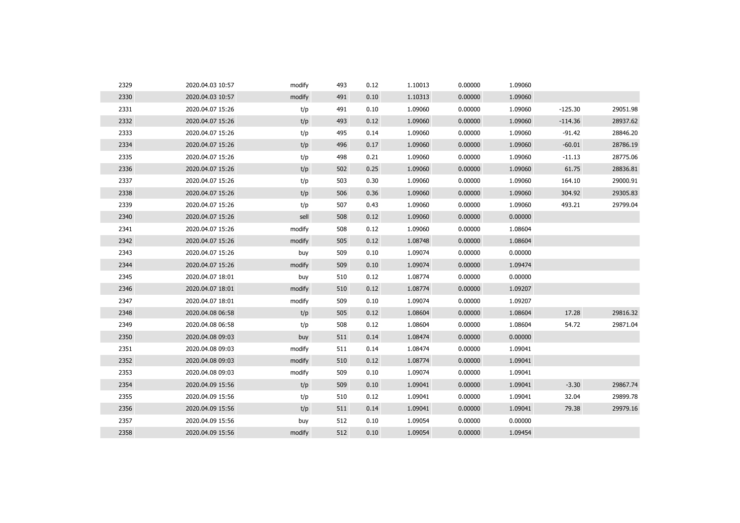| 2330<br>2020.04.03 10:57<br>0.00000<br>1.09060<br>modify<br>491<br>0.10<br>1.10313<br>2331<br>491<br>0.10<br>1.09060<br>0.00000<br>1.09060<br>$-125.30$<br>2020.04.07 15:26<br>t/p<br>2332<br>2020.04.07 15:26<br>t/p<br>493<br>0.12<br>1.09060<br>0.00000<br>1.09060<br>$-114.36$<br>2333<br>2020.04.07 15:26<br>t/p<br>495<br>0.14<br>1.09060<br>0.00000<br>1.09060<br>$-91.42$<br>2334<br>t/p<br>0.17<br>1.09060<br>0.00000<br>1.09060<br>$-60.01$<br>2020.04.07 15:26<br>496<br>2335<br>t/p<br>498<br>1.09060<br>0.00000<br>1.09060<br>$-11.13$<br>2020.04.07 15:26<br>0.21<br>2336<br>1.09060<br>61.75<br>2020.04.07 15:26<br>t/p<br>502<br>0.25<br>1.09060<br>0.00000<br>2337<br>t/p<br>1.09060<br>0.00000<br>1.09060<br>164.10<br>2020.04.07 15:26<br>503<br>0.30<br>2338<br>2020.04.07 15:26<br>t/p<br>506<br>0.36<br>1.09060<br>0.00000<br>1.09060<br>304.92<br>2339<br>493.21<br>2020.04.07 15:26<br>t/p<br>0.43<br>1.09060<br>0.00000<br>1.09060<br>507<br>2340<br>0.12<br>1.09060<br>0.00000<br>0.00000<br>2020.04.07 15:26<br>sell<br>508<br>2341<br>508<br>0.12<br>1.09060<br>0.00000<br>1.08604<br>2020.04.07 15:26<br>modify<br>2342<br>1.08748<br>2020.04.07 15:26<br>modify<br>505<br>0.12<br>0.00000<br>1.08604<br>2343<br>0.00000<br>2020.04.07 15:26<br>509<br>0.10<br>1.09074<br>0.00000<br>buy<br>2344<br>0.10<br>1.09074<br>0.00000<br>1.09474<br>2020.04.07 15:26<br>modify<br>509<br>2345<br>0.12<br>1.08774<br>0.00000<br>0.00000<br>2020.04.07 18:01<br>buy<br>510<br>2346<br>1.08774<br>0.00000<br>2020.04.07 18:01<br>modify<br>510<br>0.12<br>1.09207<br>2347<br>1.09074<br>0.00000<br>2020.04.07 18:01<br>modify<br>509<br>0.10<br>1.09207<br>2348<br>0.00000<br>17.28<br>2020.04.08 06:58<br>t/p<br>505<br>0.12<br>1.08604<br>1.08604<br>2349<br>2020.04.08 06:58<br>t/p<br>508<br>0.12<br>1.08604<br>0.00000<br>1.08604<br>54.72<br>2350<br>1.08474<br>0.00000<br>0.00000<br>2020.04.08 09:03<br>511<br>0.14<br>buy<br>2351<br>1.08474<br>0.00000<br>1.09041<br>2020.04.08 09:03<br>modify<br>511<br>0.14<br>2352<br>1.08774<br>0.00000<br>2020.04.08 09:03<br>modify<br>510<br>0.12<br>1.09041<br>2353<br>509<br>1.09074<br>0.00000<br>1.09041<br>2020.04.08 09:03<br>modify<br>0.10<br>2354<br>t/p<br>509<br>1.09041<br>0.00000<br>1.09041<br>$-3.30$<br>2020.04.09 15:56<br>0.10<br>2355<br>t/p<br>0.12<br>1.09041<br>0.00000<br>1.09041<br>32.04<br>2020.04.09 15:56<br>510<br>2356<br>t/p<br>1.09041<br>0.00000<br>79.38<br>2020.04.09 15:56<br>511<br>0.14<br>1.09041<br>2357<br>1.09054<br>0.00000<br>2020.04.09 15:56<br>buy<br>512<br>0.10<br>0.00000<br>512<br>2358<br>2020.04.09 15:56<br>0.10<br>1.09054<br>0.00000<br>1.09454<br>modify | 2329 | 2020.04.03 10:57 | modify | 493 | 0.12 | 1.10013 | 0.00000 | 1.09060 |          |
|----------------------------------------------------------------------------------------------------------------------------------------------------------------------------------------------------------------------------------------------------------------------------------------------------------------------------------------------------------------------------------------------------------------------------------------------------------------------------------------------------------------------------------------------------------------------------------------------------------------------------------------------------------------------------------------------------------------------------------------------------------------------------------------------------------------------------------------------------------------------------------------------------------------------------------------------------------------------------------------------------------------------------------------------------------------------------------------------------------------------------------------------------------------------------------------------------------------------------------------------------------------------------------------------------------------------------------------------------------------------------------------------------------------------------------------------------------------------------------------------------------------------------------------------------------------------------------------------------------------------------------------------------------------------------------------------------------------------------------------------------------------------------------------------------------------------------------------------------------------------------------------------------------------------------------------------------------------------------------------------------------------------------------------------------------------------------------------------------------------------------------------------------------------------------------------------------------------------------------------------------------------------------------------------------------------------------------------------------------------------------------------------------------------------------------------------------------------------------------------------------------------------------------------------------------------------------------------------------------------------------------------------------------------------------------------|------|------------------|--------|-----|------|---------|---------|---------|----------|
|                                                                                                                                                                                                                                                                                                                                                                                                                                                                                                                                                                                                                                                                                                                                                                                                                                                                                                                                                                                                                                                                                                                                                                                                                                                                                                                                                                                                                                                                                                                                                                                                                                                                                                                                                                                                                                                                                                                                                                                                                                                                                                                                                                                                                                                                                                                                                                                                                                                                                                                                                                                                                                                                                        |      |                  |        |     |      |         |         |         |          |
|                                                                                                                                                                                                                                                                                                                                                                                                                                                                                                                                                                                                                                                                                                                                                                                                                                                                                                                                                                                                                                                                                                                                                                                                                                                                                                                                                                                                                                                                                                                                                                                                                                                                                                                                                                                                                                                                                                                                                                                                                                                                                                                                                                                                                                                                                                                                                                                                                                                                                                                                                                                                                                                                                        |      |                  |        |     |      |         |         |         | 29051.98 |
|                                                                                                                                                                                                                                                                                                                                                                                                                                                                                                                                                                                                                                                                                                                                                                                                                                                                                                                                                                                                                                                                                                                                                                                                                                                                                                                                                                                                                                                                                                                                                                                                                                                                                                                                                                                                                                                                                                                                                                                                                                                                                                                                                                                                                                                                                                                                                                                                                                                                                                                                                                                                                                                                                        |      |                  |        |     |      |         |         |         | 28937.62 |
|                                                                                                                                                                                                                                                                                                                                                                                                                                                                                                                                                                                                                                                                                                                                                                                                                                                                                                                                                                                                                                                                                                                                                                                                                                                                                                                                                                                                                                                                                                                                                                                                                                                                                                                                                                                                                                                                                                                                                                                                                                                                                                                                                                                                                                                                                                                                                                                                                                                                                                                                                                                                                                                                                        |      |                  |        |     |      |         |         |         | 28846.20 |
|                                                                                                                                                                                                                                                                                                                                                                                                                                                                                                                                                                                                                                                                                                                                                                                                                                                                                                                                                                                                                                                                                                                                                                                                                                                                                                                                                                                                                                                                                                                                                                                                                                                                                                                                                                                                                                                                                                                                                                                                                                                                                                                                                                                                                                                                                                                                                                                                                                                                                                                                                                                                                                                                                        |      |                  |        |     |      |         |         |         | 28786.19 |
|                                                                                                                                                                                                                                                                                                                                                                                                                                                                                                                                                                                                                                                                                                                                                                                                                                                                                                                                                                                                                                                                                                                                                                                                                                                                                                                                                                                                                                                                                                                                                                                                                                                                                                                                                                                                                                                                                                                                                                                                                                                                                                                                                                                                                                                                                                                                                                                                                                                                                                                                                                                                                                                                                        |      |                  |        |     |      |         |         |         | 28775.06 |
|                                                                                                                                                                                                                                                                                                                                                                                                                                                                                                                                                                                                                                                                                                                                                                                                                                                                                                                                                                                                                                                                                                                                                                                                                                                                                                                                                                                                                                                                                                                                                                                                                                                                                                                                                                                                                                                                                                                                                                                                                                                                                                                                                                                                                                                                                                                                                                                                                                                                                                                                                                                                                                                                                        |      |                  |        |     |      |         |         |         | 28836.81 |
|                                                                                                                                                                                                                                                                                                                                                                                                                                                                                                                                                                                                                                                                                                                                                                                                                                                                                                                                                                                                                                                                                                                                                                                                                                                                                                                                                                                                                                                                                                                                                                                                                                                                                                                                                                                                                                                                                                                                                                                                                                                                                                                                                                                                                                                                                                                                                                                                                                                                                                                                                                                                                                                                                        |      |                  |        |     |      |         |         |         | 29000.91 |
|                                                                                                                                                                                                                                                                                                                                                                                                                                                                                                                                                                                                                                                                                                                                                                                                                                                                                                                                                                                                                                                                                                                                                                                                                                                                                                                                                                                                                                                                                                                                                                                                                                                                                                                                                                                                                                                                                                                                                                                                                                                                                                                                                                                                                                                                                                                                                                                                                                                                                                                                                                                                                                                                                        |      |                  |        |     |      |         |         |         | 29305.83 |
|                                                                                                                                                                                                                                                                                                                                                                                                                                                                                                                                                                                                                                                                                                                                                                                                                                                                                                                                                                                                                                                                                                                                                                                                                                                                                                                                                                                                                                                                                                                                                                                                                                                                                                                                                                                                                                                                                                                                                                                                                                                                                                                                                                                                                                                                                                                                                                                                                                                                                                                                                                                                                                                                                        |      |                  |        |     |      |         |         |         | 29799.04 |
|                                                                                                                                                                                                                                                                                                                                                                                                                                                                                                                                                                                                                                                                                                                                                                                                                                                                                                                                                                                                                                                                                                                                                                                                                                                                                                                                                                                                                                                                                                                                                                                                                                                                                                                                                                                                                                                                                                                                                                                                                                                                                                                                                                                                                                                                                                                                                                                                                                                                                                                                                                                                                                                                                        |      |                  |        |     |      |         |         |         |          |
|                                                                                                                                                                                                                                                                                                                                                                                                                                                                                                                                                                                                                                                                                                                                                                                                                                                                                                                                                                                                                                                                                                                                                                                                                                                                                                                                                                                                                                                                                                                                                                                                                                                                                                                                                                                                                                                                                                                                                                                                                                                                                                                                                                                                                                                                                                                                                                                                                                                                                                                                                                                                                                                                                        |      |                  |        |     |      |         |         |         |          |
|                                                                                                                                                                                                                                                                                                                                                                                                                                                                                                                                                                                                                                                                                                                                                                                                                                                                                                                                                                                                                                                                                                                                                                                                                                                                                                                                                                                                                                                                                                                                                                                                                                                                                                                                                                                                                                                                                                                                                                                                                                                                                                                                                                                                                                                                                                                                                                                                                                                                                                                                                                                                                                                                                        |      |                  |        |     |      |         |         |         |          |
|                                                                                                                                                                                                                                                                                                                                                                                                                                                                                                                                                                                                                                                                                                                                                                                                                                                                                                                                                                                                                                                                                                                                                                                                                                                                                                                                                                                                                                                                                                                                                                                                                                                                                                                                                                                                                                                                                                                                                                                                                                                                                                                                                                                                                                                                                                                                                                                                                                                                                                                                                                                                                                                                                        |      |                  |        |     |      |         |         |         |          |
|                                                                                                                                                                                                                                                                                                                                                                                                                                                                                                                                                                                                                                                                                                                                                                                                                                                                                                                                                                                                                                                                                                                                                                                                                                                                                                                                                                                                                                                                                                                                                                                                                                                                                                                                                                                                                                                                                                                                                                                                                                                                                                                                                                                                                                                                                                                                                                                                                                                                                                                                                                                                                                                                                        |      |                  |        |     |      |         |         |         |          |
|                                                                                                                                                                                                                                                                                                                                                                                                                                                                                                                                                                                                                                                                                                                                                                                                                                                                                                                                                                                                                                                                                                                                                                                                                                                                                                                                                                                                                                                                                                                                                                                                                                                                                                                                                                                                                                                                                                                                                                                                                                                                                                                                                                                                                                                                                                                                                                                                                                                                                                                                                                                                                                                                                        |      |                  |        |     |      |         |         |         |          |
|                                                                                                                                                                                                                                                                                                                                                                                                                                                                                                                                                                                                                                                                                                                                                                                                                                                                                                                                                                                                                                                                                                                                                                                                                                                                                                                                                                                                                                                                                                                                                                                                                                                                                                                                                                                                                                                                                                                                                                                                                                                                                                                                                                                                                                                                                                                                                                                                                                                                                                                                                                                                                                                                                        |      |                  |        |     |      |         |         |         |          |
|                                                                                                                                                                                                                                                                                                                                                                                                                                                                                                                                                                                                                                                                                                                                                                                                                                                                                                                                                                                                                                                                                                                                                                                                                                                                                                                                                                                                                                                                                                                                                                                                                                                                                                                                                                                                                                                                                                                                                                                                                                                                                                                                                                                                                                                                                                                                                                                                                                                                                                                                                                                                                                                                                        |      |                  |        |     |      |         |         |         |          |
|                                                                                                                                                                                                                                                                                                                                                                                                                                                                                                                                                                                                                                                                                                                                                                                                                                                                                                                                                                                                                                                                                                                                                                                                                                                                                                                                                                                                                                                                                                                                                                                                                                                                                                                                                                                                                                                                                                                                                                                                                                                                                                                                                                                                                                                                                                                                                                                                                                                                                                                                                                                                                                                                                        |      |                  |        |     |      |         |         |         | 29816.32 |
|                                                                                                                                                                                                                                                                                                                                                                                                                                                                                                                                                                                                                                                                                                                                                                                                                                                                                                                                                                                                                                                                                                                                                                                                                                                                                                                                                                                                                                                                                                                                                                                                                                                                                                                                                                                                                                                                                                                                                                                                                                                                                                                                                                                                                                                                                                                                                                                                                                                                                                                                                                                                                                                                                        |      |                  |        |     |      |         |         |         | 29871.04 |
|                                                                                                                                                                                                                                                                                                                                                                                                                                                                                                                                                                                                                                                                                                                                                                                                                                                                                                                                                                                                                                                                                                                                                                                                                                                                                                                                                                                                                                                                                                                                                                                                                                                                                                                                                                                                                                                                                                                                                                                                                                                                                                                                                                                                                                                                                                                                                                                                                                                                                                                                                                                                                                                                                        |      |                  |        |     |      |         |         |         |          |
|                                                                                                                                                                                                                                                                                                                                                                                                                                                                                                                                                                                                                                                                                                                                                                                                                                                                                                                                                                                                                                                                                                                                                                                                                                                                                                                                                                                                                                                                                                                                                                                                                                                                                                                                                                                                                                                                                                                                                                                                                                                                                                                                                                                                                                                                                                                                                                                                                                                                                                                                                                                                                                                                                        |      |                  |        |     |      |         |         |         |          |
|                                                                                                                                                                                                                                                                                                                                                                                                                                                                                                                                                                                                                                                                                                                                                                                                                                                                                                                                                                                                                                                                                                                                                                                                                                                                                                                                                                                                                                                                                                                                                                                                                                                                                                                                                                                                                                                                                                                                                                                                                                                                                                                                                                                                                                                                                                                                                                                                                                                                                                                                                                                                                                                                                        |      |                  |        |     |      |         |         |         |          |
|                                                                                                                                                                                                                                                                                                                                                                                                                                                                                                                                                                                                                                                                                                                                                                                                                                                                                                                                                                                                                                                                                                                                                                                                                                                                                                                                                                                                                                                                                                                                                                                                                                                                                                                                                                                                                                                                                                                                                                                                                                                                                                                                                                                                                                                                                                                                                                                                                                                                                                                                                                                                                                                                                        |      |                  |        |     |      |         |         |         |          |
|                                                                                                                                                                                                                                                                                                                                                                                                                                                                                                                                                                                                                                                                                                                                                                                                                                                                                                                                                                                                                                                                                                                                                                                                                                                                                                                                                                                                                                                                                                                                                                                                                                                                                                                                                                                                                                                                                                                                                                                                                                                                                                                                                                                                                                                                                                                                                                                                                                                                                                                                                                                                                                                                                        |      |                  |        |     |      |         |         |         | 29867.74 |
|                                                                                                                                                                                                                                                                                                                                                                                                                                                                                                                                                                                                                                                                                                                                                                                                                                                                                                                                                                                                                                                                                                                                                                                                                                                                                                                                                                                                                                                                                                                                                                                                                                                                                                                                                                                                                                                                                                                                                                                                                                                                                                                                                                                                                                                                                                                                                                                                                                                                                                                                                                                                                                                                                        |      |                  |        |     |      |         |         |         | 29899.78 |
|                                                                                                                                                                                                                                                                                                                                                                                                                                                                                                                                                                                                                                                                                                                                                                                                                                                                                                                                                                                                                                                                                                                                                                                                                                                                                                                                                                                                                                                                                                                                                                                                                                                                                                                                                                                                                                                                                                                                                                                                                                                                                                                                                                                                                                                                                                                                                                                                                                                                                                                                                                                                                                                                                        |      |                  |        |     |      |         |         |         | 29979.16 |
|                                                                                                                                                                                                                                                                                                                                                                                                                                                                                                                                                                                                                                                                                                                                                                                                                                                                                                                                                                                                                                                                                                                                                                                                                                                                                                                                                                                                                                                                                                                                                                                                                                                                                                                                                                                                                                                                                                                                                                                                                                                                                                                                                                                                                                                                                                                                                                                                                                                                                                                                                                                                                                                                                        |      |                  |        |     |      |         |         |         |          |
|                                                                                                                                                                                                                                                                                                                                                                                                                                                                                                                                                                                                                                                                                                                                                                                                                                                                                                                                                                                                                                                                                                                                                                                                                                                                                                                                                                                                                                                                                                                                                                                                                                                                                                                                                                                                                                                                                                                                                                                                                                                                                                                                                                                                                                                                                                                                                                                                                                                                                                                                                                                                                                                                                        |      |                  |        |     |      |         |         |         |          |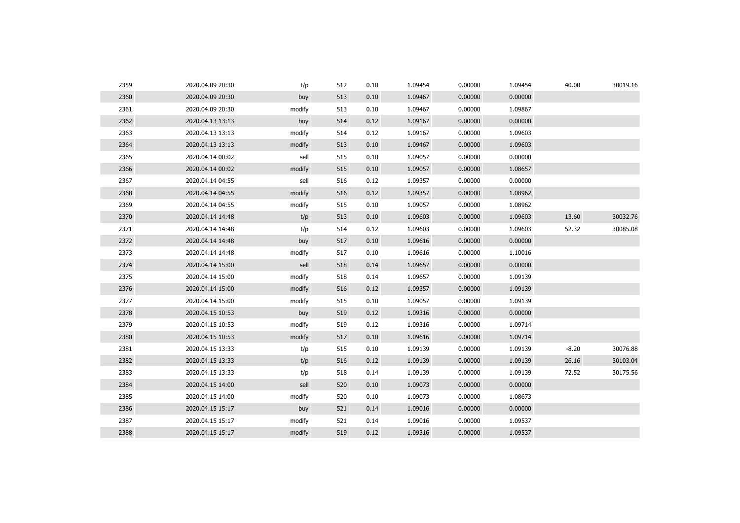| 2359 | 2020.04.09 20:30 | t/p    | 512 | 0.10 | 1.09454 | 0.00000 | 1.09454 | 40.00   | 30019.16 |
|------|------------------|--------|-----|------|---------|---------|---------|---------|----------|
| 2360 | 2020.04.09 20:30 | buy    | 513 | 0.10 | 1.09467 | 0.00000 | 0.00000 |         |          |
| 2361 | 2020.04.09 20:30 | modify | 513 | 0.10 | 1.09467 | 0.00000 | 1.09867 |         |          |
| 2362 | 2020.04.13 13:13 | buy    | 514 | 0.12 | 1.09167 | 0.00000 | 0.00000 |         |          |
| 2363 | 2020.04.13 13:13 | modify | 514 | 0.12 | 1.09167 | 0.00000 | 1.09603 |         |          |
| 2364 | 2020.04.13 13:13 | modify | 513 | 0.10 | 1.09467 | 0.00000 | 1.09603 |         |          |
| 2365 | 2020.04.14 00:02 | sell   | 515 | 0.10 | 1.09057 | 0.00000 | 0.00000 |         |          |
| 2366 | 2020.04.14 00:02 | modify | 515 | 0.10 | 1.09057 | 0.00000 | 1.08657 |         |          |
| 2367 | 2020.04.14 04:55 | sell   | 516 | 0.12 | 1.09357 | 0.00000 | 0.00000 |         |          |
| 2368 | 2020.04.14 04:55 | modify | 516 | 0.12 | 1.09357 | 0.00000 | 1.08962 |         |          |
| 2369 | 2020.04.14 04:55 | modify | 515 | 0.10 | 1.09057 | 0.00000 | 1.08962 |         |          |
| 2370 | 2020.04.14 14:48 | t/p    | 513 | 0.10 | 1.09603 | 0.00000 | 1.09603 | 13.60   | 30032.76 |
| 2371 | 2020.04.14 14:48 | t/p    | 514 | 0.12 | 1.09603 | 0.00000 | 1.09603 | 52.32   | 30085.08 |
| 2372 | 2020.04.14 14:48 | buy    | 517 | 0.10 | 1.09616 | 0.00000 | 0.00000 |         |          |
| 2373 | 2020.04.14 14:48 | modify | 517 | 0.10 | 1.09616 | 0.00000 | 1.10016 |         |          |
| 2374 | 2020.04.14 15:00 | sell   | 518 | 0.14 | 1.09657 | 0.00000 | 0.00000 |         |          |
| 2375 | 2020.04.14 15:00 | modify | 518 | 0.14 | 1.09657 | 0.00000 | 1.09139 |         |          |
| 2376 | 2020.04.14 15:00 | modify | 516 | 0.12 | 1.09357 | 0.00000 | 1.09139 |         |          |
| 2377 | 2020.04.14 15:00 | modify | 515 | 0.10 | 1.09057 | 0.00000 | 1.09139 |         |          |
| 2378 | 2020.04.15 10:53 | buy    | 519 | 0.12 | 1.09316 | 0.00000 | 0.00000 |         |          |
| 2379 | 2020.04.15 10:53 | modify | 519 | 0.12 | 1.09316 | 0.00000 | 1.09714 |         |          |
| 2380 | 2020.04.15 10:53 | modify | 517 | 0.10 | 1.09616 | 0.00000 | 1.09714 |         |          |
| 2381 | 2020.04.15 13:33 | t/p    | 515 | 0.10 | 1.09139 | 0.00000 | 1.09139 | $-8.20$ | 30076.88 |
| 2382 | 2020.04.15 13:33 | t/p    | 516 | 0.12 | 1.09139 | 0.00000 | 1.09139 | 26.16   | 30103.04 |
| 2383 | 2020.04.15 13:33 | t/p    | 518 | 0.14 | 1.09139 | 0.00000 | 1.09139 | 72.52   | 30175.56 |
| 2384 | 2020.04.15 14:00 | sell   | 520 | 0.10 | 1.09073 | 0.00000 | 0.00000 |         |          |
| 2385 | 2020.04.15 14:00 | modify | 520 | 0.10 | 1.09073 | 0.00000 | 1.08673 |         |          |
| 2386 | 2020.04.15 15:17 | buy    | 521 | 0.14 | 1.09016 | 0.00000 | 0.00000 |         |          |
| 2387 | 2020.04.15 15:17 | modify | 521 | 0.14 | 1.09016 | 0.00000 | 1.09537 |         |          |
| 2388 | 2020.04.15 15:17 | modify | 519 | 0.12 | 1.09316 | 0.00000 | 1.09537 |         |          |
|      |                  |        |     |      |         |         |         |         |          |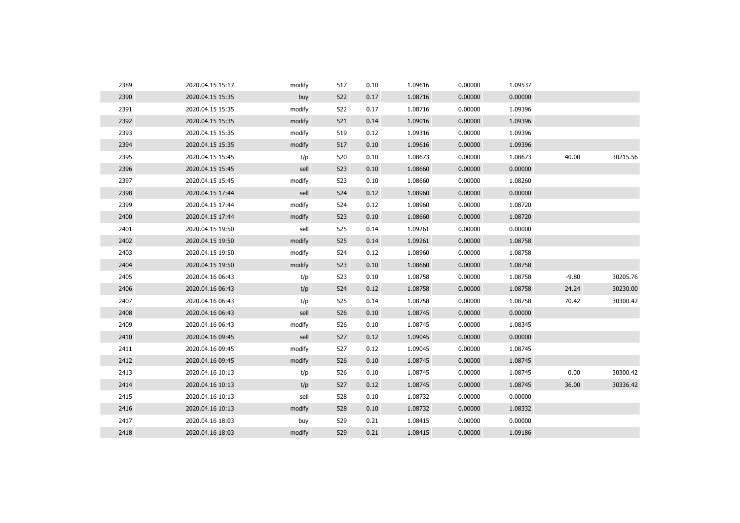| 2389 | 2020.04.15 15:17 | modify | 517 | 0.10 | 1.09616 | 0.00000 | 1.09537 |         |          |
|------|------------------|--------|-----|------|---------|---------|---------|---------|----------|
| 2390 | 2020.04.15 15:35 | buy    | 522 | 0.17 | 1.08716 | 0.00000 | 0.00000 |         |          |
| 2391 | 2020.04.15 15:35 | modify | 522 | 0.17 | 1.08716 | 0.00000 | 1.09396 |         |          |
| 2392 | 2020.04.15 15:35 | modify | 521 | 0.14 | 1.09016 | 0.00000 | 1.09396 |         |          |
| 2393 | 2020.04.15 15:35 | modify | 519 | 0.12 | 1.09316 | 0.00000 | 1.09396 |         |          |
| 2394 | 2020.04.15 15:35 | modify | 517 | 0.10 | 1.09616 | 0.00000 | 1.09396 |         |          |
| 2395 | 2020.04.15 15:45 | t/p    | 520 | 0.10 | 1.08673 | 0.00000 | 1.08673 | 40.00   | 30215.56 |
| 2396 | 2020.04.15 15:45 | sell   | 523 | 0.10 | 1.08660 | 0.00000 | 0.00000 |         |          |
| 2397 | 2020.04.15 15:45 | modify | 523 | 0.10 | 1.08660 | 0.00000 | 1.08260 |         |          |
| 2398 | 2020.04.15 17:44 | sell   | 524 | 0.12 | 1.08960 | 0.00000 | 0.00000 |         |          |
| 2399 | 2020.04.15 17:44 | modify | 524 | 0.12 | 1.08960 | 0.00000 | 1.08720 |         |          |
| 2400 | 2020.04.15 17:44 | modify | 523 | 0.10 | 1.08660 | 0.00000 | 1.08720 |         |          |
| 2401 | 2020.04.15 19:50 | sell   | 525 | 0.14 | 1.09261 | 0.00000 | 0.00000 |         |          |
| 2402 | 2020.04.15 19:50 | modify | 525 | 0.14 | 1.09261 | 0.00000 | 1.08758 |         |          |
| 2403 | 2020.04.15 19:50 | modify | 524 | 0.12 | 1.08960 | 0.00000 | 1.08758 |         |          |
| 2404 | 2020.04.15 19:50 | modify | 523 | 0.10 | 1.08660 | 0.00000 | 1.08758 |         |          |
| 2405 | 2020.04.16 06:43 | t/p    | 523 | 0.10 | 1.08758 | 0.00000 | 1.08758 | $-9.80$ | 30205.76 |
| 2406 | 2020.04.16 06:43 | t/p    | 524 | 0.12 | 1.08758 | 0.00000 | 1.08758 | 24.24   | 30230.00 |
| 2407 | 2020.04.16 06:43 | t/p    | 525 | 0.14 | 1.08758 | 0.00000 | 1.08758 | 70.42   | 30300.42 |
| 2408 | 2020.04.16 06:43 | sell   | 526 | 0.10 | 1.08745 | 0.00000 | 0.00000 |         |          |
| 2409 | 2020.04.16 06:43 | modify | 526 | 0.10 | 1.08745 | 0.00000 | 1.08345 |         |          |
| 2410 | 2020.04.16 09:45 | sell   | 527 | 0.12 | 1.09045 | 0.00000 | 0.00000 |         |          |
| 2411 | 2020.04.16 09:45 | modify | 527 | 0.12 | 1.09045 | 0.00000 | 1.08745 |         |          |
| 2412 | 2020.04.16 09:45 | modify | 526 | 0.10 | 1.08745 | 0.00000 | 1.08745 |         |          |
| 2413 | 2020.04.16 10:13 | t/p    | 526 | 0.10 | 1.08745 | 0.00000 | 1.08745 | 0.00    | 30300.42 |
| 2414 | 2020.04.16 10:13 | t/p    | 527 | 0.12 | 1.08745 | 0.00000 | 1.08745 | 36.00   | 30336.42 |
| 2415 | 2020.04.16 10:13 | sell   | 528 | 0.10 | 1.08732 | 0.00000 | 0.00000 |         |          |
| 2416 | 2020.04.16 10:13 | modify | 528 | 0.10 | 1.08732 | 0.00000 | 1.08332 |         |          |
| 2417 | 2020.04.16 18:03 | buy    | 529 | 0.21 | 1.08415 | 0.00000 | 0.00000 |         |          |
| 2418 | 2020.04.16 18:03 | modify | 529 | 0.21 | 1.08415 | 0.00000 | 1.09186 |         |          |
|      |                  |        |     |      |         |         |         |         |          |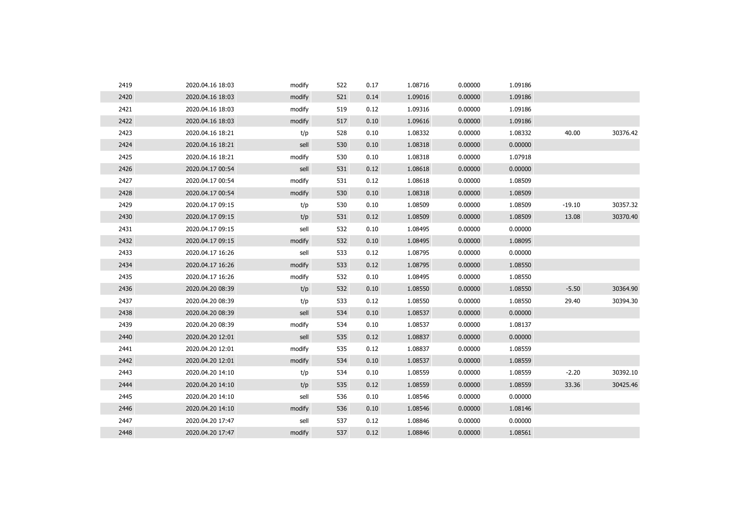| 2419 | 2020.04.16 18:03 | modify | 522 | 0.17 | 1.08716 | 0.00000 | 1.09186 |          |          |
|------|------------------|--------|-----|------|---------|---------|---------|----------|----------|
| 2420 | 2020.04.16 18:03 | modify | 521 | 0.14 | 1.09016 | 0.00000 | 1.09186 |          |          |
| 2421 | 2020.04.16 18:03 | modify | 519 | 0.12 | 1.09316 | 0.00000 | 1.09186 |          |          |
| 2422 | 2020.04.16 18:03 | modify | 517 | 0.10 | 1.09616 | 0.00000 | 1.09186 |          |          |
| 2423 | 2020.04.16 18:21 | t/p    | 528 | 0.10 | 1.08332 | 0.00000 | 1.08332 | 40.00    | 30376.42 |
| 2424 | 2020.04.16 18:21 | sell   | 530 | 0.10 | 1.08318 | 0.00000 | 0.00000 |          |          |
| 2425 | 2020.04.16 18:21 | modify | 530 | 0.10 | 1.08318 | 0.00000 | 1.07918 |          |          |
| 2426 | 2020.04.17 00:54 | sell   | 531 | 0.12 | 1.08618 | 0.00000 | 0.00000 |          |          |
| 2427 | 2020.04.17 00:54 | modify | 531 | 0.12 | 1.08618 | 0.00000 | 1.08509 |          |          |
| 2428 | 2020.04.17 00:54 | modify | 530 | 0.10 | 1.08318 | 0.00000 | 1.08509 |          |          |
| 2429 | 2020.04.17 09:15 | t/p    | 530 | 0.10 | 1.08509 | 0.00000 | 1.08509 | $-19.10$ | 30357.32 |
| 2430 | 2020.04.17 09:15 | t/p    | 531 | 0.12 | 1.08509 | 0.00000 | 1.08509 | 13.08    | 30370.40 |
| 2431 | 2020.04.17 09:15 | sell   | 532 | 0.10 | 1.08495 | 0.00000 | 0.00000 |          |          |
| 2432 | 2020.04.17 09:15 | modify | 532 | 0.10 | 1.08495 | 0.00000 | 1.08095 |          |          |
| 2433 | 2020.04.17 16:26 | sell   | 533 | 0.12 | 1.08795 | 0.00000 | 0.00000 |          |          |
| 2434 | 2020.04.17 16:26 | modify | 533 | 0.12 | 1.08795 | 0.00000 | 1.08550 |          |          |
| 2435 | 2020.04.17 16:26 | modify | 532 | 0.10 | 1.08495 | 0.00000 | 1.08550 |          |          |
| 2436 | 2020.04.20 08:39 | t/p    | 532 | 0.10 | 1.08550 | 0.00000 | 1.08550 | $-5.50$  | 30364.90 |
| 2437 | 2020.04.20 08:39 | t/p    | 533 | 0.12 | 1.08550 | 0.00000 | 1.08550 | 29.40    | 30394.30 |
| 2438 | 2020.04.20 08:39 | sell   | 534 | 0.10 | 1.08537 | 0.00000 | 0.00000 |          |          |
| 2439 | 2020.04.20 08:39 | modify | 534 | 0.10 | 1.08537 | 0.00000 | 1.08137 |          |          |
| 2440 | 2020.04.20 12:01 | sell   | 535 | 0.12 | 1.08837 | 0.00000 | 0.00000 |          |          |
| 2441 | 2020.04.20 12:01 | modify | 535 | 0.12 | 1.08837 | 0.00000 | 1.08559 |          |          |
| 2442 | 2020.04.20 12:01 | modify | 534 | 0.10 | 1.08537 | 0.00000 | 1.08559 |          |          |
| 2443 | 2020.04.20 14:10 | t/p    | 534 | 0.10 | 1.08559 | 0.00000 | 1.08559 | $-2.20$  | 30392.10 |
| 2444 | 2020.04.20 14:10 | t/p    | 535 | 0.12 | 1.08559 | 0.00000 | 1.08559 | 33.36    | 30425.46 |
| 2445 | 2020.04.20 14:10 | sell   | 536 | 0.10 | 1.08546 | 0.00000 | 0.00000 |          |          |
| 2446 | 2020.04.20 14:10 | modify | 536 | 0.10 | 1.08546 | 0.00000 | 1.08146 |          |          |
| 2447 | 2020.04.20 17:47 | sell   | 537 | 0.12 | 1.08846 | 0.00000 | 0.00000 |          |          |
| 2448 | 2020.04.20 17:47 | modify | 537 | 0.12 | 1.08846 | 0.00000 | 1.08561 |          |          |
|      |                  |        |     |      |         |         |         |          |          |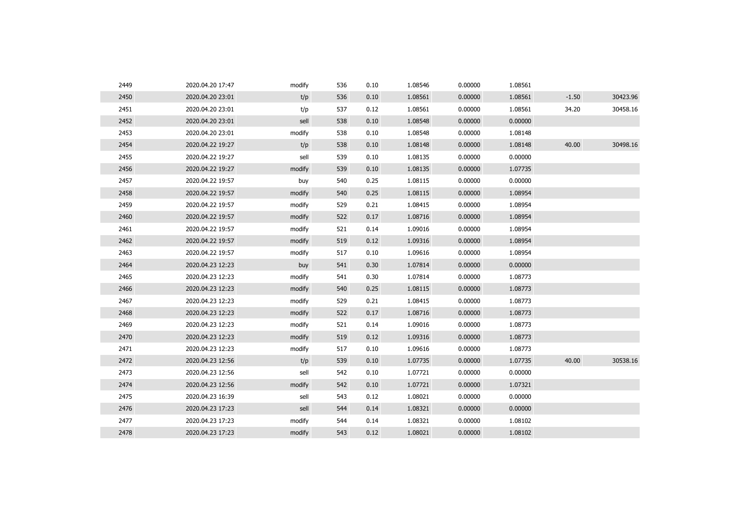| 2449 | 2020.04.20 17:47 | modify | 536 | 0.10 | 1.08546 | 0.00000 | 1.08561 |         |          |
|------|------------------|--------|-----|------|---------|---------|---------|---------|----------|
| 2450 | 2020.04.20 23:01 | t/p    | 536 | 0.10 | 1.08561 | 0.00000 | 1.08561 | $-1.50$ | 30423.96 |
| 2451 | 2020.04.20 23:01 | t/p    | 537 | 0.12 | 1.08561 | 0.00000 | 1.08561 | 34.20   | 30458.16 |
| 2452 | 2020.04.20 23:01 | sell   | 538 | 0.10 | 1.08548 | 0.00000 | 0.00000 |         |          |
| 2453 | 2020.04.20 23:01 | modify | 538 | 0.10 | 1.08548 | 0.00000 | 1.08148 |         |          |
| 2454 | 2020.04.22 19:27 | t/p    | 538 | 0.10 | 1.08148 | 0.00000 | 1.08148 | 40.00   | 30498.16 |
| 2455 | 2020.04.22 19:27 | sell   | 539 | 0.10 | 1.08135 | 0.00000 | 0.00000 |         |          |
| 2456 | 2020.04.22 19:27 | modify | 539 | 0.10 | 1.08135 | 0.00000 | 1.07735 |         |          |
| 2457 | 2020.04.22 19:57 | buy    | 540 | 0.25 | 1.08115 | 0.00000 | 0.00000 |         |          |
| 2458 | 2020.04.22 19:57 | modify | 540 | 0.25 | 1.08115 | 0.00000 | 1.08954 |         |          |
| 2459 | 2020.04.22 19:57 | modify | 529 | 0.21 | 1.08415 | 0.00000 | 1.08954 |         |          |
| 2460 | 2020.04.22 19:57 | modify | 522 | 0.17 | 1.08716 | 0.00000 | 1.08954 |         |          |
| 2461 | 2020.04.22 19:57 | modify | 521 | 0.14 | 1.09016 | 0.00000 | 1.08954 |         |          |
| 2462 | 2020.04.22 19:57 | modify | 519 | 0.12 | 1.09316 | 0.00000 | 1.08954 |         |          |
| 2463 | 2020.04.22 19:57 | modify | 517 | 0.10 | 1.09616 | 0.00000 | 1.08954 |         |          |
| 2464 | 2020.04.23 12:23 | buy    | 541 | 0.30 | 1.07814 | 0.00000 | 0.00000 |         |          |
| 2465 | 2020.04.23 12:23 | modify | 541 | 0.30 | 1.07814 | 0.00000 | 1.08773 |         |          |
| 2466 | 2020.04.23 12:23 | modify | 540 | 0.25 | 1.08115 | 0.00000 | 1.08773 |         |          |
| 2467 | 2020.04.23 12:23 | modify | 529 | 0.21 | 1.08415 | 0.00000 | 1.08773 |         |          |
| 2468 | 2020.04.23 12:23 | modify | 522 | 0.17 | 1.08716 | 0.00000 | 1.08773 |         |          |
| 2469 | 2020.04.23 12:23 | modify | 521 | 0.14 | 1.09016 | 0.00000 | 1.08773 |         |          |
| 2470 | 2020.04.23 12:23 | modify | 519 | 0.12 | 1.09316 | 0.00000 | 1.08773 |         |          |
| 2471 | 2020.04.23 12:23 | modify | 517 | 0.10 | 1.09616 | 0.00000 | 1.08773 |         |          |
| 2472 | 2020.04.23 12:56 | t/p    | 539 | 0.10 | 1.07735 | 0.00000 | 1.07735 | 40.00   | 30538.16 |
| 2473 | 2020.04.23 12:56 | sell   | 542 | 0.10 | 1.07721 | 0.00000 | 0.00000 |         |          |
| 2474 | 2020.04.23 12:56 | modify | 542 | 0.10 | 1.07721 | 0.00000 | 1.07321 |         |          |
| 2475 | 2020.04.23 16:39 | sell   | 543 | 0.12 | 1.08021 | 0.00000 | 0.00000 |         |          |
| 2476 | 2020.04.23 17:23 | sell   | 544 | 0.14 | 1.08321 | 0.00000 | 0.00000 |         |          |
| 2477 | 2020.04.23 17:23 | modify | 544 | 0.14 | 1.08321 | 0.00000 | 1.08102 |         |          |
| 2478 | 2020.04.23 17:23 | modify | 543 | 0.12 | 1.08021 | 0.00000 | 1.08102 |         |          |
|      |                  |        |     |      |         |         |         |         |          |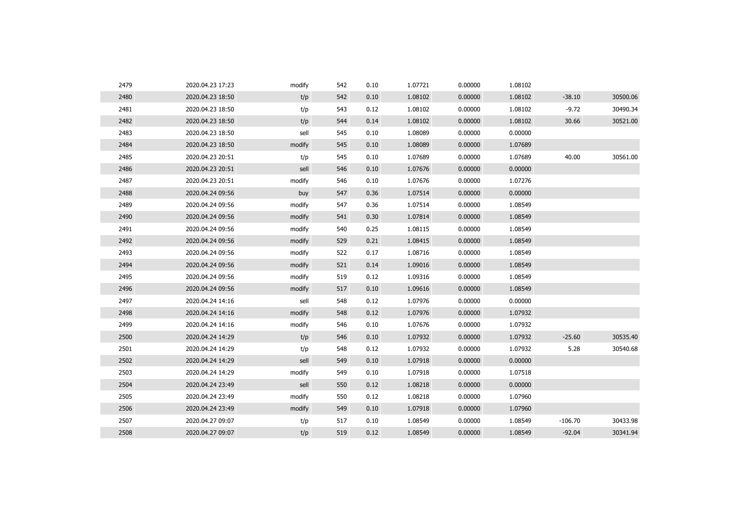| 2479 | 2020.04.23 17:23 | modify | 542 | 0.10 | 1.07721 | 0.00000 | 1.08102 |           |          |
|------|------------------|--------|-----|------|---------|---------|---------|-----------|----------|
| 2480 | 2020.04.23 18:50 | t/p    | 542 | 0.10 | 1.08102 | 0.00000 | 1.08102 | $-38.10$  | 30500.06 |
| 2481 | 2020.04.23 18:50 | t/p    | 543 | 0.12 | 1.08102 | 0.00000 | 1.08102 | $-9.72$   | 30490.34 |
| 2482 | 2020.04.23 18:50 | t/p    | 544 | 0.14 | 1.08102 | 0.00000 | 1.08102 | 30.66     | 30521.00 |
| 2483 | 2020.04.23 18:50 | sell   | 545 | 0.10 | 1.08089 | 0.00000 | 0.00000 |           |          |
| 2484 | 2020.04.23 18:50 | modify | 545 | 0.10 | 1.08089 | 0.00000 | 1.07689 |           |          |
| 2485 | 2020.04.23 20:51 | t/p    | 545 | 0.10 | 1.07689 | 0.00000 | 1.07689 | 40.00     | 30561.00 |
| 2486 | 2020.04.23 20:51 | sell   | 546 | 0.10 | 1.07676 | 0.00000 | 0.00000 |           |          |
| 2487 | 2020.04.23 20:51 | modify | 546 | 0.10 | 1.07676 | 0.00000 | 1.07276 |           |          |
| 2488 | 2020.04.24 09:56 | buy    | 547 | 0.36 | 1.07514 | 0.00000 | 0.00000 |           |          |
| 2489 | 2020.04.24 09:56 | modify | 547 | 0.36 | 1.07514 | 0.00000 | 1.08549 |           |          |
| 2490 | 2020.04.24 09:56 | modify | 541 | 0.30 | 1.07814 | 0.00000 | 1.08549 |           |          |
| 2491 | 2020.04.24 09:56 | modify | 540 | 0.25 | 1.08115 | 0.00000 | 1.08549 |           |          |
| 2492 | 2020.04.24 09:56 | modify | 529 | 0.21 | 1.08415 | 0.00000 | 1.08549 |           |          |
| 2493 | 2020.04.24 09:56 | modify | 522 | 0.17 | 1.08716 | 0.00000 | 1.08549 |           |          |
| 2494 | 2020.04.24 09:56 | modify | 521 | 0.14 | 1.09016 | 0.00000 | 1.08549 |           |          |
| 2495 | 2020.04.24 09:56 | modify | 519 | 0.12 | 1.09316 | 0.00000 | 1.08549 |           |          |
| 2496 | 2020.04.24 09:56 | modify | 517 | 0.10 | 1.09616 | 0.00000 | 1.08549 |           |          |
| 2497 | 2020.04.24 14:16 | sell   | 548 | 0.12 | 1.07976 | 0.00000 | 0.00000 |           |          |
| 2498 | 2020.04.24 14:16 | modify | 548 | 0.12 | 1.07976 | 0.00000 | 1.07932 |           |          |
| 2499 | 2020.04.24 14:16 | modify | 546 | 0.10 | 1.07676 | 0.00000 | 1.07932 |           |          |
| 2500 | 2020.04.24 14:29 | t/p    | 546 | 0.10 | 1.07932 | 0.00000 | 1.07932 | $-25.60$  | 30535.40 |
| 2501 | 2020.04.24 14:29 | t/p    | 548 | 0.12 | 1.07932 | 0.00000 | 1.07932 | 5.28      | 30540.68 |
| 2502 | 2020.04.24 14:29 | sell   | 549 | 0.10 | 1.07918 | 0.00000 | 0.00000 |           |          |
| 2503 | 2020.04.24 14:29 | modify | 549 | 0.10 | 1.07918 | 0.00000 | 1.07518 |           |          |
| 2504 | 2020.04.24 23:49 | sell   | 550 | 0.12 | 1.08218 | 0.00000 | 0.00000 |           |          |
| 2505 | 2020.04.24 23:49 | modify | 550 | 0.12 | 1.08218 | 0.00000 | 1.07960 |           |          |
| 2506 | 2020.04.24 23:49 | modify | 549 | 0.10 | 1.07918 | 0.00000 | 1.07960 |           |          |
| 2507 | 2020.04.27 09:07 | t/p    | 517 | 0.10 | 1.08549 | 0.00000 | 1.08549 | $-106.70$ | 30433.98 |
| 2508 | 2020.04.27 09:07 | t/p    | 519 | 0.12 | 1.08549 | 0.00000 | 1.08549 | $-92.04$  | 30341.94 |
|      |                  |        |     |      |         |         |         |           |          |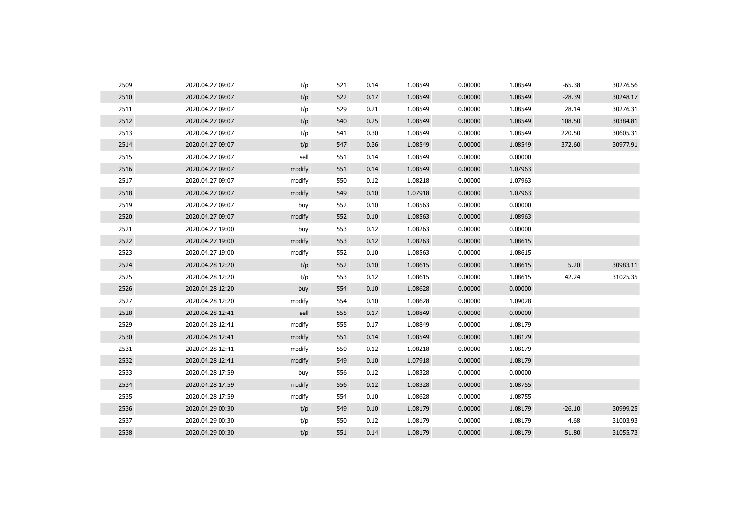| 2510<br>0.00000<br>1.08549<br>$-28.39$<br>2020.04.27 09:07<br>t/p<br>522<br>0.17<br>1.08549<br>2511<br>1.08549<br>0.00000<br>28.14<br>2020.04.27 09:07<br>t/p<br>529<br>0.21<br>1.08549<br>2512<br>t/p<br>1.08549<br>0.00000<br>1.08549<br>108.50<br>2020.04.27 09:07<br>540<br>0.25<br>2513<br>t/p<br>0.30<br>1.08549<br>0.00000<br>1.08549<br>220.50<br>2020.04.27 09:07<br>541<br>2514<br>0.00000<br>1.08549<br>372.60<br>2020.04.27 09:07<br>t/p<br>547<br>0.36<br>1.08549<br>2515<br>sell<br>1.08549<br>0.00000<br>2020.04.27 09:07<br>551<br>0.14<br>0.00000<br>2516<br>551<br>0.14<br>1.08549<br>0.00000<br>1.07963<br>2020.04.27 09:07<br>modify<br>2517<br>0.00000<br>2020.04.27 09:07<br>modify<br>550<br>0.12<br>1.08218<br>1.07963<br>2518<br>1.07918<br>0.00000<br>1.07963<br>2020.04.27 09:07<br>modify<br>549<br>0.10<br>2519<br>2020.04.27 09:07<br>552<br>0.10<br>1.08563<br>0.00000<br>0.00000<br>buy<br>2520<br>0.10<br>1.08563<br>0.00000<br>2020.04.27 09:07<br>modify<br>552<br>1.08963<br>2521<br>553<br>0.12<br>1.08263<br>0.00000<br>0.00000<br>2020.04.27 19:00<br>buy<br>2522<br>2020.04.27 19:00<br>modify<br>553<br>0.12<br>1.08263<br>0.00000<br>1.08615<br>2523<br>0.10<br>1.08563<br>0.00000<br>2020.04.27 19:00<br>modify<br>552<br>1.08615<br>2524<br>5.20<br>2020.04.28 12:20<br>t/p<br>552<br>0.10<br>1.08615<br>0.00000<br>1.08615 | 30248.17<br>30276.31<br>30384.81<br>30605.31<br>30977.91 |
|-------------------------------------------------------------------------------------------------------------------------------------------------------------------------------------------------------------------------------------------------------------------------------------------------------------------------------------------------------------------------------------------------------------------------------------------------------------------------------------------------------------------------------------------------------------------------------------------------------------------------------------------------------------------------------------------------------------------------------------------------------------------------------------------------------------------------------------------------------------------------------------------------------------------------------------------------------------------------------------------------------------------------------------------------------------------------------------------------------------------------------------------------------------------------------------------------------------------------------------------------------------------------------------------------------------------------------------------------------------------------|----------------------------------------------------------|
|                                                                                                                                                                                                                                                                                                                                                                                                                                                                                                                                                                                                                                                                                                                                                                                                                                                                                                                                                                                                                                                                                                                                                                                                                                                                                                                                                                         |                                                          |
|                                                                                                                                                                                                                                                                                                                                                                                                                                                                                                                                                                                                                                                                                                                                                                                                                                                                                                                                                                                                                                                                                                                                                                                                                                                                                                                                                                         |                                                          |
|                                                                                                                                                                                                                                                                                                                                                                                                                                                                                                                                                                                                                                                                                                                                                                                                                                                                                                                                                                                                                                                                                                                                                                                                                                                                                                                                                                         |                                                          |
|                                                                                                                                                                                                                                                                                                                                                                                                                                                                                                                                                                                                                                                                                                                                                                                                                                                                                                                                                                                                                                                                                                                                                                                                                                                                                                                                                                         |                                                          |
|                                                                                                                                                                                                                                                                                                                                                                                                                                                                                                                                                                                                                                                                                                                                                                                                                                                                                                                                                                                                                                                                                                                                                                                                                                                                                                                                                                         |                                                          |
|                                                                                                                                                                                                                                                                                                                                                                                                                                                                                                                                                                                                                                                                                                                                                                                                                                                                                                                                                                                                                                                                                                                                                                                                                                                                                                                                                                         |                                                          |
|                                                                                                                                                                                                                                                                                                                                                                                                                                                                                                                                                                                                                                                                                                                                                                                                                                                                                                                                                                                                                                                                                                                                                                                                                                                                                                                                                                         |                                                          |
|                                                                                                                                                                                                                                                                                                                                                                                                                                                                                                                                                                                                                                                                                                                                                                                                                                                                                                                                                                                                                                                                                                                                                                                                                                                                                                                                                                         |                                                          |
|                                                                                                                                                                                                                                                                                                                                                                                                                                                                                                                                                                                                                                                                                                                                                                                                                                                                                                                                                                                                                                                                                                                                                                                                                                                                                                                                                                         |                                                          |
|                                                                                                                                                                                                                                                                                                                                                                                                                                                                                                                                                                                                                                                                                                                                                                                                                                                                                                                                                                                                                                                                                                                                                                                                                                                                                                                                                                         |                                                          |
|                                                                                                                                                                                                                                                                                                                                                                                                                                                                                                                                                                                                                                                                                                                                                                                                                                                                                                                                                                                                                                                                                                                                                                                                                                                                                                                                                                         |                                                          |
|                                                                                                                                                                                                                                                                                                                                                                                                                                                                                                                                                                                                                                                                                                                                                                                                                                                                                                                                                                                                                                                                                                                                                                                                                                                                                                                                                                         |                                                          |
|                                                                                                                                                                                                                                                                                                                                                                                                                                                                                                                                                                                                                                                                                                                                                                                                                                                                                                                                                                                                                                                                                                                                                                                                                                                                                                                                                                         |                                                          |
|                                                                                                                                                                                                                                                                                                                                                                                                                                                                                                                                                                                                                                                                                                                                                                                                                                                                                                                                                                                                                                                                                                                                                                                                                                                                                                                                                                         |                                                          |
|                                                                                                                                                                                                                                                                                                                                                                                                                                                                                                                                                                                                                                                                                                                                                                                                                                                                                                                                                                                                                                                                                                                                                                                                                                                                                                                                                                         | 30983.11                                                 |
| 2525<br>t/p<br>42.24<br>2020.04.28 12:20<br>553<br>0.12<br>1.08615<br>0.00000<br>1.08615                                                                                                                                                                                                                                                                                                                                                                                                                                                                                                                                                                                                                                                                                                                                                                                                                                                                                                                                                                                                                                                                                                                                                                                                                                                                                | 31025.35                                                 |
| 2526<br>2020.04.28 12:20<br>buy<br>554<br>0.10<br>1.08628<br>0.00000<br>0.00000                                                                                                                                                                                                                                                                                                                                                                                                                                                                                                                                                                                                                                                                                                                                                                                                                                                                                                                                                                                                                                                                                                                                                                                                                                                                                         |                                                          |
| 2527<br>2020.04.28 12:20<br>modify<br>554<br>0.10<br>1.08628<br>0.00000<br>1.09028                                                                                                                                                                                                                                                                                                                                                                                                                                                                                                                                                                                                                                                                                                                                                                                                                                                                                                                                                                                                                                                                                                                                                                                                                                                                                      |                                                          |
| 2528<br>1.08849<br>0.00000<br>2020.04.28 12:41<br>sell<br>555<br>0.17<br>0.00000                                                                                                                                                                                                                                                                                                                                                                                                                                                                                                                                                                                                                                                                                                                                                                                                                                                                                                                                                                                                                                                                                                                                                                                                                                                                                        |                                                          |
| 2529<br>modify<br>555<br>0.17<br>1.08849<br>0.00000<br>1.08179<br>2020.04.28 12:41                                                                                                                                                                                                                                                                                                                                                                                                                                                                                                                                                                                                                                                                                                                                                                                                                                                                                                                                                                                                                                                                                                                                                                                                                                                                                      |                                                          |
| 2530<br>2020.04.28 12:41<br>modify<br>551<br>0.14<br>1.08549<br>0.00000<br>1.08179                                                                                                                                                                                                                                                                                                                                                                                                                                                                                                                                                                                                                                                                                                                                                                                                                                                                                                                                                                                                                                                                                                                                                                                                                                                                                      |                                                          |
| 2531<br>0.12<br>1.08218<br>0.00000<br>2020.04.28 12:41<br>modify<br>550<br>1.08179                                                                                                                                                                                                                                                                                                                                                                                                                                                                                                                                                                                                                                                                                                                                                                                                                                                                                                                                                                                                                                                                                                                                                                                                                                                                                      |                                                          |
| 2532<br>2020.04.28 12:41<br>549<br>0.10<br>1.07918<br>0.00000<br>1.08179<br>modify                                                                                                                                                                                                                                                                                                                                                                                                                                                                                                                                                                                                                                                                                                                                                                                                                                                                                                                                                                                                                                                                                                                                                                                                                                                                                      |                                                          |
| 2533<br>2020.04.28 17:59<br>556<br>0.12<br>1.08328<br>0.00000<br>0.00000<br>buy                                                                                                                                                                                                                                                                                                                                                                                                                                                                                                                                                                                                                                                                                                                                                                                                                                                                                                                                                                                                                                                                                                                                                                                                                                                                                         |                                                          |
|                                                                                                                                                                                                                                                                                                                                                                                                                                                                                                                                                                                                                                                                                                                                                                                                                                                                                                                                                                                                                                                                                                                                                                                                                                                                                                                                                                         |                                                          |
| 2534<br>2020.04.28 17:59<br>0.12<br>1.08328<br>0.00000<br>1.08755<br>modify<br>556                                                                                                                                                                                                                                                                                                                                                                                                                                                                                                                                                                                                                                                                                                                                                                                                                                                                                                                                                                                                                                                                                                                                                                                                                                                                                      |                                                          |
| 2535<br>0.10<br>1.08628<br>0.00000<br>1.08755<br>2020.04.28 17:59<br>modify<br>554                                                                                                                                                                                                                                                                                                                                                                                                                                                                                                                                                                                                                                                                                                                                                                                                                                                                                                                                                                                                                                                                                                                                                                                                                                                                                      |                                                          |
| 2536<br>t/p<br>1.08179<br>$-26.10$<br>2020.04.29 00:30<br>549<br>0.10<br>0.00000<br>1.08179                                                                                                                                                                                                                                                                                                                                                                                                                                                                                                                                                                                                                                                                                                                                                                                                                                                                                                                                                                                                                                                                                                                                                                                                                                                                             | 30999.25                                                 |
| 2537<br>2020.04.29 00:30<br>t/p<br>0.12<br>1.08179<br>0.00000<br>1.08179<br>4.68<br>550                                                                                                                                                                                                                                                                                                                                                                                                                                                                                                                                                                                                                                                                                                                                                                                                                                                                                                                                                                                                                                                                                                                                                                                                                                                                                 | 31003.93                                                 |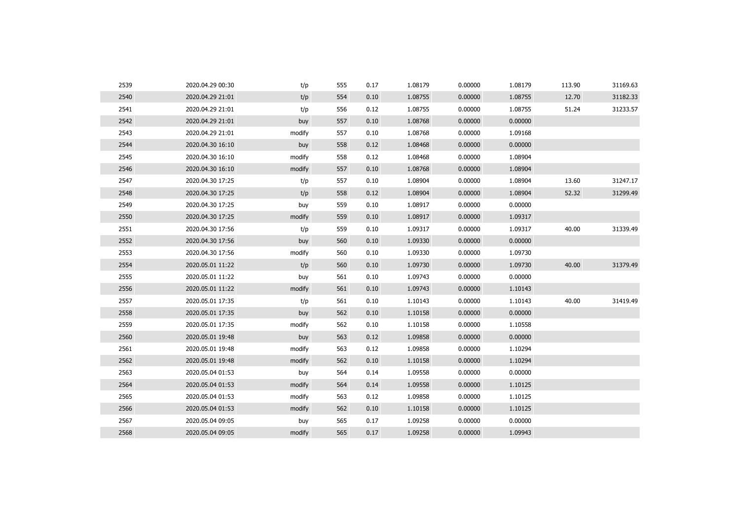| 2539 | 2020.04.29 00:30 | t/p    | 555 | 0.17 | 1.08179 | 0.00000 | 1.08179 | 113.90 | 31169.63 |
|------|------------------|--------|-----|------|---------|---------|---------|--------|----------|
| 2540 | 2020.04.29 21:01 | t/p    | 554 | 0.10 | 1.08755 | 0.00000 | 1.08755 | 12.70  | 31182.33 |
| 2541 | 2020.04.29 21:01 | t/p    | 556 | 0.12 | 1.08755 | 0.00000 | 1.08755 | 51.24  | 31233.57 |
| 2542 | 2020.04.29 21:01 | buy    | 557 | 0.10 | 1.08768 | 0.00000 | 0.00000 |        |          |
| 2543 | 2020.04.29 21:01 | modify | 557 | 0.10 | 1.08768 | 0.00000 | 1.09168 |        |          |
| 2544 | 2020.04.30 16:10 | buy    | 558 | 0.12 | 1.08468 | 0.00000 | 0.00000 |        |          |
| 2545 | 2020.04.30 16:10 | modify | 558 | 0.12 | 1.08468 | 0.00000 | 1.08904 |        |          |
| 2546 | 2020.04.30 16:10 | modify | 557 | 0.10 | 1.08768 | 0.00000 | 1.08904 |        |          |
| 2547 | 2020.04.30 17:25 | t/p    | 557 | 0.10 | 1.08904 | 0.00000 | 1.08904 | 13.60  | 31247.17 |
| 2548 | 2020.04.30 17:25 | t/p    | 558 | 0.12 | 1.08904 | 0.00000 | 1.08904 | 52.32  | 31299.49 |
| 2549 | 2020.04.30 17:25 | buy    | 559 | 0.10 | 1.08917 | 0.00000 | 0.00000 |        |          |
| 2550 | 2020.04.30 17:25 | modify | 559 | 0.10 | 1.08917 | 0.00000 | 1.09317 |        |          |
| 2551 | 2020.04.30 17:56 | t/p    | 559 | 0.10 | 1.09317 | 0.00000 | 1.09317 | 40.00  | 31339.49 |
| 2552 | 2020.04.30 17:56 | buy    | 560 | 0.10 | 1.09330 | 0.00000 | 0.00000 |        |          |
| 2553 | 2020.04.30 17:56 | modify | 560 | 0.10 | 1.09330 | 0.00000 | 1.09730 |        |          |
| 2554 | 2020.05.01 11:22 | t/p    | 560 | 0.10 | 1.09730 | 0.00000 | 1.09730 | 40.00  | 31379.49 |
| 2555 | 2020.05.01 11:22 | buy    | 561 | 0.10 | 1.09743 | 0.00000 | 0.00000 |        |          |
| 2556 | 2020.05.01 11:22 | modify | 561 | 0.10 | 1.09743 | 0.00000 | 1.10143 |        |          |
| 2557 | 2020.05.01 17:35 | t/p    | 561 | 0.10 | 1.10143 | 0.00000 | 1.10143 | 40.00  | 31419.49 |
| 2558 | 2020.05.01 17:35 | buy    | 562 | 0.10 | 1.10158 | 0.00000 | 0.00000 |        |          |
| 2559 | 2020.05.01 17:35 | modify | 562 | 0.10 | 1.10158 | 0.00000 | 1.10558 |        |          |
| 2560 | 2020.05.01 19:48 | buy    | 563 | 0.12 | 1.09858 | 0.00000 | 0.00000 |        |          |
| 2561 | 2020.05.01 19:48 | modify | 563 | 0.12 | 1.09858 | 0.00000 | 1.10294 |        |          |
| 2562 | 2020.05.01 19:48 | modify | 562 | 0.10 | 1.10158 | 0.00000 | 1.10294 |        |          |
| 2563 | 2020.05.04 01:53 | buy    | 564 | 0.14 | 1.09558 | 0.00000 | 0.00000 |        |          |
| 2564 | 2020.05.04 01:53 | modify | 564 | 0.14 | 1.09558 | 0.00000 | 1.10125 |        |          |
| 2565 | 2020.05.04 01:53 | modify | 563 | 0.12 | 1.09858 | 0.00000 | 1.10125 |        |          |
| 2566 | 2020.05.04 01:53 | modify | 562 | 0.10 | 1.10158 | 0.00000 | 1.10125 |        |          |
| 2567 | 2020.05.04 09:05 | buy    | 565 | 0.17 | 1.09258 | 0.00000 | 0.00000 |        |          |
| 2568 | 2020.05.04 09:05 | modify | 565 | 0.17 | 1.09258 | 0.00000 | 1.09943 |        |          |
|      |                  |        |     |      |         |         |         |        |          |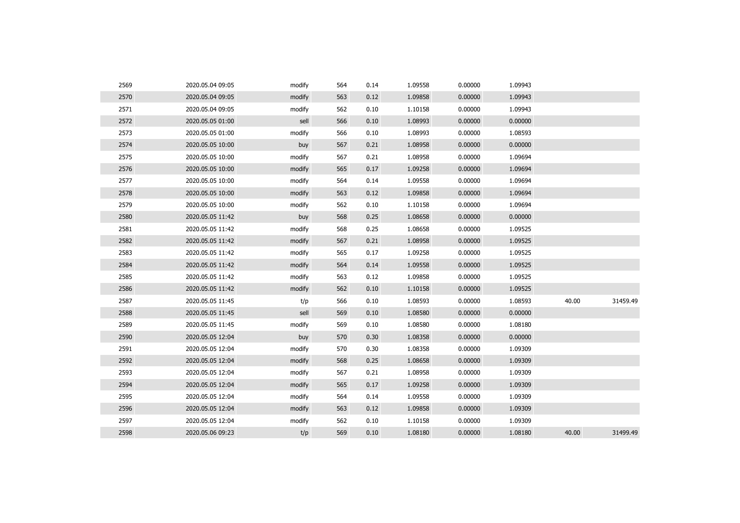| 2569 | 2020.05.04 09:05 | modify | 564 | 0.14 | 1.09558 | 0.00000 | 1.09943 |       |          |
|------|------------------|--------|-----|------|---------|---------|---------|-------|----------|
| 2570 | 2020.05.04 09:05 | modify | 563 | 0.12 | 1.09858 | 0.00000 | 1.09943 |       |          |
| 2571 | 2020.05.04 09:05 | modify | 562 | 0.10 | 1.10158 | 0.00000 | 1.09943 |       |          |
| 2572 | 2020.05.05 01:00 | sell   | 566 | 0.10 | 1.08993 | 0.00000 | 0.00000 |       |          |
| 2573 | 2020.05.05 01:00 | modify | 566 | 0.10 | 1.08993 | 0.00000 | 1.08593 |       |          |
| 2574 | 2020.05.05 10:00 | buy    | 567 | 0.21 | 1.08958 | 0.00000 | 0.00000 |       |          |
| 2575 | 2020.05.05 10:00 | modify | 567 | 0.21 | 1.08958 | 0.00000 | 1.09694 |       |          |
| 2576 | 2020.05.05 10:00 | modify | 565 | 0.17 | 1.09258 | 0.00000 | 1.09694 |       |          |
| 2577 | 2020.05.05 10:00 | modify | 564 | 0.14 | 1.09558 | 0.00000 | 1.09694 |       |          |
| 2578 | 2020.05.05 10:00 | modify | 563 | 0.12 | 1.09858 | 0.00000 | 1.09694 |       |          |
| 2579 | 2020.05.05 10:00 | modify | 562 | 0.10 | 1.10158 | 0.00000 | 1.09694 |       |          |
| 2580 | 2020.05.05 11:42 | buy    | 568 | 0.25 | 1.08658 | 0.00000 | 0.00000 |       |          |
| 2581 | 2020.05.05 11:42 | modify | 568 | 0.25 | 1.08658 | 0.00000 | 1.09525 |       |          |
| 2582 | 2020.05.05 11:42 | modify | 567 | 0.21 | 1.08958 | 0.00000 | 1.09525 |       |          |
| 2583 | 2020.05.05 11:42 | modify | 565 | 0.17 | 1.09258 | 0.00000 | 1.09525 |       |          |
| 2584 | 2020.05.05 11:42 | modify | 564 | 0.14 | 1.09558 | 0.00000 | 1.09525 |       |          |
| 2585 | 2020.05.05 11:42 | modify | 563 | 0.12 | 1.09858 | 0.00000 | 1.09525 |       |          |
| 2586 | 2020.05.05 11:42 | modify | 562 | 0.10 | 1.10158 | 0.00000 | 1.09525 |       |          |
| 2587 | 2020.05.05 11:45 | t/p    | 566 | 0.10 | 1.08593 | 0.00000 | 1.08593 | 40.00 | 31459.49 |
| 2588 | 2020.05.05 11:45 | sell   | 569 | 0.10 | 1.08580 | 0.00000 | 0.00000 |       |          |
| 2589 | 2020.05.05 11:45 | modify | 569 | 0.10 | 1.08580 | 0.00000 | 1.08180 |       |          |
| 2590 | 2020.05.05 12:04 | buy    | 570 | 0.30 | 1.08358 | 0.00000 | 0.00000 |       |          |
| 2591 | 2020.05.05 12:04 | modify | 570 | 0.30 | 1.08358 | 0.00000 | 1.09309 |       |          |
| 2592 | 2020.05.05 12:04 | modify | 568 | 0.25 | 1.08658 | 0.00000 | 1.09309 |       |          |
| 2593 | 2020.05.05 12:04 | modify | 567 | 0.21 | 1.08958 | 0.00000 | 1.09309 |       |          |
| 2594 | 2020.05.05 12:04 | modify | 565 | 0.17 | 1.09258 | 0.00000 | 1.09309 |       |          |
| 2595 | 2020.05.05 12:04 | modify | 564 | 0.14 | 1.09558 | 0.00000 | 1.09309 |       |          |
| 2596 | 2020.05.05 12:04 | modify | 563 | 0.12 | 1.09858 | 0.00000 | 1.09309 |       |          |
| 2597 | 2020.05.05 12:04 | modify | 562 | 0.10 | 1.10158 | 0.00000 | 1.09309 |       |          |
| 2598 | 2020.05.06 09:23 | t/p    | 569 | 0.10 | 1.08180 | 0.00000 | 1.08180 | 40.00 | 31499.49 |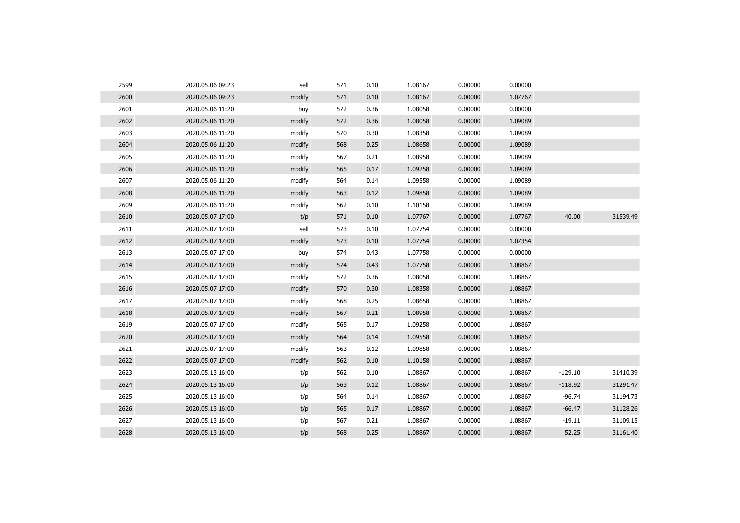| 2599 | 2020.05.06 09:23 | sell   | 571 | 0.10 | 1.08167 | 0.00000 | 0.00000 |           |          |
|------|------------------|--------|-----|------|---------|---------|---------|-----------|----------|
| 2600 | 2020.05.06 09:23 | modify | 571 | 0.10 | 1.08167 | 0.00000 | 1.07767 |           |          |
| 2601 | 2020.05.06 11:20 | buy    | 572 | 0.36 | 1.08058 | 0.00000 | 0.00000 |           |          |
| 2602 | 2020.05.06 11:20 | modify | 572 | 0.36 | 1.08058 | 0.00000 | 1.09089 |           |          |
| 2603 | 2020.05.06 11:20 | modify | 570 | 0.30 | 1.08358 | 0.00000 | 1.09089 |           |          |
| 2604 | 2020.05.06 11:20 | modify | 568 | 0.25 | 1.08658 | 0.00000 | 1.09089 |           |          |
| 2605 | 2020.05.06 11:20 | modify | 567 | 0.21 | 1.08958 | 0.00000 | 1.09089 |           |          |
| 2606 | 2020.05.06 11:20 | modify | 565 | 0.17 | 1.09258 | 0.00000 | 1.09089 |           |          |
| 2607 | 2020.05.06 11:20 | modify | 564 | 0.14 | 1.09558 | 0.00000 | 1.09089 |           |          |
| 2608 | 2020.05.06 11:20 | modify | 563 | 0.12 | 1.09858 | 0.00000 | 1.09089 |           |          |
| 2609 | 2020.05.06 11:20 | modify | 562 | 0.10 | 1.10158 | 0.00000 | 1.09089 |           |          |
| 2610 | 2020.05.07 17:00 | t/p    | 571 | 0.10 | 1.07767 | 0.00000 | 1.07767 | 40.00     | 31539.49 |
| 2611 | 2020.05.07 17:00 | sell   | 573 | 0.10 | 1.07754 | 0.00000 | 0.00000 |           |          |
| 2612 | 2020.05.07 17:00 | modify | 573 | 0.10 | 1.07754 | 0.00000 | 1.07354 |           |          |
| 2613 | 2020.05.07 17:00 | buy    | 574 | 0.43 | 1.07758 | 0.00000 | 0.00000 |           |          |
| 2614 | 2020.05.07 17:00 | modify | 574 | 0.43 | 1.07758 | 0.00000 | 1.08867 |           |          |
| 2615 | 2020.05.07 17:00 | modify | 572 | 0.36 | 1.08058 | 0.00000 | 1.08867 |           |          |
| 2616 | 2020.05.07 17:00 | modify | 570 | 0.30 | 1.08358 | 0.00000 | 1.08867 |           |          |
| 2617 | 2020.05.07 17:00 | modify | 568 | 0.25 | 1.08658 | 0.00000 | 1.08867 |           |          |
| 2618 | 2020.05.07 17:00 | modify | 567 | 0.21 | 1.08958 | 0.00000 | 1.08867 |           |          |
| 2619 | 2020.05.07 17:00 | modify | 565 | 0.17 | 1.09258 | 0.00000 | 1.08867 |           |          |
| 2620 | 2020.05.07 17:00 | modify | 564 | 0.14 | 1.09558 | 0.00000 | 1.08867 |           |          |
| 2621 | 2020.05.07 17:00 | modify | 563 | 0.12 | 1.09858 | 0.00000 | 1.08867 |           |          |
| 2622 | 2020.05.07 17:00 | modify | 562 | 0.10 | 1.10158 | 0.00000 | 1.08867 |           |          |
| 2623 | 2020.05.13 16:00 | t/p    | 562 | 0.10 | 1.08867 | 0.00000 | 1.08867 | $-129.10$ | 31410.39 |
| 2624 | 2020.05.13 16:00 | t/p    | 563 | 0.12 | 1.08867 | 0.00000 | 1.08867 | $-118.92$ | 31291.47 |
| 2625 | 2020.05.13 16:00 | t/p    | 564 | 0.14 | 1.08867 | 0.00000 | 1.08867 | $-96.74$  | 31194.73 |
| 2626 | 2020.05.13 16:00 | t/p    | 565 | 0.17 | 1.08867 | 0.00000 | 1.08867 | $-66.47$  | 31128.26 |
| 2627 | 2020.05.13 16:00 | t/p    | 567 | 0.21 | 1.08867 | 0.00000 | 1.08867 | $-19.11$  | 31109.15 |
| 2628 | 2020.05.13 16:00 | t/p    | 568 | 0.25 | 1.08867 | 0.00000 | 1.08867 | 52.25     | 31161.40 |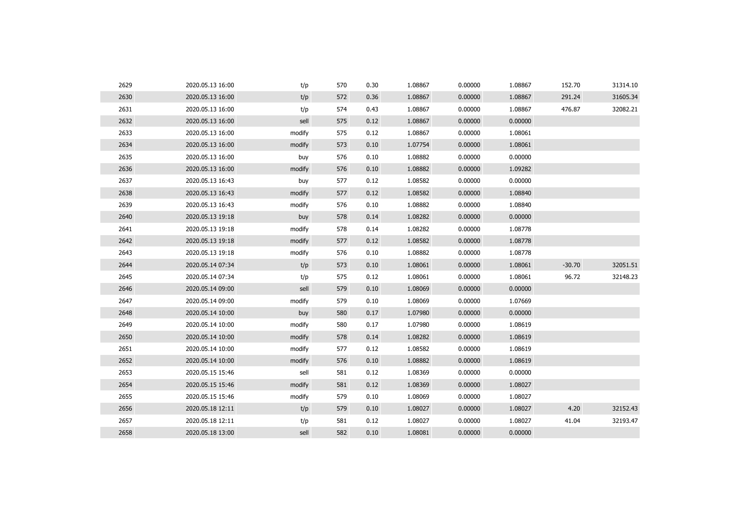| 2629 | 2020.05.13 16:00 | t/p    | 570 | 0.30 | 1.08867 | 0.00000 | 1.08867 | 152.70   | 31314.10 |
|------|------------------|--------|-----|------|---------|---------|---------|----------|----------|
| 2630 | 2020.05.13 16:00 | t/p    | 572 | 0.36 | 1.08867 | 0.00000 | 1.08867 | 291.24   | 31605.34 |
| 2631 | 2020.05.13 16:00 | t/p    | 574 | 0.43 | 1.08867 | 0.00000 | 1.08867 | 476.87   | 32082.21 |
| 2632 | 2020.05.13 16:00 | sell   | 575 | 0.12 | 1.08867 | 0.00000 | 0.00000 |          |          |
| 2633 | 2020.05.13 16:00 | modify | 575 | 0.12 | 1.08867 | 0.00000 | 1.08061 |          |          |
| 2634 | 2020.05.13 16:00 | modify | 573 | 0.10 | 1.07754 | 0.00000 | 1.08061 |          |          |
| 2635 | 2020.05.13 16:00 | buy    | 576 | 0.10 | 1.08882 | 0.00000 | 0.00000 |          |          |
| 2636 | 2020.05.13 16:00 | modify | 576 | 0.10 | 1.08882 | 0.00000 | 1.09282 |          |          |
| 2637 | 2020.05.13 16:43 | buy    | 577 | 0.12 | 1.08582 | 0.00000 | 0.00000 |          |          |
| 2638 | 2020.05.13 16:43 | modify | 577 | 0.12 | 1.08582 | 0.00000 | 1.08840 |          |          |
| 2639 | 2020.05.13 16:43 | modify | 576 | 0.10 | 1.08882 | 0.00000 | 1.08840 |          |          |
| 2640 | 2020.05.13 19:18 | buy    | 578 | 0.14 | 1.08282 | 0.00000 | 0.00000 |          |          |
| 2641 | 2020.05.13 19:18 | modify | 578 | 0.14 | 1.08282 | 0.00000 | 1.08778 |          |          |
| 2642 | 2020.05.13 19:18 | modify | 577 | 0.12 | 1.08582 | 0.00000 | 1.08778 |          |          |
| 2643 | 2020.05.13 19:18 | modify | 576 | 0.10 | 1.08882 | 0.00000 | 1.08778 |          |          |
| 2644 | 2020.05.14 07:34 | t/p    | 573 | 0.10 | 1.08061 | 0.00000 | 1.08061 | $-30.70$ | 32051.51 |
| 2645 | 2020.05.14 07:34 | t/p    | 575 | 0.12 | 1.08061 | 0.00000 | 1.08061 | 96.72    | 32148.23 |
| 2646 | 2020.05.14 09:00 | sell   | 579 | 0.10 | 1.08069 | 0.00000 | 0.00000 |          |          |
| 2647 | 2020.05.14 09:00 | modify | 579 | 0.10 | 1.08069 | 0.00000 | 1.07669 |          |          |
| 2648 | 2020.05.14 10:00 | buy    | 580 | 0.17 | 1.07980 | 0.00000 | 0.00000 |          |          |
| 2649 | 2020.05.14 10:00 | modify | 580 | 0.17 | 1.07980 | 0.00000 | 1.08619 |          |          |
| 2650 | 2020.05.14 10:00 | modify | 578 | 0.14 | 1.08282 | 0.00000 | 1.08619 |          |          |
| 2651 | 2020.05.14 10:00 | modify | 577 | 0.12 | 1.08582 | 0.00000 | 1.08619 |          |          |
| 2652 | 2020.05.14 10:00 | modify | 576 | 0.10 | 1.08882 | 0.00000 | 1.08619 |          |          |
| 2653 | 2020.05.15 15:46 | sell   | 581 | 0.12 | 1.08369 | 0.00000 | 0.00000 |          |          |
| 2654 | 2020.05.15 15:46 | modify | 581 | 0.12 | 1.08369 | 0.00000 | 1.08027 |          |          |
| 2655 | 2020.05.15 15:46 | modify | 579 | 0.10 | 1.08069 | 0.00000 | 1.08027 |          |          |
| 2656 | 2020.05.18 12:11 | t/p    | 579 | 0.10 | 1.08027 | 0.00000 | 1.08027 | 4.20     | 32152.43 |
| 2657 | 2020.05.18 12:11 | t/p    | 581 | 0.12 | 1.08027 | 0.00000 | 1.08027 | 41.04    | 32193.47 |
| 2658 | 2020.05.18 13:00 | sell   | 582 | 0.10 | 1.08081 | 0.00000 | 0.00000 |          |          |
|      |                  |        |     |      |         |         |         |          |          |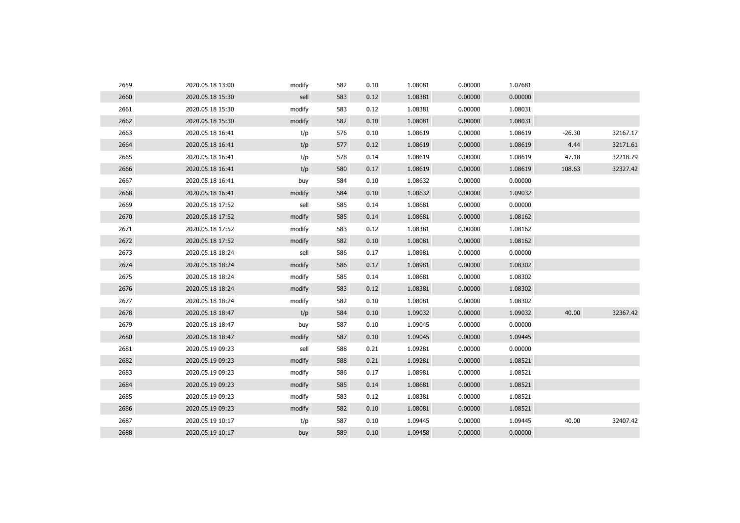| 2659 | 2020.05.18 13:00 | modify | 582 | 0.10 | 1.08081 | 0.00000 | 1.07681 |          |          |
|------|------------------|--------|-----|------|---------|---------|---------|----------|----------|
| 2660 | 2020.05.18 15:30 | sell   | 583 | 0.12 | 1.08381 | 0.00000 | 0.00000 |          |          |
| 2661 | 2020.05.18 15:30 | modify | 583 | 0.12 | 1.08381 | 0.00000 | 1.08031 |          |          |
| 2662 | 2020.05.18 15:30 | modify | 582 | 0.10 | 1.08081 | 0.00000 | 1.08031 |          |          |
| 2663 | 2020.05.18 16:41 | t/p    | 576 | 0.10 | 1.08619 | 0.00000 | 1.08619 | $-26.30$ | 32167.17 |
| 2664 | 2020.05.18 16:41 | t/p    | 577 | 0.12 | 1.08619 | 0.00000 | 1.08619 | 4.44     | 32171.61 |
| 2665 | 2020.05.18 16:41 | t/p    | 578 | 0.14 | 1.08619 | 0.00000 | 1.08619 | 47.18    | 32218.79 |
| 2666 | 2020.05.18 16:41 | t/p    | 580 | 0.17 | 1.08619 | 0.00000 | 1.08619 | 108.63   | 32327.42 |
| 2667 | 2020.05.18 16:41 | buy    | 584 | 0.10 | 1.08632 | 0.00000 | 0.00000 |          |          |
| 2668 | 2020.05.18 16:41 | modify | 584 | 0.10 | 1.08632 | 0.00000 | 1.09032 |          |          |
| 2669 | 2020.05.18 17:52 | sell   | 585 | 0.14 | 1.08681 | 0.00000 | 0.00000 |          |          |
| 2670 | 2020.05.18 17:52 | modify | 585 | 0.14 | 1.08681 | 0.00000 | 1.08162 |          |          |
| 2671 | 2020.05.18 17:52 | modify | 583 | 0.12 | 1.08381 | 0.00000 | 1.08162 |          |          |
| 2672 | 2020.05.18 17:52 | modify | 582 | 0.10 | 1.08081 | 0.00000 | 1.08162 |          |          |
| 2673 | 2020.05.18 18:24 | sell   | 586 | 0.17 | 1.08981 | 0.00000 | 0.00000 |          |          |
| 2674 | 2020.05.18 18:24 | modify | 586 | 0.17 | 1.08981 | 0.00000 | 1.08302 |          |          |
| 2675 | 2020.05.18 18:24 | modify | 585 | 0.14 | 1.08681 | 0.00000 | 1.08302 |          |          |
| 2676 | 2020.05.18 18:24 | modify | 583 | 0.12 | 1.08381 | 0.00000 | 1.08302 |          |          |
| 2677 | 2020.05.18 18:24 | modify | 582 | 0.10 | 1.08081 | 0.00000 | 1.08302 |          |          |
| 2678 | 2020.05.18 18:47 | t/p    | 584 | 0.10 | 1.09032 | 0.00000 | 1.09032 | 40.00    | 32367.42 |
| 2679 | 2020.05.18 18:47 | buy    | 587 | 0.10 | 1.09045 | 0.00000 | 0.00000 |          |          |
| 2680 | 2020.05.18 18:47 | modify | 587 | 0.10 | 1.09045 | 0.00000 | 1.09445 |          |          |
| 2681 | 2020.05.19 09:23 | sell   | 588 | 0.21 | 1.09281 | 0.00000 | 0.00000 |          |          |
| 2682 | 2020.05.19 09:23 | modify | 588 | 0.21 | 1.09281 | 0.00000 | 1.08521 |          |          |
| 2683 | 2020.05.19 09:23 | modify | 586 | 0.17 | 1.08981 | 0.00000 | 1.08521 |          |          |
| 2684 | 2020.05.19 09:23 | modify | 585 | 0.14 | 1.08681 | 0.00000 | 1.08521 |          |          |
| 2685 | 2020.05.19 09:23 | modify | 583 | 0.12 | 1.08381 | 0.00000 | 1.08521 |          |          |
| 2686 | 2020.05.19 09:23 | modify | 582 | 0.10 | 1.08081 | 0.00000 | 1.08521 |          |          |
| 2687 | 2020.05.19 10:17 | t/p    | 587 | 0.10 | 1.09445 | 0.00000 | 1.09445 | 40.00    | 32407.42 |
| 2688 | 2020.05.19 10:17 | buy    | 589 | 0.10 | 1.09458 | 0.00000 | 0.00000 |          |          |
|      |                  |        |     |      |         |         |         |          |          |